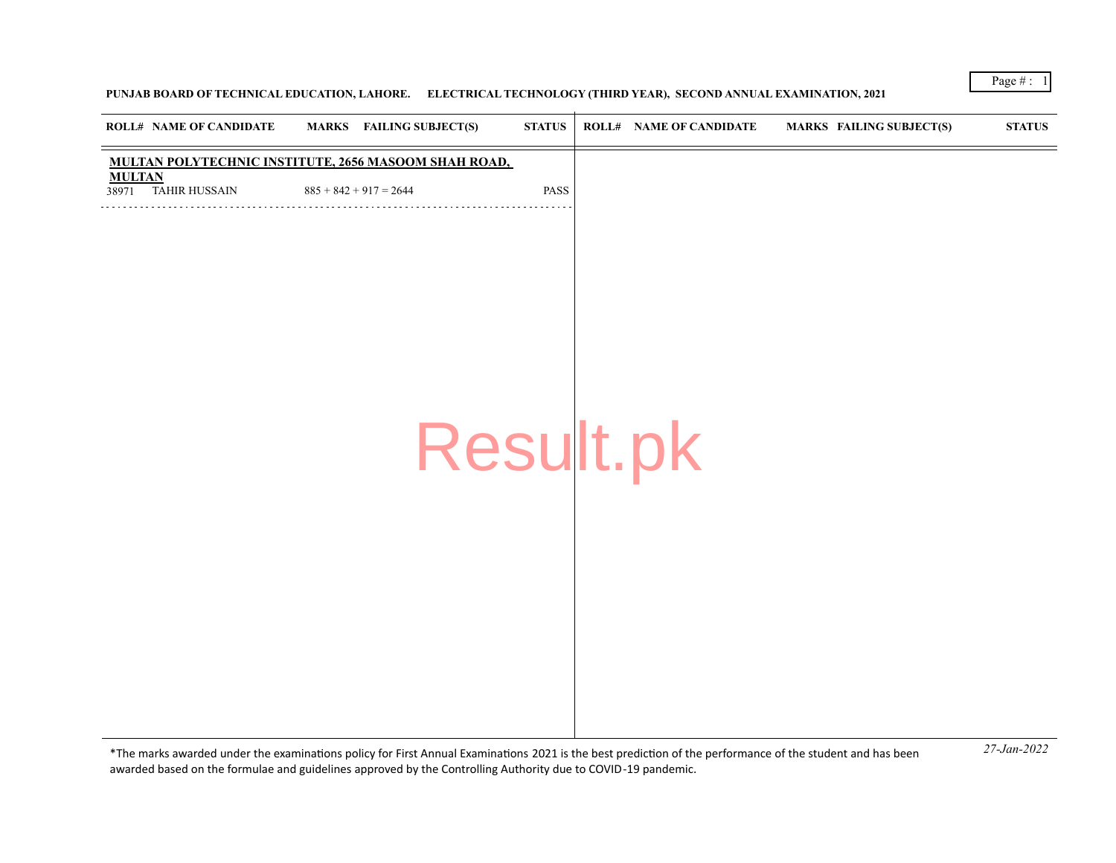## **PUNJAB BOARD OF TECHNICAL EDUCATION, LAHORE. ELECTRICAL TECHNOLOGY (THIRD YEAR), SECOND ANNUAL EXAMINATION, 2021**

| <b>ROLL# NAME OF CANDIDATE</b>       | <b>MARKS</b> FAILING SUBJECT(S)                             | <b>STATUS</b> | <b>ROLL# NAME OF CANDIDATE</b> | <b>MARKS FAILING SUBJECT(S)</b> | <b>STATUS</b> |
|--------------------------------------|-------------------------------------------------------------|---------------|--------------------------------|---------------------------------|---------------|
|                                      | <b>MULTAN POLYTECHNIC INSTITUTE, 2656 MASOOM SHAH ROAD,</b> |               |                                |                                 |               |
| <b>MULTAN</b><br>38971 TAHIR HUSSAIN | $885 + 842 + 917 = 2644$                                    | PASS          |                                |                                 |               |
|                                      |                                                             |               |                                |                                 |               |
|                                      |                                                             |               |                                |                                 |               |
|                                      |                                                             |               |                                |                                 |               |
|                                      |                                                             |               |                                |                                 |               |
|                                      |                                                             |               |                                |                                 |               |
|                                      |                                                             |               |                                |                                 |               |
|                                      |                                                             |               |                                |                                 |               |
|                                      |                                                             |               |                                |                                 |               |
|                                      |                                                             |               |                                |                                 |               |
|                                      |                                                             |               | Result.pk                      |                                 |               |
|                                      |                                                             |               |                                |                                 |               |
|                                      |                                                             |               |                                |                                 |               |
|                                      |                                                             |               |                                |                                 |               |
|                                      |                                                             |               |                                |                                 |               |
|                                      |                                                             |               |                                |                                 |               |
|                                      |                                                             |               |                                |                                 |               |
|                                      |                                                             |               |                                |                                 |               |
|                                      |                                                             |               |                                |                                 |               |
|                                      |                                                             |               |                                |                                 |               |
|                                      |                                                             |               |                                |                                 |               |
|                                      |                                                             |               |                                |                                 |               |

*27-Jan-2022* \*The marks awarded under the examinatons policy for First Annual Examinatons 2021 is the best predicton of the performance of the student and has been awarded based on the formulae and guidelines approved by the Controlling Authority due to COVID-19 pandemic.

Page  $#$  :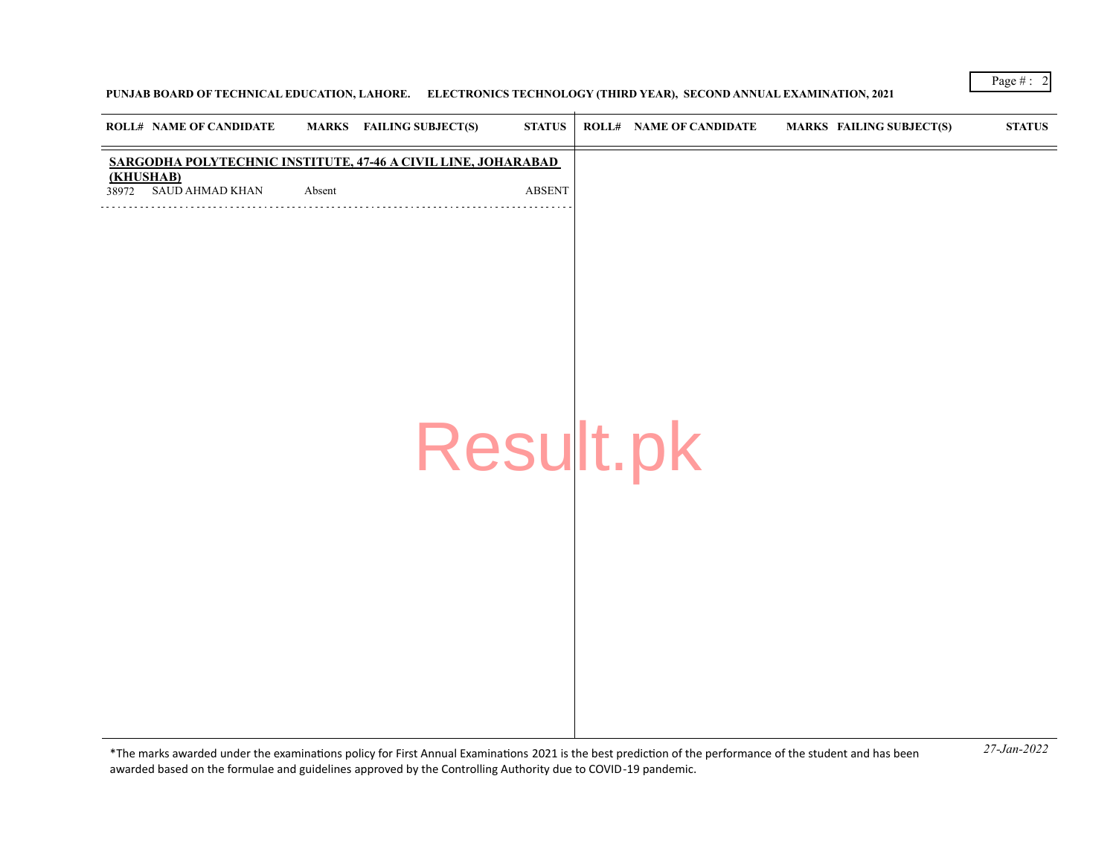## **PUNJAB BOARD OF TECHNICAL EDUCATION, LAHORE. ELECTRONICS TECHNOLOGY (THIRD YEAR), SECOND ANNUAL EXAMINATION, 2021**

| <b>ROLL# NAME OF CANDIDATE</b>                                |        | <b>MARKS</b> FAILING SUBJECT(S) | <b>STATUS</b> | <b>ROLL# NAME OF CANDIDATE</b> | <b>MARKS FAILING SUBJECT(S)</b> | $\bold{STATUS}$ |
|---------------------------------------------------------------|--------|---------------------------------|---------------|--------------------------------|---------------------------------|-----------------|
| SARGODHA POLYTECHNIC INSTITUTE, 47-46 A CIVIL LINE, JOHARABAD |        |                                 |               |                                |                                 |                 |
| (KHUSHAB)<br>SAUD AHMAD KHAN<br>38972                         | Absent |                                 | <b>ABSENT</b> |                                |                                 |                 |
|                                                               |        |                                 |               |                                |                                 |                 |
|                                                               |        |                                 |               |                                |                                 |                 |
|                                                               |        |                                 |               |                                |                                 |                 |
|                                                               |        |                                 |               |                                |                                 |                 |
|                                                               |        |                                 |               |                                |                                 |                 |
|                                                               |        |                                 |               |                                |                                 |                 |
|                                                               |        | Result.pk                       |               |                                |                                 |                 |
|                                                               |        |                                 |               |                                |                                 |                 |
|                                                               |        |                                 |               |                                |                                 |                 |
|                                                               |        |                                 |               |                                |                                 |                 |
|                                                               |        |                                 |               |                                |                                 |                 |
|                                                               |        |                                 |               |                                |                                 |                 |
|                                                               |        |                                 |               |                                |                                 |                 |
|                                                               |        |                                 |               |                                |                                 |                 |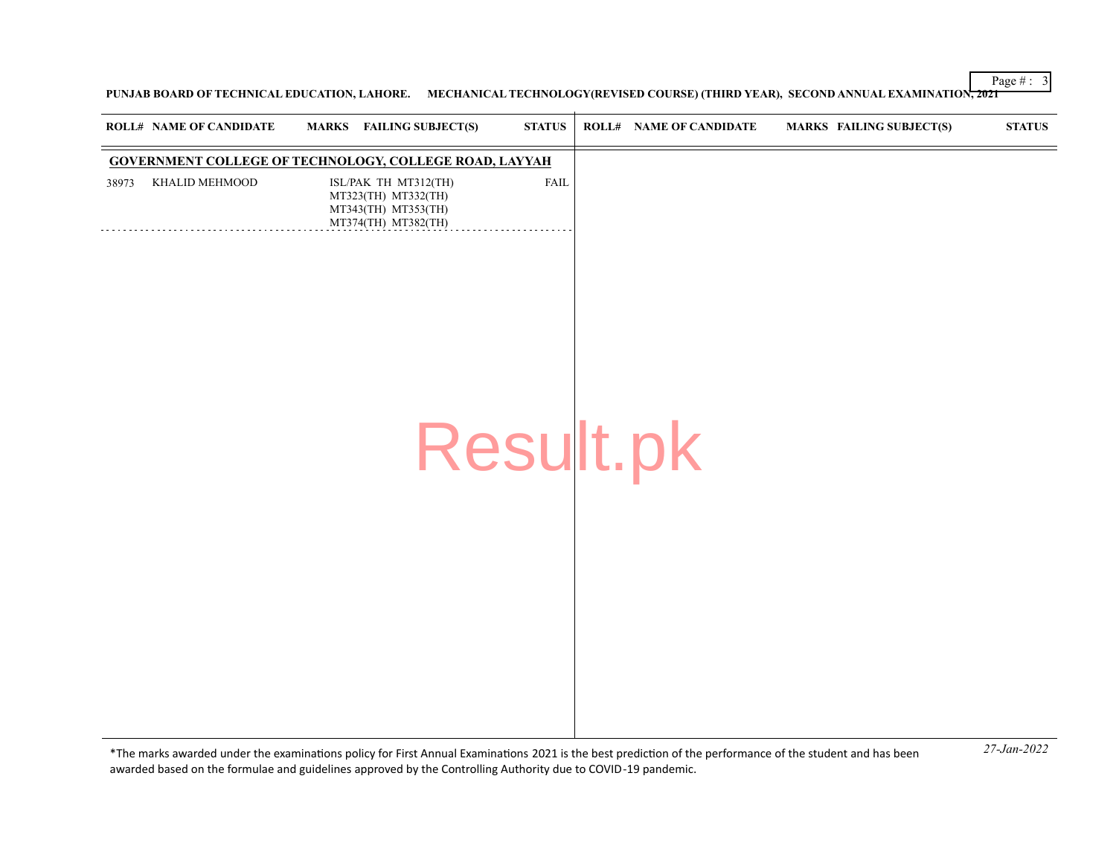**PUNJAB BOARD OF TECHNICAL EDUCATION, LAHORE. MECHANICAL TECHNOLOGY(REVISED COURSE) (THIRD YEAR), SECOND ANNUAL EXAMINATION, 2021**

|       | <b>ROLL# NAME OF CANDIDATE</b> | MARKS FAILING SUBJECT(S)                                                                  | <b>STATUS</b> | <b>ROLL# NAME OF CANDIDATE</b> | <b>MARKS FAILING SUBJECT(S)</b> | <b>STATUS</b> |
|-------|--------------------------------|-------------------------------------------------------------------------------------------|---------------|--------------------------------|---------------------------------|---------------|
|       |                                | <b>GOVERNMENT COLLEGE OF TECHNOLOGY, COLLEGE ROAD, LAYYAH</b>                             |               |                                |                                 |               |
| 38973 | KHALID MEHMOOD                 | ISL/PAK TH MT312(TH)<br>MT323(TH) MT332(TH)<br>MT343(TH) MT353(TH)<br>MT374(TH) MT382(TH) | <b>FAIL</b>   |                                |                                 |               |
|       |                                |                                                                                           |               |                                |                                 |               |
|       |                                |                                                                                           |               |                                |                                 |               |
|       |                                |                                                                                           |               |                                |                                 |               |
|       |                                |                                                                                           |               | Result.pk                      |                                 |               |
|       |                                |                                                                                           |               |                                |                                 |               |
|       |                                |                                                                                           |               |                                |                                 |               |
|       |                                |                                                                                           |               |                                |                                 |               |
|       |                                |                                                                                           |               |                                |                                 |               |
|       |                                |                                                                                           |               |                                |                                 |               |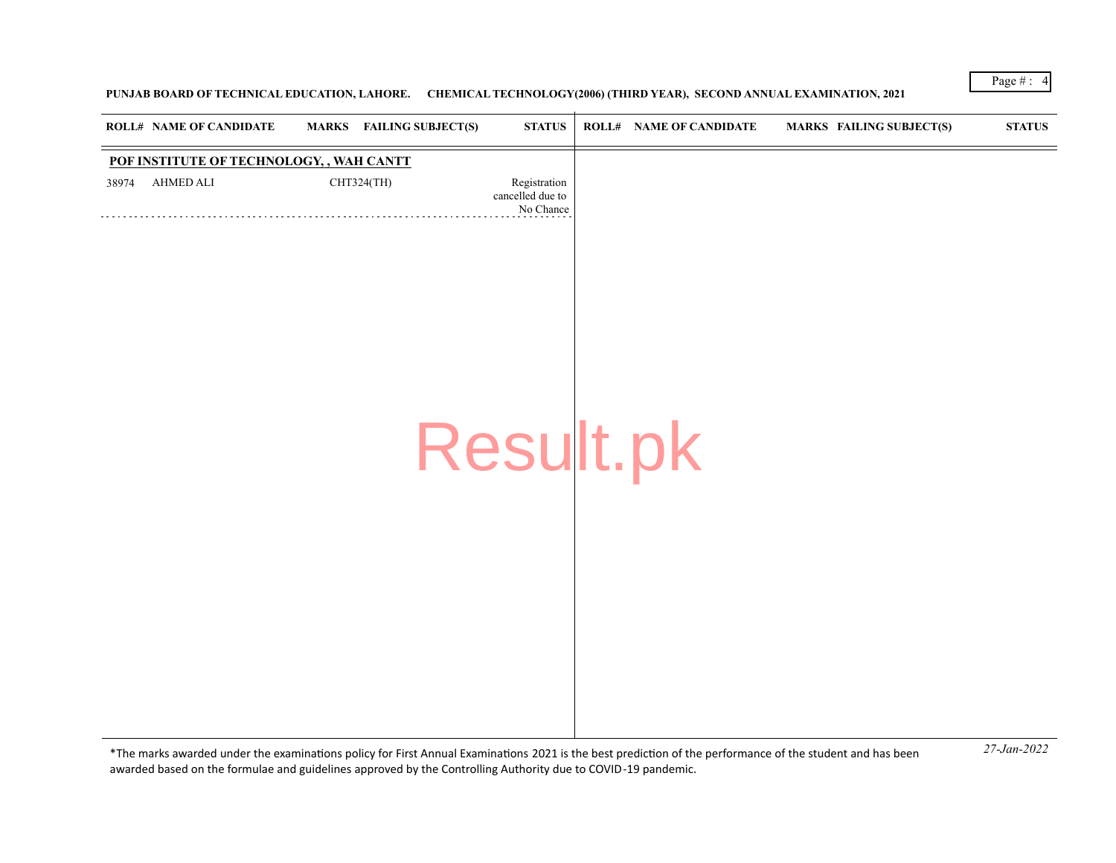# **PUNJAB BOARD OF TECHNICAL EDUCATION, LAHORE. CHEMICAL TECHNOLOGY(2006) (THIRD YEAR), SECOND ANNUAL EXAMINATION, 2021**

|       | <b>ROLL# NAME OF CANDIDATE</b>           | <b>FAILING SUBJECT(S)</b><br><b>MARKS</b> | <b>STATUS</b>                                 | <b>ROLL# NAME OF CANDIDATE</b> | <b>MARKS FAILING SUBJECT(S)</b> | $\bold{STATUS}$ |
|-------|------------------------------------------|-------------------------------------------|-----------------------------------------------|--------------------------------|---------------------------------|-----------------|
|       | POF INSTITUTE OF TECHNOLOGY, , WAH CANTT |                                           |                                               |                                |                                 |                 |
| 38974 | AHMED ALI                                | CHT324(TH)                                | Registration<br>cancelled due to<br>No Chance |                                |                                 |                 |
|       |                                          |                                           | Result.pk                                     |                                |                                 |                 |
|       |                                          |                                           |                                               |                                |                                 |                 |
|       |                                          |                                           |                                               |                                |                                 |                 |
|       |                                          |                                           |                                               |                                |                                 |                 |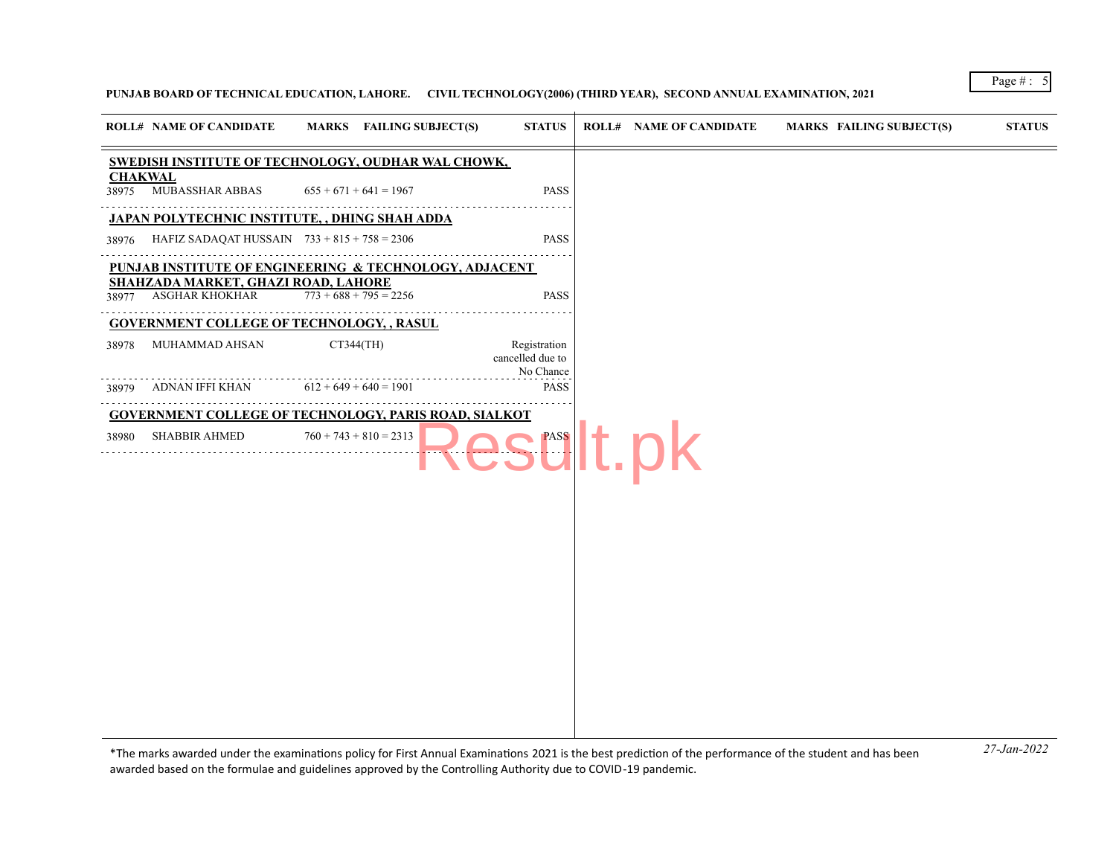## **PUNJAB BOARD OF TECHNICAL EDUCATION, LAHORE. CIVIL TECHNOLOGY(2006) (THIRD YEAR), SECOND ANNUAL EXAMINATION, 2021**

|                         | <b>ROLL# NAME OF CANDIDATE</b>                               | <b>MARKS</b> FAILING SUBJECT(S) | <b>STATUS</b>                                 | <b>ROLL# NAME OF CANDIDATE</b> | <b>MARKS FAILING SUBJECT(S)</b> | <b>STATUS</b> |
|-------------------------|--------------------------------------------------------------|---------------------------------|-----------------------------------------------|--------------------------------|---------------------------------|---------------|
|                         | SWEDISH INSTITUTE OF TECHNOLOGY, OUDHAR WAL CHOWK,           |                                 |                                               |                                |                                 |               |
| <b>CHAKWAL</b><br>38975 | MUBASSHAR ABBAS                                              | $655 + 671 + 641 = 1967$        | <b>PASS</b>                                   |                                |                                 |               |
|                         | JAPAN POLYTECHNIC INSTITUTE, , DHING SHAH ADDA               | .                               |                                               |                                |                                 |               |
| 38976                   | HAFIZ SADAQAT HUSSAIN $733 + 815 + 758 = 2306$               |                                 | <b>PASS</b>                                   |                                |                                 |               |
|                         | PUNJAB INSTITUTE OF ENGINEERING & TECHNOLOGY, ADJACENT       |                                 |                                               |                                |                                 |               |
| 38977                   | SHAHZADA MARKET, GHAZI ROAD, LAHORE<br>ASGHAR KHOKHAR        | $773 + 688 + 795 = 2256$        | <b>PASS</b>                                   |                                |                                 |               |
|                         | <b>GOVERNMENT COLLEGE OF TECHNOLOGY, , RASUL</b>             |                                 |                                               |                                |                                 |               |
| 38978                   | MUHAMMAD AHSAN                                               | CT344(TH)                       | Registration<br>cancelled due to<br>No Chance |                                |                                 |               |
| 38979                   | ADNAN IFFI KHAN                                              | $612 + 649 + 640 = 1901$        | <b>PASS</b>                                   |                                |                                 |               |
|                         | <b>GOVERNMENT COLLEGE OF TECHNOLOGY, PARIS ROAD, SIALKOT</b> |                                 |                                               |                                |                                 |               |
| 38980                   | <b>SHABBIR AHMED</b>                                         | $760 + 743 + 810 = 2313$        |                                               | <b>Ult.pk</b>                  |                                 |               |
|                         |                                                              |                                 |                                               |                                |                                 |               |
|                         |                                                              |                                 |                                               |                                |                                 |               |
|                         |                                                              |                                 |                                               |                                |                                 |               |
|                         |                                                              |                                 |                                               |                                |                                 |               |
|                         |                                                              |                                 |                                               |                                |                                 |               |
|                         |                                                              |                                 |                                               |                                |                                 |               |
|                         |                                                              |                                 |                                               |                                |                                 |               |
|                         |                                                              |                                 |                                               |                                |                                 |               |
|                         |                                                              |                                 |                                               |                                |                                 |               |
|                         |                                                              |                                 |                                               |                                |                                 |               |
|                         |                                                              |                                 |                                               |                                |                                 |               |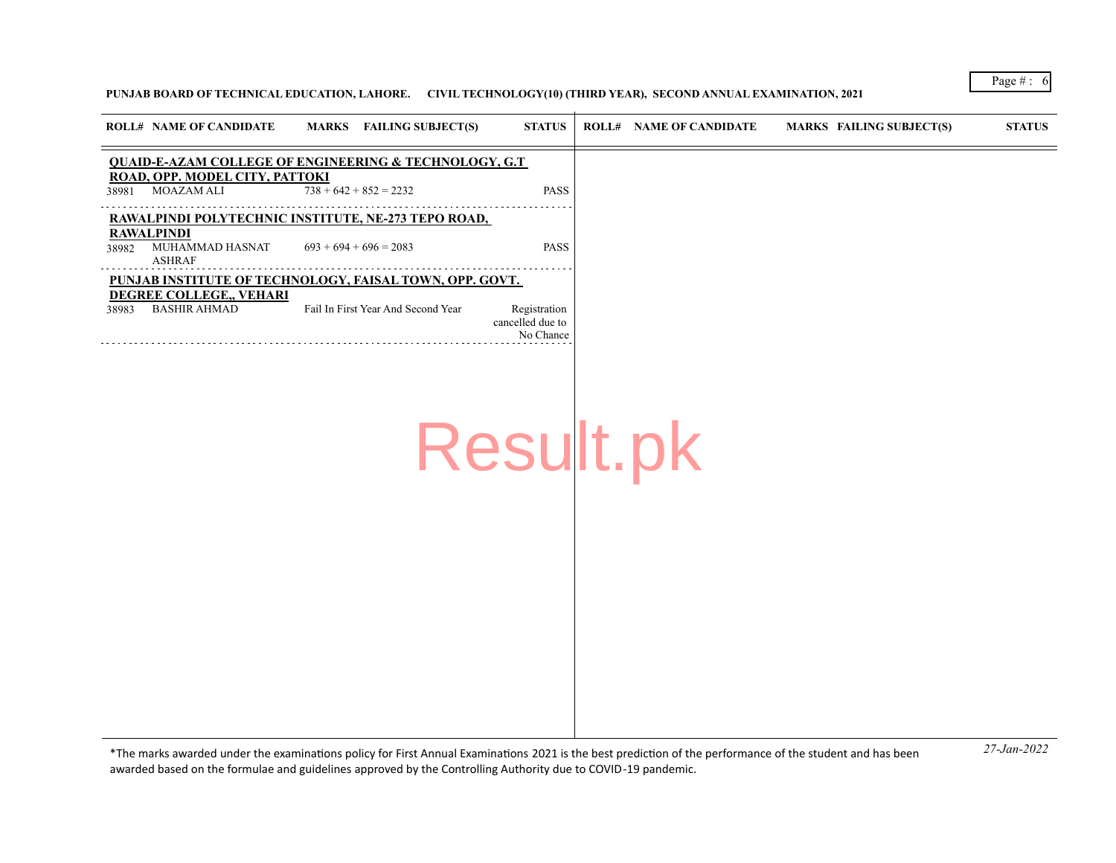## **PUNJAB BOARD OF TECHNICAL EDUCATION, LAHORE. CIVIL TECHNOLOGY(10) (THIRD YEAR), SECOND ANNUAL EXAMINATION, 2021**

|       | <b>ROLL# NAME OF CANDIDATE</b>                        | MARKS FAILING SUBJECT(S)                                         | <b>STATUS</b>                                 | <b>ROLL# NAME OF CANDIDATE</b> | <b>MARKS FAILING SUBJECT(S)</b> | <b>STATUS</b> |
|-------|-------------------------------------------------------|------------------------------------------------------------------|-----------------------------------------------|--------------------------------|---------------------------------|---------------|
|       |                                                       | <b>QUAID-E-AZAM COLLEGE OF ENGINEERING &amp; TECHNOLOGY, G.T</b> |                                               |                                |                                 |               |
| 38981 | ROAD, OPP. MODEL CITY, PATTOKI<br>MOAZAM ALI          | $738 + 642 + 852 = 2232$                                         | <b>PASS</b>                                   |                                |                                 |               |
|       |                                                       | RAWALPINDI POLYTECHNIC INSTITUTE, NE-273 TEPO ROAD,              |                                               |                                |                                 |               |
| 38982 | <b>RAWALPINDI</b><br>MUHAMMAD HASNAT<br><b>ASHRAF</b> | $693 + 694 + 696 = 2083$                                         | <b>PASS</b>                                   |                                |                                 |               |
|       |                                                       | PUNJAB INSTITUTE OF TECHNOLOGY, FAISAL TOWN, OPP. GOVT.          |                                               |                                |                                 |               |
| 38983 | DEGREE COLLEGE,, VEHARI<br><b>BASHIR AHMAD</b>        | Fail In First Year And Second Year                               | Registration<br>cancelled due to<br>No Chance |                                |                                 |               |
|       |                                                       |                                                                  |                                               |                                |                                 |               |
|       |                                                       |                                                                  |                                               |                                |                                 |               |
|       |                                                       |                                                                  |                                               |                                |                                 |               |
|       |                                                       |                                                                  | Result.pk                                     |                                |                                 |               |
|       |                                                       |                                                                  |                                               |                                |                                 |               |
|       |                                                       |                                                                  |                                               |                                |                                 |               |
|       |                                                       |                                                                  |                                               |                                |                                 |               |
|       |                                                       |                                                                  |                                               |                                |                                 |               |
|       |                                                       |                                                                  |                                               |                                |                                 |               |
|       |                                                       |                                                                  |                                               |                                |                                 |               |
|       |                                                       |                                                                  |                                               |                                |                                 |               |
|       |                                                       |                                                                  |                                               |                                |                                 |               |
|       |                                                       |                                                                  |                                               |                                |                                 |               |
|       |                                                       |                                                                  |                                               |                                |                                 |               |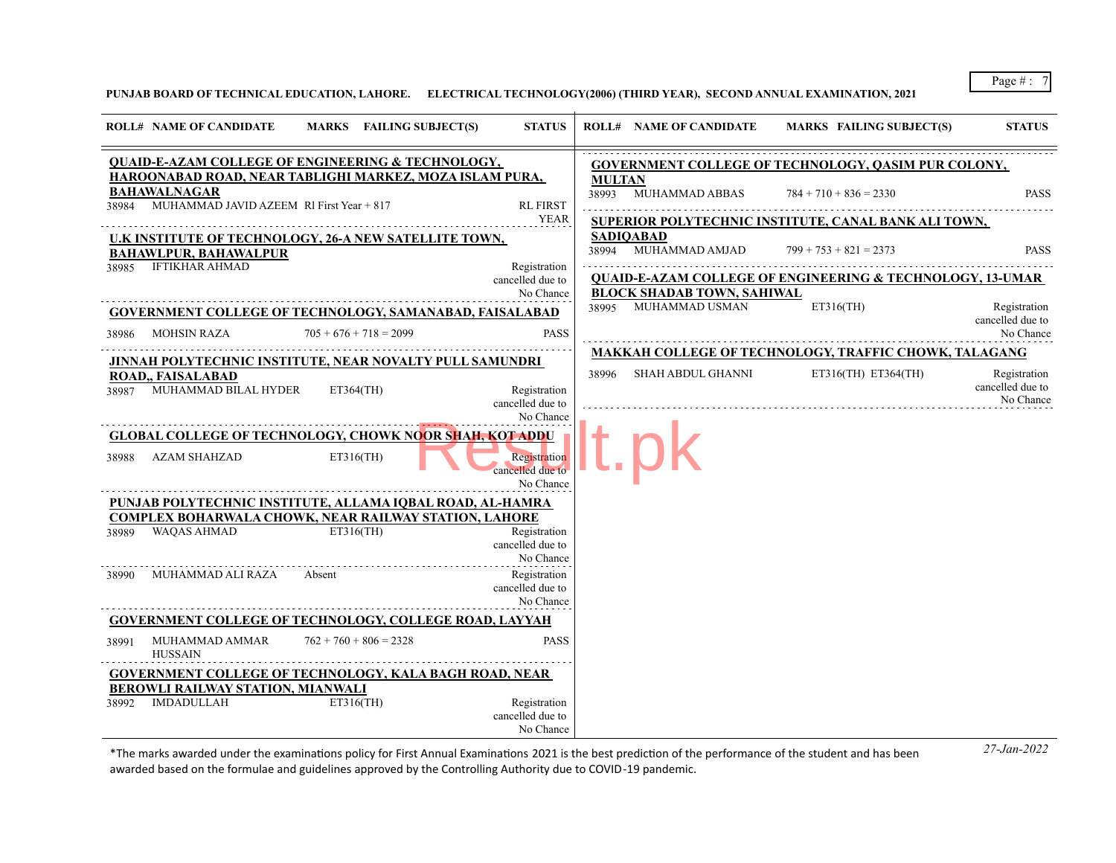**PUNJAB BOARD OF TECHNICAL EDUCATION, LAHORE. ELECTRICAL TECHNOLOGY(2006) (THIRD YEAR), SECOND ANNUAL EXAMINATION, 2021**

| <b>ROLL# NAME OF CANDIDATE</b>                                                                                                   | MARKS FAILING SUBJECT(S) | <b>STATUS</b>                                 |               | <b>ROLL# NAME OF CANDIDATE</b>                                    | <b>MARKS FAILING SUBJECT(S)</b>                                      | <b>STATUS</b>                                 |
|----------------------------------------------------------------------------------------------------------------------------------|--------------------------|-----------------------------------------------|---------------|-------------------------------------------------------------------|----------------------------------------------------------------------|-----------------------------------------------|
| <b>QUAID-E-AZAM COLLEGE OF ENGINEERING &amp; TECHNOLOGY,</b>                                                                     |                          |                                               |               |                                                                   | <b>GOVERNMENT COLLEGE OF TECHNOLOGY, QASIM PUR COLONY,</b>           |                                               |
| HAROONABAD ROAD, NEAR TABLIGHI MARKEZ, MOZA ISLAM PURA,<br><b>BAHAWALNAGAR</b><br>38984 MUHAMMAD JAVID AZEEM RI First Year + 817 |                          | <b>RL FIRST</b>                               | <b>MULTAN</b> | 38993 MUHAMMAD ABBAS                                              | $784 + 710 + 836 = 2330$                                             | <b>PASS</b>                                   |
|                                                                                                                                  |                          | <b>YEAR</b>                                   |               |                                                                   | SUPERIOR POLYTECHNIC INSTITUTE, CANAL BANK ALI TOWN,                 |                                               |
| <u>U.K INSTITUTE OF TECHNOLOGY, 26-A NEW SATELLITE TOWN,</u><br><b>BAHAWLPUR, BAHAWALPUR</b>                                     |                          |                                               |               | <b>SADIOABAD</b><br>38994 MUHAMMAD AMJAD $799 + 753 + 821 = 2373$ |                                                                      | <b>PASS</b>                                   |
| 38985 IFTIKHAR AHMAD                                                                                                             |                          | Registration<br>cancelled due to              |               |                                                                   | <b>QUAID-E-AZAM COLLEGE OF ENGINEERING &amp; TECHNOLOGY, 13-UMAR</b> |                                               |
|                                                                                                                                  |                          | No Chance                                     |               | <b>BLOCK SHADAB TOWN, SAHIWAL</b>                                 |                                                                      |                                               |
| <b>GOVERNMENT COLLEGE OF TECHNOLOGY, SAMANABAD, FAISALABAD</b><br>MOHSIN RAZA<br>38986                                           | $705 + 676 + 718 = 2099$ | <b>PASS</b>                                   |               | 38995 MUHAMMAD USMAN                                              | ET316(TH)                                                            | Registration<br>cancelled due to<br>No Chance |
|                                                                                                                                  |                          |                                               |               |                                                                   | MAKKAH COLLEGE OF TECHNOLOGY, TRAFFIC CHOWK, TALAGANG                |                                               |
| JINNAH POLYTECHNIC INSTITUTE, NEAR NOVALTY PULL SAMUNDRI<br><b>ROAD., FAISALABAD</b><br>38987 MUHAMMAD BILAL HYDER ET364(TH)     |                          | Registration<br>cancelled due to              |               | 38996 SHAH ABDUL GHANNI                                           | ET316(TH) ET364(TH)                                                  | Registration<br>cancelled due to<br>No Chance |
|                                                                                                                                  |                          | No Chance                                     |               |                                                                   |                                                                      |                                               |
| <b>GLOBAL COLLEGE OF TECHNOLOGY, CHOWK NOOR SHAH, KOT ADDU</b><br>38988 AZAM SHAHZAD                                             | ET316(TH)                | Registration<br>cancelled due to              |               |                                                                   |                                                                      |                                               |
|                                                                                                                                  |                          | No Chance                                     |               |                                                                   |                                                                      |                                               |
| PUNJAB POLYTECHNIC INSTITUTE, ALLAMA IQBAL ROAD, AL-HAMRA                                                                        |                          |                                               |               |                                                                   |                                                                      |                                               |
| <b>COMPLEX BOHARWALA CHOWK, NEAR RAILWAY STATION, LAHORE</b><br>38989 WAQAS AHMAD<br>ET316(TH)                                   |                          | Registration<br>cancelled due to<br>No Chance |               |                                                                   |                                                                      |                                               |
| 38990 MUHAMMAD ALI RAZA Absent                                                                                                   |                          | Registration<br>cancelled due to<br>No Chance |               |                                                                   |                                                                      |                                               |
| <b>GOVERNMENT COLLEGE OF TECHNOLOGY, COLLEGE ROAD, LAYYAH</b>                                                                    |                          |                                               |               |                                                                   |                                                                      |                                               |
| MUHAMMAD AMMAR<br>38991<br><b>HUSSAIN</b>                                                                                        | $762 + 760 + 806 = 2328$ | <b>PASS</b>                                   |               |                                                                   |                                                                      |                                               |
| <b>GOVERNMENT COLLEGE OF TECHNOLOGY, KALA BAGH ROAD, NEAR</b><br>BEROWLI RAILWAY STATION, MIANWALI                               |                          |                                               |               |                                                                   |                                                                      |                                               |
| 38992 IMDADULLAH                                                                                                                 | $ET316$ (TH)             | Registration<br>cancelled due to<br>No Chance |               |                                                                   |                                                                      |                                               |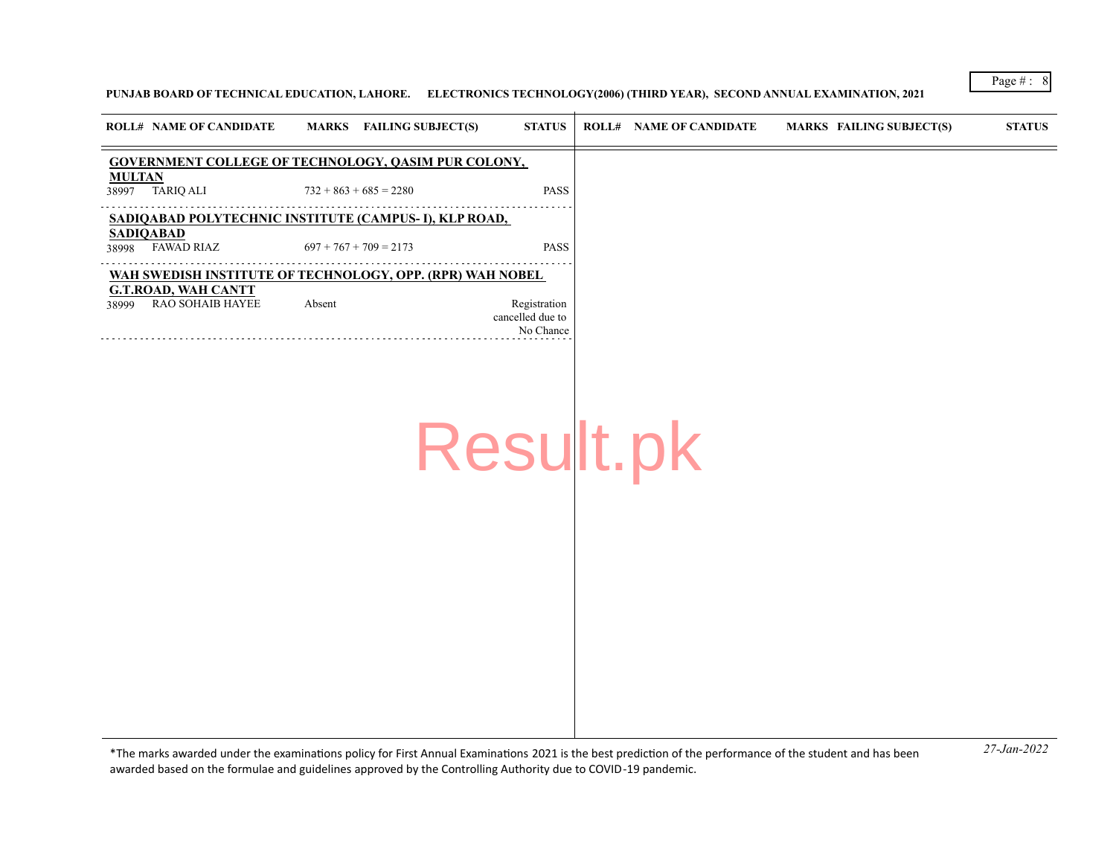## **PUNJAB BOARD OF TECHNICAL EDUCATION, LAHORE. ELECTRONICS TECHNOLOGY(2006) (THIRD YEAR), SECOND ANNUAL EXAMINATION, 2021**

|                           | <b>ROLL# NAME OF CANDIDATE</b>                        |        | MARKS FAILING SUBJECT(S)                                   | <b>STATUS</b>                                 | <b>ROLL# NAME OF CANDIDATE</b> | <b>MARKS FAILING SUBJECT(S)</b> | <b>STATUS</b> |
|---------------------------|-------------------------------------------------------|--------|------------------------------------------------------------|-----------------------------------------------|--------------------------------|---------------------------------|---------------|
|                           |                                                       |        | <b>GOVERNMENT COLLEGE OF TECHNOLOGY, QASIM PUR COLONY,</b> |                                               |                                |                                 |               |
| <b>MULTAN</b><br>38997    | TARIQ ALI                                             |        | $732 + 863 + 685 = 2280$                                   | <b>PASS</b>                                   |                                |                                 |               |
|                           |                                                       |        | SADIQABAD POLYTECHNIC INSTITUTE (CAMPUS- I), KLP ROAD,     |                                               |                                |                                 |               |
| <b>SADIQABAD</b><br>38998 | FAWAD RIAZ                                            |        | $697 + 767 + 709 = 2173$                                   | <b>PASS</b>                                   |                                |                                 |               |
|                           |                                                       |        | WAH SWEDISH INSTITUTE OF TECHNOLOGY, OPP. (RPR) WAH NOBEL  |                                               |                                |                                 |               |
| 38999                     | <b>G.T.ROAD, WAH CANTT</b><br><b>RAO SOHAIB HAYEE</b> | Absent |                                                            | Registration<br>cancelled due to<br>No Chance |                                |                                 |               |
|                           |                                                       |        |                                                            |                                               |                                |                                 |               |
|                           |                                                       |        |                                                            |                                               |                                |                                 |               |
|                           |                                                       |        |                                                            |                                               |                                |                                 |               |
|                           |                                                       |        | Result.pk                                                  |                                               |                                |                                 |               |
|                           |                                                       |        |                                                            |                                               |                                |                                 |               |

*27-Jan-2022* \*The marks awarded under the examinatons policy for First Annual Examinatons 2021 is the best predicton of the performance of the student and has been awarded based on the formulae and guidelines approved by the Controlling Authority due to COVID-19 pandemic.

Page # : 8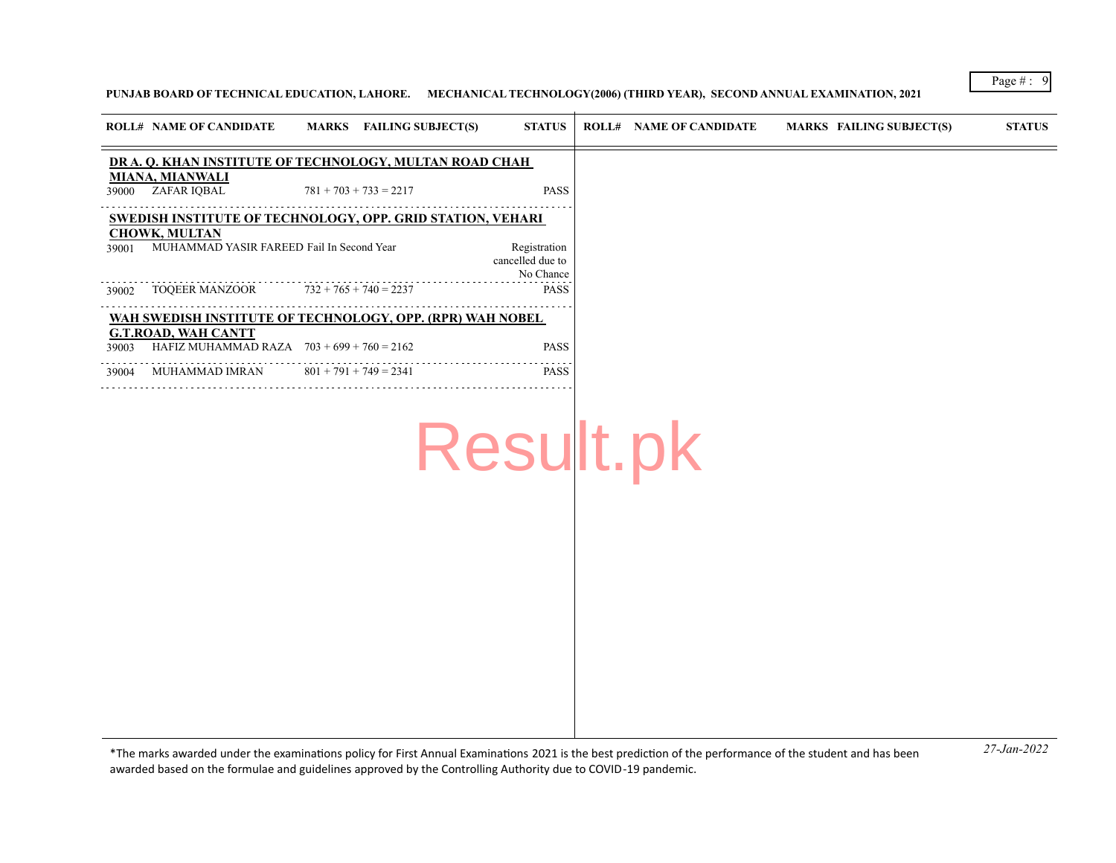# **PUNJAB BOARD OF TECHNICAL EDUCATION, LAHORE. MECHANICAL TECHNOLOGY(2006) (THIRD YEAR), SECOND ANNUAL EXAMINATION, 2021**

| DR A. Q. KHAN INSTITUTE OF TECHNOLOGY, MULTAN ROAD CHAH<br><b>MIANA, MIANWALI</b><br>$781 + 703 + 733 = 2217$<br><b>PASS</b><br>ZAFAR IQBAL<br>39000<br><b>SWEDISH INSTITUTE OF TECHNOLOGY, OPP. GRID STATION, VEHARI</b> |  |
|---------------------------------------------------------------------------------------------------------------------------------------------------------------------------------------------------------------------------|--|
|                                                                                                                                                                                                                           |  |
|                                                                                                                                                                                                                           |  |
|                                                                                                                                                                                                                           |  |
| <b>CHOWK, MULTAN</b><br>MUHAMMAD YASIR FAREED Fail In Second Year<br>Registration<br>39001<br>cancelled due to<br>No Chance                                                                                               |  |
| $732 + 765 + 740 = 2237$<br>TOQEER MANZOOR<br><b>PASS</b><br>39002                                                                                                                                                        |  |
| WAH SWEDISH INSTITUTE OF TECHNOLOGY, OPP. (RPR) WAH NOBEL                                                                                                                                                                 |  |
| <b>G.T.ROAD, WAH CANTT</b><br>HAFIZ MUHAMMAD RAZA $703 + 699 + 760 = 2162$<br><b>PASS</b><br>39003                                                                                                                        |  |
| $801 + 791 + 749 = 2341$<br>MUHAMMAD IMRAN<br><b>PASS</b><br>39004                                                                                                                                                        |  |

*27-Jan-2022* \*The marks awarded under the examinatons policy for First Annual Examinatons 2021 is the best predicton of the performance of the student and has been awarded based on the formulae and guidelines approved by the Controlling Authority due to COVID-19 pandemic.

Page # : 9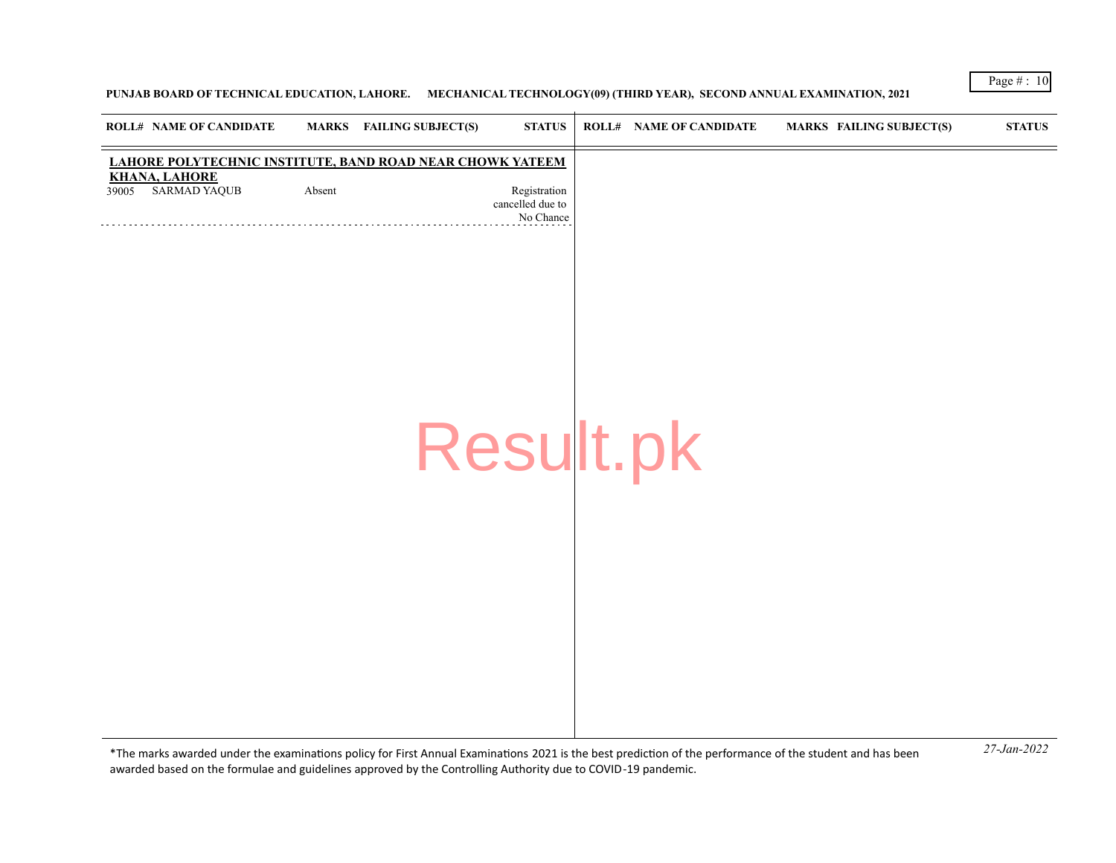## **PUNJAB BOARD OF TECHNICAL EDUCATION, LAHORE. MECHANICAL TECHNOLOGY(09) (THIRD YEAR), SECOND ANNUAL EXAMINATION, 2021**

|       | <b>ROLL# NAME OF CANDIDATE</b>                                                    |        | <b>MARKS</b> FAILING SUBJECT(S) | <b>STATUS</b>                                 | <b>ROLL# NAME OF CANDIDATE</b> | <b>MARKS FAILING SUBJECT(S)</b> | <b>STATUS</b> |
|-------|-----------------------------------------------------------------------------------|--------|---------------------------------|-----------------------------------------------|--------------------------------|---------------------------------|---------------|
|       | LAHORE POLYTECHNIC INSTITUTE, BAND ROAD NEAR CHOWK YATEEM<br><b>KHANA, LAHORE</b> |        |                                 |                                               |                                |                                 |               |
| 39005 | <b>SARMAD YAQUB</b>                                                               | Absent |                                 | Registration<br>cancelled due to<br>No Chance |                                |                                 |               |
|       |                                                                                   |        |                                 |                                               |                                |                                 |               |
|       |                                                                                   |        |                                 |                                               |                                |                                 |               |
|       |                                                                                   |        |                                 |                                               |                                |                                 |               |
|       |                                                                                   |        |                                 |                                               |                                |                                 |               |
|       |                                                                                   |        |                                 |                                               |                                |                                 |               |
|       |                                                                                   |        |                                 | Result.pk                                     |                                |                                 |               |
|       |                                                                                   |        |                                 |                                               |                                |                                 |               |
|       |                                                                                   |        |                                 |                                               |                                |                                 |               |
|       |                                                                                   |        |                                 |                                               |                                |                                 |               |
|       |                                                                                   |        |                                 |                                               |                                |                                 |               |
|       |                                                                                   |        |                                 |                                               |                                |                                 |               |
|       |                                                                                   |        |                                 |                                               |                                |                                 |               |
|       |                                                                                   |        |                                 |                                               |                                |                                 |               |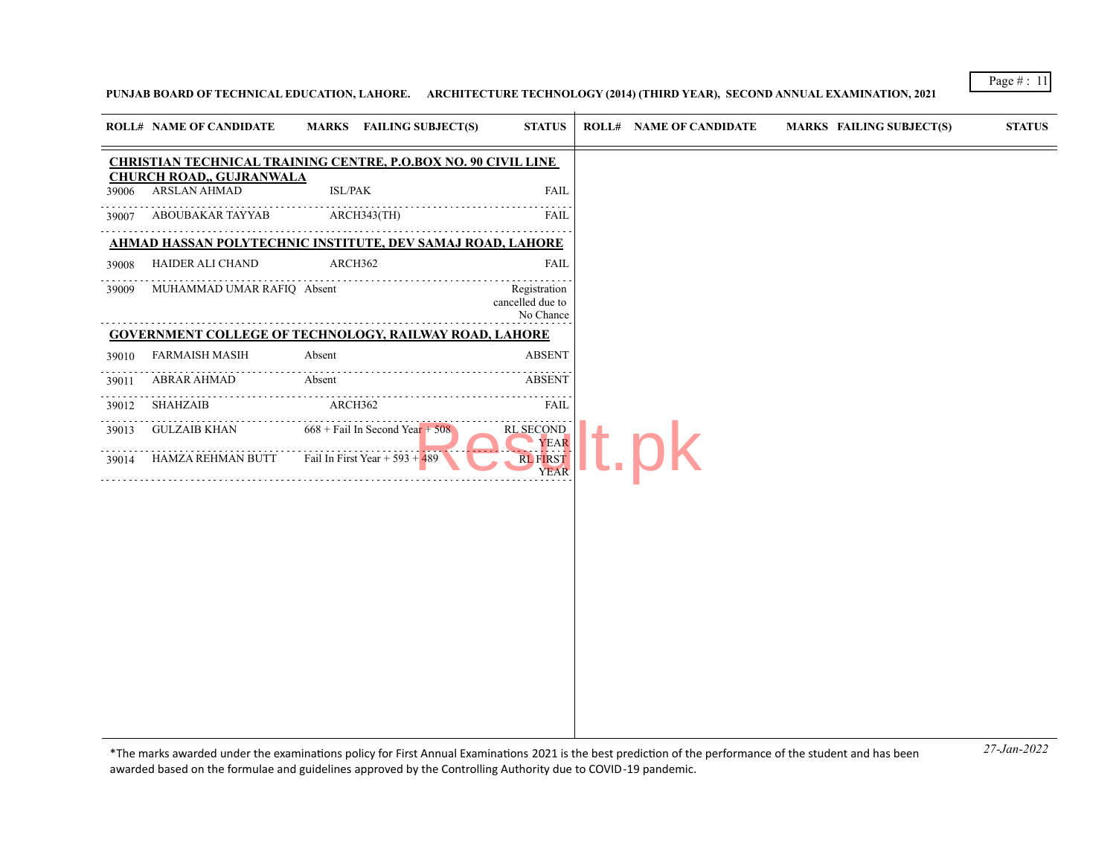# **PUNJAB BOARD OF TECHNICAL EDUCATION, LAHORE. ARCHITECTURE TECHNOLOGY (2014) (THIRD YEAR), SECOND ANNUAL EXAMINATION, 2021**

|       | <b>ROLL# NAME OF CANDIDATE</b>                  | <b>MARKS</b> FAILING SUBJECT(S)                                       | <b>STATUS</b>                                 | <b>ROLL# NAME OF CANDIDATE</b> | <b>MARKS FAILING SUBJECT(S)</b> | <b>STATUS</b> |
|-------|-------------------------------------------------|-----------------------------------------------------------------------|-----------------------------------------------|--------------------------------|---------------------------------|---------------|
|       |                                                 | <b>CHRISTIAN TECHNICAL TRAINING CENTRE, P.O.BOX NO. 90 CIVIL LINE</b> |                                               |                                |                                 |               |
| 39006 | <b>CHURCH ROAD,, GUJRANWALA</b><br>ARSLAN AHMAD | <b>ISL/PAK</b>                                                        | <b>FAIL</b>                                   |                                |                                 |               |
| 39007 | ABOUBAKAR TAYYAB                                | ARCH343(TH)                                                           | FAIL                                          |                                |                                 |               |
|       |                                                 | <u>AHMAD HASSAN POLYTECHNIC INSTITUTE, DEV SAMAJ ROAD, LAHORE</u>     |                                               |                                |                                 |               |
| 39008 | HAIDER ALI CHAND                                | ARCH362                                                               | <b>FAIL</b>                                   |                                |                                 |               |
| 39009 | MUHAMMAD UMAR RAFIQ Absent                      |                                                                       | Registration<br>cancelled due to<br>No Chance |                                |                                 |               |
|       |                                                 | <b>GOVERNMENT COLLEGE OF TECHNOLOGY, RAILWAY ROAD, LAHORE</b>         |                                               |                                |                                 |               |
| 39010 | <b>FARMAISH MASIH</b>                           | Absent                                                                | <b>ABSENT</b>                                 |                                |                                 |               |
| 39011 | <b>ABRAR AHMAD</b>                              | Absent                                                                | ABSENT                                        |                                |                                 |               |
| 39012 | SHAHZAIB                                        | ARCH362                                                               | <b>FAIL</b>                                   |                                |                                 |               |
| 39013 | <b>GULZAIB KHAN</b>                             | $668 +$ Fail In Second Year + 508                                     | <b>RL SECOND</b><br><b>YEAR</b>               |                                |                                 |               |
| 39014 | HAMZA REHMAN BUTT                               | Fail In First Year + 593 + $489$                                      | <b>RL FIRST</b><br><b>YEAR</b>                |                                |                                 |               |
|       |                                                 |                                                                       |                                               |                                |                                 |               |
|       |                                                 |                                                                       |                                               |                                |                                 |               |
|       |                                                 |                                                                       |                                               |                                |                                 |               |
|       |                                                 |                                                                       |                                               |                                |                                 |               |
|       |                                                 |                                                                       |                                               |                                |                                 |               |
|       |                                                 |                                                                       |                                               |                                |                                 |               |
|       |                                                 |                                                                       |                                               |                                |                                 |               |
|       |                                                 |                                                                       |                                               |                                |                                 |               |
|       |                                                 |                                                                       |                                               |                                |                                 |               |
|       |                                                 |                                                                       |                                               |                                |                                 |               |

*27-Jan-2022* \*The marks awarded under the examinatons policy for First Annual Examinatons 2021 is the best predicton of the performance of the student and has been awarded based on the formulae and guidelines approved by the Controlling Authority due to COVID-19 pandemic.

Page # : 11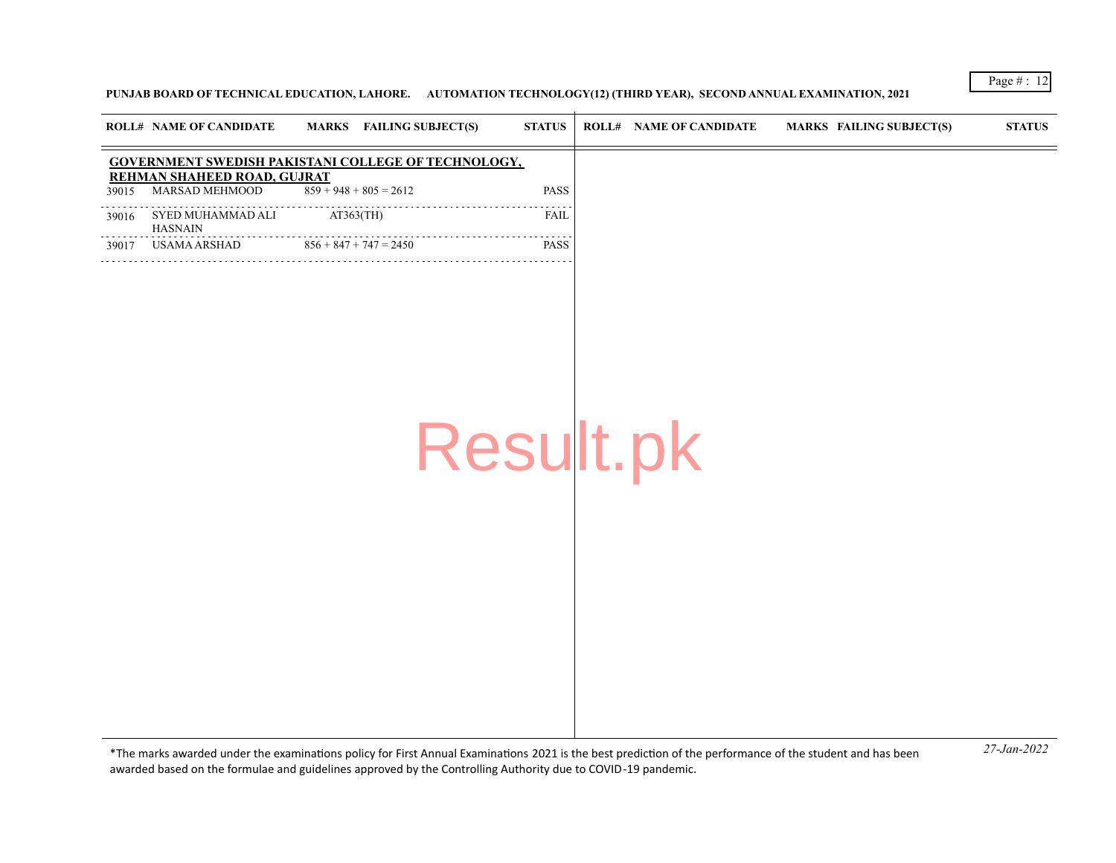## **PUNJAB BOARD OF TECHNICAL EDUCATION, LAHORE. AUTOMATION TECHNOLOGY(12) (THIRD YEAR), SECOND ANNUAL EXAMINATION, 2021**

|       | <b>ROLL# NAME OF CANDIDATE</b>                      |                          | MARKS FAILING SUBJECT(S) | <b>STATUS</b> | <b>ROLL# NAME OF CANDIDATE</b> | <b>MARKS FAILING SUBJECT(S)</b> | <b>STATUS</b> |
|-------|-----------------------------------------------------|--------------------------|--------------------------|---------------|--------------------------------|---------------------------------|---------------|
|       | GOVERNMENT SWEDISH PAKISTANI COLLEGE OF TECHNOLOGY, |                          |                          |               |                                |                                 |               |
| 39015 | REHMAN SHAHEED ROAD, GUJRAT<br>MARSAD MEHMOOD       | $859 + 948 + 805 = 2612$ |                          | PASS          |                                |                                 |               |
| 39016 | SYED MUHAMMAD ALI<br><b>HASNAIN</b>                 | $AT363$ (TH)             | .                        | FAIL          |                                |                                 |               |
| 39017 | <b>USAMA ARSHAD</b>                                 | $856 + 847 + 747 = 2450$ |                          | <b>PASS</b>   |                                |                                 |               |
|       |                                                     |                          | Result.pk                |               |                                |                                 |               |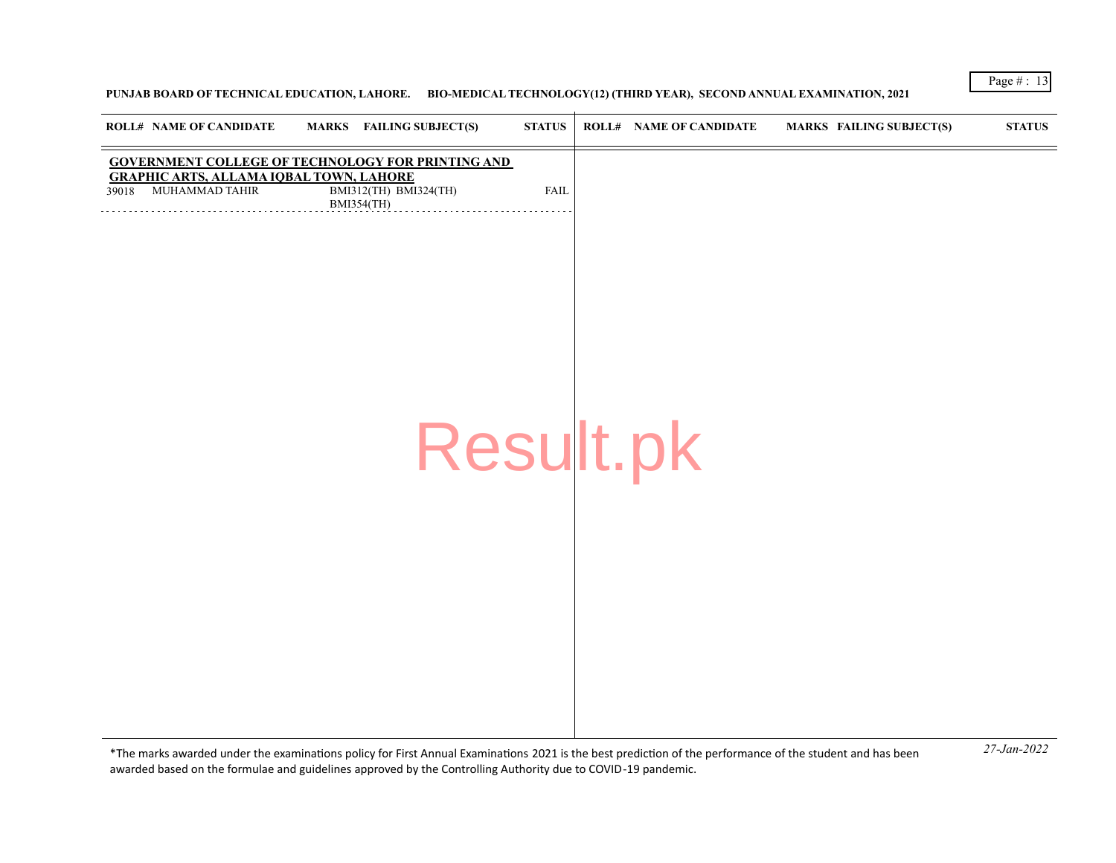## **PUNJAB BOARD OF TECHNICAL EDUCATION, LAHORE. BIO-MEDICAL TECHNOLOGY(12) (THIRD YEAR), SECOND ANNUAL EXAMINATION, 2021**

| <b>ROLL# NAME OF CANDIDATE</b>                 | MARKS FAILING SUBJECT(S)                                 | <b>STATUS</b> | <b>ROLL# NAME OF CANDIDATE</b> | <b>MARKS FAILING SUBJECT(S)</b> | <b>STATUS</b> |
|------------------------------------------------|----------------------------------------------------------|---------------|--------------------------------|---------------------------------|---------------|
| <b>GRAPHIC ARTS, ALLAMA IQBAL TOWN, LAHORE</b> | <b>GOVERNMENT COLLEGE OF TECHNOLOGY FOR PRINTING AND</b> |               |                                |                                 |               |
| 39018 MUHAMMAD TAHIR                           | BMI312(TH) BMI324(TH)<br><b>BMI354(TH)</b>               | ${\rm FAIL}$  |                                |                                 |               |
|                                                |                                                          |               |                                |                                 |               |
|                                                |                                                          |               |                                |                                 |               |
|                                                |                                                          |               |                                |                                 |               |
|                                                |                                                          |               |                                |                                 |               |
|                                                |                                                          |               |                                |                                 |               |
|                                                |                                                          |               |                                |                                 |               |
|                                                |                                                          |               |                                |                                 |               |
|                                                | Result.pk                                                |               |                                |                                 |               |
|                                                |                                                          |               |                                |                                 |               |
|                                                |                                                          |               |                                |                                 |               |
|                                                |                                                          |               |                                |                                 |               |
|                                                |                                                          |               |                                |                                 |               |
|                                                |                                                          |               |                                |                                 |               |
|                                                |                                                          |               |                                |                                 |               |
|                                                |                                                          |               |                                |                                 |               |
|                                                |                                                          |               |                                |                                 |               |
|                                                |                                                          |               |                                |                                 |               |

*27-Jan-2022* \*The marks awarded under the examinatons policy for First Annual Examinatons 2021 is the best predicton of the performance of the student and has been awarded based on the formulae and guidelines approved by the Controlling Authority due to COVID-19 pandemic.

Page # : 13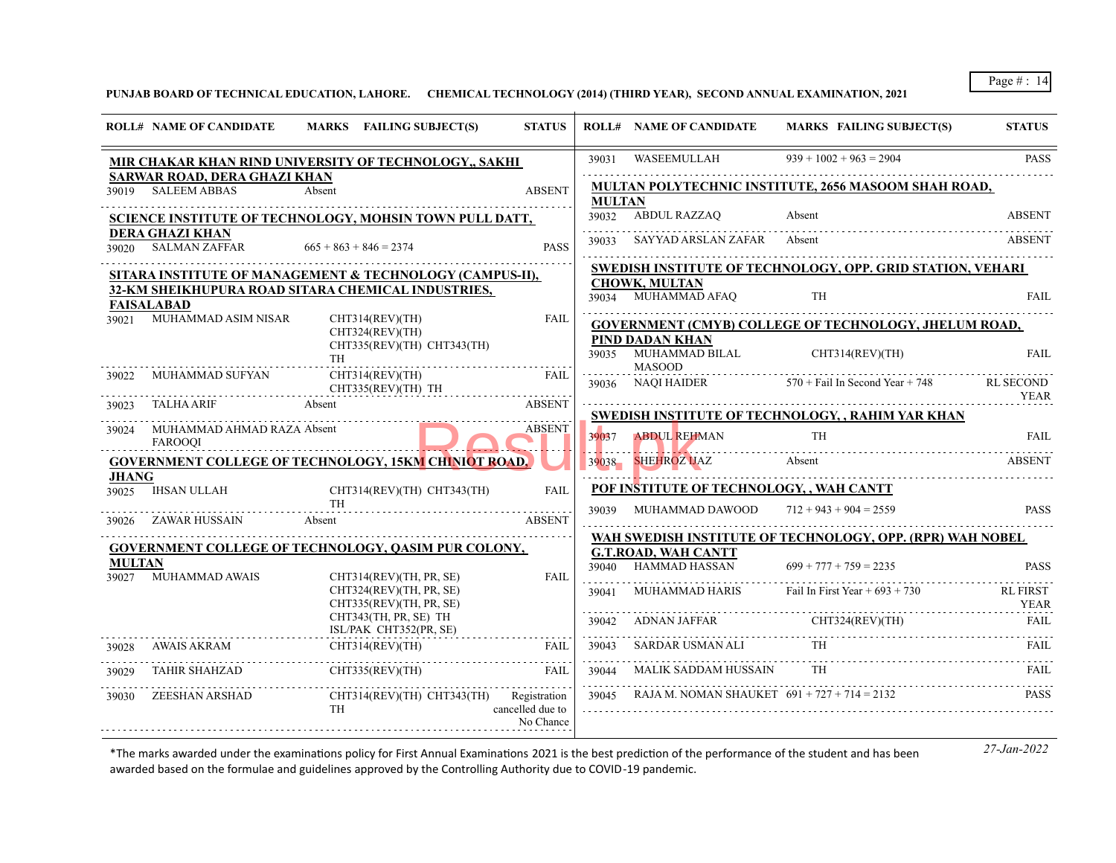**PUNJAB BOARD OF TECHNICAL EDUCATION, LAHORE. CHEMICAL TECHNOLOGY (2014) (THIRD YEAR), SECOND ANNUAL EXAMINATION, 2021**

|               | <b>ROLL# NAME OF CANDIDATE</b>                     | MARKS FAILING SUBJECT(S)                                                      | <b>STATUS</b>                 |                   | <b>ROLL# NAME OF CANDIDATE</b>                                           | <b>MARKS FAILING SUBJECT(S)</b>                                   | <b>STATUS</b>                   |
|---------------|----------------------------------------------------|-------------------------------------------------------------------------------|-------------------------------|-------------------|--------------------------------------------------------------------------|-------------------------------------------------------------------|---------------------------------|
|               |                                                    | MIR CHAKAR KHAN RIND UNIVERSITY OF TECHNOLOGY,, SAKHI                         |                               | 39031             | WASEEMULLAH                                                              | $939 + 1002 + 963 = 2904$                                         | <b>PASS</b>                     |
|               | SARWAR ROAD, DERA GHAZI KHAN<br>39019 SALEEM ABBAS | Absent                                                                        | <b>ABSENT</b>                 | <b>MULTAN</b>     |                                                                          | <b>MULTAN POLYTECHNIC INSTITUTE, 2656 MASOOM SHAH ROAD,</b>       |                                 |
|               |                                                    | <b>SCIENCE INSTITUTE OF TECHNOLOGY, MOHSIN TOWN PULL DATT,</b>                |                               |                   | 39032 ABDUL RAZZAO                                                       | Absent                                                            | <b>ABSENT</b>                   |
|               | <b>DERA GHAZI KHAN</b><br>39020 SALMAN ZAFFAR      | $665 + 863 + 846 = 2374$                                                      | <b>PASS</b>                   | 39033             | SAYYAD ARSLAN ZAFAR Absent                                               |                                                                   | ABSENT                          |
|               |                                                    | SITARA INSTITUTE OF MANAGEMENT & TECHNOLOGY (CAMPUS-II),                      |                               |                   |                                                                          | <b>SWEDISH INSTITUTE OF TECHNOLOGY, OPP. GRID STATION, VEHARI</b> |                                 |
|               | <b>FAISALABAD</b>                                  | 32-KM SHEIKHUPURA ROAD SITARA CHEMICAL INDUSTRIES,                            |                               |                   | <b>CHOWK, MULTAN</b><br>39034 MUHAMMAD AFAO                              | <b>TH</b>                                                         | <b>FAIL</b>                     |
|               | 39021 MUHAMMAD ASIM NISAR                          | CHT314(REV)(TH)                                                               | <b>FAIL</b>                   |                   |                                                                          | <b>GOVERNMENT (CMYB) COLLEGE OF TECHNOLOGY, JHELUM ROAD,</b>      |                                 |
|               |                                                    | CHT324(REV)(TH)<br>CHT335(REV)(TH) CHT343(TH)<br>TH                           |                               |                   | PIND DADAN KHAN<br>39035 MUHAMMAD BILAL CHT314(REV)(TH)<br><b>MASOOD</b> |                                                                   | <b>FAIL</b>                     |
| 39022         | MUHAMMAD SUFYAN                                    | CHT314(REV)(TH)<br>CHT335(REV)(TH) TH                                         | <b>FAIL</b>                   |                   | 39036 NAQI HAIDER                                                        | $570 +$ Fail In Second Year + 748                                 | <b>RL SECOND</b><br><b>YEAR</b> |
| 39023         | <b>TALHA ARIF</b>                                  | Absent                                                                        | <b>ABSENT</b>                 |                   |                                                                          | <b>SWEDISH INSTITUTE OF TECHNOLOGY, , RAHIM YAR KHAN</b>          |                                 |
| 39024         | MUHAMMAD AHMAD RAZA Absent<br><b>FAROOOI</b>       |                                                                               | <b>ABSENT</b>                 | 39037             | <b>ABDUL REHMAN</b>                                                      | <b>TH</b>                                                         | <b>FAIL</b>                     |
|               |                                                    | <b>GOVERNMENT COLLEGE OF TECHNOLOGY, 15KM CHINIOT ROAD,</b>                   |                               |                   | 39038 SHEHROZ UAZ                                                        | Absent                                                            | <b>ABSENT</b>                   |
| <b>JHANG</b>  | 39025 IHSAN ULLAH                                  |                                                                               | FAIL                          |                   | POF INSTITUTE OF TECHNOLOGY, , WAH CANTT                                 |                                                                   |                                 |
|               |                                                    | CHT314(REV)(TH) CHT343(TH)<br><b>TH</b>                                       |                               | 39039             | MUHAMMAD DAWOOD                                                          | $712 + 943 + 904 = 2559$                                          | <b>PASS</b>                     |
|               | 39026 ZAWAR HUSSAIN                                | Absent                                                                        | <b>ABSENT</b>                 |                   |                                                                          |                                                                   |                                 |
|               |                                                    | GOVERNMENT COLLEGE OF TECHNOLOGY, QASIM PUR COLONY,                           |                               |                   |                                                                          | WAH SWEDISH INSTITUTE OF TECHNOLOGY, OPP. (RPR) WAH NOBEL         |                                 |
| <b>MULTAN</b> |                                                    |                                                                               |                               | 39040             | <b>G.T.ROAD, WAH CANTT</b><br><b>HAMMAD HASSAN</b>                       | $699 + 777 + 759 = 2235$                                          | <b>PASS</b>                     |
|               | 39027 MUHAMMAD AWAIS                               | CHT314(REV)(TH, PR, SE)<br>CHT324(REV)(TH, PR, SE)<br>CHT335(REV)(TH, PR, SE) | <b>FAIL</b>                   | 39041             | MUHAMMAD HARIS                                                           | Fail In First Year $+693 + 730$                                   | <b>RL FIRST</b><br><b>YEAR</b>  |
|               |                                                    | CHT343(TH, PR, SE) TH<br>ISL/PAK CHT352(PR, SE)                               |                               | dia a dia a dia . | 39042 ADNAN JAFFAR CHT324(REV)(TH)                                       |                                                                   | <b>FAIL</b>                     |
|               | 39028 AWAIS AKRAM                                  | CHT314(REV)(TH)                                                               | FAIL                          | 39043             | SARDAR USMAN ALI                                                         | <b>TH</b>                                                         | FAIL                            |
| 39029         | <b>TAHIR SHAHZAD</b>                               | CHT335(REV)(TH)                                                               | FAIL                          | .<br>39044<br>.   | <b>MALIK SADDAM HUSSAIN</b>                                              | TH -                                                              | FAIL                            |
| 39030         | ZEESHAN ARSHAD                                     | CHT314(REV)(TH) CHT343(TH) Registration<br><b>TH</b>                          | cancelled due to<br>No Chance | 39045             | RAJA M. NOMAN SHAUKET $691 + 727 + 714 = 2132$                           |                                                                   | PASS.                           |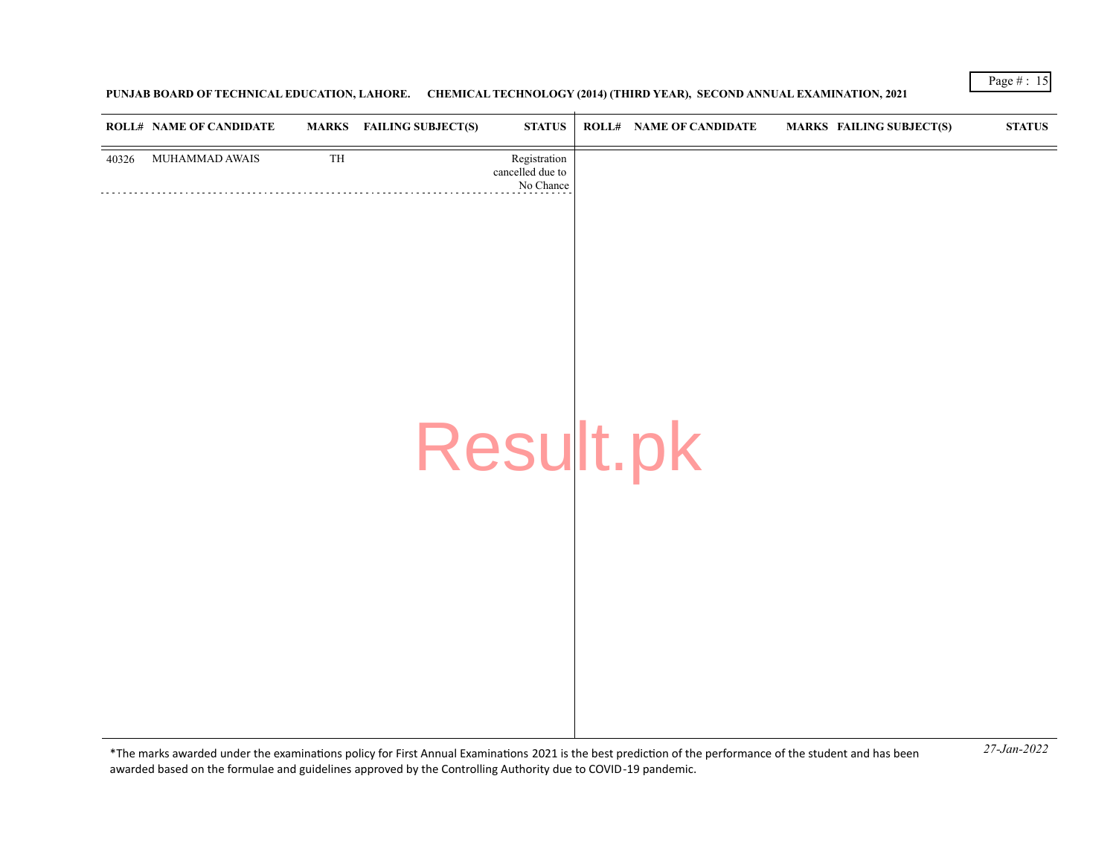**PUNJAB BOARD OF TECHNICAL EDUCATION, LAHORE. CHEMICAL TECHNOLOGY (2014) (THIRD YEAR), SECOND ANNUAL EXAMINATION, 2021**

|       | <b>ROLL# NAME OF CANDIDATE</b> | <b>MARKS</b> | <b>FAILING SUBJECT(S)</b> | <b>STATUS</b>                                 | ROLL# NAME OF CANDIDATE | MARKS FAILING SUBJECT(S) | ${\bf STATUS}$ |
|-------|--------------------------------|--------------|---------------------------|-----------------------------------------------|-------------------------|--------------------------|----------------|
| 40326 | MUHAMMAD AWAIS                 | TH           |                           | Registration<br>cancelled due to<br>No Chance |                         |                          |                |
|       |                                |              |                           |                                               |                         |                          |                |
|       |                                |              |                           |                                               |                         |                          |                |
|       |                                |              |                           |                                               |                         |                          |                |
|       |                                |              |                           |                                               |                         |                          |                |
|       |                                |              |                           | Result.pk                                     |                         |                          |                |
|       |                                |              |                           |                                               |                         |                          |                |
|       |                                |              |                           |                                               |                         |                          |                |
|       |                                |              |                           |                                               |                         |                          |                |
|       |                                |              |                           |                                               |                         |                          |                |
|       |                                |              |                           |                                               |                         |                          |                |
|       |                                |              |                           |                                               |                         |                          |                |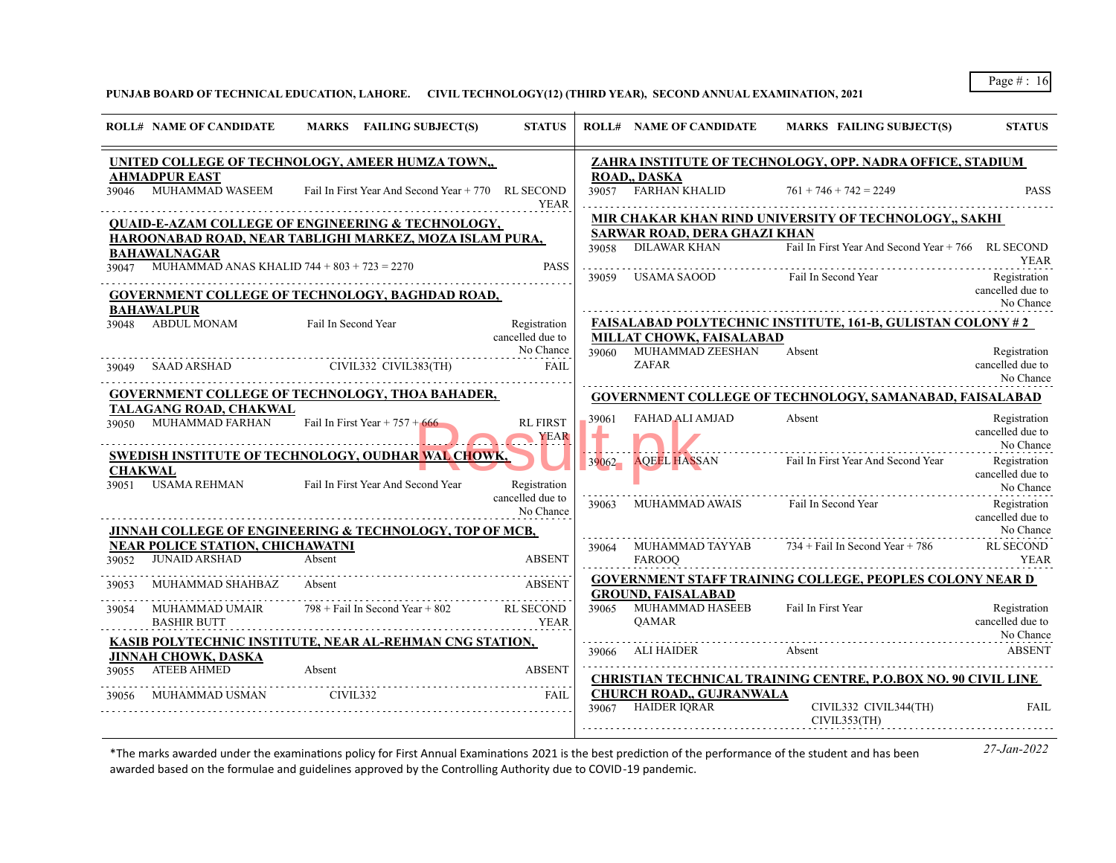**PUNJAB BOARD OF TECHNICAL EDUCATION, LAHORE. CIVIL TECHNOLOGY(12) (THIRD YEAR), SECOND ANNUAL EXAMINATION, 2021**

|                         | <b>ROLL# NAME OF CANDIDATE</b>                                  | MARKS FAILING SUBJECT(S)                                                                 | <b>STATUS</b>                    |       | <b>ROLL# NAME OF CANDIDATE</b>                                     | <b>MARKS FAILING SUBJECT(S)</b>                                                                                | <b>STATUS</b>                                 |
|-------------------------|-----------------------------------------------------------------|------------------------------------------------------------------------------------------|----------------------------------|-------|--------------------------------------------------------------------|----------------------------------------------------------------------------------------------------------------|-----------------------------------------------|
|                         |                                                                 | UNITED COLLEGE OF TECHNOLOGY, AMEER HUMZA TOWN,                                          |                                  |       |                                                                    | ZAHRA INSTITUTE OF TECHNOLOGY, OPP. NADRA OFFICE, STADIUM                                                      |                                               |
|                         | <b>AHMADPUR EAST</b>                                            | 39046 MUHAMMAD WASEEM Fail In First Year And Second Year +770 RL SECOND                  | <b>YEAR</b>                      |       | ROAD,, DASKA<br>39057 FARHAN KHALID                                | $761 + 746 + 742 = 2249$                                                                                       | <b>PASS</b>                                   |
|                         |                                                                 | <b>QUAID-E-AZAM COLLEGE OF ENGINEERING &amp; TECHNOLOGY,</b>                             |                                  |       |                                                                    | MIR CHAKAR KHAN RIND UNIVERSITY OF TECHNOLOGY SAKHI                                                            |                                               |
|                         | <b>BAHAWALNAGAR</b>                                             | HAROONABAD ROAD, NEAR TABLIGHI MARKEZ, MOZA ISLAM PURA,                                  |                                  |       | <b>SARWAR ROAD, DERA GHAZI KHAN</b><br>39058 DILAWAR KHAN          | Fail In First Year And Second Year + 766 RL SECOND                                                             | YEAR                                          |
|                         | 39047 MUHAMMAD ANAS KHALID $744 + 803 + 723 = 2270$             | <b>GOVERNMENT COLLEGE OF TECHNOLOGY, BAGHDAD ROAD,</b>                                   | <b>PASS</b>                      |       | 39059 USAMA SAOOD Fail In Second Year                              |                                                                                                                | Registration<br>cancelled due to              |
|                         | <b>BAHAWALPUR</b>                                               |                                                                                          |                                  |       |                                                                    | <b>FAISALABAD POLYTECHNIC INSTITUTE, 161-B, GULISTAN COLONY #2</b>                                             | No Chance                                     |
|                         | 39048 ABDUL MONAM                                               | Fail In Second Year                                                                      | Registration<br>cancelled due to |       | <b>MILLAT CHOWK, FAISALABAD</b>                                    |                                                                                                                |                                               |
|                         |                                                                 | 39049 SAAD ARSHAD CIVIL332 CIVIL383(TH)                                                  | No Chance<br>FAIL                |       | 39060 MUHAMMAD ZEESHAN<br>ZAFAR                                    | Absent                                                                                                         | Registration<br>cancelled due to<br>No Chance |
|                         |                                                                 | <b>GOVERNMENT COLLEGE OF TECHNOLOGY, THOA BAHADER,</b>                                   |                                  |       |                                                                    | <b>GOVERNMENT COLLEGE OF TECHNOLOGY, SAMANABAD, FAISALABAD</b>                                                 |                                               |
|                         | TALAGANG ROAD, CHAKWAL                                          | $39050$ MUHAMMAD FARHAN Fail In First Year + 757 + 666                                   | <b>RL FIRST</b><br>YEAR          | 39061 | FAHAD ALI AMJAD                                                    | Absent                                                                                                         | Registration<br>cancelled due to<br>No Chance |
| <b>CHAKWAL</b><br>39051 | USAMA REHMAN                                                    | SWEDISH INSTITUTE OF TECHNOLOGY, OUDHAR WAL CHOWK,<br>Fail In First Year And Second Year | Registration                     | 39062 |                                                                    | <b>AQEEL HASSAN</b> Fail In First Year And Second Year                                                         | Registration<br>cancelled due to<br>No Chance |
|                         |                                                                 |                                                                                          | cancelled due to<br>No Chance    |       |                                                                    | 39063 MUHAMMAD AWAIS Fail In Second Year                                                                       | Registration<br>cancelled due to              |
|                         |                                                                 | JINNAH COLLEGE OF ENGINEERING & TECHNOLOGY, TOP OF MCB,                                  |                                  |       |                                                                    |                                                                                                                | No Chance                                     |
| 39052                   | <b>NEAR POLICE STATION, CHICHAWATNI</b><br><b>JUNAID ARSHAD</b> | Absent                                                                                   | <b>ABSENT</b>                    |       | <b>FAROOO</b>                                                      | 39064 MUHAMMAD TAYYAB $734 + \text{Fall In Second Year} + 786$<br>YEAR                                         | <b>RL SECOND</b>                              |
| 39053                   | MUHAMMAD SHAHBAZ                                                | Absent                                                                                   | <b>ABSENT</b>                    |       |                                                                    | <b>GOVERNMENT STAFF TRAINING COLLEGE, PEOPLES COLONY NEAR D</b>                                                |                                               |
| 39054                   | <b>MUHAMMAD UMAIR</b><br><b>BASHIR BUTT</b>                     | 798 + Fail In Second Year + 802 RL SECOND                                                | YEAR                             |       | <b>GROUND, FAISALABAD</b><br>39065 MUHAMMAD HASEEB<br><b>OAMAR</b> | Fail In First Year                                                                                             | Registration<br>cancelled due to              |
|                         |                                                                 | KASIB POLYTECHNIC INSTITUTE, NEAR AL-REHMAN CNG STATION,                                 |                                  |       |                                                                    | Absent<br><b>ABSENT</b>                                                                                        | No Chance                                     |
| 39055                   | <b>JINNAH CHOWK, DASKA</b><br>ATEEB AHMED                       | Absent                                                                                   | <b>ABSENT</b>                    |       | 39066 ALI HAIDER                                                   |                                                                                                                |                                               |
|                         | MUHAMMAD USMAN                                                  | <b>CIVIL332</b>                                                                          | FAII.                            |       | CHURCH ROAD,, GUJRANWALA<br>39067 HAIDER JORAR                     | <b>CHRISTIAN TECHNICAL TRAINING CENTRE, P.O.BOX NO. 90 CIVIL LINE</b><br>CIVIL332 CIVIL344(TH)<br>CIVIL353(TH) | <b>FAIL</b>                                   |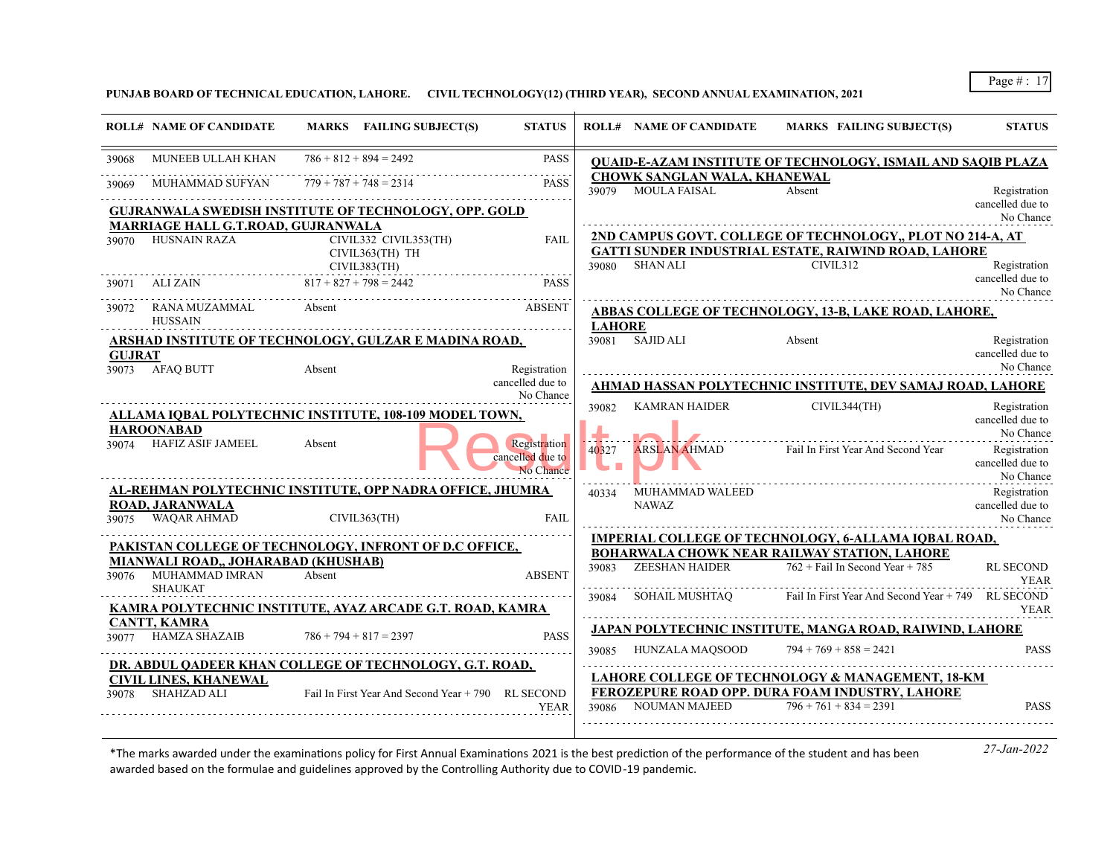**PUNJAB BOARD OF TECHNICAL EDUCATION, LAHORE. CIVIL TECHNOLOGY(12) (THIRD YEAR), SECOND ANNUAL EXAMINATION, 2021**

|               | <b>ROLL# NAME OF CANDIDATE</b>                                          | MARKS FAILING SUBJECT(S)                                                  | <b>STATUS</b>                                 |               | <b>ROLL# NAME OF CANDIDATE</b>                            | MARKS FAILING SUBJECT(S)                                                                                                  | <b>STATUS</b>                                 |
|---------------|-------------------------------------------------------------------------|---------------------------------------------------------------------------|-----------------------------------------------|---------------|-----------------------------------------------------------|---------------------------------------------------------------------------------------------------------------------------|-----------------------------------------------|
| 39068         | MUNEEB ULLAH KHAN                                                       | $786 + 812 + 894 = 2492$                                                  | <b>PASS</b>                                   |               |                                                           | <b>QUAID-E-AZAM INSTITUTE OF TECHNOLOGY, ISMAIL AND SAQIB PLAZA</b>                                                       |                                               |
| 39069         | MUHAMMAD SUFYAN                                                         | $779 + 787 + 748 = 2314$                                                  | <b>PASS</b>                                   |               | <b>CHOWK SANGLAN WALA, KHANEWAL</b><br>39079 MOULA FAISAL | Absent                                                                                                                    | Registration                                  |
|               | MARRIAGE HALL G.T.ROAD, GUJRANWALA                                      | <b>GUJRANWALA SWEDISH INSTITUTE OF TECHNOLOGY, OPP. GOLD</b>              |                                               |               |                                                           |                                                                                                                           | cancelled due to<br>No Chance                 |
| 39070         | <b>HUSNAIN RAZA</b>                                                     | CIVIL332 CIVIL353(TH)<br>CIVIL363(TH) TH                                  | FAIL                                          |               |                                                           | 2ND CAMPUS GOVT. COLLEGE OF TECHNOLOGY,, PLOT NO 214-A, AT<br><b>GATTI SUNDER INDUSTRIAL ESTATE, RAIWIND ROAD, LAHORE</b> |                                               |
| 39071         | ALI ZAIN                                                                | CIVIL383(TH)<br>$817 + 827 + 798 = 2442$                                  | <b>PASS</b>                                   |               | 39080 SHAN ALI                                            | CIVIL312                                                                                                                  | Registration<br>cancelled due to              |
| 39072         | RANA MUZAMMAL                                                           | Absent                                                                    | <b>ABSENT</b>                                 |               |                                                           |                                                                                                                           | No Chance                                     |
|               | <b>HUSSAIN</b>                                                          |                                                                           |                                               | <b>LAHORE</b> |                                                           | ABBAS COLLEGE OF TECHNOLOGY, 13-B, LAKE ROAD, LAHORE,                                                                     |                                               |
| <b>GUJRAT</b> | 39073 AFAQ BUTT                                                         | ARSHAD INSTITUTE OF TECHNOLOGY, GULZAR E MADINA ROAD,<br>Absent           | Registration                                  |               | 39081 SAJID ALI                                           | Absent                                                                                                                    | Registration<br>cancelled due to<br>No Chance |
|               |                                                                         |                                                                           | cancelled due to<br>No Chance                 |               |                                                           | AHMAD HASSAN POLYTECHNIC INSTITUTE, DEV SAMAJ ROAD, LAHORE                                                                |                                               |
|               | <b>HAROONABAD</b>                                                       | <b>ALLAMA IOBAL POLYTECHNIC INSTITUTE, 108-109 MODEL TOWN.</b>            |                                               | 39082         | <b>KAMRAN HAIDER</b>                                      | CIVIL344(TH)                                                                                                              | Registration<br>cancelled due to<br>No Chance |
| 39074         | <b>HAFIZ ASIF JAMEEL</b>                                                | Absent                                                                    | Registration<br>cancelled due to<br>No Chance | 40327         | <b>ARSLAN AHMAD</b>                                       | Fail In First Year And Second Year                                                                                        | Registration<br>cancelled due to<br>No Chance |
| 39075         | ROAD, JARANWALA<br>WAQAR AHMAD                                          | AL-REHMAN POLYTECHNIC INSTITUTE, OPP NADRA OFFICE, JHUMRA<br>CIVIL363(TH) | FAII.                                         |               | 40334 MUHAMMAD WALEED<br>NAWAZ                            |                                                                                                                           | Registration<br>cancelled due to<br>No Chance |
|               |                                                                         | PAKISTAN COLLEGE OF TECHNOLOGY, INFRONT OF D.C OFFICE,                    |                                               |               |                                                           | <b>IMPERIAL COLLEGE OF TECHNOLOGY, 6-ALLAMA IQBAL ROAD,</b>                                                               |                                               |
| 39076         | MIANWALI ROAD,, JOHARABAD (KHUSHAB)<br>MUHAMMAD IMRAN<br><b>SHAUKAT</b> | Absent                                                                    | <b>ABSENT</b>                                 | 39083         | <b>ZEESHAN HAIDER</b>                                     | <b>BOHARWALA CHOWK NEAR RAILWAY STATION, LAHORE</b><br>$762 +$ Fail In Second Year + 785                                  | <b>RL SECOND</b><br><b>YEAR</b>               |
|               |                                                                         | <u>KAMRA POLYTECHNIC INSTITUTE, AYAZ ARCADE G.T. ROAD, KAMRA</u>          |                                               |               | 39084 SOHAIL MUSHTAQ                                      | Fail In First Year And Second Year + 749 RL SECOND                                                                        | <b>YEAR</b>                                   |
|               | <b>CANTT, KAMRA</b><br><b>HAMZA SHAZAIB</b>                             | $786 + 794 + 817 = 2397$                                                  | <b>PASS</b>                                   |               |                                                           | JAPAN POLYTECHNIC INSTITUTE, MANGA ROAD, RAIWIND, LAHORE                                                                  |                                               |
|               |                                                                         | DR. ABDUL QADEER KHAN COLLEGE OF TECHNOLOGY, G.T. ROAD,                   |                                               |               | 39085 HUNZALA MAOSOOD                                     | $794 + 769 + 858 = 2421$                                                                                                  | <b>PASS</b>                                   |
|               | <b>CIVIL LINES, KHANEWAL</b><br>39078 SHAHZAD ALI                       | Fail In First Year And Second Year + 790 RL SECOND                        |                                               |               |                                                           | LAHORE COLLEGE OF TECHNOLOGY & MANAGEMENT, 18-KM<br>FEROZEPURE ROAD OPP. DURA FOAM INDUSTRY, LAHORE                       |                                               |
|               |                                                                         |                                                                           | <b>YEAR</b>                                   | 39086         | <b>NOUMAN MAJEED</b>                                      | $796 + 761 + 834 = 2391$                                                                                                  | <b>PASS</b>                                   |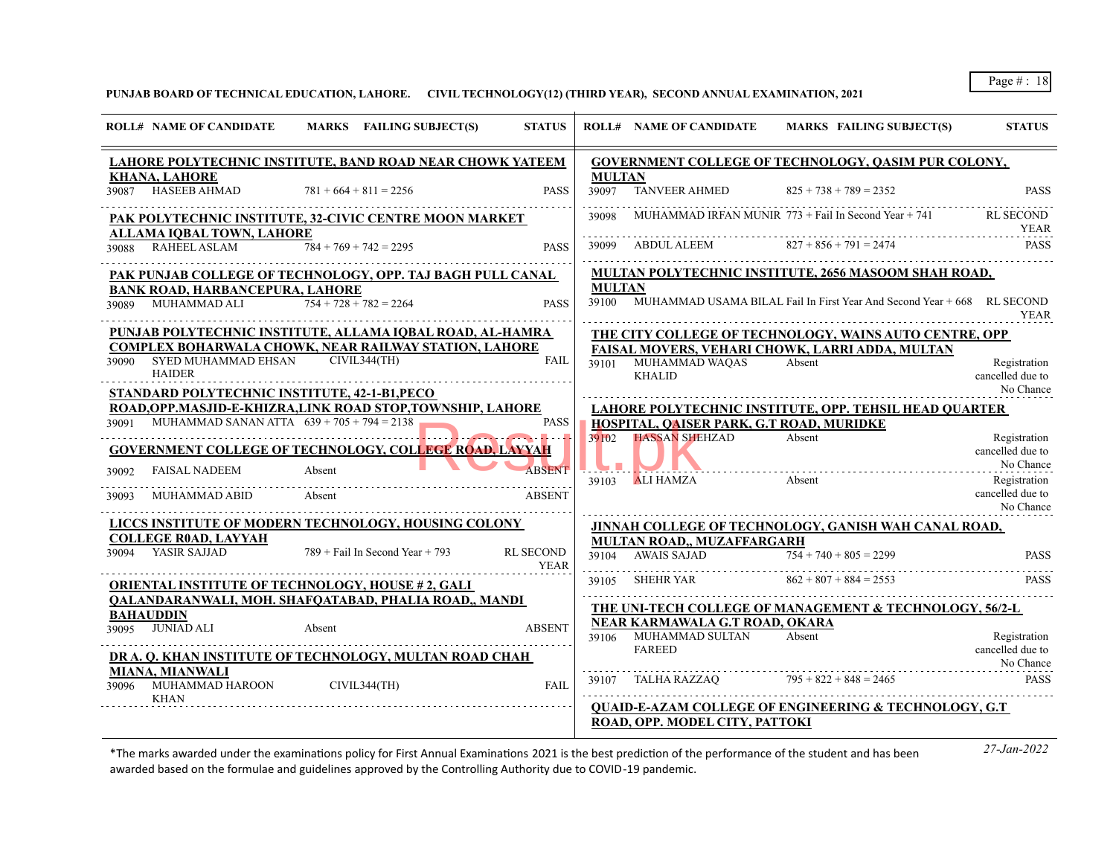**PUNJAB BOARD OF TECHNICAL EDUCATION, LAHORE. CIVIL TECHNOLOGY(12) (THIRD YEAR), SECOND ANNUAL EXAMINATION, 2021**

| <b>ROLL# NAME OF CANDIDATE</b>                                                                                     |                  | MARKS FAILING SUBJECT(S)          | <b>STATUS</b>                   |                        | <b>ROLL# NAME OF CANDIDATE</b>                          | <b>MARKS FAILING SUBJECT(S)</b>                                               | <b>STATUS</b>                                 |
|--------------------------------------------------------------------------------------------------------------------|------------------|-----------------------------------|---------------------------------|------------------------|---------------------------------------------------------|-------------------------------------------------------------------------------|-----------------------------------------------|
| LAHORE POLYTECHNIC INSTITUTE, BAND ROAD NEAR CHOWK YATEEM                                                          |                  |                                   |                                 |                        |                                                         | <b>GOVERNMENT COLLEGE OF TECHNOLOGY, QASIM PUR COLONY,</b>                    |                                               |
| <b>KHANA, LAHORE</b><br>HASEEB AHMAD<br>39087                                                                      |                  | $781 + 664 + 811 = 2256$          | <b>PASS</b>                     | <b>MULTAN</b><br>39097 | <b>TANVEER AHMED</b>                                    | $825 + 738 + 789 = 2352$                                                      | <b>PASS</b>                                   |
| PAK POLYTECHNIC INSTITUTE, 32-CIVIC CENTRE MOON MARKET                                                             |                  |                                   |                                 | 39098                  |                                                         | MUHAMMAD IRFAN MUNIR $773 +$ Fail In Second Year $+ 741$                      | RL SECOND<br><b>YEAR</b>                      |
| ALLAMA IOBAL TOWN, LAHORE<br>39088 RAHEEL ASLAM                                                                    |                  | $784 + 769 + 742 = 2295$          | <b>PASS</b>                     | 39099                  | ABDUL ALEEM                                             | $827 + 856 + 791 = 2474$                                                      | <b>PASS</b>                                   |
| PAK PUNJAB COLLEGE OF TECHNOLOGY, OPP. TAJ BAGH PULL CANAL                                                         |                  |                                   |                                 | <b>MULTAN</b>          |                                                         | <b>MULTAN POLYTECHNIC INSTITUTE, 2656 MASOOM SHAH ROAD,</b>                   |                                               |
| <b>BANK ROAD, HARBANCEPURA, LAHORE</b><br>MUHAMMAD ALI<br>39089                                                    |                  | $754 + 728 + 782 = 2264$          | <b>PASS</b>                     |                        |                                                         | 39100 MUHAMMAD USAMA BILAL Fail In First Year And Second Year + 668 RL SECOND | <b>YEAR</b>                                   |
| PUNJAB POLYTECHNIC INSTITUTE, ALLAMA IOBAL ROAD, AL-HAMRA<br>COMPLEX BOHARWALA CHOWK, NEAR RAILWAY STATION, LAHORE |                  |                                   |                                 |                        |                                                         | THE CITY COLLEGE OF TECHNOLOGY, WAINS AUTO CENTRE, OPP                        |                                               |
| 39090 SYED MUHAMMAD EHSAN<br><b>HAIDER</b>                                                                         |                  | CIVIL344(TH)                      | <b>FAIL</b>                     |                        | 39101 MUHAMMAD WAQAS<br><b>KHALID</b>                   | FAISAL MOVERS, VEHARI CHOWK, LARRI ADDA, MULTAN<br>Absent                     | Registration<br>cancelled due to              |
| STANDARD POLYTECHNIC INSTITUTE, 42-1-B1, PECO<br>ROAD, OPP. MASJID-E-KHIZRA, LINK ROAD STOP, TOWNSHIP, LAHORE      |                  |                                   |                                 |                        |                                                         | LAHORE POLYTECHNIC INSTITUTE, OPP. TEHSIL HEAD QUARTER                        | No Chance                                     |
| 39091 MUHAMMAD SANAN ATTA $639 + 705 + 794 = 2138$                                                                 |                  |                                   | <b>PASS</b>                     |                        | HOSPITAL, QAISER PARK, G.T ROAD, MURIDKE                |                                                                               |                                               |
| <b>GOVERNMENT COLLEGE OF TECHNOLOGY, COLLEGE ROAD, LAYYAH</b>                                                      |                  |                                   |                                 |                        | 39102 HASSAN SHEHZAD                                    | Absent                                                                        | Registration<br>cancelled due to<br>No Chance |
| <b>FAISAL NADEEM</b><br>39092<br>MUHAMMAD ABID<br>39093                                                            | Absent<br>Absent |                                   | <b>ABSENT</b><br><b>ABSENT</b>  | 39103                  | ALI HAMZA                                               | Absent                                                                        | Registration<br>cancelled due to              |
|                                                                                                                    |                  |                                   |                                 |                        |                                                         |                                                                               | No Chance                                     |
| LICCS INSTITUTE OF MODERN TECHNOLOGY, HOUSING COLONY                                                               |                  |                                   |                                 |                        |                                                         | JINNAH COLLEGE OF TECHNOLOGY, GANISH WAH CANAL ROAD,                          |                                               |
| <b>COLLEGE ROAD, LAYYAH</b><br>39094 YASIR SAJJAD                                                                  |                  | $789 +$ Fail In Second Year + 793 | <b>RL SECOND</b><br><b>YEAR</b> |                        | MULTAN ROAD,, MUZAFFARGARH<br>39104 AWAIS SAJAD         | $754 + 740 + 805 = 2299$                                                      | <b>PASS</b>                                   |
| <b>ORIENTAL INSTITUTE OF TECHNOLOGY, HOUSE #2, GALI</b>                                                            |                  |                                   |                                 | 39105                  | SHEHR YAR                                               | $862 + 807 + 884 = 2553$                                                      | <b>PASS</b>                                   |
| QALANDARANWALI, MOH. SHAFQATABAD, PHALIA ROAD,, MANDI                                                              |                  |                                   |                                 |                        |                                                         | THE UNI-TECH COLLEGE OF MANAGEMENT & TECHNOLOGY, 56/2-L                       |                                               |
| <b>BAHAUDDIN</b><br>39095 JUNIAD ALI                                                                               | Absent           |                                   | <b>ABSENT</b>                   |                        | NEAR KARMAWALA G.T ROAD, OKARA<br>39106 MUHAMMAD SULTAN | Absent                                                                        | Registration                                  |
| DR A. Q. KHAN INSTITUTE OF TECHNOLOGY, MULTAN ROAD CHAH                                                            |                  |                                   |                                 |                        | <b>FAREED</b>                                           |                                                                               | cancelled due to<br>No Chance                 |
| <b>MIANA, MIANWALI</b><br>MUHAMMAD HAROON<br>39096<br><b>KHAN</b>                                                  |                  | CIVIL344(TH)                      | FAII.                           | 39107                  | TALHA RAZZAO                                            | $795 + 822 + 848 = 2465$                                                      | <b>PASS</b>                                   |
|                                                                                                                    |                  |                                   |                                 |                        |                                                         | <b>QUAID-E-AZAM COLLEGE OF ENGINEERING &amp; TECHNOLOGY, G.T.</b>             |                                               |
|                                                                                                                    |                  |                                   |                                 |                        | ROAD, OPP. MODEL CITY, PATTOKI                          |                                                                               |                                               |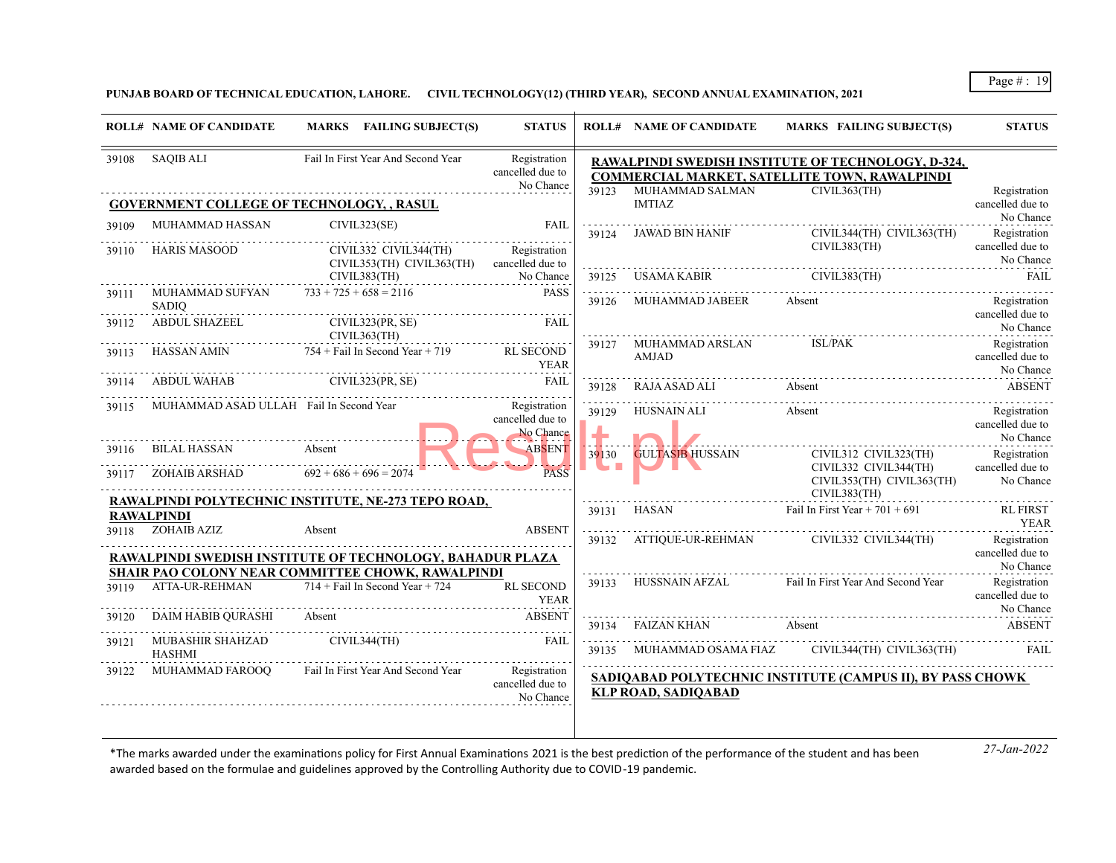**PUNJAB BOARD OF TECHNICAL EDUCATION, LAHORE. CIVIL TECHNOLOGY(12) (THIRD YEAR), SECOND ANNUAL EXAMINATION, 2021**

|       | <b>ROLL# NAME OF CANDIDATE</b>                   | MARKS FAILING SUBJECT(S)                                                                                       | <b>STATUS</b>                                 |            | <b>ROLL# NAME OF CANDIDATE</b>         | <b>MARKS FAILING SUBJECT(S)</b>                                                                            | <b>STATUS</b>                                 |
|-------|--------------------------------------------------|----------------------------------------------------------------------------------------------------------------|-----------------------------------------------|------------|----------------------------------------|------------------------------------------------------------------------------------------------------------|-----------------------------------------------|
| 39108 | SAOIB ALI                                        | Fail In First Year And Second Year                                                                             | Registration<br>cancelled due to<br>No Chance |            |                                        | RAWALPINDI SWEDISH INSTITUTE OF TECHNOLOGY, D-324,<br><b>COMMERCIAL MARKET, SATELLITE TOWN, RAWALPINDI</b> |                                               |
|       | <b>GOVERNMENT COLLEGE OF TECHNOLOGY, , RASUL</b> |                                                                                                                |                                               | 39123      | MUHAMMAD SALMAN<br><b>IMTIAZ</b>       | CIVIL363(TH)                                                                                               | Registration<br>cancelled due to<br>No Chance |
| 39109 | MUHAMMAD HASSAN                                  | CIVIL323(SE)                                                                                                   | <b>FAIL</b>                                   | 39124      | <b>JAWAD BIN HANIF</b>                 | CIVIL344(TH) CIVIL363(TH)                                                                                  | Registration                                  |
| 39110 | HARIS MASOOD                                     | CIVIL332 CIVIL344(TH)<br>CIVIL353(TH) CIVIL363(TH)                                                             | Registration<br>cancelled due to              |            |                                        | CIVIL383(TH)                                                                                               | cancelled due to<br>No Chance                 |
| 39111 | MUHAMMAD SUFYAN $733 + 725 + 658 = 2116$         | CIVIL383(TH)                                                                                                   | No Chance<br><b>PASS</b>                      | 39125      | USAMA KABIR CIVIL383(TH)               |                                                                                                            | <b>FAIL</b>                                   |
|       | SADIO                                            |                                                                                                                |                                               | 39126      | MUHAMMAD JABEER                        | Absent                                                                                                     | Registration                                  |
| 39112 | <b>ABDUL SHAZEEL</b>                             | CIVIL323(PR, SE)<br>CIVIL363(TH)                                                                               | FAII.                                         |            |                                        |                                                                                                            | cancelled due to<br>No Chance                 |
| 39113 |                                                  | HASSAN AMIN $754 + \text{Fall In Second Year} + 719$ RL SECOND                                                 | <b>YEAR</b>                                   | 39127      | MUHAMMAD ARSLAN<br>AMJAD               | <b>ISL/PAK</b>                                                                                             | Registration<br>cancelled due to<br>No Chance |
| 39114 |                                                  | ABDUL WAHAB CIVIL323(PR, SE)                                                                                   | <b>FAIL</b>                                   | 39128      | RAJA ASAD ALI                          | Absent                                                                                                     | ABSENT                                        |
| 39115 | MUHAMMAD ASAD ULLAH Fail In Second Year          |                                                                                                                | Registration<br>cancelled due to<br>No Chance | 39129      | HUSNAIN ALI                            | Absent                                                                                                     | Registration<br>cancelled due to<br>No Chance |
| 39116 | BILAL HASSAN                                     | Absent                                                                                                         | <b>ABSENT</b>                                 | 39130      | <b>GULTASIB HUSSAIN</b>                | CIVIL312 CIVIL323(TH)                                                                                      | Registration                                  |
| 39117 | ZOHAIB ARSHAD $692 + 686 + 696 = 2074$           |                                                                                                                | <b>PASS</b>                                   | <b>THE</b> | ш.                                     | CIVIL332 CIVIL344(TH)<br>CIVIL353(TH) CIVIL363(TH)<br>CIVIL383(TH)                                         | cancelled due to<br>No Chance                 |
|       | <b>RAWALPINDI</b>                                | RAWALPINDI POLYTECHNIC INSTITUTE, NE-273 TEPO ROAD,                                                            |                                               | 39131      | HASAN Fail In First Year + $701 + 691$ |                                                                                                            | <b>RL FIRST</b>                               |
|       | 39118 ZOHAIB AZIZ                                | Absent                                                                                                         | <b>ABSENT</b>                                 | 39132      |                                        | ATTIQUE-UR-REHMAN CIVIL332 CIVIL344(TH)                                                                    | <b>YEAR</b><br>Registration                   |
|       |                                                  | RAWALPINDI SWEDISH INSTITUTE OF TECHNOLOGY, BAHADUR PLAZA<br>SHAIR PAO COLONY NEAR COMMITTEE CHOWK, RAWALPINDI |                                               |            |                                        |                                                                                                            | cancelled due to<br>No Chance                 |
| 39119 | ATTA-UR-REHMAN                                   | $714 +$ Fail In Second Year + 724                                                                              | <b>RL SECOND</b><br>YEAR                      | 39133      |                                        | HUSSNAIN AFZAL Fail In First Year And Second Year                                                          | Registration<br>cancelled due to<br>No Chance |
| 39120 | DAIM HABIB QURASHI                               | Absent                                                                                                         | <b>ABSENT</b>                                 |            | 39134 FAIZAN KHAN                      | Absent                                                                                                     | <b>ABSENT</b>                                 |
| 39121 | MUBASHIR SHAHZAD<br><b>HASHMI</b>                | CIVIL344(TH)                                                                                                   | <b>EAIL</b>                                   |            |                                        | 39135 MUHAMMAD OSAMA FIAZ CIVIL344(TH) CIVIL363(TH)                                                        | FAII.                                         |
| 39122 | MUHAMMAD FAROOO                                  | Fail In First Year And Second Year                                                                             | Registration<br>cancelled due to<br>No Chance |            | <b>KLP ROAD, SADIQABAD</b>             | SADIQABAD POLYTECHNIC INSTITUTE (CAMPUS II), BY PASS CHOWK                                                 |                                               |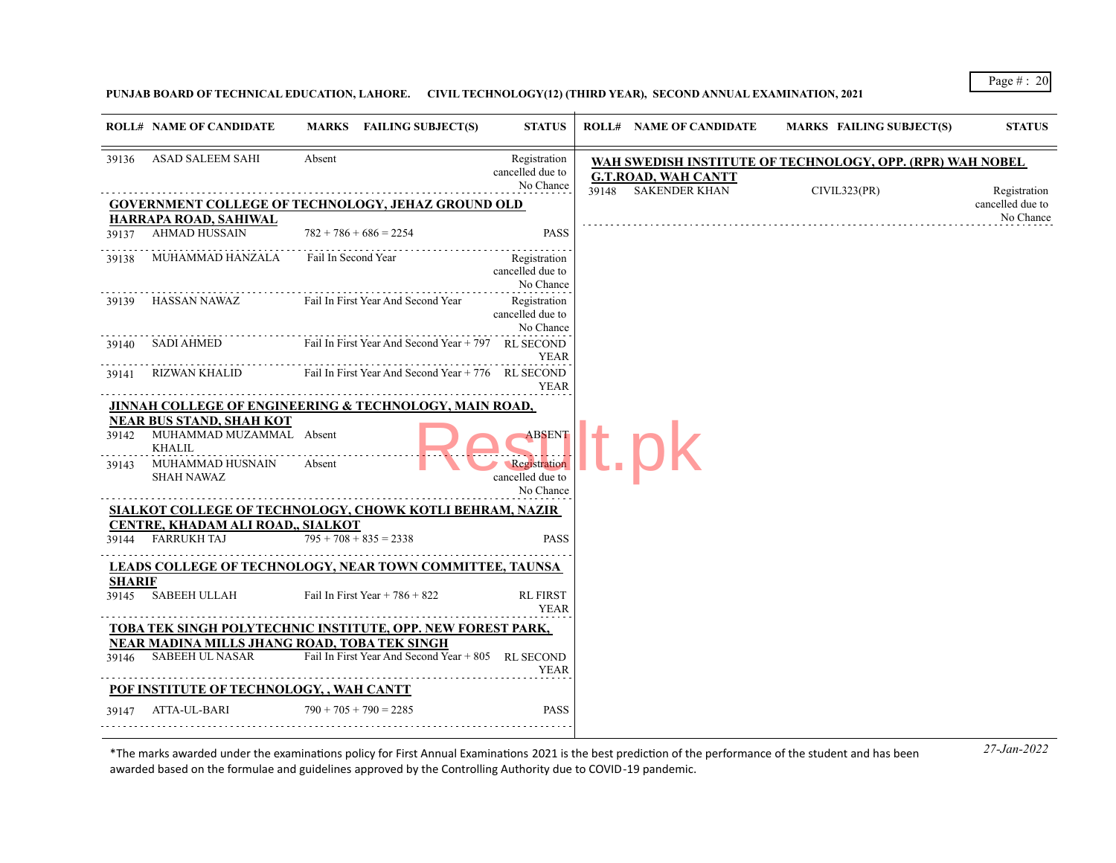**PUNJAB BOARD OF TECHNICAL EDUCATION, LAHORE. CIVIL TECHNOLOGY(12) (THIRD YEAR), SECOND ANNUAL EXAMINATION, 2021**

|               | <b>ROLL# NAME OF CANDIDATE</b>                                    |                     | MARKS FAILING SUBJECT(S)                           | <b>STATUS</b>                                 |       | <b>ROLL# NAME OF CANDIDATE</b> | <b>MARKS FAILING SUBJECT(S)</b>                           | <b>STATUS</b>                    |
|---------------|-------------------------------------------------------------------|---------------------|----------------------------------------------------|-----------------------------------------------|-------|--------------------------------|-----------------------------------------------------------|----------------------------------|
| 39136         | ASAD SALEEM SAHI                                                  | Absent              |                                                    | Registration<br>cancelled due to<br>No Chance |       | <b>G.T.ROAD, WAH CANTT</b>     | WAH SWEDISH INSTITUTE OF TECHNOLOGY, OPP. (RPR) WAH NOBEL |                                  |
|               | <b>GOVERNMENT COLLEGE OF TECHNOLOGY, JEHAZ GROUND OLD</b>         |                     |                                                    |                                               | 39148 | <b>SAKENDER KHAN</b>           | CIVIL323(PR)                                              | Registration<br>cancelled due to |
|               | HARRAPA ROAD, SAHIWAL                                             |                     |                                                    |                                               |       |                                |                                                           | No Chance                        |
| 39137         | AHMAD HUSSAIN                                                     |                     | $782 + 786 + 686 = 2254$                           | <b>PASS</b>                                   |       |                                |                                                           |                                  |
| 39138         | MUHAMMAD HANZALA                                                  | Fail In Second Year |                                                    | Registration<br>cancelled due to<br>No Chance |       |                                |                                                           |                                  |
| 39139         | HASSAN NAWAZ Fail In First Year And Second Year                   |                     |                                                    | Registration<br>cancelled due to<br>No Chance |       |                                |                                                           |                                  |
| 39140         | SADI AHMED                                                        |                     | Fail In First Year And Second Year + 797 RL SECOND | YEAR                                          |       |                                |                                                           |                                  |
| 39141         | RIZWAN KHALID                                                     |                     | Fail In First Year And Second Year + 776 RL SECOND | <b>YEAR</b>                                   |       |                                |                                                           |                                  |
|               | <b>JINNAH COLLEGE OF ENGINEERING &amp; TECHNOLOGY, MAIN ROAD,</b> |                     |                                                    |                                               |       |                                |                                                           |                                  |
|               | <b>NEAR BUS STAND, SHAH KOT</b>                                   |                     |                                                    |                                               |       |                                |                                                           |                                  |
|               | 39142 MUHAMMAD MUZAMMAL Absent<br><b>KHALIL</b>                   |                     |                                                    | <b>ABSENT</b>                                 |       |                                |                                                           |                                  |
| 39143         | MUHAMMAD HUSNAIN Absent<br><b>SHAH NAWAZ</b>                      |                     |                                                    | Registration<br>cancelled due to<br>No Chance |       |                                |                                                           |                                  |
|               | SIALKOT COLLEGE OF TECHNOLOGY, CHOWK KOTLI BEHRAM, NAZIR          |                     |                                                    |                                               |       |                                |                                                           |                                  |
|               | CENTRE, KHADAM ALI ROAD,, SIALKOT                                 |                     |                                                    |                                               |       |                                |                                                           |                                  |
|               | 39144 FARRUKH TAJ                                                 |                     | $795 + 708 + 835 = 2338$                           | <b>PASS</b>                                   |       |                                |                                                           |                                  |
|               | <b>LEADS COLLEGE OF TECHNOLOGY, NEAR TOWN COMMITTEE, TAUNSA</b>   |                     |                                                    |                                               |       |                                |                                                           |                                  |
| <b>SHARIF</b> | 39145 SABEEH ULLAH                                                |                     | Fail In First Year + $786 + 822$                   | <b>RL FIRST</b><br><b>YEAR</b>                |       |                                |                                                           |                                  |
|               | TOBA TEK SINGH POLYTECHNIC INSTITUTE, OPP. NEW FOREST PARK,       |                     |                                                    |                                               |       |                                |                                                           |                                  |
|               | NEAR MADINA MILLS JHANG ROAD, TOBA TEK SINGH                      |                     |                                                    |                                               |       |                                |                                                           |                                  |
| 39146         | SABEEH UL NASAR                                                   |                     | Fail In First Year And Second Year + 805 RL SECOND | <b>YEAR</b>                                   |       |                                |                                                           |                                  |
|               | POF INSTITUTE OF TECHNOLOGY, , WAH CANTT                          |                     |                                                    |                                               |       |                                |                                                           |                                  |
| 39147         | ATTA-UL-BARI                                                      |                     | $790 + 705 + 790 = 2285$                           | <b>PASS</b>                                   |       |                                |                                                           |                                  |
|               |                                                                   |                     |                                                    |                                               |       |                                |                                                           |                                  |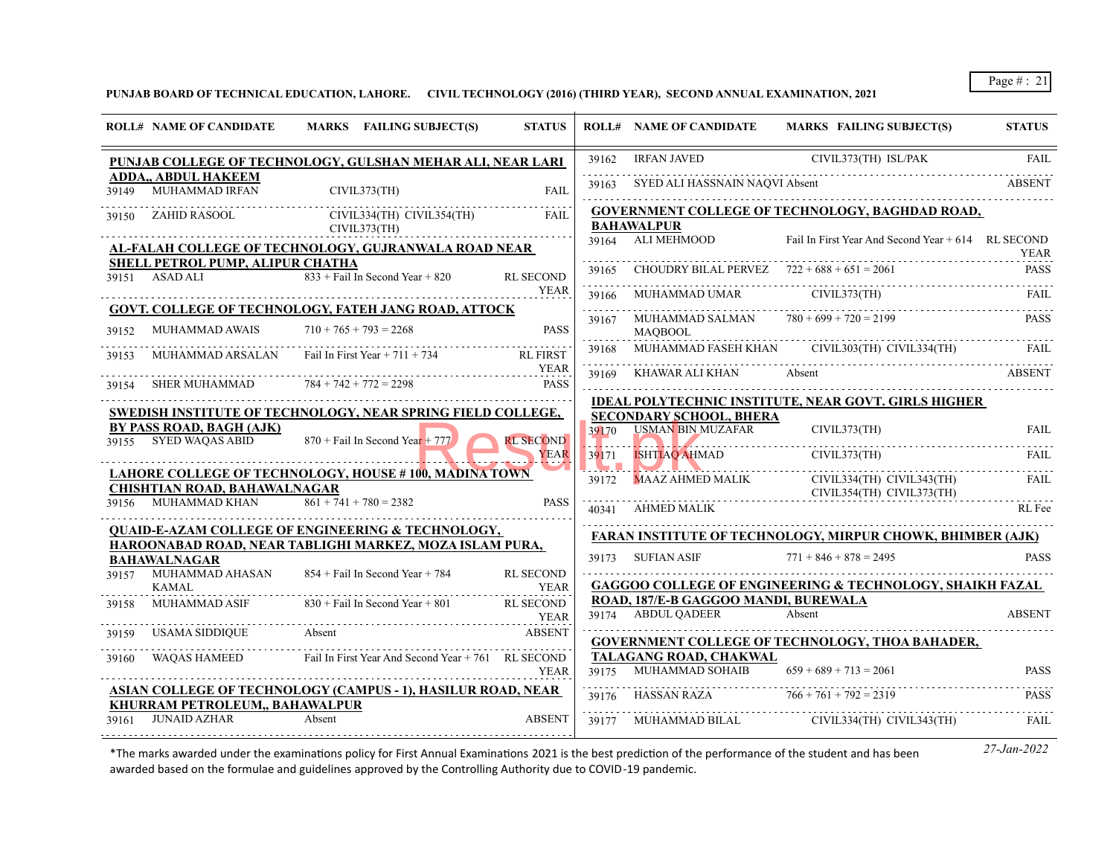**PUNJAB BOARD OF TECHNICAL EDUCATION, LAHORE. CIVIL TECHNOLOGY (2016) (THIRD YEAR), SECOND ANNUAL EXAMINATION, 2021**

| <b>IRFAN JAVED</b><br>CIVIL373(TH) ISL/PAK<br>39162<br>PUNJAB COLLEGE OF TECHNOLOGY, GULSHAN MEHAR ALI, NEAR LARI<br>ADDA., ABDUL HAKEEM<br>SYED ALI HASSNAIN NAOVI Absent<br>39163<br><b>MUHAMMAD IRFAN</b><br>CIVIL373(TH)<br><b>FAIL</b><br>39149<br>GOVERNMENT COLLEGE OF TECHNOLOGY, BAGHDAD ROAD,<br>CIVIL334(TH) CIVIL354(TH)<br>39150 ZAHID RASOOL<br>FAIL.<br><b>BAHAWALPUR</b><br>CIVIL373(TH)<br>39164 ALI MEHMOOD<br>Fail In First Year And Second Year + 614 RL SECOND<br>AL-FALAH COLLEGE OF TECHNOLOGY, GUJRANWALA ROAD NEAR<br>SHELL PETROL PUMP, ALIPUR CHATHA<br>CHOUDRY BILAL PERVEZ $722 + 688 + 651 = 2061$<br>39165<br>$833 +$ Fail In Second Year + 820<br>39151 ASAD ALI<br><b>RL SECOND</b><br>.<br><b>YEAR</b><br>MUHAMMAD UMAR CIVIL373(TH)<br>39166<br><b>GOVT. COLLEGE OF TECHNOLOGY, FATEH JANG ROAD, ATTOCK</b><br>. | <b>FAIL</b><br><b>ABSENT</b><br><b>YEAR</b><br><b>PASS</b><br><b>FAIL</b><br><b>PASS</b><br>FAII. |
|-----------------------------------------------------------------------------------------------------------------------------------------------------------------------------------------------------------------------------------------------------------------------------------------------------------------------------------------------------------------------------------------------------------------------------------------------------------------------------------------------------------------------------------------------------------------------------------------------------------------------------------------------------------------------------------------------------------------------------------------------------------------------------------------------------------------------------------------------------|---------------------------------------------------------------------------------------------------|
|                                                                                                                                                                                                                                                                                                                                                                                                                                                                                                                                                                                                                                                                                                                                                                                                                                                     |                                                                                                   |
|                                                                                                                                                                                                                                                                                                                                                                                                                                                                                                                                                                                                                                                                                                                                                                                                                                                     |                                                                                                   |
|                                                                                                                                                                                                                                                                                                                                                                                                                                                                                                                                                                                                                                                                                                                                                                                                                                                     |                                                                                                   |
|                                                                                                                                                                                                                                                                                                                                                                                                                                                                                                                                                                                                                                                                                                                                                                                                                                                     |                                                                                                   |
|                                                                                                                                                                                                                                                                                                                                                                                                                                                                                                                                                                                                                                                                                                                                                                                                                                                     |                                                                                                   |
|                                                                                                                                                                                                                                                                                                                                                                                                                                                                                                                                                                                                                                                                                                                                                                                                                                                     |                                                                                                   |
| MUHAMMAD SALMAN $780 + 699 + 720 = 2199$<br>39167<br><b>MUHAMMAD AWAIS</b><br>$710 + 765 + 793 = 2268$<br><b>PASS</b><br>39152<br><b>MAOBOOL</b>                                                                                                                                                                                                                                                                                                                                                                                                                                                                                                                                                                                                                                                                                                    |                                                                                                   |
| MUHAMMAD FASEH KHAN CIVIL303(TH) CIVIL334(TH)<br>39168<br>MUHAMMAD ARSALAN<br>Fail In First Year $+ 711 + 734$<br><b>RL FIRST</b><br>39153                                                                                                                                                                                                                                                                                                                                                                                                                                                                                                                                                                                                                                                                                                          |                                                                                                   |
| .<br><b>YEAR</b><br>KHAWAR ALI KHAN Absent<br>39169<br>$784 + 742 + 772 = 2298$<br><b>PASS</b><br>SHER MUHAMMAD<br>39154                                                                                                                                                                                                                                                                                                                                                                                                                                                                                                                                                                                                                                                                                                                            | <b>ABSENT</b>                                                                                     |
| <b>IDEAL POLYTECHNIC INSTITUTE, NEAR GOVT. GIRLS HIGHER</b><br>SWEDISH INSTITUTE OF TECHNOLOGY, NEAR SPRING FIELD COLLEGE,                                                                                                                                                                                                                                                                                                                                                                                                                                                                                                                                                                                                                                                                                                                          |                                                                                                   |
| <b>SECONDARY SCHOOL, BHERA</b><br>BY PASS ROAD, BAGH (AJK)<br><b>USMAN BIN MUZAFAR</b><br>39170<br>CIVIL373(TH)<br>39155 SYED WAQAS ABID<br>$870 +$ Fail In Second Year + 777<br><b>RL SECOND</b>                                                                                                                                                                                                                                                                                                                                                                                                                                                                                                                                                                                                                                                   | <b>FAIL</b>                                                                                       |
| CIVIL373(TH)<br>YEAR<br><b>ISHTIAQ AHMAD</b><br>39171                                                                                                                                                                                                                                                                                                                                                                                                                                                                                                                                                                                                                                                                                                                                                                                               | FAIL                                                                                              |
| <u>VIN MINDENTING AND THE TELEVision of the University of The University of The University of The University of The University of The University of The University of The University of The University of The University of The </u><br><b>LAHORE COLLEGE OF TECHNOLOGY, HOUSE # 100, MADINA TOWN</b><br>39172 MAAZ AHMED MALIK<br>CIVIL334(TH) CIVIL343(TH)<br><b>CHISHTIAN ROAD, BAHAWALNAGAR</b><br>CIVIL354(TH) CIVIL373(TH)                                                                                                                                                                                                                                                                                                                                                                                                                    | <b>FAIL</b>                                                                                       |
| $861 + 741 + 780 = 2382$<br>39156 MUHAMMAD KHAN<br><b>PASS</b><br>40341 AHMED MALIK                                                                                                                                                                                                                                                                                                                                                                                                                                                                                                                                                                                                                                                                                                                                                                 | RL Fee                                                                                            |
| <b>QUAID-E-AZAM COLLEGE OF ENGINEERING &amp; TECHNOLOGY,</b><br>FARAN INSTITUTE OF TECHNOLOGY, MIRPUR CHOWK, BHIMBER (AJK)                                                                                                                                                                                                                                                                                                                                                                                                                                                                                                                                                                                                                                                                                                                          |                                                                                                   |
| HAROONABAD ROAD, NEAR TABLIGHI MARKEZ, MOZA ISLAM PURA,<br>39173 SUFIAN ASIF<br>$771 + 846 + 878 = 2495$<br><b>BAHAWALNAGAR</b>                                                                                                                                                                                                                                                                                                                                                                                                                                                                                                                                                                                                                                                                                                                     | <b>PASS</b>                                                                                       |
| MUHAMMAD AHASAN<br>$854 +$ Fail In Second Year + 784<br>39157<br><b>RL SECOND</b><br><b>GAGGOO COLLEGE OF ENGINEERING &amp; TECHNOLOGY, SHAIKH FAZAL</b><br><b>KAMAL</b><br><b>YEAR</b>                                                                                                                                                                                                                                                                                                                                                                                                                                                                                                                                                                                                                                                             |                                                                                                   |
| ROAD, 187/E-B GAGGOO MANDI, BUREWALA<br>$830 +$ Fail In Second Year + 801<br>MUHAMMAD ASIF<br><b>RL SECOND</b><br>39158<br>39174 ABDUL OADEER<br>Absent<br>YEAR                                                                                                                                                                                                                                                                                                                                                                                                                                                                                                                                                                                                                                                                                     | <b>ABSENT</b>                                                                                     |
| <b>USAMA SIDDIQUE</b><br>Absent<br><b>ABSENT</b><br>39159<br>GOVERNMENT COLLEGE OF TECHNOLOGY, THOA BAHADER,                                                                                                                                                                                                                                                                                                                                                                                                                                                                                                                                                                                                                                                                                                                                        |                                                                                                   |
| Fail In First Year And Second Year + 761 RL SECOND<br><b>WAOAS HAMEED</b><br>TALAGANG ROAD, CHAKWAL<br>39160                                                                                                                                                                                                                                                                                                                                                                                                                                                                                                                                                                                                                                                                                                                                        |                                                                                                   |
| 39175 MUHAMMAD SOHAIB $659 + 689 + 713 = 2061$<br><b>YEAR</b>                                                                                                                                                                                                                                                                                                                                                                                                                                                                                                                                                                                                                                                                                                                                                                                       | <b>PASS</b>                                                                                       |
| ASIAN COLLEGE OF TECHNOLOGY (CAMPUS - 1), HASILUR ROAD, NEAR<br>39176 HASSAN RAZA $766 + 761 + 792 = 2319$<br>KHURRAM PETROLEUM,, BAHAWALPUR                                                                                                                                                                                                                                                                                                                                                                                                                                                                                                                                                                                                                                                                                                        | <b>PASS</b>                                                                                       |
| <b>JUNAID AZHAR</b><br>Absent<br><b>ABSENT</b><br>CIVIL334(TH) CIVIL343(TH)<br>39161<br>39177 MUHAMMAD BILAL                                                                                                                                                                                                                                                                                                                                                                                                                                                                                                                                                                                                                                                                                                                                        | FAIL                                                                                              |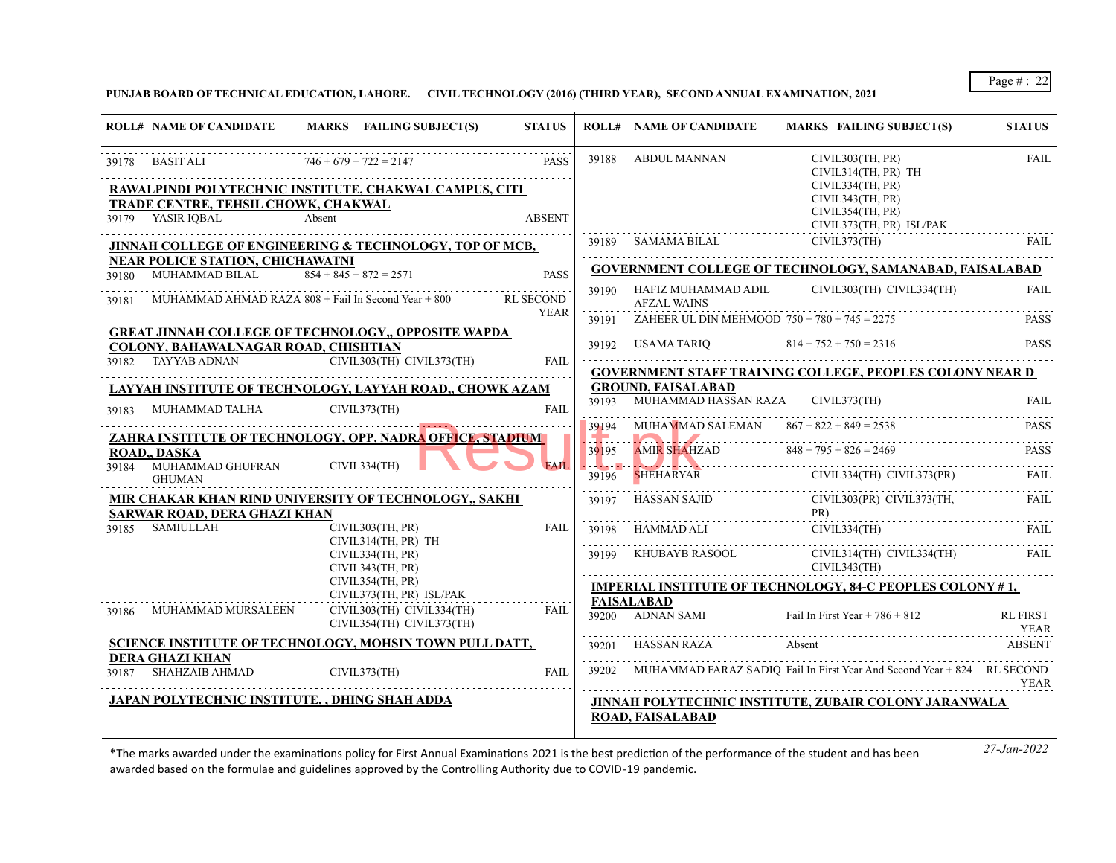**PUNJAB BOARD OF TECHNICAL EDUCATION, LAHORE. CIVIL TECHNOLOGY (2016) (THIRD YEAR), SECOND ANNUAL EXAMINATION, 2021**

|                | <b>ROLL# NAME OF CANDIDATE</b>                           | MARKS FAILING SUBJECT(S)                                                           | <b>STATUS</b>            |       | <b>ROLL# NAME OF CANDIDATE</b>                       | MARKS FAILING SUBJECT(S)                                                        | <b>STATUS</b>                  |
|----------------|----------------------------------------------------------|------------------------------------------------------------------------------------|--------------------------|-------|------------------------------------------------------|---------------------------------------------------------------------------------|--------------------------------|
|                | 39178 BASIT ALI                                          | $746 + 679 + 722 = 2147$<br>RAWALPINDI POLYTECHNIC INSTITUTE, CHAKWAL CAMPUS, CITI | <b>PASS</b>              |       | 39188 ABDUL MANNAN                                   | CIVIL303(TH, PR)<br>CIVIL314(TH, PR) TH<br>CIVIL334(TH, PR)<br>CIVIL343(TH, PR) | FAIL                           |
|                | TRADE CENTRE, TEHSIL CHOWK, CHAKWAL<br>39179 YASIR IQBAL | Absent                                                                             | <b>ABSENT</b>            |       |                                                      | CIVIL354(TH, PR)<br>CIVIL373(TH, PR) ISL/PAK                                    |                                |
|                |                                                          | JINNAH COLLEGE OF ENGINEERING & TECHNOLOGY, TOP OF MCB,                            |                          |       | 39189 SAMAMA BILAL                                   | CIVIL373(TH)                                                                    | <b>FAIL</b>                    |
|                | <b>NEAR POLICE STATION, CHICHAWATNI</b>                  |                                                                                    |                          |       |                                                      | <b>GOVERNMENT COLLEGE OF TECHNOLOGY, SAMANABAD, FAISALABAD</b>                  |                                |
| 39180<br>39181 | MUHAMMAD BILAL                                           | $854 + 845 + 872 = 2571$<br>MUHAMMAD AHMAD RAZA 808 + Fail In Second Year + 800    | <b>PASS</b><br>RL SECOND |       | 39190 HAFIZ MUHAMMAD ADIL<br><b>AFZAL WAINS</b>      | CIVIL303(TH) CIVIL334(TH)                                                       | <b>FAIL</b>                    |
|                |                                                          |                                                                                    | YEAR                     |       | 39191 ZAHEER UL DIN MEHMOOD $750 + 780 + 745 = 2275$ |                                                                                 | <b>PASS</b>                    |
|                | COLONY, BAHAWALNAGAR ROAD, CHISHTIAN                     | <b>GREAT JINNAH COLLEGE OF TECHNOLOGY,, OPPOSITE WAPDA</b>                         |                          |       | 39192 USAMA TARIQ 814 + 752 + 750 = 2316             |                                                                                 | <b>PASS</b>                    |
|                | 39182 TAYYAB ADNAN                                       | $CIVIL303(TH)$ $CIVIL373(TH)$                                                      | FAIL                     |       |                                                      | <b>GOVERNMENT STAFF TRAINING COLLEGE, PEOPLES COLONY NEAR D</b>                 |                                |
|                |                                                          | LAYYAH INSTITUTE OF TECHNOLOGY, LAYYAH ROAD,, CHOWK AZAM                           |                          |       | <b>GROUND, FAISALABAD</b>                            |                                                                                 |                                |
| 39183          | MUHAMMAD TALHA                                           | CIVIL373(TH)                                                                       | <b>FAIL</b>              |       | 39193 MUHAMMAD HASSAN RAZA CIVIL373(TH)              |                                                                                 | FAIL.                          |
|                |                                                          | ZAHRA INSTITUTE OF TECHNOLOGY, OPP. NADRA OFFICE, STADIUM                          |                          |       | 39194 MUHAMMAD SALEMAN $867 + 822 + 849 = 2538$      |                                                                                 | <b>PASS</b>                    |
| 39184          | ROAD DASKA<br>MUHAMMAD GHUFRAN                           | CIVIL334(TH)                                                                       | <b>FAIL</b>              | 39195 | AMIR SHAHZAD $848 + 795 + 826 = 2469$                |                                                                                 | <b>PASS</b>                    |
|                | <b>GHUMAN</b>                                            |                                                                                    |                          | 39196 |                                                      | SHEHARYAR CIVIL334(TH) CIVIL373(PR)                                             | FAIL                           |
|                | <b>SARWAR ROAD, DERA GHAZI KHAN</b>                      | MIR CHAKAR KHAN RIND UNIVERSITY OF TECHNOLOGY,, SAKHI                              |                          | 39197 | HASSAN SAJID                                         | CIVIL303(PR) CIVIL373(TH,<br>PR)                                                | <b>FAIL</b>                    |
|                | 39185 SAMIULLAH                                          | CIVIL303(TH, PR)                                                                   | <b>FAIL</b>              |       | 39198 HAMMAD ALI                                     | CIVIL334(TH)                                                                    | FAIL.                          |
|                |                                                          | CIVIL314(TH, PR) TH<br>CIVIL334(TH, PR)<br>CIVIL343(TH, PR)                        |                          |       | 39199 KHUBAYB RASOOL                                 | CIVIL314(TH) CIVIL334(TH)<br>CIVIL343(TH)                                       | FAIL                           |
|                |                                                          | CIVIL354(TH, PR)                                                                   |                          |       |                                                      | <b>IMPERIAL INSTITUTE OF TECHNOLOGY, 84-C PEOPLES COLONY #1,</b>                |                                |
| 39186          | MUHAMMAD MURSALEEN                                       | CIVIL373(TH, PR) ISL/PAK<br>CIVIL303(TH) CIVIL334(TH)<br>CIVIL354(TH) CIVIL373(TH) | FAII.                    |       | FAISALABAD<br>39200 ADNAN SAMI                       | Fail In First Year $+ 786 + 812$                                                | <b>RL FIRST</b><br><b>YEAR</b> |
|                |                                                          | SCIENCE INSTITUTE OF TECHNOLOGY, MOHSIN TOWN PULL DATT,                            |                          |       | 39201 HASSAN RAZA                                    | Absent                                                                          | ABSENT                         |
|                | <b>DERA GHAZI KHAN</b><br>39187 SHAHZAIB AHMAD           | CIVIL373(TH)                                                                       | <b>FAIL</b>              |       |                                                      | 39202 MUHAMMAD FARAZ SADIQ Fail In First Year And Second Year + 824 RL SECOND   | YEAR                           |
|                |                                                          | JAPAN POLYTECHNIC INSTITUTE, , DHING SHAH ADDA                                     |                          |       |                                                      | JINNAH POLYTECHNIC INSTITUTE, ZUBAIR COLONY JARANWALA                           |                                |
|                |                                                          |                                                                                    |                          |       | ROAD, FAISALABAD                                     |                                                                                 |                                |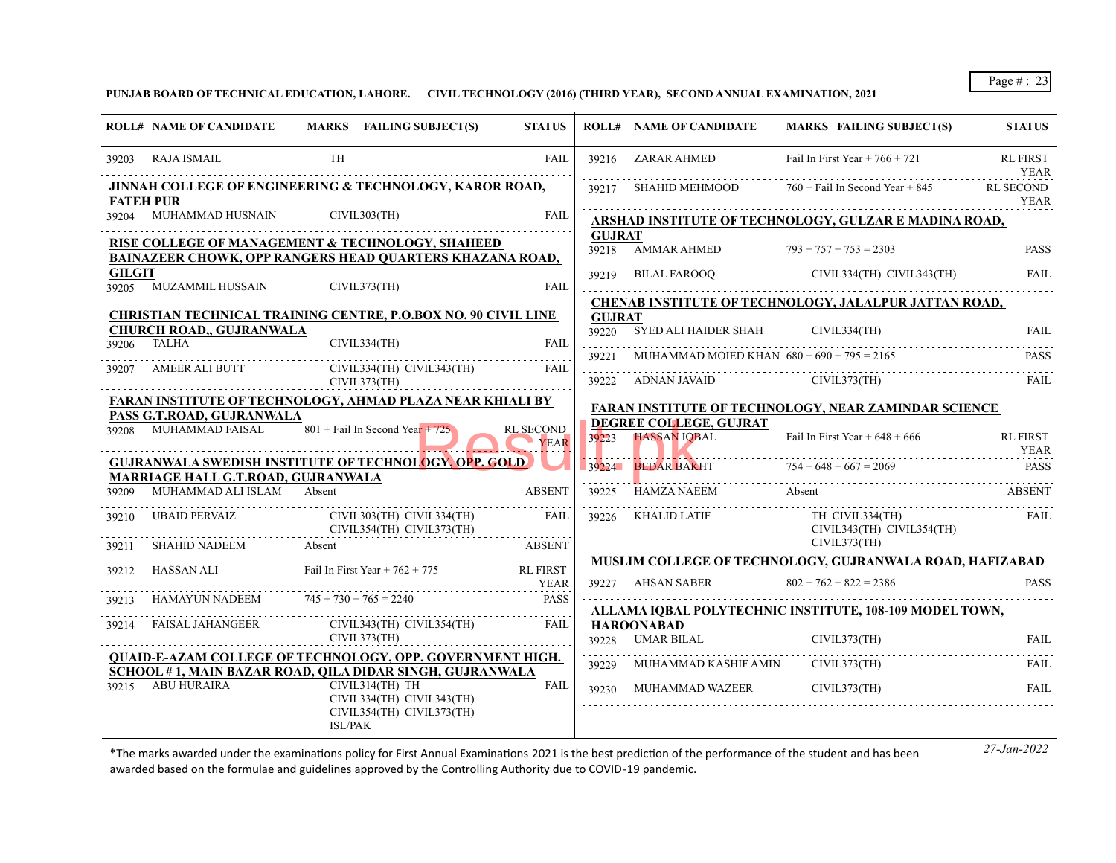**PUNJAB BOARD OF TECHNICAL EDUCATION, LAHORE. CIVIL TECHNOLOGY (2016) (THIRD YEAR), SECOND ANNUAL EXAMINATION, 2021**

|               | <b>ROLL# NAME OF CANDIDATE</b>                                                                                                |           | MARKS FAILING SUBJECT(S)                                                  | <b>STATUS</b>              |               | <b>ROLL# NAME OF CANDIDATE</b>                      | <b>MARKS FAILING SUBJECT(S)</b>                             | <b>STATUS</b>                  |
|---------------|-------------------------------------------------------------------------------------------------------------------------------|-----------|---------------------------------------------------------------------------|----------------------------|---------------|-----------------------------------------------------|-------------------------------------------------------------|--------------------------------|
|               | 39203 RAJA ISMAIL                                                                                                             | <b>TH</b> |                                                                           | <b>FAIL</b>                |               | 39216 ZARAR AHMED                                   | Fail In First Year $+766 + 721$                             | <b>RL FIRST</b><br><b>YEAR</b> |
|               | JINNAH COLLEGE OF ENGINEERING & TECHNOLOGY, KAROR ROAD,<br><b>FATEH PUR</b>                                                   |           |                                                                           |                            |               | 39217 SHAHID MEHMOOD                                | $760 +$ Fail In Second Year + 845                           | RL SECOND<br>YEAR              |
|               | 39204 MUHAMMAD HUSNAIN                                                                                                        |           | CIVIL303(TH)                                                              | <b>FAIL</b>                |               |                                                     | ARSHAD INSTITUTE OF TECHNOLOGY, GULZAR E MADINA ROAD,       |                                |
|               | RISE COLLEGE OF MANAGEMENT & TECHNOLOGY, SHAHEED<br><b>BAINAZEER CHOWK. OPP RANGERS HEAD OUARTERS KHAZANA ROAD.</b>           |           |                                                                           |                            | <b>GUJRAT</b> | 39218 AMMAR AHMED $793 + 757 + 753 = 2303$          |                                                             | <b>PASS</b>                    |
| <b>GILGIT</b> | 39205 MUZAMMIL HUSSAIN                                                                                                        |           | CIVIL373(TH)                                                              | <b>FAIL</b>                |               |                                                     | 39219 BILAL FAROOQ CIVIL334(TH) CIVIL343(TH)                | FAII.                          |
|               | CHRISTIAN TECHNICAL TRAINING CENTRE, P.O.BOX NO. 90 CIVIL LINE                                                                |           |                                                                           |                            | <b>GUJRAT</b> |                                                     | CHENAB INSTITUTE OF TECHNOLOGY, JALALPUR JATTAN ROAD,       |                                |
|               | <b>CHURCH ROAD,, GUJRANWALA</b><br>39206 TALHA                                                                                |           | CIVIL334(TH)                                                              | <b>FAIL</b>                |               | 39220 SYED ALI HAIDER SHAH                          | CIVIL334(TH)                                                | <b>FAIL</b>                    |
| 39207         | AMEER ALI BUTT                                                                                                                |           | CIVIL334(TH) CIVIL343(TH)                                                 | <b>FAIL</b>                |               | 39221 MUHAMMAD MOIED KHAN $680 + 690 + 795 = 2165$  |                                                             | <b>PASS</b>                    |
|               |                                                                                                                               |           | CIVIL373(TH)                                                              |                            |               |                                                     | 39222 ADNAN JAVAID CIVIL373(TH)                             | FAIL                           |
|               | <b>FARAN INSTITUTE OF TECHNOLOGY, AHMAD PLAZA NEAR KHIALI BY</b><br>PASS G.T.ROAD, GUJRANWALA                                 |           |                                                                           |                            |               |                                                     | <b>FARAN INSTITUTE OF TECHNOLOGY, NEAR ZAMINDAR SCIENCE</b> |                                |
|               | 39208 MUHAMMAD FAISAL                                                                                                         |           | $801 +$ Fail In Second Year + 725                                         | <b>RL SECOND</b><br>YEAR   |               | <b>DEGREE COLLEGE, GUJRAT</b><br>39223 HASSAN IQBAL | Fail In First Year $+648 + 666$                             | <b>RL FIRST</b><br><b>YEAR</b> |
|               | <b>GUJRANWALA SWEDISH INSTITUTE OF TECHNOLOGY, OPP. GOLD</b><br>MARRIAGE HALL G.T.ROAD, GUJRANWALA                            |           |                                                                           |                            |               |                                                     | 39224 BEDAR BAKHT 754 + 648 + 667 = 2069 PASS               |                                |
| 39209         | MUHAMMAD ALI ISLAM Absent                                                                                                     |           |                                                                           | <b>ABSENT</b>              | 39225         |                                                     | HAMZA NAEEM Absent                                          | <b>ABSENT</b>                  |
|               | 39210 UBAID PERVAIZ                                                                                                           |           | CIVIL303(TH) CIVIL334(TH) FAIL<br>CIVIL354(TH) CIVIL373(TH)               |                            |               | 39226 KHALID LATIF                                  | TH CIVIL334(TH)<br>CIVIL343(TH) CIVIL354(TH)                | FAIL                           |
| 39211         | <b>SHAHID NADEEM</b>                                                                                                          | Absent    |                                                                           | <b>ABSENT</b>              |               | CIVIL373(TH)                                        |                                                             |                                |
| 39212         | <b>HASSAN ALI</b>                                                                                                             |           | Fail In First Year + $762 + 775$                                          | <b>RL FIRST</b>            |               |                                                     | MUSLIM COLLEGE OF TECHNOLOGY, GUJRANWALA ROAD, HAFIZABAD    |                                |
| 39213         | HAMAYUN NADEEM $745 + 730 + 765 = 2240$                                                                                       |           |                                                                           | <b>YEAR</b><br><b>PASS</b> |               | 39227 AHSAN SABER                                   | $802 + 762 + 822 = 2386$                                    | <b>PASS</b>                    |
|               | 39214 FAISAL JAHANGEER CIVIL343(TH) CIVIL354(TH) FAIL                                                                         |           |                                                                           |                            |               | <b>HAROONABAD</b>                                   | ALLAMA IQBAL POLYTECHNIC INSTITUTE, 108-109 MODEL TOWN,     |                                |
|               | CIVIL373(TH)                                                                                                                  |           |                                                                           |                            |               | 39228 UMAR BILAL                                    | CIVIL373(TH)                                                | <b>FAIL</b>                    |
|               | <b>QUAID-E-AZAM COLLEGE OF TECHNOLOGY, OPP. GOVERNMENT HIGH.</b><br>SCHOOL # 1, MAIN BAZAR ROAD, OILA DIDAR SINGH, GUJRANWALA |           |                                                                           |                            | 39229         | MUHAMMAD KASHIF AMIN CIVIL373(TH)                   |                                                             | FAIL.                          |
|               | 39215 ABU HURAIRA                                                                                                             |           | CIVIL314(TH) TH<br>CIVIL334(TH) CIVIL343(TH)<br>CIVIL354(TH) CIVIL373(TH) | <b>FAIL</b>                |               | 39230 MUHAMMAD WAZEER CIVIL373(TH)                  |                                                             | FAIL                           |
|               |                                                                                                                               | ISL/PAK   |                                                                           |                            |               |                                                     |                                                             |                                |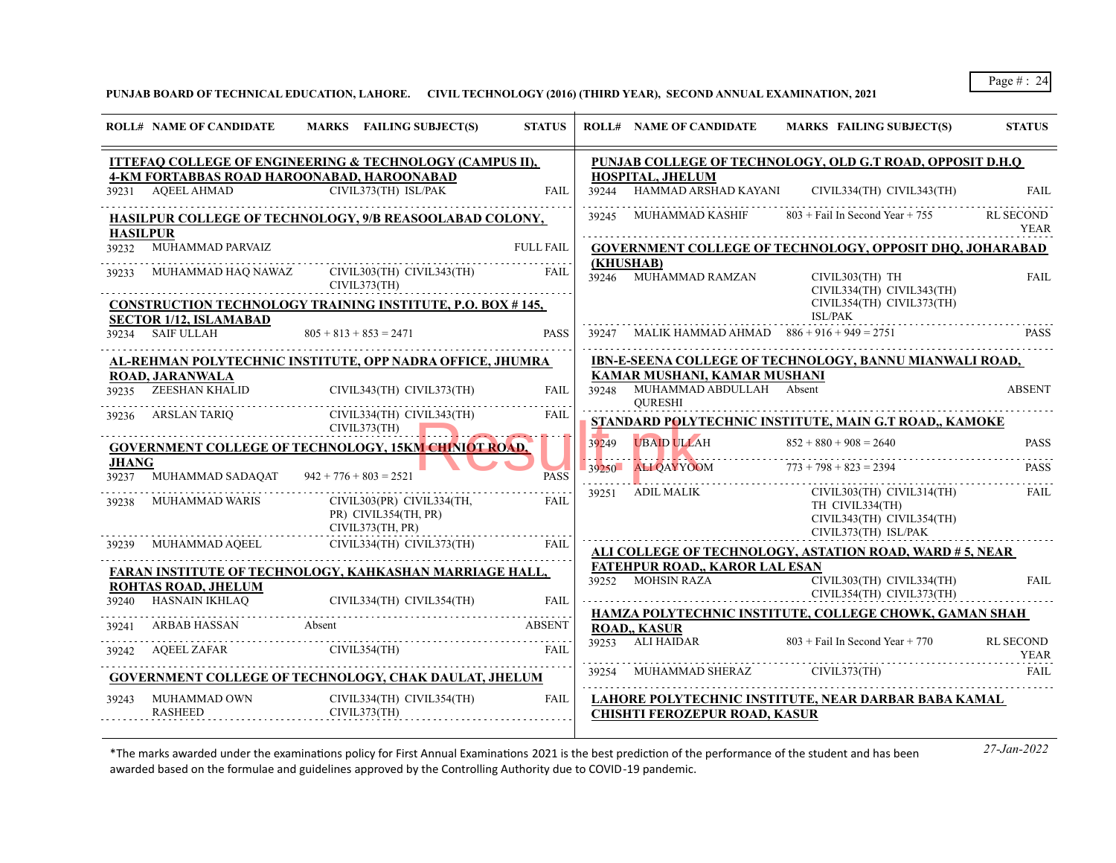# **PUNJAB BOARD OF TECHNICAL EDUCATION, LAHORE. CIVIL TECHNOLOGY (2016) (THIRD YEAR), SECOND ANNUAL EXAMINATION, 2021**

|                       | <b>ROLL# NAME OF CANDIDATE</b>                     | MARKS FAILING SUBJECT(S)                                              | <b>STATUS</b>    |       | <b>ROLL# NAME OF CANDIDATE</b>                   | <b>MARKS FAILING SUBJECT(S)</b>                                                                   | <b>STATUS</b>                   |
|-----------------------|----------------------------------------------------|-----------------------------------------------------------------------|------------------|-------|--------------------------------------------------|---------------------------------------------------------------------------------------------------|---------------------------------|
|                       |                                                    | <b>ITTEFAQ COLLEGE OF ENGINEERING &amp; TECHNOLOGY (CAMPUS II),</b>   |                  |       |                                                  | PUNJAB COLLEGE OF TECHNOLOGY, OLD G.T ROAD, OPPOSIT D.H.Q                                         |                                 |
|                       | 39231 AQEEL AHMAD                                  | 4-KM FORTABBAS ROAD HAROONABAD, HAROONABAD<br>CIVIL373(TH) ISL/PAK    | <b>FAIL</b>      |       | HOSPITAL, JHELUM<br>39244 HAMMAD ARSHAD KAYANI   | CIVIL334(TH) CIVIL343(TH)                                                                         | <b>FAIL</b>                     |
| <b>HASILPUR</b>       |                                                    | HASILPUR COLLEGE OF TECHNOLOGY, 9/B REASOOLABAD COLONY,               |                  |       | 39245 MUHAMMAD KASHIF                            | $803 +$ Fail In Second Year + 755                                                                 | <b>RL SECOND</b><br><b>YEAR</b> |
|                       | 39232 MUHAMMAD PARVAIZ                             |                                                                       | <b>FULL FAIL</b> |       |                                                  | <b>GOVERNMENT COLLEGE OF TECHNOLOGY, OPPOSIT DHQ, JOHARABAD</b>                                   |                                 |
| 39233                 | MUHAMMAD HAQ NAWAZ                                 | CIVIL303(TH) CIVIL343(TH)<br>CIVIL373(TH)                             | FAIL             | 39246 | (KHUSHAB)<br>MUHAMMAD RAMZAN                     | CIVIL303(TH) TH<br>CIVIL334(TH) CIVIL343(TH)                                                      | <b>FAIL</b>                     |
|                       |                                                    | <b>CONSTRUCTION TECHNOLOGY TRAINING INSTITUTE, P.O. BOX #145,</b>     |                  |       |                                                  | CIVIL354(TH) CIVIL373(TH)<br><b>ISL/PAK</b>                                                       |                                 |
| 39234                 | <b>SECTOR 1/12, ISLAMABAD</b><br><b>SAIF ULLAH</b> | $805 + 813 + 853 = 2471$                                              | <b>PASS</b>      | 39247 | MALIK HAMMAD AHMAD $886 + 916 + 949 = 2751$      |                                                                                                   | <b>PASS</b>                     |
|                       |                                                    | AL-REHMAN POLYTECHNIC INSTITUTE, OPP NADRA OFFICE, JHUMRA             |                  |       |                                                  | IBN-E-SEENA COLLEGE OF TECHNOLOGY, BANNU MIANWALI ROAD,                                           |                                 |
|                       | <b>ROAD, JARANWALA</b>                             |                                                                       |                  |       | KAMAR MUSHANI, KAMAR MUSHANI                     |                                                                                                   |                                 |
| 39235                 | <b>ZEESHAN KHALID</b>                              | CIVIL343(TH) CIVIL373(TH)                                             | <b>FAIL</b>      |       | 39248 MUHAMMAD ABDULLAH Absent<br><b>OURESHI</b> |                                                                                                   | <b>ABSENT</b>                   |
| 39236                 | ARSLAN TARIO                                       | CIVIL334(TH) CIVIL343(TH)<br>CIVIL373(TH)                             | <b>FAIL</b>      |       |                                                  | STANDARD POLYTECHNIC INSTITUTE, MAIN G.T ROAD,, KAMOKE                                            |                                 |
|                       |                                                    | <b>GOVERNMENT COLLEGE OF TECHNOLOGY, 15KM CHINIOT ROAD,</b>           |                  | 39249 | <b>UBAID ULLAH</b>                               | $852 + 880 + 908 = 2640$                                                                          | <b>PASS</b>                     |
| <b>JHANG</b><br>39237 | MUHAMMAD SADAQAT                                   | $942 + 776 + 803 = 2521$                                              | PASS             | 39250 | <b>ALI QAYYOOM</b>                               | $773 + 798 + 823 = 2394$                                                                          | <b>PASS</b>                     |
| 39238                 | <b>MUHAMMAD WARIS</b>                              | CIVIL303(PR) CIVIL334(TH,<br>PR) CIVIL354(TH, PR)<br>CIVIL373(TH, PR) | FAIL             | 39251 | <b>ADIL MALIK</b>                                | CIVIL303(TH) CIVIL314(TH)<br>TH CIVIL334(TH)<br>CIVIL343(TH) CIVIL354(TH)<br>CIVIL373(TH) ISL/PAK | <b>FAIL</b>                     |
| 39239                 | MUHAMMAD AQEEL                                     | CIVIL334(TH) CIVIL373(TH)                                             | FAIL             |       |                                                  | ALI COLLEGE OF TECHNOLOGY, ASTATION ROAD, WARD # 5, NEAR                                          |                                 |
|                       |                                                    | FARAN INSTITUTE OF TECHNOLOGY, KAHKASHAN MARRIAGE HALL,               |                  |       | <b>FATEHPUR ROAD., KAROR LAL ESAN</b>            |                                                                                                   |                                 |
|                       | <b>ROHTAS ROAD, JHELUM</b><br>39240 HASNAIN IKHLAQ | CIVIL334(TH) CIVIL354(TH)                                             | FAIL             |       | 39252 MOHSIN RAZA                                | CIVIL303(TH) CIVIL334(TH)<br>CIVIL354(TH) CIVIL373(TH)                                            | <b>FAIL</b>                     |
|                       |                                                    |                                                                       |                  |       |                                                  | HAMZA POLYTECHNIC INSTITUTE, COLLEGE CHOWK, GAMAN SHAH                                            |                                 |
| 39241                 | ARBAB HASSAN                                       | Absent                                                                | <b>ABSENT</b>    |       | <b>ROAD, KASUR</b><br>39253 ALI HAIDAR           | $803 +$ Fail In Second Year + 770                                                                 |                                 |
| 39242                 | <b>AQEEL ZAFAR</b>                                 | CIVIL354(TH)                                                          | <b>FAIL</b>      |       |                                                  |                                                                                                   | <b>RL SECOND</b><br><b>YEAR</b> |
|                       |                                                    | <b>GOVERNMENT COLLEGE OF TECHNOLOGY, CHAK DAULAT, JHELUM</b>          |                  |       | 39254 MUHAMMAD SHERAZ                            | CIVIL373(TH)                                                                                      | FAII.                           |
| 39243                 | MUHAMMAD OWN<br><b>RASHEED</b>                     | CIVIL334(TH) CIVIL354(TH)<br>CIVIL373(TH)                             | FAIL             |       | <b>CHISHTI FEROZEPUR ROAD, KASUR</b>             | LAHORE POLYTECHNIC INSTITUTE, NEAR DARBAR BABA KAMAL                                              |                                 |
|                       |                                                    |                                                                       |                  |       |                                                  |                                                                                                   |                                 |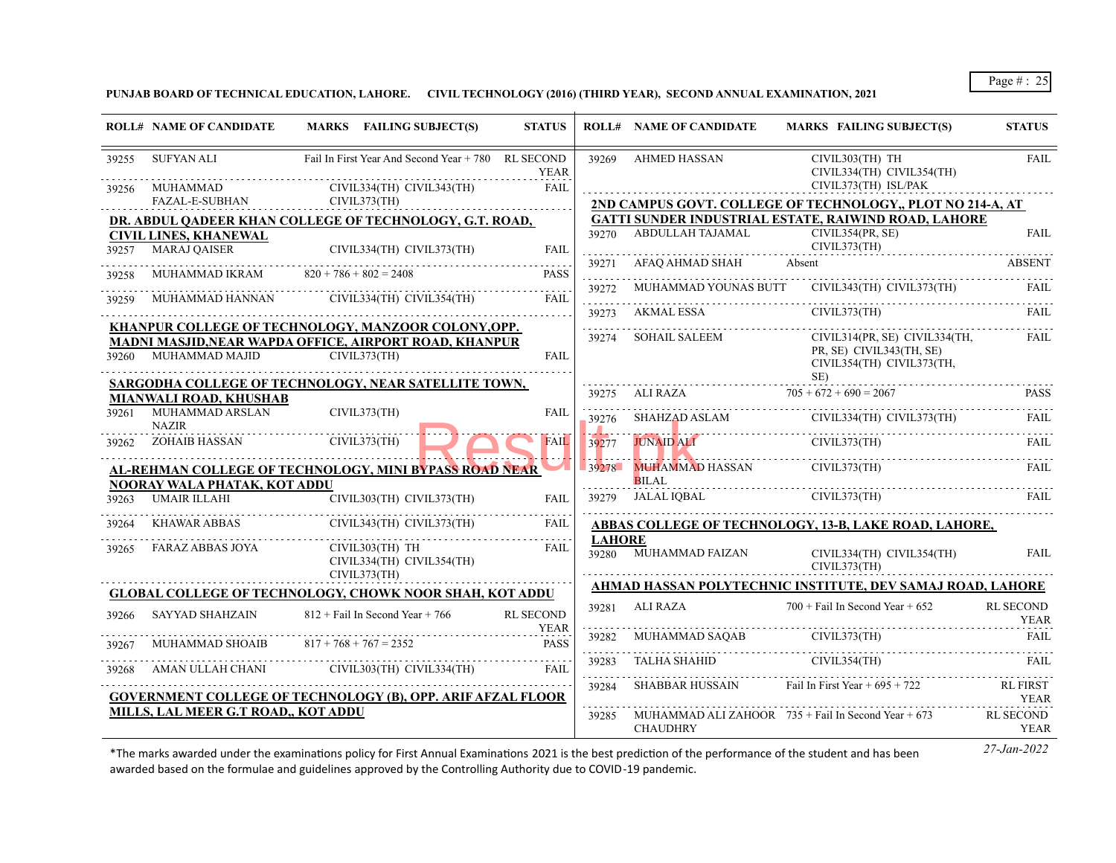**PUNJAB BOARD OF TECHNICAL EDUCATION, LAHORE. CIVIL TECHNOLOGY (2016) (THIRD YEAR), SECOND ANNUAL EXAMINATION, 2021**

|       | <b>ROLL# NAME OF CANDIDATE</b>                      | MARKS FAILING SUBJECT(S)                                               | <b>STATUS</b>       |               | <b>ROLL# NAME OF CANDIDATE</b>    | <b>MARKS FAILING SUBJECT(S)</b>                                                                                                                                                                                                                                                                                                                                                                                                             | <b>STATUS</b>                   |
|-------|-----------------------------------------------------|------------------------------------------------------------------------|---------------------|---------------|-----------------------------------|---------------------------------------------------------------------------------------------------------------------------------------------------------------------------------------------------------------------------------------------------------------------------------------------------------------------------------------------------------------------------------------------------------------------------------------------|---------------------------------|
| 39255 | SUFYAN ALI                                          | Fail In First Year And Second Year + 780 RL SECOND                     | <b>YEAR</b>         | 39269         | <b>AHMED HASSAN</b>               | CIVIL303(TH) TH<br>CIVIL334(TH) CIVIL354(TH)                                                                                                                                                                                                                                                                                                                                                                                                | <b>FAIL</b>                     |
| 39256 | MUHAMMAD                                            | CIVIL334(TH) CIVIL343(TH)                                              | <b>FAIL</b>         |               |                                   | CIVIL373(TH) ISL/PAK                                                                                                                                                                                                                                                                                                                                                                                                                        |                                 |
|       | FAZAL-E-SUBHAN                                      | CIVIL373(TH)                                                           |                     |               |                                   | 2ND CAMPUS GOVT. COLLEGE OF TECHNOLOGY,, PLOT NO 214-A, AT                                                                                                                                                                                                                                                                                                                                                                                  |                                 |
|       |                                                     | DR. ABDUL QADEER KHAN COLLEGE OF TECHNOLOGY, G.T. ROAD,                |                     |               | 39270 ABDULLAH TAJAMAL            | <b>GATTI SUNDER INDUSTRIAL ESTATE, RAIWIND ROAD, LAHORE</b><br>CIVIL354(PR, SE)                                                                                                                                                                                                                                                                                                                                                             | <b>FAIL</b>                     |
| 39257 | <b>CIVIL LINES, KHANEWAL</b><br><b>MARAJ OAISER</b> | CIVIL334(TH) CIVIL373(TH)                                              | <b>FAIL</b>         |               |                                   | CIVIL373(TH)                                                                                                                                                                                                                                                                                                                                                                                                                                |                                 |
| 39258 | MUHAMMAD IKRAM $820 + 786 + 802 = 2408$             |                                                                        | <b>PASS</b>         |               | 39271 AFAQ AHMAD SHAH             | Absent                                                                                                                                                                                                                                                                                                                                                                                                                                      | <b>ABSENT</b>                   |
| 39259 | MUHAMMAD HANNAN                                     | CIVIL334(TH) CIVIL354(TH)                                              | <b>FAIL</b>         | 39272         |                                   | MUHAMMAD YOUNAS BUTT CIVIL343(TH) CIVIL373(TH)                                                                                                                                                                                                                                                                                                                                                                                              |                                 |
|       |                                                     |                                                                        |                     |               | 39273 AKMAL ESSA                  | $\begin{tabular}{ll} \multicolumn{2}{c}{\textbf{39273} } & \multicolumn{2}{c}{AKMAL ESSA} \\ \multicolumn{2}{c}{\textbf{39273} } & \multicolumn{2}{c}{AKMAL ESSA} \\ \multicolumn{2}{c}{\textbf{59273} } & \multicolumn{2}{c}{KIMAL ESSA} \\ \multicolumn{2}{c}{\textbf{59273} } & \multicolumn{2}{c}{\textbf{KMMAL ESSA}} \\ \multicolumn{2}{c}{\textbf{59273} } & \multicolumn{2}{c}{\textbf{59273} } \\ \multicolumn{2}{c}{\textbf{5927$ |                                 |
|       |                                                     | KHANPUR COLLEGE OF TECHNOLOGY, MANZOOR COLONY, OPP.                    |                     | 39274         | <b>SOHAIL SALEEM</b>              | CIVIL314(PR, SE) CIVIL334(TH,                                                                                                                                                                                                                                                                                                                                                                                                               | FAII.                           |
| 39260 | MUHAMMAD MAJID                                      | MADNI MASJID, NEAR WAPDA OFFICE, AIRPORT ROAD, KHANPUR<br>CIVIL373(TH) | <b>FAIL</b>         |               |                                   | PR, SE) CIVIL343(TH, SE)<br>CIVIL354(TH) CIVIL373(TH,                                                                                                                                                                                                                                                                                                                                                                                       |                                 |
|       |                                                     | SARGODHA COLLEGE OF TECHNOLOGY, NEAR SATELLITE TOWN,                   |                     |               |                                   | SE)                                                                                                                                                                                                                                                                                                                                                                                                                                         |                                 |
|       | MIANWALI ROAD, KHUSHAB                              |                                                                        |                     | 39275         | ALI RAZA                          | $705 + 672 + 690 = 2067$                                                                                                                                                                                                                                                                                                                                                                                                                    | <b>PASS</b>                     |
| 39261 | MUHAMMAD ARSLAN<br><b>NAZIR</b>                     | CIVIL373(TH)                                                           | <b>FAIL</b>         | 39276         | SHAHZAD ASLAM                     | CIVIL334(TH) CIVIL373(TH)                                                                                                                                                                                                                                                                                                                                                                                                                   | FAIL                            |
|       | 39262 ZOHAIB HASSAN                                 | CIVIL373(TH)                                                           | <b>FAIL</b>         | 39277         | <b>JUNAID ALI</b>                 | CIVIL373(TH)                                                                                                                                                                                                                                                                                                                                                                                                                                | FAIL.                           |
|       |                                                     | AL-REHMAN COLLEGE OF TECHNOLOGY, MINI BYPASS ROAD NEAR                 |                     |               | 39278 MUHAMMAD HASSAN             | CIVIL373(TH)                                                                                                                                                                                                                                                                                                                                                                                                                                | FAIL.                           |
|       | NOORAY WALA PHATAK, KOT ADDU                        |                                                                        |                     |               | <b>BILAL</b>                      |                                                                                                                                                                                                                                                                                                                                                                                                                                             |                                 |
| 39263 | <b>UMAIR ILLAHI</b>                                 | CIVIL303(TH) CIVIL373(TH)                                              | <b>FAIL</b>         |               | 39279 JALAL IQBAL                 | CIVIL373(TH)                                                                                                                                                                                                                                                                                                                                                                                                                                | FAIL.                           |
| 39264 | KHAWAR ABBAS                                        | CIVIL343(TH) CIVIL373(TH)                                              | FAIL                | <b>LAHORE</b> |                                   | ABBAS COLLEGE OF TECHNOLOGY, 13-B, LAKE ROAD, LAHORE,                                                                                                                                                                                                                                                                                                                                                                                       |                                 |
| 39265 | FARAZ ABBAS JOYA                                    | CIVIL303(TH) TH<br>CIVIL334(TH) CIVIL354(TH)<br>CIVIL373(TH)           | FAII.               |               | 39280 MUHAMMAD FAIZAN             | CIVIL334(TH) CIVIL354(TH)<br>CIVIL373(TH)                                                                                                                                                                                                                                                                                                                                                                                                   | FAIL                            |
|       |                                                     |                                                                        |                     |               |                                   | AHMAD HASSAN POLYTECHNIC INSTITUTE, DEV SAMAJ ROAD, LAHORE                                                                                                                                                                                                                                                                                                                                                                                  |                                 |
|       |                                                     | <b>GLOBAL COLLEGE OF TECHNOLOGY, CHOWK NOOR SHAH, KOT ADDU</b>         |                     |               | 39281 ALI RAZA                    | $700 +$ Fail In Second Year + 652                                                                                                                                                                                                                                                                                                                                                                                                           | <b>RL SECOND</b>                |
| 39266 | <b>SAYYAD SHAHZAIN</b>                              | $812 +$ Fail In Second Year + 766                                      | <b>RL SECOND</b>    |               |                                   |                                                                                                                                                                                                                                                                                                                                                                                                                                             | <b>YEAR</b>                     |
| 39267 | <b>MUHAMMAD SHOAIB</b>                              | $817 + 768 + 767 = 2352$                                               | <b>YEAR</b><br>PASS |               | 39282 MUHAMMAD SAQAB CIVIL373(TH) |                                                                                                                                                                                                                                                                                                                                                                                                                                             | <b>FAIL</b>                     |
| 39268 | AMAN ULLAH CHANI                                    | CIVIL303(TH) CIVIL334(TH)                                              | FAII.               | 39283         | TALHA SHAHID                      | CIVIL354(TH)                                                                                                                                                                                                                                                                                                                                                                                                                                | FAIL                            |
|       |                                                     | <b>GOVERNMENT COLLEGE OF TECHNOLOGY (B), OPP. ARIF AFZAL FLOOR</b>     |                     | 39284         | SHABBAR HUSSAIN                   | Fail In First Year $+695 + 722$                                                                                                                                                                                                                                                                                                                                                                                                             | <b>RL FIRST</b><br><b>YEAR</b>  |
|       | MILLS, LAL MEER G.T ROAD,, KOT ADDU                 |                                                                        |                     | 39285         | <b>CHAUDHRY</b>                   | MUHAMMAD ALI ZAHOOR $735 +$ Fail In Second Year $+673$                                                                                                                                                                                                                                                                                                                                                                                      | <b>RL SECOND</b><br><b>YEAR</b> |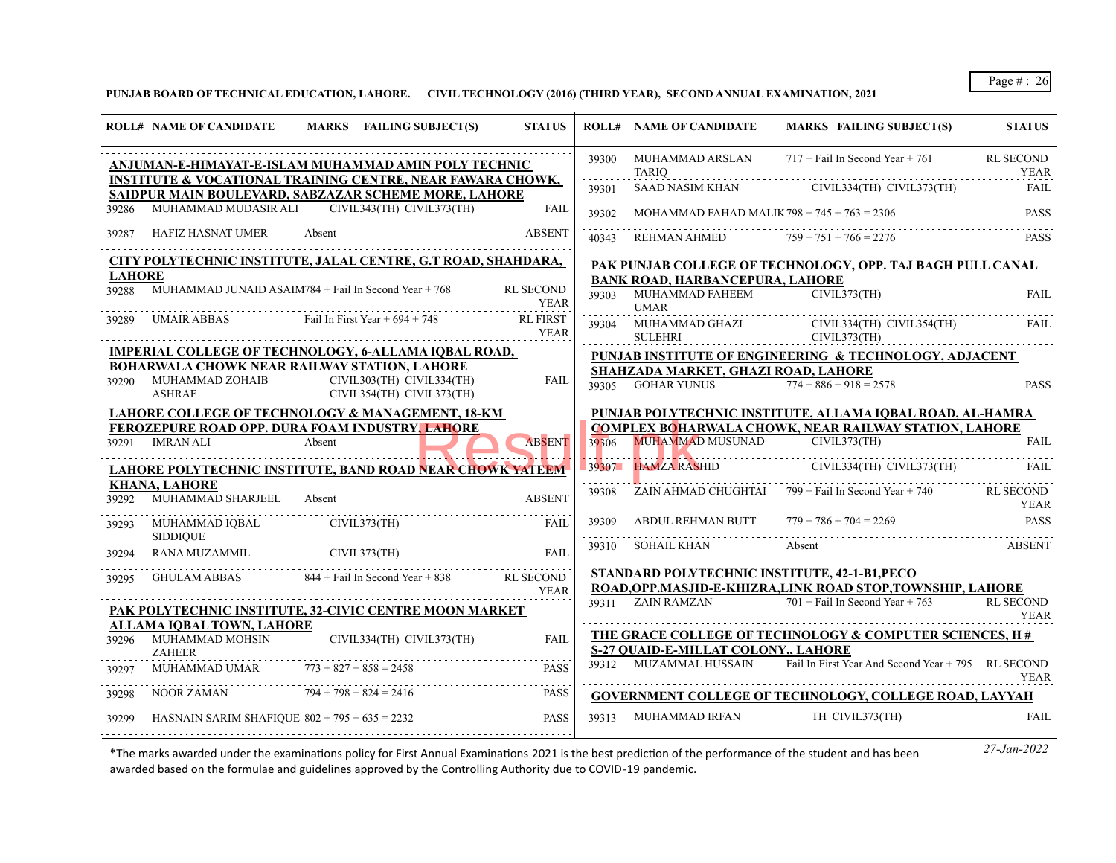# **PUNJAB BOARD OF TECHNICAL EDUCATION, LAHORE. CIVIL TECHNOLOGY (2016) (THIRD YEAR), SECOND ANNUAL EXAMINATION, 2021**

| 39300 MUHAMMAD ARSLAN<br>ANJUMAN-E-HIMAYAT-E-ISLAM MUHAMMAD AMIN POLY TECHNIC<br><b>TARIO</b><br><b>INSTITUTE &amp; VOCATIONAL TRAINING CENTRE, NEAR FAWARA CHOWK,</b><br>39301 SAAD NASIM KHAN CIVIL334(TH) CIVIL373(TH)<br>SAIDPUR MAIN BOULEVARD, SABZAZAR SCHEME MORE, LAHORE<br>MUHAMMAD MUDASIR ALI CIVIL343(TH) CIVIL373(TH)<br><b>FAIL</b><br>39286<br>MOHAMMAD FAHAD MALIK 798 + 745 + 763 = 2306<br>39302<br>HAFIZ HASNAT UMER<br><b>ABSENT</b><br>Absent<br>39287<br>REHMAN AHMED<br>40343<br>CITY POLYTECHNIC INSTITUTE, JALAL CENTRE, G.T ROAD, SHAHDARA,<br>PAK PUNJAB COLLEGE OF TECHNOLOGY, OPP. TAJ BAGH PULL CANAL | $717 +$ Fail In Second Year + 761<br><b>RL SECOND</b><br><b>YEAR</b><br><b>FAIL</b><br><b>PASS</b><br>$759 + 751 + 766 = 2276$ |
|--------------------------------------------------------------------------------------------------------------------------------------------------------------------------------------------------------------------------------------------------------------------------------------------------------------------------------------------------------------------------------------------------------------------------------------------------------------------------------------------------------------------------------------------------------------------------------------------------------------------------------------|--------------------------------------------------------------------------------------------------------------------------------|
|                                                                                                                                                                                                                                                                                                                                                                                                                                                                                                                                                                                                                                      |                                                                                                                                |
|                                                                                                                                                                                                                                                                                                                                                                                                                                                                                                                                                                                                                                      |                                                                                                                                |
|                                                                                                                                                                                                                                                                                                                                                                                                                                                                                                                                                                                                                                      |                                                                                                                                |
|                                                                                                                                                                                                                                                                                                                                                                                                                                                                                                                                                                                                                                      |                                                                                                                                |
|                                                                                                                                                                                                                                                                                                                                                                                                                                                                                                                                                                                                                                      |                                                                                                                                |
| <b>LAHORE</b><br><b>BANK ROAD, HARBANCEPURA, LAHORE</b>                                                                                                                                                                                                                                                                                                                                                                                                                                                                                                                                                                              |                                                                                                                                |
| MUHAMMAD JUNAID ASAIM784 $+$ Fail In Second Year $+768$<br><b>RL SECOND</b><br>39288<br>MUHAMMAD FAHEEM<br>39303<br><b>YEAR</b><br><b>UMAR</b>                                                                                                                                                                                                                                                                                                                                                                                                                                                                                       | CIVIL373(TH)<br><b>FAIL</b>                                                                                                    |
| <b>RL FIRST</b><br>UMAIR ABBAS Fail In First Year + $694 + 748$<br>39289<br>MUHAMMAD GHAZI CIVIL334(TH) CIVIL354(TH)<br>SULEHRI CIVIL373(TH)<br>39304<br><b>YEAR</b>                                                                                                                                                                                                                                                                                                                                                                                                                                                                 | FAIL                                                                                                                           |
| IMPERIAL COLLEGE OF TECHNOLOGY, 6-ALLAMA IQBAL ROAD,<br>PUNJAB INSTITUTE OF ENGINEERING & TECHNOLOGY, ADJACENT                                                                                                                                                                                                                                                                                                                                                                                                                                                                                                                       |                                                                                                                                |
| BOHARWALA CHOWK NEAR RAILWAY STATION, LAHORE<br>SHAHZADA MARKET, GHAZI ROAD, LAHORE                                                                                                                                                                                                                                                                                                                                                                                                                                                                                                                                                  |                                                                                                                                |
| 39290 MUHAMMAD ZOHAIB<br>CIVIL303(TH) CIVIL334(TH)<br><b>FAIL</b><br>39305 GOHAR YUNUS<br><b>ASHRAF</b><br>$CIVIL354(TH)$ $CIVIL373(TH)$                                                                                                                                                                                                                                                                                                                                                                                                                                                                                             | $774 + 886 + 918 = 2578$<br><b>PASS</b>                                                                                        |
| PUNJAB POLYTECHNIC INSTITUTE, ALLAMA IQBAL ROAD, AL-HAMRA<br>LAHORE COLLEGE OF TECHNOLOGY & MANAGEMENT, 18-KM                                                                                                                                                                                                                                                                                                                                                                                                                                                                                                                        |                                                                                                                                |
| <b>COMPLEX BOHARWALA CHOWK, NEAR RAILWAY STATION, LAHORE</b><br>FEROZEPURE ROAD OPP. DURA FOAM INDUSTRY, LAHORE<br>MUHAMMAD MUSUNAD CIVIL373(TH)                                                                                                                                                                                                                                                                                                                                                                                                                                                                                     | <b>FAIL</b>                                                                                                                    |
| Absent<br><b>ABSENT</b><br>39291 IMRAN ALI<br>39306                                                                                                                                                                                                                                                                                                                                                                                                                                                                                                                                                                                  |                                                                                                                                |
| <u>LAHORE POLYTECHNIC INSTITUTE, BAND ROAD NEAR CHOWK YATEEM</u>                                                                                                                                                                                                                                                                                                                                                                                                                                                                                                                                                                     |                                                                                                                                |
| <b>KHANA, LAHORE</b><br>ZAIN AHMAD CHUGHTAI $799 +$ Fail In Second Year + 740<br>39308                                                                                                                                                                                                                                                                                                                                                                                                                                                                                                                                               | <b>RL SECOND</b>                                                                                                               |
| MUHAMMAD SHARJEEL<br>39292<br><b>ABSENT</b><br>Absent                                                                                                                                                                                                                                                                                                                                                                                                                                                                                                                                                                                | <b>YEAR</b>                                                                                                                    |
| 39309 ABDUL REHMAN BUTT<br>MUHAMMAD IQBAL CIVIL373(TH)<br><b>FAIL</b><br>39293<br><b>SIDDIOUE</b>                                                                                                                                                                                                                                                                                                                                                                                                                                                                                                                                    | $779 + 786 + 704 = 2269$<br><b>PASS</b>                                                                                        |
| 39310 SOHAIL KHAN<br>Absent<br>RANA MUZAMMIL CIVIL373(TH)<br><b>FAIL</b><br>39294                                                                                                                                                                                                                                                                                                                                                                                                                                                                                                                                                    | ABSENT                                                                                                                         |
| STANDARD POLYTECHNIC INSTITUTE, 42-1-B1, PECO<br>$844 + \text{Fail In Second Year} + 838$ RL SECOND<br>GHULAM ABBAS<br>39295                                                                                                                                                                                                                                                                                                                                                                                                                                                                                                         |                                                                                                                                |
| ROAD, OPP.MASJID-E-KHIZRA, LINK ROAD STOP, TOWNSHIP, LAHORE<br><b>YEAR</b><br>39311 ZAIN RAMZAN                                                                                                                                                                                                                                                                                                                                                                                                                                                                                                                                      | $701 +$ Fail In Second Year + 763<br><b>RL SECOND</b>                                                                          |
| PAK POLYTECHNIC INSTITUTE, 32-CIVIC CENTRE MOON MARKET                                                                                                                                                                                                                                                                                                                                                                                                                                                                                                                                                                               | <b>YEAR</b>                                                                                                                    |
| <b>ALLAMA IOBAL TOWN, LAHORE</b><br>THE GRACE COLLEGE OF TECHNOLOGY & COMPUTER SCIENCES, H#                                                                                                                                                                                                                                                                                                                                                                                                                                                                                                                                          |                                                                                                                                |
| 39296 MUHAMMAD MOHSIN<br>CIVIL334(TH) CIVIL373(TH)<br><b>FAIL</b><br><b>S-27 OUAID-E-MILLAT COLONY LAHORE</b><br><b>ZAHEER</b>                                                                                                                                                                                                                                                                                                                                                                                                                                                                                                       |                                                                                                                                |
| 39312 MUZAMMAL HUSSAIN<br>MUHAMMAD UMAR<br>$773 + 827 + 858 = 2458$<br><b>PASS</b><br>39297                                                                                                                                                                                                                                                                                                                                                                                                                                                                                                                                          | Fail In First Year And Second Year + 795 RL SECOND<br><b>YEAR</b>                                                              |
| $794 + 798 + 824 = 2416$<br>NOOR ZAMAN<br><b>PASS</b><br>39298<br>GOVERNMENT COLLEGE OF TECHNOLOGY, COLLEGE ROAD, LAYYAH                                                                                                                                                                                                                                                                                                                                                                                                                                                                                                             |                                                                                                                                |
| 39313 MUHAMMAD IRFAN<br>HASNAIN SARIM SHAFIQUE $802 + 795 + 635 = 2232$<br><b>PASS</b><br>39299                                                                                                                                                                                                                                                                                                                                                                                                                                                                                                                                      | TH CIVIL373(TH)<br><b>FAIL</b>                                                                                                 |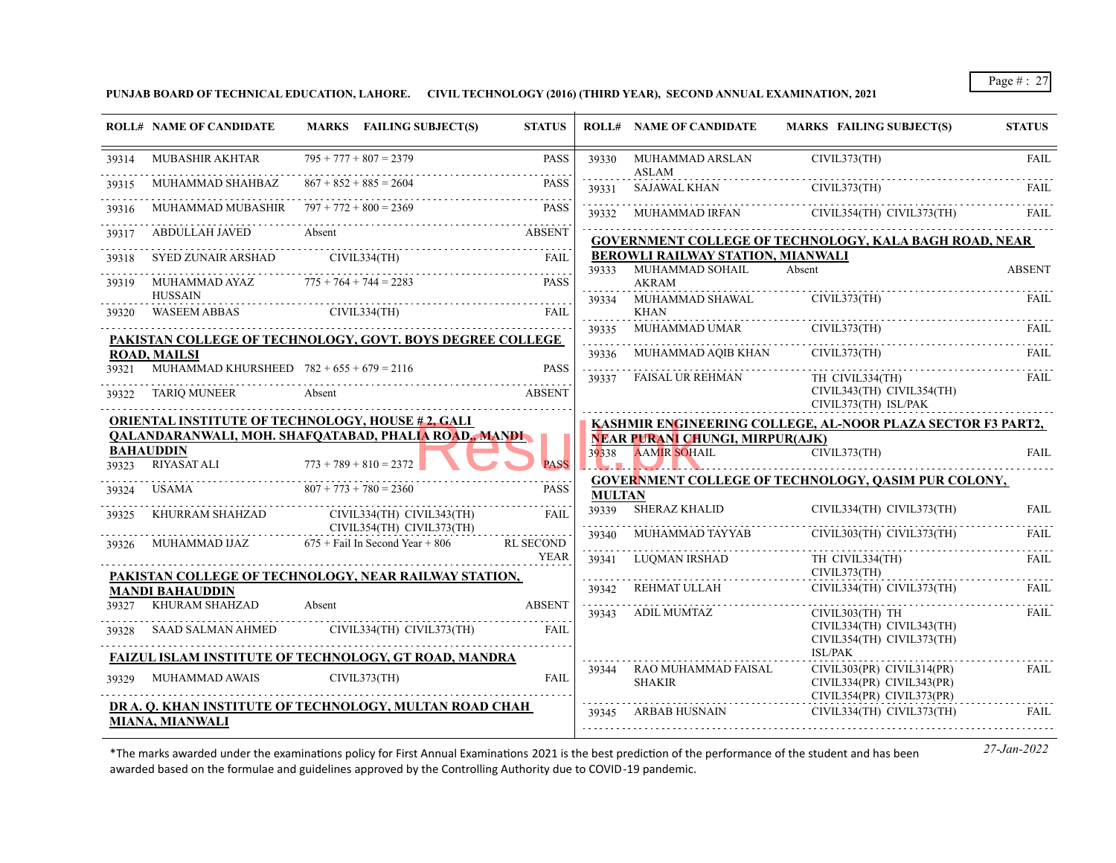**PUNJAB BOARD OF TECHNICAL EDUCATION, LAHORE. CIVIL TECHNOLOGY (2016) (THIRD YEAR), SECOND ANNUAL EXAMINATION, 2021**

|       | <b>ROLL# NAME OF CANDIDATE</b>                                                  |        | MARKS FAILING SUBJECT(S)  | <b>STATUS</b>            |               | <b>ROLL# NAME OF CANDIDATE</b>                             | <b>MARKS FAILING SUBJECT(S)</b>                                                         | <b>STATUS</b> |
|-------|---------------------------------------------------------------------------------|--------|---------------------------|--------------------------|---------------|------------------------------------------------------------|-----------------------------------------------------------------------------------------|---------------|
| 39314 | <b>MUBASHIR AKHTAR</b>                                                          |        | $795 + 777 + 807 = 2379$  | <b>PASS</b>              | 39330         | MUHAMMAD ARSLAN<br>ASLAM                                   | CIVIL373(TH)                                                                            | <b>FAIL</b>   |
|       | MUHAMMAD SHAHBAZ                                                                |        | $867 + 852 + 885 = 2604$  | <b>PASS</b>              |               | 39331 SAJAWAL KHAN                                         | CIVIL373(TH)                                                                            | FAIL.         |
| 39316 | MUHAMMAD MUBASHIR $797 + 772 + 800 = 2369$                                      |        |                           | <b>PASS</b>              |               |                                                            | 39332 MUHAMMAD IRFAN CIVIL354(TH) CIVIL373(TH)                                          | FAIL          |
|       | ABDULLAH JAVED Absent                                                           |        |                           | <b>ABSENT</b>            |               |                                                            | <b>GOVERNMENT COLLEGE OF TECHNOLOGY, KALA BAGH ROAD, NEAR</b>                           |               |
| 39318 | SYED ZUNAIR ARSHAD CIVIL334(TH)                                                 |        |                           | FAIL                     |               | BEROWLI RAILWAY STATION, MIANWALI<br>39333 MUHAMMAD SOHAIL | Absent                                                                                  | <b>ABSENT</b> |
| 39319 | MUHAMMAD AYAZ $775 + 764 + 744 = 2283$                                          |        |                           | <b>PASS</b>              |               | <b>AKRAM</b>                                               |                                                                                         |               |
| 39320 | <b>HUSSAIN</b><br><b>WASEEM ABBAS</b>                                           |        | CIVIL334(TH)              | <b>FAIL</b>              |               | 39334 MUHAMMAD SHAWAL<br>KHAN                              | CIVIL373(TH)                                                                            | FAIL          |
|       | PAKISTAN COLLEGE OF TECHNOLOGY, GOVT. BOYS DEGREE COLLEGE                       |        |                           |                          | 39335         | MUHAMMAD UMAR                                              | CIVIL373(TH)                                                                            | <b>FAIL</b>   |
|       | <b>ROAD, MAILSI</b>                                                             |        |                           |                          | 39336         | MUHAMMAD AQIB KHAN                                         | CIVIL373(TH)                                                                            | <b>FAIL</b>   |
| 39321 | MUHAMMAD KHURSHEED $782 + 655 + 679 = 2116$                                     |        |                           | <b>PASS</b>              |               | 39337 FAISAL UR REHMAN                                     | TH CIVIL334(TH)                                                                         | FAIL          |
| 39322 | <b>TARIQ MUNEER</b>                                                             | Absent |                           | ABSENT                   |               |                                                            | CIVIL343(TH) CIVIL354(TH)<br>CIVIL373(TH) ISL/PAK                                       |               |
|       | <b>ORIENTAL INSTITUTE OF TECHNOLOGY, HOUSE #2, GALI</b>                         |        |                           |                          |               |                                                            | KASHMIR ENGINEERING COLLEGE, AL-NOOR PLAZA SECTOR F3 PART2,                             |               |
|       | QALANDARANWALI, MOH. SHAFQATABAD, PHALIA ROAD,, MANDI                           |        |                           |                          |               | <b>NEAR PURANI CHUNGI, MIRPUR(AJK)</b>                     |                                                                                         |               |
|       | <b>BAHAUDDIN</b><br>39323 RIYASAT ALI                                           |        | $773 + 789 + 810 = 2372$  | <b>PASS</b>              |               | 39338 AAMIR SOHAIL                                         | CIVIL373(TH)                                                                            | FAIL          |
| 39324 | $807 + 773 + 780 = 2360$<br>USAMA                                               |        |                           | <b>PASS</b>              |               |                                                            | <b>GOVERNMENT COLLEGE OF TECHNOLOGY, QASIM PUR COLONY,</b>                              |               |
| 39325 | KHURRAM SHAHZAD CIVIL334(TH) CIVIL343(TH)                                       |        |                           | FAII.                    | <b>MULTAN</b> | 39339 SHERAZ KHALID                                        | CIVIL334(TH) CIVIL373(TH)                                                               | <b>FAIL</b>   |
|       | CIVIL354(TH) CIVIL373(TH)                                                       |        |                           | .                        | 39340         | MUHAMMAD TAYYAB                                            | CIVIL303(TH) CIVIL373(TH)                                                               | FAIL          |
|       | $39326$ MUHAMMAD IJAZ $675 +$ Fail In Second Year + 806                         |        |                           | <b>RL SECOND</b><br>YEAR | 39341         | LUQMAN IRSHAD                                              | TH CIVIL334(TH)<br>CIVIL373(TH)                                                         | <b>FAIL</b>   |
|       | PAKISTAN COLLEGE OF TECHNOLOGY, NEAR RAILWAY STATION,<br><b>MANDI BAHAUDDIN</b> |        |                           |                          | 39342         | REHMAT ULLAH                                               | CIVIL334(TH) CIVIL373(TH)                                                               | <b>FAIL</b>   |
| 39327 | KHURAM SHAHZAD                                                                  | Absent |                           | <b>ABSENT</b>            |               |                                                            |                                                                                         |               |
|       | 39328 SAAD SALMAN AHMED                                                         |        | CIVIL334(TH) CIVIL373(TH) | <b>FAIL</b>              |               | 39343 ADIL MUMTAZ                                          | CIVIL303(TH) TH<br>CIVIL334(TH) CIVIL343(TH)                                            | FAIL          |
|       | FAIZUL ISLAM INSTITUTE OF TECHNOLOGY, GT ROAD, MANDRA                           |        |                           |                          |               |                                                            | CIVIL354(TH) CIVIL373(TH)<br><b>ISL/PAK</b>                                             |               |
| 39329 | <b>MUHAMMAD AWAIS</b>                                                           |        | CIVIL373(TH)              | <b>FAIL</b>              |               | 39344 RAO MUHAMMAD FAISAL<br><b>SHAKIR</b>                 | $CIVIL303(PR)$ $CIVIL314(PR)$<br>CIVIL334(PR) CIVIL343(PR)<br>CIVIL354(PR) CIVIL373(PR) | FAIL          |
|       | DR A. O. KHAN INSTITUTE OF TECHNOLOGY, MULTAN ROAD CHAH                         |        |                           |                          | 39345         | ARBAB HUSNAIN                                              | CIVIL334(TH) CIVIL373(TH)                                                               | FAIL          |
|       | MIANA, MIANWALI                                                                 |        |                           |                          |               |                                                            |                                                                                         |               |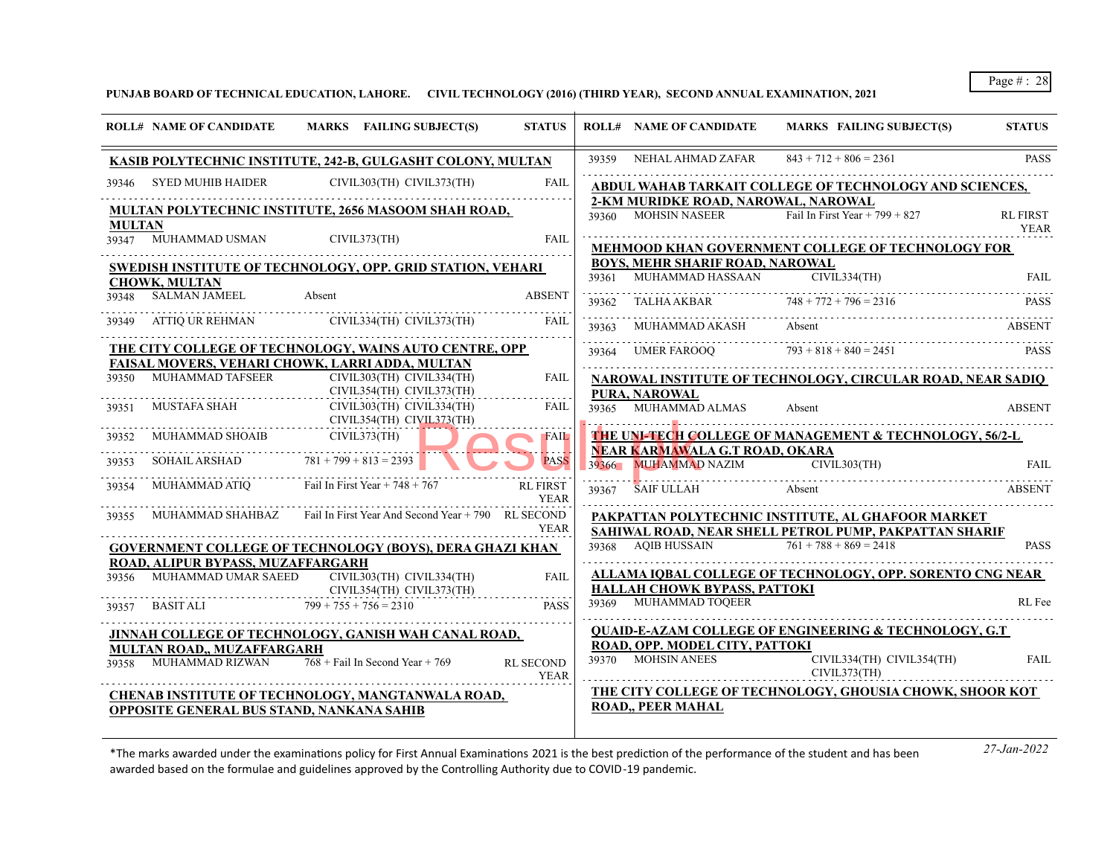**PUNJAB BOARD OF TECHNICAL EDUCATION, LAHORE. CIVIL TECHNOLOGY (2016) (THIRD YEAR), SECOND ANNUAL EXAMINATION, 2021**

|               | <b>ROLL# NAME OF CANDIDATE</b>                 | MARKS FAILING SUBJECT(S)                                            | <b>STATUS</b>                  |            | <b>ROLL# NAME OF CANDIDATE</b>                             | MARKS FAILING SUBJECT(S)                                          | <b>STATUS</b>                  |
|---------------|------------------------------------------------|---------------------------------------------------------------------|--------------------------------|------------|------------------------------------------------------------|-------------------------------------------------------------------|--------------------------------|
|               |                                                | KASIB POLYTECHNIC INSTITUTE, 242-B, GULGASHT COLONY, MULTAN         |                                | 39359      | NEHAL AHMAD ZAFAR                                          | $843 + 712 + 806 = 2361$                                          | <b>PASS</b>                    |
| 39346.        | SYED MUHIB HAIDER                              | CIVIL303(TH) CIVIL373(TH)                                           | <b>FAIL</b>                    |            |                                                            | ABDUL WAHAB TARKAIT COLLEGE OF TECHNOLOGY AND SCIENCES,           |                                |
| <b>MULTAN</b> |                                                | MULTAN POLYTECHNIC INSTITUTE, 2656 MASOOM SHAH ROAD,                |                                |            | 2-KM MURIDKE ROAD, NAROWAL, NAROWAL<br>39360 MOHSIN NASEER | Fail In First Year + 799 + 827                                    | <b>RL FIRST</b><br><b>YEAR</b> |
|               | 39347 MUHAMMAD USMAN                           | CIVIL373(TH)                                                        | FAII                           |            |                                                            | <b>MEHMOOD KHAN GOVERNMENT COLLEGE OF TECHNOLOGY FOR</b>          |                                |
|               |                                                | SWEDISH INSTITUTE OF TECHNOLOGY, OPP. GRID STATION, VEHARI          |                                |            | <b>BOYS, MEHR SHARIF ROAD, NAROWAL</b>                     |                                                                   |                                |
|               | <b>CHOWK, MULTAN</b>                           |                                                                     |                                | 39361      | MUHAMMAD HASSAAN                                           | CIVIL334(TH)                                                      | <b>FAIL</b>                    |
|               | 39348 SALMAN JAMEEL                            | Absent                                                              | <b>ABSENT</b>                  | 39362      | TALHA AKBAR $748 + 772 + 796 = 2316$                       |                                                                   | <b>PASS</b>                    |
|               |                                                | 39349 ATTIO UR REHMAN CIVIL334(TH) CIVIL373(TH)                     | FAIL                           | .<br>39363 | MUHAMMAD AKASH                                             | Absent                                                            | <b>ABSENT</b>                  |
|               |                                                | THE CITY COLLEGE OF TECHNOLOGY, WAINS AUTO CENTRE, OPP              |                                |            |                                                            | $39364$ UMER FAROOO $793 + 818 + 840 = 2451$                      | <b>PASS</b>                    |
|               |                                                | FAISAL MOVERS, VEHARI CHOWK, LARRI ADDA, MULTAN                     |                                |            |                                                            |                                                                   |                                |
|               | 39350 MUHAMMAD TAFSEER                         | CIVIL303(TH) CIVIL334(TH)<br>CIVIL354(TH) CIVIL373(TH)              | <b>FAIL</b>                    |            | PURA, NAROWAL                                              | NAROWAL INSTITUTE OF TECHNOLOGY, CIRCULAR ROAD, NEAR SADIO        |                                |
| 39351         | MUSTAFA SHAH                                   | CIVIL303(TH) CIVIL334(TH)<br>CIVIL354(TH) CIVIL373(TH)              | <b>FAIL</b>                    |            | 39365 MUHAMMAD ALMAS                                       | Absent                                                            | <b>ABSENT</b>                  |
|               | 39352 MUHAMMAD SHOAIB                          | CIVIL373(TH)                                                        | <b>FAIL</b>                    |            |                                                            | THE UNI-TECH COLLEGE OF MANAGEMENT & TECHNOLOGY, 56/2-L           |                                |
|               |                                                |                                                                     |                                |            | NEAR KARMAWALA G.T ROAD, OKARA                             |                                                                   |                                |
|               | 39353 SOHAIL ARSHAD $781 + 799 + 813 = 2393$   |                                                                     | <b>PASS</b>                    | 39366      | MUHAMMAD NAZIM CIVIL303(TH)                                |                                                                   | <b>FAIL</b>                    |
| 39354         | MUHAMMAD ATIQ Fail In First Year + $748 + 767$ |                                                                     | <b>RL FIRST</b><br><b>YEAR</b> | 39367      | <b>SAIF ULLAH</b>                                          | Absent                                                            | <b>ABSENT</b>                  |
| 39355         |                                                | MUHAMMAD SHAHBAZ Fail In First Year And Second Year + 790 RL SECOND |                                |            |                                                            | PAKPATTAN POLYTECHNIC INSTITUTE, AL GHAFOOR MARKET                |                                |
|               |                                                |                                                                     | <b>YEAR</b>                    |            |                                                            | SAHIWAL ROAD, NEAR SHELL PETROL PUMP, PAKPATTAN SHARIF            |                                |
|               |                                                | <b>GOVERNMENT COLLEGE OF TECHNOLOGY (BOYS), DERA GHAZI KHAN</b>     |                                |            | 39368 AQIB HUSSAIN $\overline{761 + 788 + 869} = 2418$     |                                                                   | <b>PASS</b>                    |
|               | ROAD, ALIPUR BYPASS, MUZAFFARGARH              |                                                                     |                                |            |                                                            |                                                                   |                                |
| 39356         | MUHAMMAD UMAR SAEED                            | CIVIL303(TH) CIVIL334(TH)                                           | <b>FAIL</b>                    |            | HALLAH CHOWK BYPASS, PATTOKI                               | ALLAMA IOBAL COLLEGE OF TECHNOLOGY, OPP. SORENTO CNG NEAR         |                                |
| 39357         | BASIT ALI $799 + 755 + 756 = 2310$             | CIVIL354(TH) CIVIL373(TH)                                           | <b>PASS</b>                    |            | 39369 MUHAMMAD TOQEER                                      |                                                                   | RL Fee                         |
|               |                                                |                                                                     |                                |            |                                                            |                                                                   |                                |
|               |                                                | JINNAH COLLEGE OF TECHNOLOGY, GANISH WAH CANAL ROAD,                |                                |            |                                                            | <b>QUAID-E-AZAM COLLEGE OF ENGINEERING &amp; TECHNOLOGY, G.T.</b> |                                |
|               | MULTAN ROAD., MUZAFFARGARH                     |                                                                     |                                |            | ROAD, OPP. MODEL CITY, PATTOKI<br>39370 MOHSIN ANEES       |                                                                   |                                |
|               | 39358 MUHAMMAD RIZWAN                          | $768 +$ Fail In Second Year + 769                                   | <b>RL SECOND</b><br>YEAR       |            | CIVIL373(TH)                                               | CIVIL334(TH) CIVIL354(TH)                                         | <b>FAIL</b>                    |
|               |                                                | <b>CHENAB INSTITUTE OF TECHNOLOGY, MANGTANWALA ROAD,</b>            |                                |            |                                                            | THE CITY COLLEGE OF TECHNOLOGY, GHOUSIA CHOWK, SHOOR KOT          |                                |
|               | OPPOSITE GENERAL BUS STAND, NANKANA SAHIB      |                                                                     |                                |            | ROAD,, PEER MAHAL                                          |                                                                   |                                |
|               |                                                |                                                                     |                                |            |                                                            |                                                                   |                                |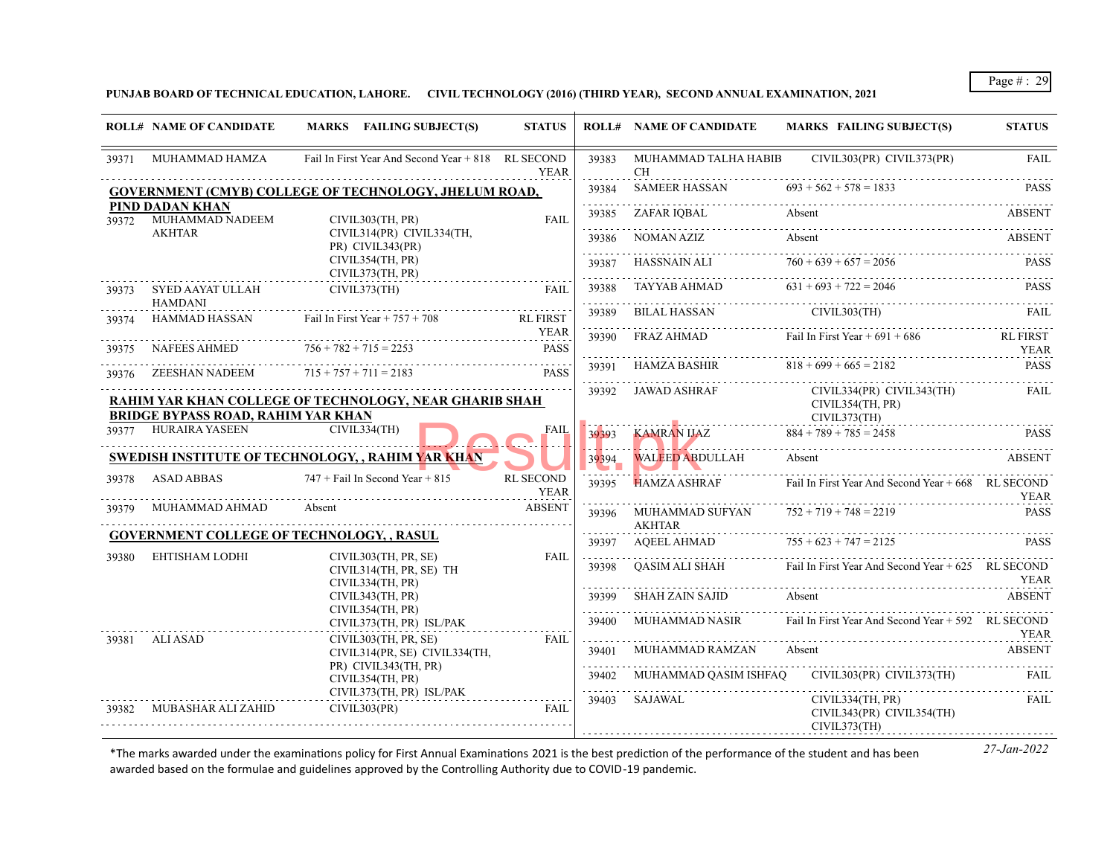**PUNJAB BOARD OF TECHNICAL EDUCATION, LAHORE. CIVIL TECHNOLOGY (2016) (THIRD YEAR), SECOND ANNUAL EXAMINATION, 2021**

|       | <b>ROLL# NAME OF CANDIDATE</b>            | MARKS FAILING SUBJECT(S)                                            | <b>STATUS</b>                   |                   | <b>ROLL# NAME OF CANDIDATE</b>   | <b>MARKS FAILING SUBJECT(S)</b>                                   | <b>STATUS</b>           |
|-------|-------------------------------------------|---------------------------------------------------------------------|---------------------------------|-------------------|----------------------------------|-------------------------------------------------------------------|-------------------------|
| 39371 | MUHAMMAD HAMZA                            | Fail In First Year And Second Year + 818 RL SECOND                  | <b>YEAR</b>                     | 39383             | CH.                              | MUHAMMAD TALHA HABIB CIVIL303(PR) CIVIL373(PR)                    | <b>FAIL</b>             |
|       |                                           | <b>GOVERNMENT (CMYB) COLLEGE OF TECHNOLOGY, JHELUM ROAD,</b>        |                                 | 39384             | SAMEER HASSAN                    | $693 + 562 + 578 = 1833$                                          | <b>PASS</b>             |
| 39372 | PIND DADAN KHAN<br>MUHAMMAD NADEEM        | CIVIL303(TH, PR)                                                    | <b>FAIL</b>                     | .<br>39385        | ZAFAR IOBAL                      | Absent                                                            | ABSENT                  |
|       | <b>AKHTAR</b>                             | CIVIL314(PR) CIVIL334(TH,<br>PR) CIVIL343(PR)                       |                                 | 39386<br>.        | NOMAN AZIZ                       | Absent                                                            | <b>ABSENT</b>           |
|       |                                           | CIVIL354(TH, PR)<br>CIVIL373(TH, PR)                                |                                 | 39387             | HASSNAIN ALI                     | $760 + 639 + 657 = 2056$                                          | <b>PASS</b>             |
|       | 39373 SYED AAYAT ULLAH<br><b>HAMDANI</b>  | CIVIL373(TH)                                                        | FAII.                           | 39388<br><u>.</u> | TAYYAB AHMAD                     | $631 + 693 + 722 = 2046$                                          | <b>PASS</b>             |
| 39374 | HAMMAD HASSAN                             | Fail In First Year $+ 757 + 708$                                    | <b>RL FIRST</b>                 | 39389             | BILAL HASSAN                     | CIVIL303(TH)                                                      | FAIL.                   |
| 39375 | NAFEES AHMED                              | $756 + 782 + 715 = 2253$                                            | YEAR<br><b>PASS</b>             | 39390<br>.        | FRAZ AHMAD                       | Fail In First Year $+691 + 686$                                   | <b>RL FIRST</b><br>YEAR |
| 39376 | ZEESHAN NADEEM                            | $715 + 757 + 711 = 2183$                                            | <b>PASS</b>                     | 39391             | HAMZA BASHIR                     | $818 + 699 + 665 = 2182$                                          | <b>PASS</b>             |
|       | <b>BRIDGE BYPASS ROAD, RAHIM YAR KHAN</b> | RAHIM YAR KHAN COLLEGE OF TECHNOLOGY, NEAR GHARIB SHAH              |                                 | 39392             | JAWAD ASHRAF                     | $CIVIL334(PR)$ $CIVIL343(TH)$<br>CIVIL354(TH, PR)<br>CIVIL373(TH) | FAIL                    |
|       | 39377 HURAIRA YASEEN                      | CIVIL334(TH)                                                        | FAIL                            | 39393             | KAMRAN IJAZ                      | $884 + 789 + 785 = 2458$                                          | <b>PASS</b>             |
|       |                                           | <b>SWEDISH INSTITUTE OF TECHNOLOGY, , RAHIM YAR KHAN</b>            |                                 | 39394             | <b>WALEED ABDULLAH</b>           | Absent                                                            | ABSENT                  |
| 39378 | <b>ASAD ABBAS</b>                         | $747 +$ Fail In Second Year + 815                                   | <b>RL SECOND</b><br><b>YEAR</b> | 39395             | <b>HAMZA ASHRAF</b>              | Fail In First Year And Second Year $+668$ RL SECOND               | <b>YEAR</b>             |
| 39379 | MUHAMMAD AHMAD                            | Absent                                                              | <b>ABSENT</b>                   | 39396             | MUHAMMAD SUFYAN<br><b>AKHTAR</b> | $752 + 719 + 748 = 2219$                                          | <b>PASS</b>             |
|       | EHTISHAM LODHI                            | <b>GOVERNMENT COLLEGE OF TECHNOLOGY, , RASUL</b>                    |                                 | 39397             | AQEEL AHMAD                      | $755 + 623 + 747 = 2125$                                          | <b>PASS</b>             |
| 39380 |                                           | CIVIL303(TH, PR, SE)<br>CIVIL314(TH, PR, SE) TH<br>CIVIL334(TH, PR) | FAIL                            | 39398             | OASIM ALI SHAH                   | Fail In First Year And Second Year $+625$ RL SECOND               | YEAR                    |
|       |                                           | CIVIL343(TH, PR)<br>CIVIL354(TH, PR)                                |                                 | 39399<br>.        | <b>SHAH ZAIN SAJID</b>           | Absent                                                            | <b>ABSENT</b>           |
|       |                                           | CIVIL373(TH, PR) ISL/PAK                                            |                                 | 39400             | MUHAMMAD NASIR                   | Fail In First Year And Second Year + 592 RL SECOND                | YEAR                    |
| 39381 | ALI ASAD                                  | CIVIL303(TH, PR, SE)<br>CIVIL314(PR, SE) CIVIL334(TH,               | FAIL                            | 39401             | MUHAMMAD RAMZAN                  | Absent                                                            | <b>ABSENT</b>           |
|       |                                           | PR) CIVIL343(TH, PR)<br>CIVIL354(TH, PR)                            |                                 | .<br>39402        |                                  | MUHAMMAD QASIM ISHFAQ CIVIL303(PR) CIVIL373(TH)                   | FAIL.                   |
| 39382 | MUBASHAR ALI ZAHID                        | CIVIL373(TH, PR) ISL/PAK<br>CIVIL303(PR)                            | <b>FAIL</b>                     | .<br>39403        | SAJAWAL                          | CIVIL334(TH, PR)<br>CIVIL343(PR) CIVIL354(TH)<br>CIVIL373(TH)     | FAIL                    |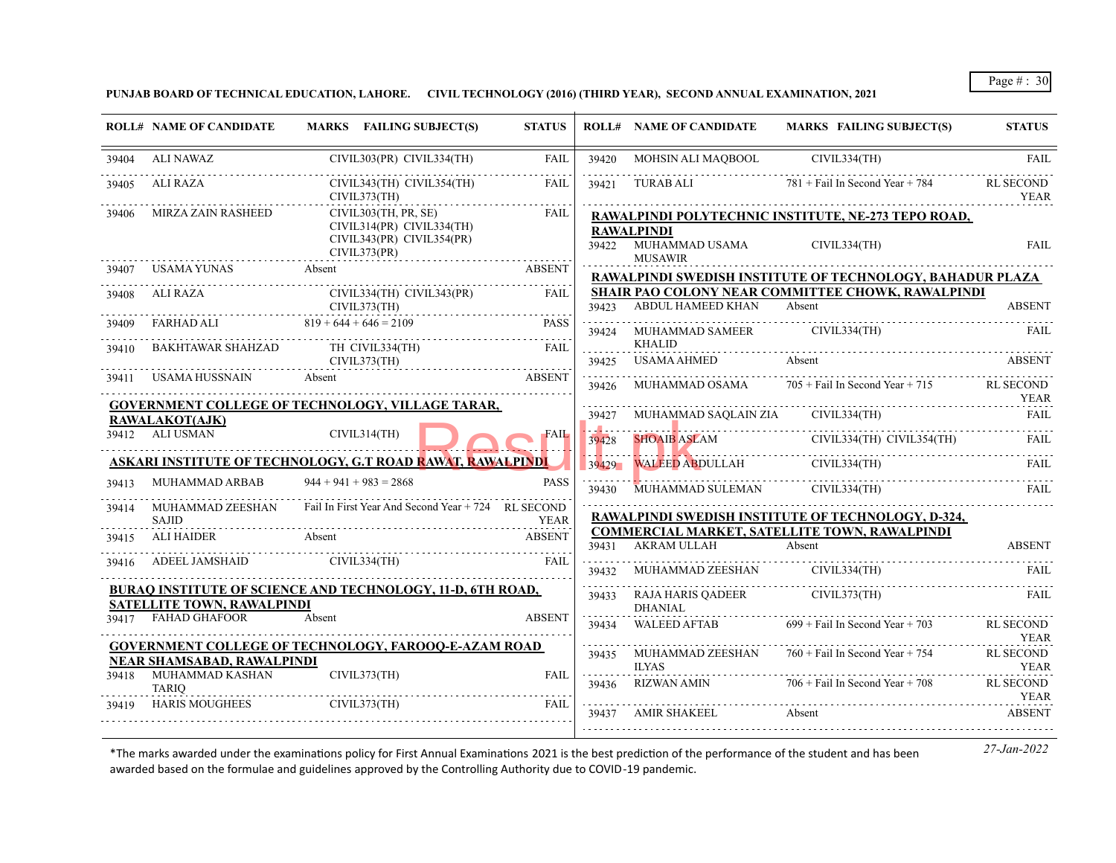**PUNJAB BOARD OF TECHNICAL EDUCATION, LAHORE. CIVIL TECHNOLOGY (2016) (THIRD YEAR), SECOND ANNUAL EXAMINATION, 2021**

|       | <b>ROLL# NAME OF CANDIDATE</b>      | MARKS FAILING SUBJECT(S)                                                                       | <b>STATUS</b> |                 | <b>ROLL# NAME OF CANDIDATE</b>                        | <b>MARKS FAILING SUBJECT(S)</b>                                     | <b>STATUS</b>                   |
|-------|-------------------------------------|------------------------------------------------------------------------------------------------|---------------|-----------------|-------------------------------------------------------|---------------------------------------------------------------------|---------------------------------|
| 39404 | ALI NAWAZ                           | CIVIL303(PR) CIVIL334(TH)                                                                      | <b>FAIL</b>   | 39420           | MOHSIN ALI MAQBOOL                                    | CIVIL334(TH)                                                        | <b>FAIL</b>                     |
| 39405 | ALI RAZA                            | CIVIL343(TH) CIVIL354(TH)<br>CIVIL373(TH)                                                      | FAII.         |                 | 39421 TURAB ALI                                       | $781 +$ Fail In Second Year + 784                                   | <b>RL SECOND</b><br>YEAR        |
| 39406 | MIRZA ZAIN RASHEED                  | CIVIL303(TH, PR, SE)<br>CIVIL314(PR) CIVIL334(TH)<br>CIVIL343(PR) CIVIL354(PR)<br>CIVIL373(PR) | <b>FAIL</b>   | 39422           | <b>RAWALPINDI</b><br>MUHAMMAD USAMA<br><b>MUSAWIR</b> | RAWALPINDI POLYTECHNIC INSTITUTE, NE-273 TEPO ROAD,<br>CIVIL334(TH) | <b>FAIL</b>                     |
| 39407 | USAMA YUNAS                         | Absent                                                                                         | <b>ABSENT</b> |                 |                                                       | RAWALPINDI SWEDISH INSTITUTE OF TECHNOLOGY, BAHADUR PLAZA           |                                 |
| 39408 | ALI RAZA                            | CIVIL334(TH) CIVIL343(PR)<br>CIVIL373(TH)                                                      | FAIL          |                 | 39423 ABDUL HAMEED KHAN Absent                        | <b>SHAIR PAO COLONY NEAR COMMITTEE CHOWK, RAWALPINDI</b>            | <b>ABSENT</b>                   |
| 39409 | FARHAD ALI $819 + 644 + 646 = 2109$ |                                                                                                | <b>PASS</b>   |                 | 39424 MUHAMMAD SAMEER CIVIL334(TH)                    |                                                                     | FAIL                            |
| 39410 | BAKHTAWAR SHAHZAD TH CIVIL334(TH)   | CIVIL373(TH)                                                                                   | FAII.         | 39425           | <b>KHALID</b><br><b>USAMA AHMED</b>                   | Absent                                                              | <b>ABSENT</b>                   |
| 39411 | USAMA HUSSNAIN                      | Absent                                                                                         | <b>ABSENT</b> | 39426           | MUHAMMAD OSAMA                                        | $705 +$ Fail In Second Year + 715                                   | RL SECOND<br><b>YEAR</b>        |
|       | RAWALAKOT(AJK)                      | GOVERNMENT COLLEGE OF TECHNOLOGY, VILLAGE TARAR,                                               |               | 39427           |                                                       | MUHAMMAD SAQLAIN ZIA CIVIL334(TH)                                   | <b>FAIL</b>                     |
|       | 39412 ALI USMAN                     | CIVIL314(TH)                                                                                   | <b>FAIL</b>   | ومناهب<br>39428 |                                                       | SHOAIB ASLAM CIVIL334(TH) CIVIL354(TH)                              | FAIL.                           |
|       |                                     | ASKARI INSTITUTE OF TECHNOLOGY, G.T ROAD RAWAT, RAWALPINDI                                     |               | 39429           | . <b>.</b><br><b>WALEED ABDULLAH</b>                  |                                                                     |                                 |
| 39413 | MUHAMMAD ARBAB                      | $944 + 941 + 983 = 2868$                                                                       | <b>PASS</b>   | 39430           | MUHAMMAD SULEMAN                                      | CIVIL334(TH)                                                        | FAIL.                           |
| 39414 | MUHAMMAD ZEESHAN<br>SAJID           | Fail In First Year And Second Year + 724 RL SECOND                                             | <b>YEAR</b>   |                 |                                                       | RAWALPINDI SWEDISH INSTITUTE OF TECHNOLOGY, D-324,                  |                                 |
| 39415 | <b>ALI HAIDER</b>                   | Absent                                                                                         | <b>ABSENT</b> | 39431           | <b>AKRAM ULLAH</b>                                    | <b>COMMERCIAL MARKET, SATELLITE TOWN, RAWALPINDI</b><br>Absent      | <b>ABSENT</b>                   |
| 39416 |                                     | ADEEL JAMSHAID CIVIL334(TH)                                                                    | FAII.         | 39432           | MUHAMMAD ZEESHAN CIVIL334(TH)                         |                                                                     | FAIL                            |
|       | <b>SATELLITE TOWN, RAWALPINDI</b>   | <b>BURAQ INSTITUTE OF SCIENCE AND TECHNOLOGY, 11-D, 6TH ROAD,</b>                              |               | 39433           | <b>DHANIAL</b>                                        | RAJA HARIS QADEER CIVIL373(TH) FAIL                                 |                                 |
| 39417 | <b>FAHAD GHAFOOR</b>                | Absent                                                                                         | <b>ABSENT</b> | 39434           | <b>WALEED AFTAB</b>                                   | $699 +$ Fail In Second Year + 703                                   | <b>RL SECOND</b><br><b>YEAR</b> |
|       | NEAR SHAMSABAD, RAWALPINDI          | <b>GOVERNMENT COLLEGE OF TECHNOLOGY, FAROOQ-E-AZAM ROAD</b>                                    |               |                 | <b>ILYAS</b>                                          | 39435 MUHAMMAD ZEESHAN 760 + Fail In Second Year + 754              | <b>RL SECOND</b><br>YEAR        |
| 39418 | MUHAMMAD KASHAN<br>TARIQ            | CIVIL373(TH)                                                                                   | <b>FAIL</b>   | 39436           | RIZWAN AMIN                                           | $706 +$ Fail In Second Year + 708                                   | <b>RL SECOND</b><br>YEAR        |
| 39419 | HARIS MOUGHEES                      | CIVIL373(TH)                                                                                   | FAIL.         |                 |                                                       |                                                                     |                                 |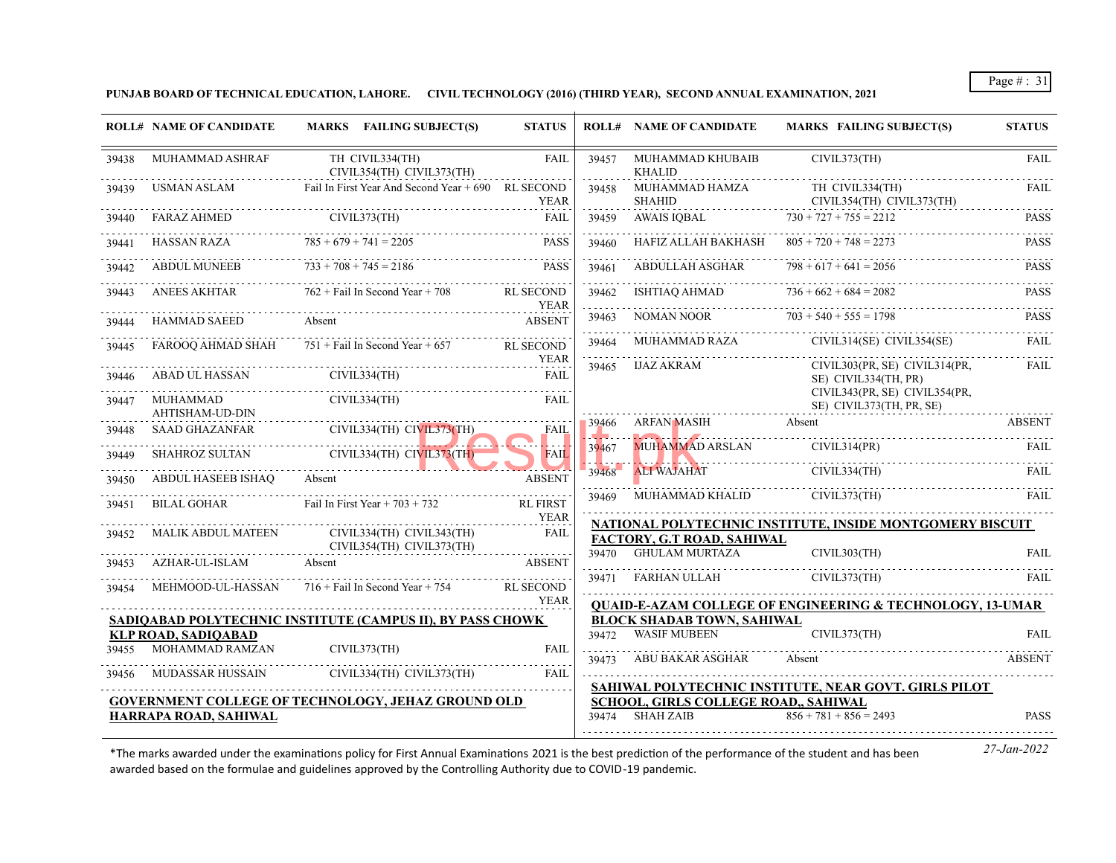**PUNJAB BOARD OF TECHNICAL EDUCATION, LAHORE. CIVIL TECHNOLOGY (2016) (THIRD YEAR), SECOND ANNUAL EXAMINATION, 2021**

|       | <b>ROLL# NAME OF CANDIDATE</b>                | MARKS FAILING SUBJECT(S)                                          | <b>STATUS</b>                   |                    | <b>ROLL# NAME OF CANDIDATE</b>                                                                                                       | <b>MARKS FAILING SUBJECT(S)</b>                                                        | <b>STATUS</b> |
|-------|-----------------------------------------------|-------------------------------------------------------------------|---------------------------------|--------------------|--------------------------------------------------------------------------------------------------------------------------------------|----------------------------------------------------------------------------------------|---------------|
| 39438 | MUHAMMAD ASHRAF                               | TH CIVIL334(TH)<br>CIVIL354(TH) CIVIL373(TH)                      | <b>FAIL</b>                     | 39457              | MUHAMMAD KHUBAIB<br><b>KHALID</b>                                                                                                    | CIVIL373(TH)                                                                           | <b>FAIL</b>   |
| 39439 | USMAN ASLAM                                   | Fail In First Year And Second Year + 690 RL SECOND                | <b>YEAR</b>                     | 39458              | MUHAMMAD HAMZA<br><b>SHAHID</b>                                                                                                      | TH CIVIL334(TH)<br>CIVIL354(TH) CIVIL373(TH)                                           | FAIL.         |
|       | <b>FARAZ AHMED</b>                            | CIVIL373(TH)                                                      | <b>FAIL</b>                     | 39459              | AWAIS IOBAL                                                                                                                          | $730 + 727 + 755 = 2212$                                                               | <b>PASS</b>   |
| 39441 | HASSAN RAZA                                   | $785 + 679 + 741 = 2205$                                          | $- - - - - -$<br><b>PASS</b>    | 39460              | HAFIZ ALLAH BAKHASH $805 + 720 + 748 = 2273$                                                                                         |                                                                                        | <b>PASS</b>   |
| 39442 | ABDUL MUNEEB                                  | $733 + 708 + 745 = 2186$                                          | <b>PASS</b>                     | 39461              | ABDULLAH ASGHAR                                                                                                                      | $798 + 617 + 641 = 2056$                                                               | <b>PASS</b>   |
| 39443 | ANEES AKHTAR                                  | $762 +$ Fail In Second Year + 708                                 | <b>RL SECOND</b><br>YEAR        | 39462              | ISHTIAO AHMAD                                                                                                                        | $736 + 662 + 684 = 2082$                                                               | <b>PASS</b>   |
| 39444 | <b>HAMMAD SAEED</b>                           | Absent                                                            | <b>ABSENT</b>                   | 39463              | NOMAN NOOR                                                                                                                           | $703 + 540 + 555 = 1798$                                                               | <b>PASS</b>   |
| 39445 | FAROOO AHMAD SHAH                             | $751 +$ Fail In Second Year + 657                                 | <b>RL SECOND</b><br><b>YEAR</b> | 39464              | MUHAMMAD RAZA                                                                                                                        | $CIVIL314(SE)$ $CIVIL354(SE)$                                                          | <b>FAIL</b>   |
| 39446 | ABAD UL HASSAN                                | CIVIL334(TH)                                                      | <b>FAIL</b>                     | 39465              | IJAZ AKRAM                                                                                                                           | CIVIL303(PR, SE) CIVIL314(PR,<br>SE) CIVIL334(TH, PR)<br>CIVIL343(PR, SE) CIVIL354(PR, | FAIL          |
| 39447 | MUHAMMAD<br><b>AHTISHAM-UD-DIN</b>            | CIVIL334(TH)                                                      | FAIL                            |                    |                                                                                                                                      | SE) CIVIL373(TH, PR, SE)                                                               |               |
| 39448 | <b>SAAD GHAZANFAR</b>                         | CIVIL334(TH) CIVIL373(TH)                                         | FAIL                            | 39466<br>والمتعاطي | ARFAN MASIH<br><b>INFORMATION CONTINUES INTO A REPORT OF A STATE OF A REPORT OF A STATE OF A STATE OF A STATE OF A STATE OF A ST</b> | Absent                                                                                 | <b>ABSENT</b> |
| 39449 | SHAHROZ SULTAN                                | CIVIL334(TH) CIVIL373(TH)                                         | <b>FAIL</b>                     | 39467              | <b>MUHAMMAD ARSLAN</b>                                                                                                               | CIVIL314(PR)                                                                           | FAIL          |
| 39450 | <b>ABDUL HASEEB ISHAO</b>                     | Absent                                                            | <b>ABSENT</b>                   | 39468              | <b>ALI WAJAHAT</b>                                                                                                                   | CIVIL334(TH)                                                                           | FAIL          |
| 39451 | <b>BILAL GOHAR</b>                            | Fail In First Year $+ 703 + 732$                                  | <b>RL FIRST</b>                 | 39469              | MUHAMMAD KHALID                                                                                                                      | CIVIL373(TH)                                                                           | <b>FAIL</b>   |
| 39452 | <b>MALIK ABDUL MATEEN</b>                     | CIVIL334(TH) CIVIL343(TH)                                         | <b>YEAR</b><br><b>FAIL</b>      |                    |                                                                                                                                      | NATIONAL POLYTECHNIC INSTITUTE, INSIDE MONTGOMERY BISCUIT                              |               |
|       |                                               | CIVIL354(TH) CIVIL373(TH)                                         |                                 | 39470              | FACTORY, G.T ROAD, SAHIWAL<br><b>GHULAM MURTAZA</b>                                                                                  | CIVIL303(TH)                                                                           | <b>FAIL</b>   |
| 39453 | AZHAR-UL-ISLAM                                | Absent                                                            | <b>ABSENT</b>                   |                    |                                                                                                                                      |                                                                                        |               |
| 39454 |                                               | MEHMOOD-UL-HASSAN $716 +$ Fail In Second Year + 754               | <b>RL SECOND</b>                |                    | 39471 FARHAN ULLAH                                                                                                                   | CIVIL373(TH)                                                                           | <b>FAIL</b>   |
|       |                                               |                                                                   | <b>YEAR</b>                     |                    |                                                                                                                                      | <b>QUAID-E-AZAM COLLEGE OF ENGINEERING &amp; TECHNOLOGY, 13-UMAR</b>                   |               |
|       |                                               | <b>SADIOABAD POLYTECHNIC INSTITUTE (CAMPUS II), BY PASS CHOWK</b> |                                 |                    | <b>BLOCK SHADAB TOWN, SAHIWAL</b>                                                                                                    |                                                                                        |               |
| 39455 | <b>KLP ROAD, SADIOABAD</b><br>MOHAMMAD RAMZAN | CIVIL373(TH)                                                      | <b>FAIL</b>                     | 39472              | <b>WASIF MUBEEN</b>                                                                                                                  | CIVIL373(TH)                                                                           | <b>FAIL</b>   |
|       |                                               |                                                                   |                                 | 39473              | ABU BAKAR ASGHAR                                                                                                                     | Absent                                                                                 | <b>ABSENT</b> |
| 39456 | <b>MUDASSAR HUSSAIN</b>                       | CIVIL334(TH) CIVIL373(TH)                                         | FAIL                            |                    |                                                                                                                                      | SAHIWAL POLYTECHNIC INSTITUTE, NEAR GOVT. GIRLS PILOT                                  |               |
|       |                                               | <b>GOVERNMENT COLLEGE OF TECHNOLOGY, JEHAZ GROUND OLD</b>         |                                 |                    | SCHOOL, GIRLS COLLEGE ROAD,, SAHIWAL                                                                                                 |                                                                                        |               |
|       | <b>HARRAPA ROAD, SAHIWAL</b>                  |                                                                   |                                 | 39474              | <b>SHAH ZAIB</b>                                                                                                                     | $856 + 781 + 856 = 2493$                                                               | <b>PASS</b>   |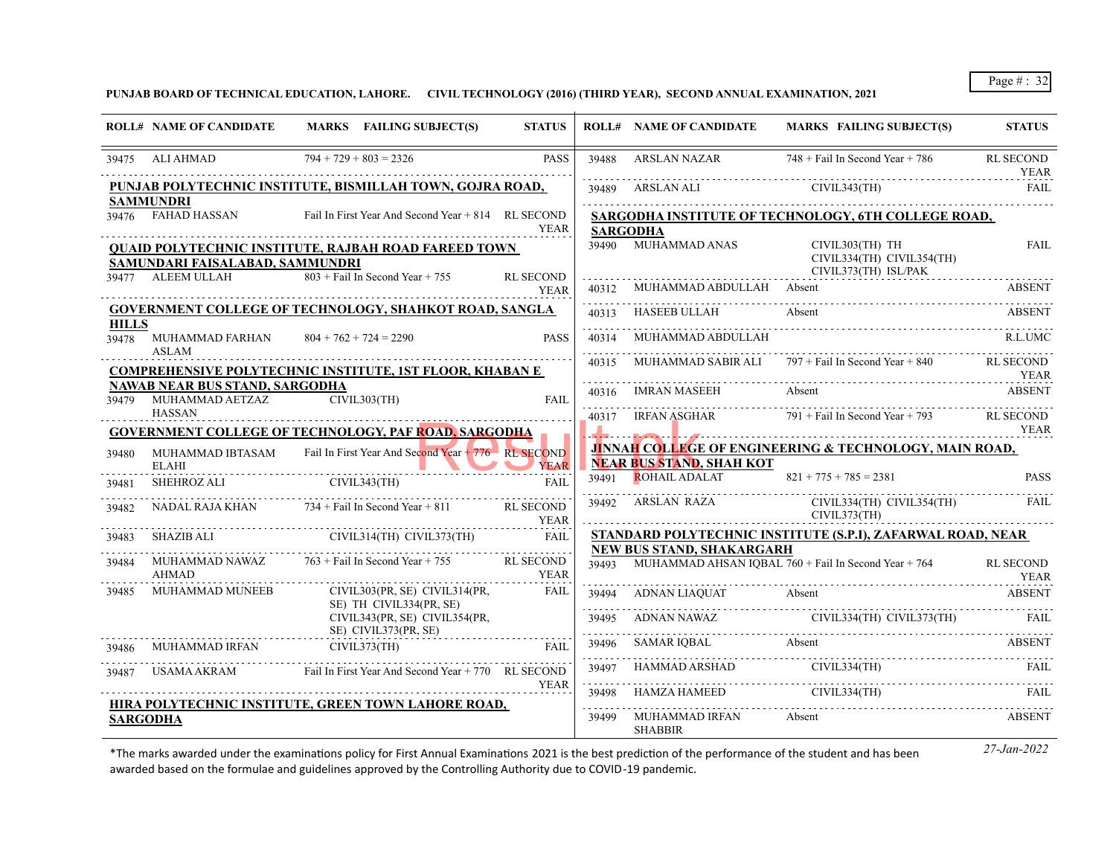**PUNJAB BOARD OF TECHNICAL EDUCATION, LAHORE. CIVIL TECHNOLOGY (2016) (THIRD YEAR), SECOND ANNUAL EXAMINATION, 2021**

|                       | <b>ROLL# NAME OF CANDIDATE</b>                          | MARKS FAILING SUBJECT(S)                                            | <b>STATUS</b>                   |            | <b>ROLL# NAME OF CANDIDATE</b>   | <b>MARKS FAILING SUBJECT(S)</b>                                   | <b>STATUS</b>                   |
|-----------------------|---------------------------------------------------------|---------------------------------------------------------------------|---------------------------------|------------|----------------------------------|-------------------------------------------------------------------|---------------------------------|
|                       | 39475 ALI AHMAD                                         | $794 + 729 + 803 = 2326$                                            | <b>PASS</b>                     | 39488      | <b>ARSLAN NAZAR</b>              | $748 +$ Fail In Second Year + 786                                 | <b>RL SECOND</b><br><b>YEAR</b> |
|                       |                                                         | PUNJAB POLYTECHNIC INSTITUTE, BISMILLAH TOWN, GOJRA ROAD,           |                                 |            | 39489 ARSLAN ALI                 | CIVIL343(TH)                                                      | <b>FAIL</b>                     |
|                       | <b>SAMMUNDRI</b><br>39476 FAHAD HASSAN                  | Fail In First Year And Second Year + 814 RL SECOND                  | <b>YEAR</b>                     |            | <b>SARGODHA</b>                  | SARGODHA INSTITUTE OF TECHNOLOGY, 6TH COLLEGE ROAD,               |                                 |
|                       | SAMUNDARI FAISALABAD, SAMMUNDRI                         | <b>QUAID POLYTECHNIC INSTITUTE, RAJBAH ROAD FAREED TOWN</b>         |                                 | 39490      | MUHAMMAD ANAS                    | CIVIL303(TH) TH<br>CIVIL334(TH) CIVIL354(TH)                      | <b>FAIL</b>                     |
|                       | 39477 ALEEM ULLAH                                       | $803 +$ Fail In Second Year + 755                                   | <b>RL SECOND</b><br><b>YEAR</b> | 40312      | MUHAMMAD ABDULLAH Absent         | CIVIL373(TH) ISL/PAK                                              | ABSENT                          |
|                       |                                                         | GOVERNMENT COLLEGE OF TECHNOLOGY, SHAHKOT ROAD, SANGLA              |                                 | 40313      | HASEEB ULLAH                     | Absent                                                            | <b>ABSENT</b>                   |
| <b>HILLS</b><br>39478 | MUHAMMAD FARHAN<br><b>ASLAM</b>                         | $804 + 762 + 724 = 2290$                                            | <b>PASS</b>                     | 40314      | MUHAMMAD ABDULLAH                |                                                                   | <b>R.L.UMC</b>                  |
|                       |                                                         | <b>COMPREHENSIVE POLYTECHNIC INSTITUTE, 1ST FLOOR, KHABAN E</b>     |                                 | 40315      | MUHAMMAD SABIR ALI               | $797 +$ Fail In Second Year + 840                                 | <b>RL SECOND</b><br><b>YEAR</b> |
|                       | NAWAB NEAR BUS STAND, SARGODHA<br>39479 MUHAMMAD AETZAZ | CIVIL303(TH)                                                        | <b>FAIL</b>                     | 40316      | IMRAN MASEEH                     | Absent                                                            | <b>ABSENT</b>                   |
|                       | <b>HASSAN</b>                                           | <b>GOVERNMENT COLLEGE OF TECHNOLOGY, PAF ROAD, SARGODHA</b>         |                                 |            | 40317 IRFAN ASGHAR               | 791 + Fail In Second Year + 793                                   | RL SECOND<br><b>YEAR</b>        |
| 39480                 | <b>ELAHI</b>                                            | MUHAMMAD IBTASAM Fail In First Year And Second Year + 776 RL SECOND | <b>YEAR</b>                     |            | <b>NEAR BUS STAND, SHAH KOT</b>  | <b>JINNAH COLLEGE OF ENGINEERING &amp; TECHNOLOGY, MAIN ROAD,</b> |                                 |
| 39481                 | SHEHROZ ALI                                             | CIVIL343(TH)                                                        | FAII.                           | 39491      | <b>ROHAIL ADALAT</b>             | $821 + 775 + 785 = 2381$                                          | <b>PASS</b>                     |
| 39482                 |                                                         | NADAL RAJA KHAN $734 +$ Fail In Second Year + 811                   | <b>RL SECOND</b><br><b>YEAR</b> |            | 39492 ARSLAN RAZA                | CIVIL334(TH) CIVIL354(TH)<br>CIVIL373(TH)                         | FAIL                            |
| 39483                 |                                                         | SHAZIB ALI CIVIL314(TH) CIVIL373(TH)                                | FAII.                           |            | NEW BUS STAND, SHAKARGARH        | STANDARD POLYTECHNIC INSTITUTE (S.P.I), ZAFARWAL ROAD, NEAR       |                                 |
| 39484                 | AHMAD                                                   | MUHAMMAD NAWAZ $763 + \text{Fall In Second Year} + 755$ RL SECOND   | <b>YEAR</b>                     |            |                                  | 39493 MUHAMMAD AHSAN IQBAL 760 + Fail In Second Year + 764        | <b>RL SECOND</b><br><b>YEAR</b> |
| 39485                 | MUHAMMAD MUNEEB                                         | CIVIL303(PR, SE) CIVIL314(PR,<br>SE) TH CIVIL334(PR, SE)            | <b>FAIL</b>                     | .          | 39494 ADNAN LIAQUAT Absent       |                                                                   | ABSENT                          |
|                       |                                                         | CIVIL343(PR, SE) CIVIL354(PR,<br>SE) CIVIL373(PR, SE)               |                                 | 39495      | ADNAN NAWAZ                      | CIVIL334(TH) CIVIL373(TH)                                         | FAIL                            |
| 39486                 | MUHAMMAD IRFAN                                          | CIVIL373(TH)                                                        | FAII.                           | 39496<br>. | SAMAR IQBAL Absent               |                                                                   | <b>ABSENT</b>                   |
| 39487                 |                                                         | USAMA AKRAM Fail In First Year And Second Year + 770 RL SECOND      |                                 | 39497      | HAMMAD ARSHAD                    | CIVIL334(TH)                                                      | FAIL                            |
|                       |                                                         | HIRA POLYTECHNIC INSTITUTE, GREEN TOWN LAHORE ROAD,                 | <b>YEAR</b>                     | 39498      | HAMZA HAMEED                     | CIVIL334(TH)                                                      | <b>FAIL</b>                     |
|                       | <b>SARGODHA</b>                                         |                                                                     |                                 | .<br>39499 | MUHAMMAD IRFAN<br><b>SHABBIR</b> | Absent                                                            | ABSENT                          |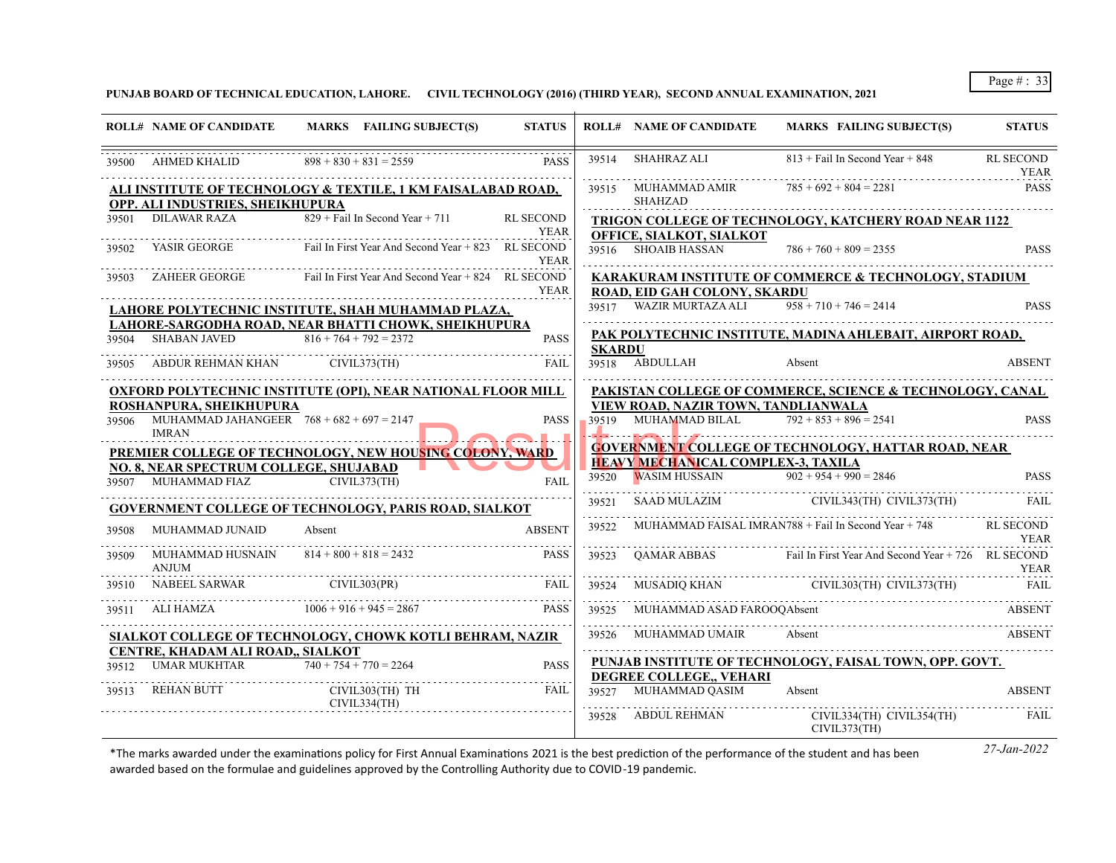**PUNJAB BOARD OF TECHNICAL EDUCATION, LAHORE. CIVIL TECHNOLOGY (2016) (THIRD YEAR), SECOND ANNUAL EXAMINATION, 2021**

|       | <b>ROLL# NAME OF CANDIDATE</b>                              | MARKS FAILING SUBJECT(S)                                                | <b>STATUS</b>    |               | <b>ROLL# NAME OF CANDIDATE</b>            | MARKS FAILING SUBJECT(S)                                       | <b>STATUS</b>                   |
|-------|-------------------------------------------------------------|-------------------------------------------------------------------------|------------------|---------------|-------------------------------------------|----------------------------------------------------------------|---------------------------------|
|       | 39500 AHMED KHALID                                          | $898 + 830 + 831 = 2559$                                                | <b>PASS</b>      | 39514         | <b>SHAHRAZ ALI</b>                        | $813 +$ Fail In Second Year + 848                              | RL SECOND<br>YEAR               |
|       | OPP. ALI INDUSTRIES, SHEIKHUPURA                            | <u>ALI INSTITUTE OF TECHNOLOGY &amp; TEXTILE, 1 KM FAISALABAD ROAD,</u> |                  |               | 39515 MUHAMMAD AMIR<br><b>SHAHZAD</b>     | $785 + 692 + 804 = 2281$                                       | <b>PASS</b>                     |
| 39501 | DILAWAR RAZA                                                | $829$ + Fail In Second Year + 711                                       | <b>RL SECOND</b> |               |                                           | <b>TRIGON COLLEGE OF TECHNOLOGY, KATCHERY ROAD NEAR 1122</b>   |                                 |
|       |                                                             |                                                                         | <b>YEAR</b>      |               | OFFICE, SIALKOT, SIALKOT                  |                                                                |                                 |
|       | 39502 YASIR GEORGE                                          | Fail In First Year And Second Year + 823 RL SECOND                      | <b>YEAR</b>      |               | 39516 SHOAIB HASSAN                       | $786 + 760 + 809 = 2355$                                       | <b>PASS</b>                     |
| 39503 | ZAHEER GEORGE                                               | Fail In First Year And Second Year + 824 RL SECOND                      |                  |               |                                           | KARAKURAM INSTITUTE OF COMMERCE & TECHNOLOGY, STADIUM          |                                 |
|       |                                                             |                                                                         | <b>YEAR</b>      |               | ROAD, EID GAH COLONY, SKARDU              |                                                                |                                 |
|       |                                                             | LAHORE POLYTECHNIC INSTITUTE, SHAH MUHAMMAD PLAZA,                      |                  |               | 39517 WAZIR MURTAZA ALI                   | $958 + 710 + 746 = 2414$                                       | PASS                            |
|       |                                                             | LAHORE-SARGODHA ROAD, NEAR BHATTI CHOWK, SHEIKHUPURA                    |                  |               |                                           | PAK POLYTECHNIC INSTITUTE, MADINA AHLEBAIT, AIRPORT ROAD,      |                                 |
|       | <b>SHABAN JAVED</b>                                         | $816 + 764 + 792 = 2372$                                                | <b>PASS</b>      | <b>SKARDU</b> |                                           |                                                                |                                 |
| 39505 | ABDUR REHMAN KHAN CIVIL373(TH)                              |                                                                         | FAIL             |               | 39518 ABDULLAH                            | Absent                                                         | <b>ABSENT</b>                   |
|       |                                                             | <b>OXFORD POLYTECHNIC INSTITUTE (OPI), NEAR NATIONAL FLOOR MILL</b>     |                  |               |                                           | PAKISTAN COLLEGE OF COMMERCE, SCIENCE & TECHNOLOGY, CANAL      |                                 |
|       | ROSHANPURA, SHEIKHUPURA                                     |                                                                         |                  |               | VIEW ROAD, NAZIR TOWN, TANDLIANWALA       |                                                                |                                 |
| 39506 | MUHAMMAD JAHANGEER $768 + 682 + 697 = 2147$<br><b>IMRAN</b> |                                                                         | <b>PASS</b>      | 39519         | MUHAMMAD BILAL                            | $792 + 853 + 896 = 2541$                                       | <b>PASS</b>                     |
|       |                                                             | <b>PREMIER COLLEGE OF TECHNOLOGY, NEW HOUSING COLONY, WARD</b>          |                  |               |                                           | <b>GOVERNMENT COLLEGE OF TECHNOLOGY, HATTAR ROAD, NEAR</b>     |                                 |
|       | NO. 8, NEAR SPECTRUM COLLEGE, SHUJABAD                      |                                                                         |                  |               | <b>HEAVY MECHANICAL COMPLEX-3, TAXILA</b> |                                                                |                                 |
|       | 39507 MUHAMMAD FIAZ                                         | CIVIL373(TH)                                                            | <b>FAIL</b>      | 39520         | WASIM HUSSAIN $902 + 954 + 990 = 2846$    |                                                                | <b>PASS</b>                     |
|       |                                                             | <b>GOVERNMENT COLLEGE OF TECHNOLOGY, PARIS ROAD, SIALKOT</b>            |                  | 39521<br>.    |                                           | SAAD MULAZIM CIVIL343(TH) CIVIL373(TH)                         | FAIL                            |
| 39508 | MUHAMMAD JUNAID                                             | Absent                                                                  | <b>ABSENT</b>    | 39522         |                                           | MUHAMMAD FAISAL IMRAN788 + Fail In Second Year + 748           | <b>RL SECOND</b><br><b>YEAR</b> |
| 39509 | MUHAMMAD HUSNAIN<br><b>ANJUM</b>                            | $814 + 800 + 818 = 2432$                                                | <b>PASS</b>      | 39523         |                                           | QAMAR ABBAS Fail In First Year And Second Year + 726 RL SECOND | <b>YEAR</b>                     |
| 39510 | NABEEL SARWAR                                               | CIVIL303(PR)                                                            | FAIL             | 39524         |                                           | MUSADIQ KHAN CIVIL303(TH) CIVIL373(TH)                         | FAIL                            |
| 39511 | ALI HAMZA                                                   | $1006 + 916 + 945 = 2867$                                               | <b>PASS</b>      | 39525         | MUHAMMAD ASAD FAROOQAbsent                |                                                                | ABSENT                          |
|       |                                                             | SIALKOT COLLEGE OF TECHNOLOGY, CHOWK KOTLI BEHRAM, NAZIR                |                  | 39526         | MUHAMMAD UMAIR                            | Absent                                                         | ABSENT                          |
|       | CENTRE, KHADAM ALI ROAD., SIALKOT                           |                                                                         |                  |               |                                           |                                                                |                                 |
| 39512 | <b>UMAR MUKHTAR</b>                                         | $740 + 754 + 770 = 2264$                                                | <b>PASS</b>      |               |                                           | PUNJAB INSTITUTE OF TECHNOLOGY, FAISAL TOWN, OPP. GOVT.        |                                 |
| 39513 | <b>REHAN BUTT</b>                                           | CIVIL303(TH) TH<br>CIVIL334(TH)                                         | FAIL             | 39527         | DEGREE COLLEGE VEHARI<br>MUHAMMAD QASIM   | Absent                                                         | <b>ABSENT</b>                   |
|       |                                                             |                                                                         |                  | 39528         | ABDUL REHMAN                              | CIVIL334(TH) CIVIL354(TH)<br>CIVIL373(TH)                      | FAIL                            |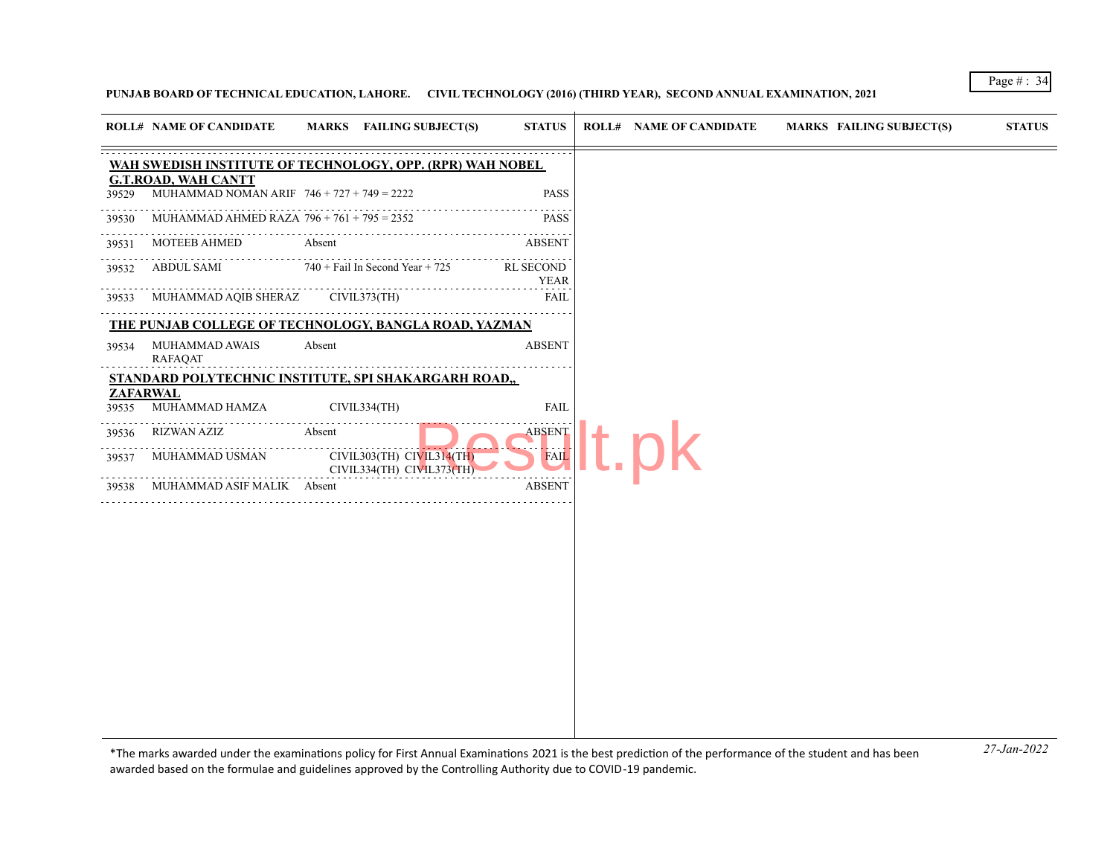## **PUNJAB BOARD OF TECHNICAL EDUCATION, LAHORE. CIVIL TECHNOLOGY (2016) (THIRD YEAR), SECOND ANNUAL EXAMINATION, 2021**

| WAH SWEDISH INSTITUTE OF TECHNOLOGY, OPP. (RPR) WAH NOBEL<br><b>G.T.ROAD, WAH CANTT</b><br>MUHAMMAD NOMAN ARIF $746 + 727 + 749 = 2222$<br><b>PASS</b><br>39529<br>.<br>MUHAMMAD AHMED RAZA $796 + 761 + 795 = 2352$<br><b>PASS</b><br>39530<br><b>MOTEEB AHMED</b><br>Absent<br>ABSENT<br>39531<br>ABDUL SAMI<br>$740 +$ Fail In Second Year + 725<br><b>RL SECOND</b><br>39532<br><b>YEAR</b><br>MUHAMMAD AQIB SHERAZ<br>CIVIL373(TH)<br><b>FAIL</b><br>39533<br>THE PUNJAB COLLEGE OF TECHNOLOGY, BANGLA ROAD, YAZMAN<br><b>ABSENT</b><br>MUHAMMAD AWAIS<br>Absent<br>39534<br><b>RAFAQAT</b><br>STANDARD POLYTECHNIC INSTITUTE, SPI SHAKARGARH ROAD,,<br>ZAFARWAL<br>MUHAMMAD HAMZA<br>CIVIL334(TH)<br><b>FAIL</b><br>39535<br>$\alpha$ is a second order<br>RIZWAN AZIZ<br>ABSENT<br>Absent<br>39536<br>.<br>. <b>.</b><br>CIVIL303(TH) CIVIL314(TH)<br>FAIL<br>MUHAMMAD USMAN<br>39537<br>CIVIL334(TH) CIVIL373(TH)<br><b>ABSENT</b><br>MUHAMMAD ASIF MALIK Absent<br>39538 | <b>ROLL# NAME OF CANDIDATE</b> | MARKS FAILING SUBJECT(S) | <b>STATUS</b> | <b>ROLL# NAME OF CANDIDATE</b> | <b>MARKS FAILING SUBJECT(S)</b> | <b>STATUS</b> |
|-----------------------------------------------------------------------------------------------------------------------------------------------------------------------------------------------------------------------------------------------------------------------------------------------------------------------------------------------------------------------------------------------------------------------------------------------------------------------------------------------------------------------------------------------------------------------------------------------------------------------------------------------------------------------------------------------------------------------------------------------------------------------------------------------------------------------------------------------------------------------------------------------------------------------------------------------------------------------------------|--------------------------------|--------------------------|---------------|--------------------------------|---------------------------------|---------------|
|                                                                                                                                                                                                                                                                                                                                                                                                                                                                                                                                                                                                                                                                                                                                                                                                                                                                                                                                                                                   |                                |                          |               |                                |                                 |               |
|                                                                                                                                                                                                                                                                                                                                                                                                                                                                                                                                                                                                                                                                                                                                                                                                                                                                                                                                                                                   |                                |                          |               |                                |                                 |               |
|                                                                                                                                                                                                                                                                                                                                                                                                                                                                                                                                                                                                                                                                                                                                                                                                                                                                                                                                                                                   |                                |                          |               |                                |                                 |               |
|                                                                                                                                                                                                                                                                                                                                                                                                                                                                                                                                                                                                                                                                                                                                                                                                                                                                                                                                                                                   |                                |                          |               |                                |                                 |               |
|                                                                                                                                                                                                                                                                                                                                                                                                                                                                                                                                                                                                                                                                                                                                                                                                                                                                                                                                                                                   |                                |                          |               |                                |                                 |               |
|                                                                                                                                                                                                                                                                                                                                                                                                                                                                                                                                                                                                                                                                                                                                                                                                                                                                                                                                                                                   |                                |                          |               |                                |                                 |               |
|                                                                                                                                                                                                                                                                                                                                                                                                                                                                                                                                                                                                                                                                                                                                                                                                                                                                                                                                                                                   |                                |                          |               |                                |                                 |               |
|                                                                                                                                                                                                                                                                                                                                                                                                                                                                                                                                                                                                                                                                                                                                                                                                                                                                                                                                                                                   |                                |                          |               |                                |                                 |               |
|                                                                                                                                                                                                                                                                                                                                                                                                                                                                                                                                                                                                                                                                                                                                                                                                                                                                                                                                                                                   |                                |                          |               |                                |                                 |               |
|                                                                                                                                                                                                                                                                                                                                                                                                                                                                                                                                                                                                                                                                                                                                                                                                                                                                                                                                                                                   |                                |                          |               |                                |                                 |               |
|                                                                                                                                                                                                                                                                                                                                                                                                                                                                                                                                                                                                                                                                                                                                                                                                                                                                                                                                                                                   |                                |                          |               |                                |                                 |               |
|                                                                                                                                                                                                                                                                                                                                                                                                                                                                                                                                                                                                                                                                                                                                                                                                                                                                                                                                                                                   |                                |                          |               |                                |                                 |               |
|                                                                                                                                                                                                                                                                                                                                                                                                                                                                                                                                                                                                                                                                                                                                                                                                                                                                                                                                                                                   |                                |                          |               |                                |                                 |               |
|                                                                                                                                                                                                                                                                                                                                                                                                                                                                                                                                                                                                                                                                                                                                                                                                                                                                                                                                                                                   |                                |                          |               |                                |                                 |               |
|                                                                                                                                                                                                                                                                                                                                                                                                                                                                                                                                                                                                                                                                                                                                                                                                                                                                                                                                                                                   |                                |                          |               |                                |                                 |               |
|                                                                                                                                                                                                                                                                                                                                                                                                                                                                                                                                                                                                                                                                                                                                                                                                                                                                                                                                                                                   |                                |                          |               |                                |                                 |               |
|                                                                                                                                                                                                                                                                                                                                                                                                                                                                                                                                                                                                                                                                                                                                                                                                                                                                                                                                                                                   |                                |                          |               |                                |                                 |               |
|                                                                                                                                                                                                                                                                                                                                                                                                                                                                                                                                                                                                                                                                                                                                                                                                                                                                                                                                                                                   |                                |                          |               |                                |                                 |               |
|                                                                                                                                                                                                                                                                                                                                                                                                                                                                                                                                                                                                                                                                                                                                                                                                                                                                                                                                                                                   |                                |                          |               |                                |                                 |               |
|                                                                                                                                                                                                                                                                                                                                                                                                                                                                                                                                                                                                                                                                                                                                                                                                                                                                                                                                                                                   |                                |                          |               |                                |                                 |               |
|                                                                                                                                                                                                                                                                                                                                                                                                                                                                                                                                                                                                                                                                                                                                                                                                                                                                                                                                                                                   |                                |                          |               |                                |                                 |               |
|                                                                                                                                                                                                                                                                                                                                                                                                                                                                                                                                                                                                                                                                                                                                                                                                                                                                                                                                                                                   |                                |                          |               |                                |                                 |               |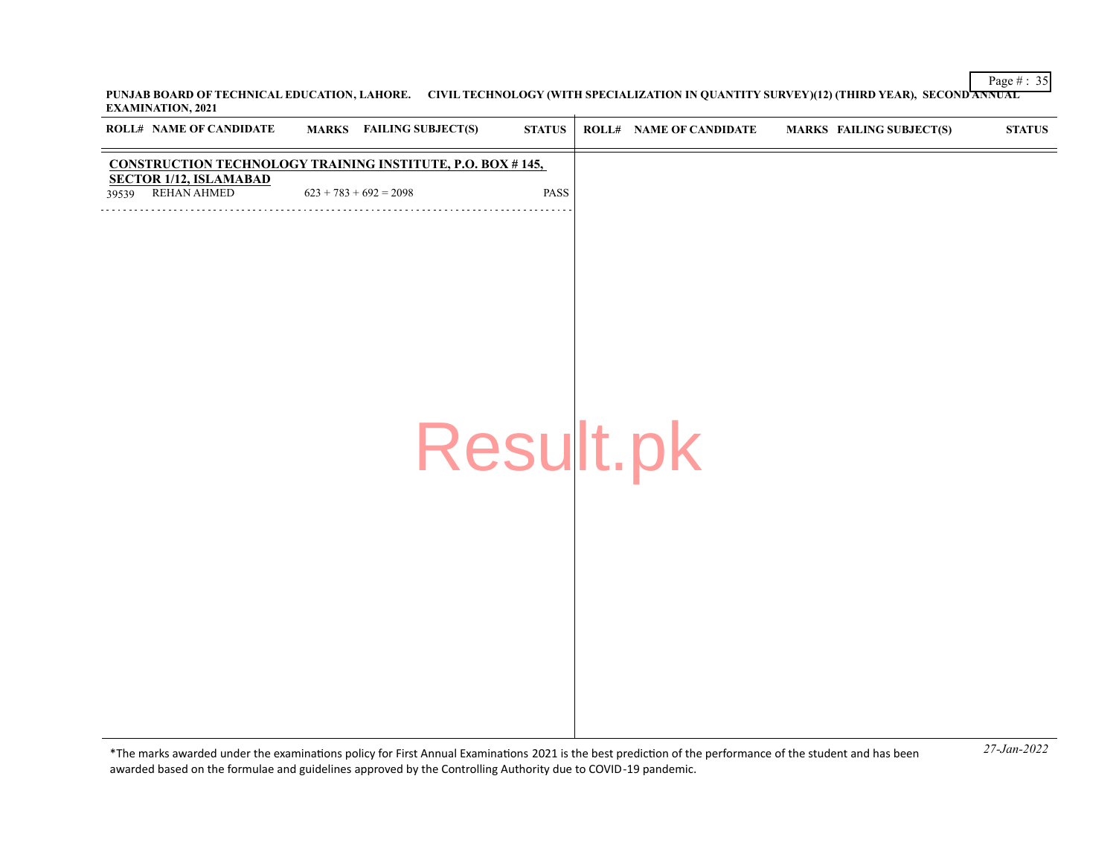Page # : 35 **PUNJAB BOARD OF TECHNICAL EDUCATION, LAHORE. CIVIL TECHNOLOGY (WITH SPECIALIZATION IN QUANTITY SURVEY)(12) (THIRD YEAR), SECOND ANNUAL EXAMINATION, 2021**  $\overline{1}$ 

| ROLL# NAME OF CANDIDATE                               | <b>MARKS</b> FAILING SUBJECT(S)                                   | $\bold{STATUS}$ | <b>ROLL# NAME OF CANDIDATE</b> | <b>MARKS FAILING SUBJECT(S)</b> | $\boldsymbol{\mathrm{STAT}}$ |
|-------------------------------------------------------|-------------------------------------------------------------------|-----------------|--------------------------------|---------------------------------|------------------------------|
|                                                       | <b>CONSTRUCTION TECHNOLOGY TRAINING INSTITUTE, P.O. BOX #145,</b> |                 |                                |                                 |                              |
| <b>SECTOR 1/12, ISLAMABAD</b><br>REHAN AHMED<br>39539 | $623 + 783 + 692 = 2098$                                          | PASS            |                                |                                 |                              |
|                                                       |                                                                   |                 |                                |                                 |                              |
|                                                       |                                                                   |                 |                                |                                 |                              |
|                                                       |                                                                   |                 |                                |                                 |                              |
|                                                       |                                                                   |                 |                                |                                 |                              |
|                                                       |                                                                   |                 |                                |                                 |                              |
|                                                       |                                                                   |                 |                                |                                 |                              |
|                                                       |                                                                   |                 |                                |                                 |                              |
|                                                       |                                                                   |                 |                                |                                 |                              |
|                                                       | Result.pk                                                         |                 |                                |                                 |                              |
|                                                       |                                                                   |                 |                                |                                 |                              |
|                                                       |                                                                   |                 |                                |                                 |                              |
|                                                       |                                                                   |                 |                                |                                 |                              |
|                                                       |                                                                   |                 |                                |                                 |                              |
|                                                       |                                                                   |                 |                                |                                 |                              |
|                                                       |                                                                   |                 |                                |                                 |                              |
|                                                       |                                                                   |                 |                                |                                 |                              |
|                                                       |                                                                   |                 |                                |                                 |                              |
|                                                       |                                                                   |                 |                                |                                 |                              |
|                                                       |                                                                   |                 |                                |                                 |                              |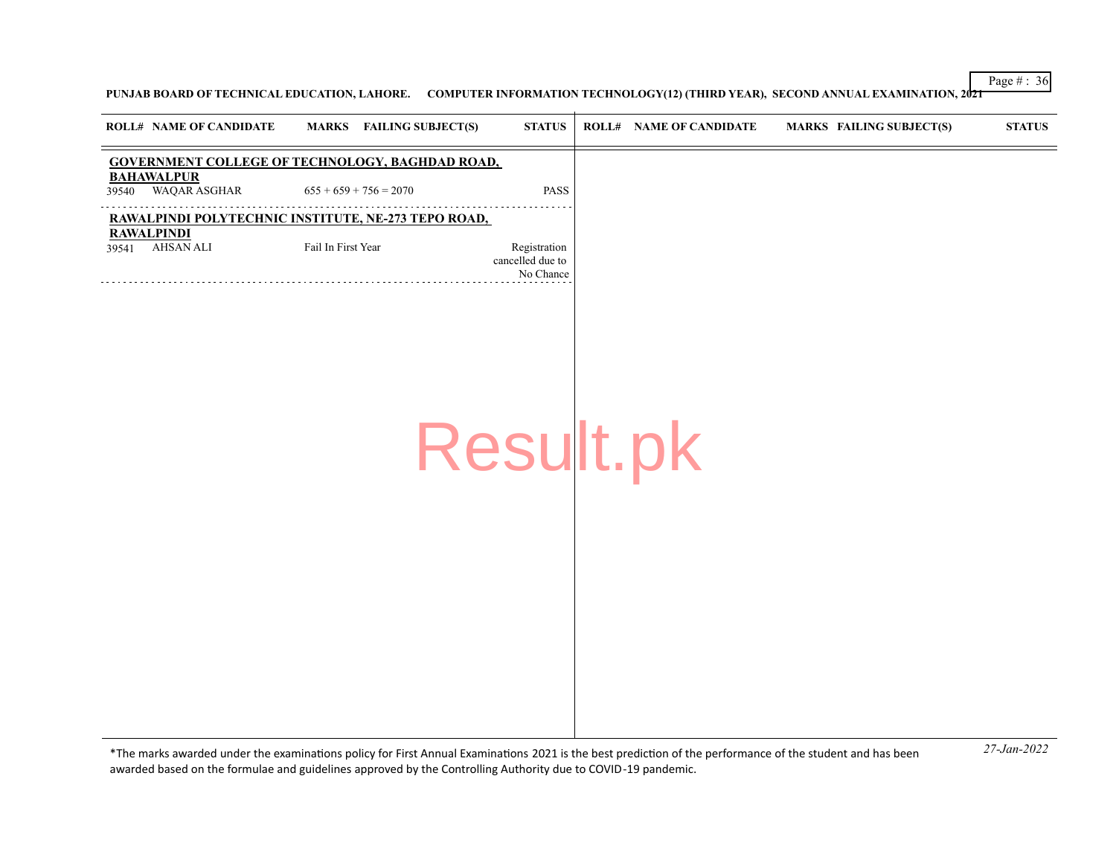**PUNJAB BOARD OF TECHNICAL EDUCATION, LAHORE. COMPUTER INFORMATION TECHNOLOGY(12) (THIRD YEAR), SECOND ANNUAL EXAMINATION, 2021**

|       | <b>ROLL# NAME OF CANDIDATE</b>        | MARKS FAILING SUBJECT(S)                               | <b>STATUS</b>                                 | <b>ROLL# NAME OF CANDIDATE</b> | <b>MARKS FAILING SUBJECT(S)</b> | <b>STATUS</b> |
|-------|---------------------------------------|--------------------------------------------------------|-----------------------------------------------|--------------------------------|---------------------------------|---------------|
|       |                                       | <b>GOVERNMENT COLLEGE OF TECHNOLOGY, BAGHDAD ROAD,</b> |                                               |                                |                                 |               |
| 39540 | <b>BAHAWALPUR</b><br>WAQAR ASGHAR     | $655 + 659 + 756 = 2070$                               | PASS                                          |                                |                                 |               |
|       |                                       | RAWALPINDI POLYTECHNIC INSTITUTE, NE-273 TEPO ROAD,    |                                               |                                |                                 |               |
| 39541 | <b>RAWALPINDI</b><br><b>AHSAN ALI</b> | Fail In First Year                                     | Registration<br>cancelled due to<br>No Chance |                                |                                 |               |
|       |                                       |                                                        |                                               |                                |                                 |               |
|       |                                       |                                                        |                                               |                                |                                 |               |
|       |                                       |                                                        |                                               |                                |                                 |               |
|       |                                       |                                                        |                                               |                                |                                 |               |
|       |                                       |                                                        |                                               |                                |                                 |               |
|       |                                       |                                                        | Result.pk                                     |                                |                                 |               |
|       |                                       |                                                        |                                               |                                |                                 |               |
|       |                                       |                                                        |                                               |                                |                                 |               |
|       |                                       |                                                        |                                               |                                |                                 |               |
|       |                                       |                                                        |                                               |                                |                                 |               |
|       |                                       |                                                        |                                               |                                |                                 |               |
|       |                                       |                                                        |                                               |                                |                                 |               |
|       |                                       |                                                        |                                               |                                |                                 |               |
|       |                                       |                                                        |                                               |                                |                                 |               |
|       |                                       |                                                        |                                               |                                |                                 |               |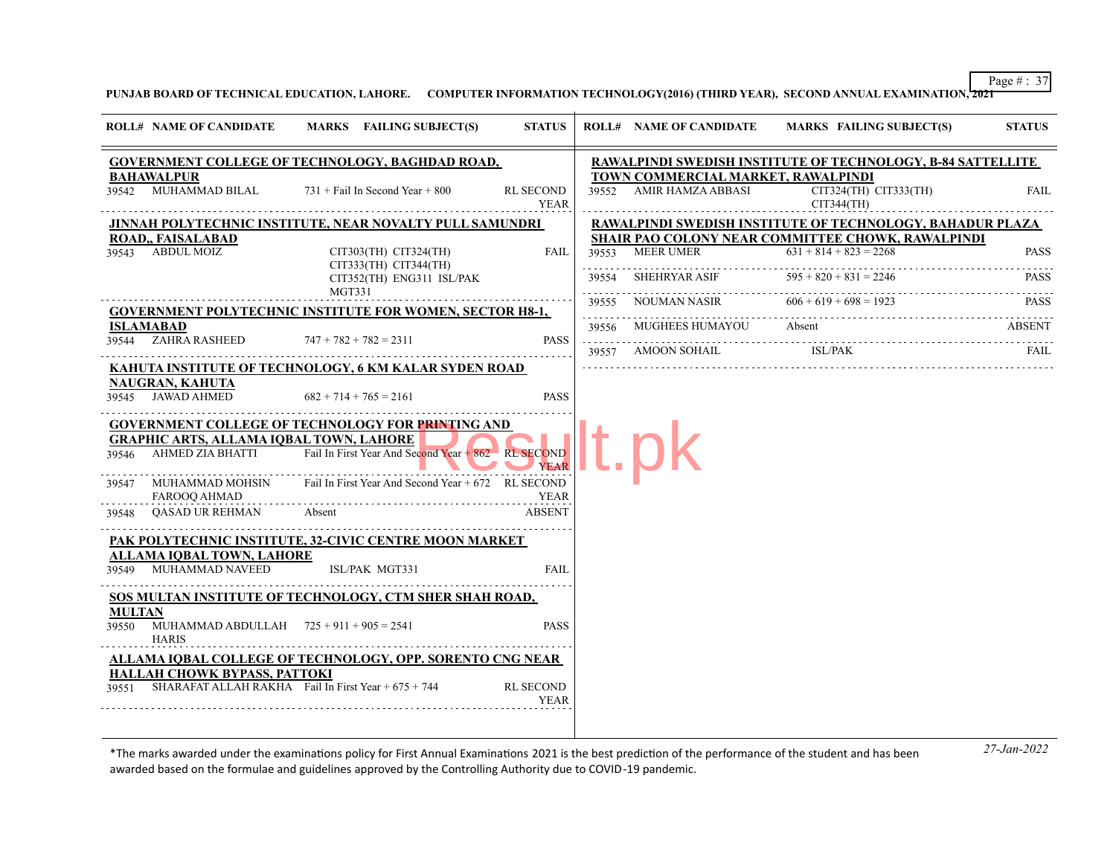**PUNJAB BOARD OF TECHNICAL EDUCATION, LAHORE. COMPUTER INFORMATION TECHNOLOGY(2016) (THIRD YEAR), SECOND ANNUAL EXAMINATION, 2021**

|                        | <b>ROLL# NAME OF CANDIDATE</b>                      | MARKS FAILING SUBJECT(S)                                                                                     | <b>STATUS</b>            |       | <b>ROLL# NAME OF CANDIDATE</b>                                | <b>MARKS FAILING SUBJECT(S)</b>                                                                                       | <b>STATUS</b> |
|------------------------|-----------------------------------------------------|--------------------------------------------------------------------------------------------------------------|--------------------------|-------|---------------------------------------------------------------|-----------------------------------------------------------------------------------------------------------------------|---------------|
|                        |                                                     | <b>GOVERNMENT COLLEGE OF TECHNOLOGY, BAGHDAD ROAD,</b>                                                       |                          |       |                                                               | <b>RAWALPINDI SWEDISH INSTITUTE OF TECHNOLOGY, B-84 SATTELLITE</b>                                                    |               |
|                        | <b>BAHAWALPUR</b>                                   | $39542$ MUHAMMAD BILAL $731 +$ Fail In Second Year + 800                                                     | <b>RL SECOND</b>         |       | TOWN COMMERCIAL MARKET, RAWALPINDI<br>39552 AMIR HAMZA ABBASI | CIT324(TH) CIT333(TH)                                                                                                 | FAIL          |
|                        |                                                     |                                                                                                              | YEAR                     |       |                                                               | CIT344(TH)                                                                                                            |               |
|                        | <b>ROAD., FAISALABAD</b>                            | <b>JINNAH POLYTECHNIC INSTITUTE, NEAR NOVALTY PULL SAMUNDRI</b>                                              |                          |       |                                                               | RAWALPINDI SWEDISH INSTITUTE OF TECHNOLOGY, BAHADUR PLAZA<br><b>SHAIR PAO COLONY NEAR COMMITTEE CHOWK, RAWALPINDI</b> |               |
|                        | 39543 ABDUL MOIZ                                    | $CIT303(TH)$ $CIT324(TH)$                                                                                    | FAIL                     |       | 39553 MEER UMER                                               | $631 + 814 + 823 = 2268$                                                                                              | <b>PASS</b>   |
|                        |                                                     | $CIT333(TH)$ $CIT344(TH)$<br>CIT352(TH) ENG311 ISL/PAK<br>MGT331                                             |                          | 39554 | SHEHRYAR ASIF                                                 | $595 + 820 + 831 = 2246$                                                                                              | <b>PASS</b>   |
|                        |                                                     | <b>GOVERNMENT POLYTECHNIC INSTITUTE FOR WOMEN, SECTOR H8-1,</b>                                              |                          | 39555 | NOUMAN NASIR                                                  | $606 + 619 + 698 = 1923$                                                                                              | <b>PASS</b>   |
|                        | ISLAMABAD                                           |                                                                                                              |                          | 39556 | MUGHEES HUMAYOU                                               | Absent                                                                                                                | ABSENT        |
|                        | 39544 ZAHRA RASHEED                                 | $747 + 782 + 782 = 2311$                                                                                     | <b>PASS</b>              | 39557 | AMOON SOHAIL ISL/PAK                                          |                                                                                                                       | FAII.         |
|                        |                                                     | KAHUTA INSTITUTE OF TECHNOLOGY, 6 KM KALAR SYDEN ROAD                                                        |                          |       |                                                               |                                                                                                                       |               |
|                        | <b>NAUGRAN, KAHUTA</b><br>39545 JAWAD AHMED         | $682 + 714 + 765 = 2161$                                                                                     | <b>PASS</b>              |       |                                                               |                                                                                                                       |               |
|                        |                                                     | <b>GOVERNMENT COLLEGE OF TECHNOLOGY FOR PRINTING AND</b><br><b>GRAPHIC ARTS, ALLAMA IQBAL TOWN, LAHORE</b>   |                          |       |                                                               |                                                                                                                       |               |
|                        |                                                     | 39546 AHMED ZIA BHATTI Fail In First Year And Second Year + 862 RL SECOND<br>the contract of the contract of | <b>YEAR</b>              |       |                                                               |                                                                                                                       |               |
|                        | 39547 MUHAMMAD MOHSIN<br>FAROOQ AHMAD               | Fail In First Year And Second Year + 672 RL SECOND                                                           | YEAR                     |       |                                                               |                                                                                                                       |               |
| 39548                  | <b>OASAD UR REHMAN</b>                              | Absent                                                                                                       | <b>ABSENT</b>            |       |                                                               |                                                                                                                       |               |
|                        |                                                     | PAK POLYTECHNIC INSTITUTE, 32-CIVIC CENTRE MOON MARKET                                                       |                          |       |                                                               |                                                                                                                       |               |
|                        | ALLAMA IOBAL TOWN, LAHORE<br>39549 MUHAMMAD NAVEED  | ISL/PAK MGT331                                                                                               | FAIL                     |       |                                                               |                                                                                                                       |               |
|                        |                                                     | SOS MULTAN INSTITUTE OF TECHNOLOGY, CTM SHER SHAH ROAD,                                                      |                          |       |                                                               |                                                                                                                       |               |
| <b>MULTAN</b><br>39550 | MUHAMMAD ABDULLAH $725 + 911 + 905 = 2541$<br>HARIS |                                                                                                              | <b>PASS</b>              |       |                                                               |                                                                                                                       |               |
|                        |                                                     | ALLAMA IQBAL COLLEGE OF TECHNOLOGY, OPP. SORENTO CNG NEAR                                                    |                          |       |                                                               |                                                                                                                       |               |
| 39551                  | HALLAH CHOWK BYPASS, PATTOKI                        | SHARAFAT ALLAH RAKHA Fail In First Year $+675 + 744$                                                         | RL SECOND<br><b>YEAR</b> |       |                                                               |                                                                                                                       |               |
|                        |                                                     |                                                                                                              |                          |       |                                                               |                                                                                                                       |               |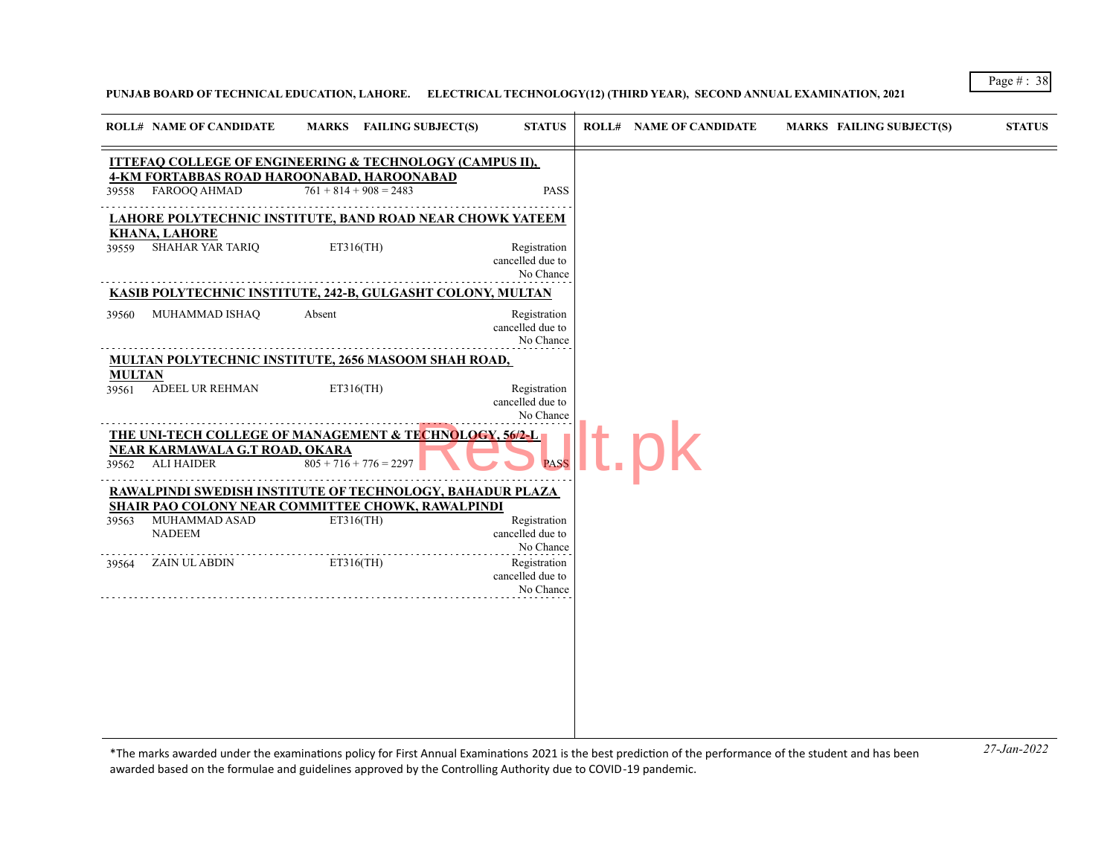# **PUNJAB BOARD OF TECHNICAL EDUCATION, LAHORE. ELECTRICAL TECHNOLOGY(12) (THIRD YEAR), SECOND ANNUAL EXAMINATION, 2021**

|               | <b>ROLL# NAME OF CANDIDATE</b>                                                                                |        | MARKS FAILING SUBJECT(S) | <b>STATUS</b>                                 | <b>ROLL# NAME OF CANDIDATE</b> | <b>MARKS FAILING SUBJECT(S)</b> | <b>STATUS</b> |
|---------------|---------------------------------------------------------------------------------------------------------------|--------|--------------------------|-----------------------------------------------|--------------------------------|---------------------------------|---------------|
|               | <b>ITTEFAQ COLLEGE OF ENGINEERING &amp; TECHNOLOGY (CAMPUS II),</b>                                           |        |                          |                                               |                                |                                 |               |
|               | <b>4-KM FORTABBAS ROAD HAROONABAD, HAROONABAD</b><br>39558 FAROOQ AHMAD                                       |        | $761 + 814 + 908 = 2483$ | <b>PASS</b>                                   |                                |                                 |               |
|               | <b>LAHORE POLYTECHNIC INSTITUTE, BAND ROAD NEAR CHOWK YATEEM</b>                                              |        |                          |                                               |                                |                                 |               |
| 39559         | KHANA, LAHORE<br><b>SHAHAR YAR TARIQ</b>                                                                      |        | ET316(TH)                | Registration<br>cancelled due to<br>No Chance |                                |                                 |               |
|               | KASIB POLYTECHNIC INSTITUTE, 242-B, GULGASHT COLONY, MULTAN                                                   |        |                          |                                               |                                |                                 |               |
| 39560         | MUHAMMAD ISHAQ                                                                                                | Absent |                          | Registration<br>cancelled due to<br>No Chance |                                |                                 |               |
|               | MULTAN POLYTECHNIC INSTITUTE, 2656 MASOOM SHAH ROAD,                                                          |        |                          |                                               |                                |                                 |               |
| <b>MULTAN</b> | 39561 ADEEL UR REHMAN                                                                                         |        | ET316(TH)                | Registration<br>cancelled due to<br>No Chance |                                |                                 |               |
|               | THE UNI-TECH COLLEGE OF MANAGEMENT & TECHNOLOGY, 56/2-L<br>NEAR KARMAWALA G.T ROAD, OKARA<br>39562 ALI HAIDER |        | $805 + 716 + 776 = 2297$ | <b>PASS</b>                                   |                                |                                 |               |
|               | RAWALPINDI SWEDISH INSTITUTE OF TECHNOLOGY, BAHADUR PLAZA                                                     |        |                          |                                               |                                |                                 |               |
| 39563         | <b>SHAIR PAO COLONY NEAR COMMITTEE CHOWK, RAWALPINDI</b><br>MUHAMMAD ASAD                                     |        | ET316(TH)                | Registration                                  |                                |                                 |               |
|               | <b>NADEEM</b>                                                                                                 |        |                          | cancelled due to<br>No Chance                 |                                |                                 |               |
| 39564         | ZAIN UL ABDIN                                                                                                 |        | ET316(TH)                | Registration<br>cancelled due to<br>No Chance |                                |                                 |               |
|               |                                                                                                               |        |                          |                                               |                                |                                 |               |
|               |                                                                                                               |        |                          |                                               |                                |                                 |               |
|               |                                                                                                               |        |                          |                                               |                                |                                 |               |
|               |                                                                                                               |        |                          |                                               |                                |                                 |               |
|               |                                                                                                               |        |                          |                                               |                                |                                 |               |
|               |                                                                                                               |        |                          |                                               |                                |                                 |               |

*27-Jan-2022* \*The marks awarded under the examinatons policy for First Annual Examinatons 2021 is the best predicton of the performance of the student and has been awarded based on the formulae and guidelines approved by the Controlling Authority due to COVID-19 pandemic.

Page # : 38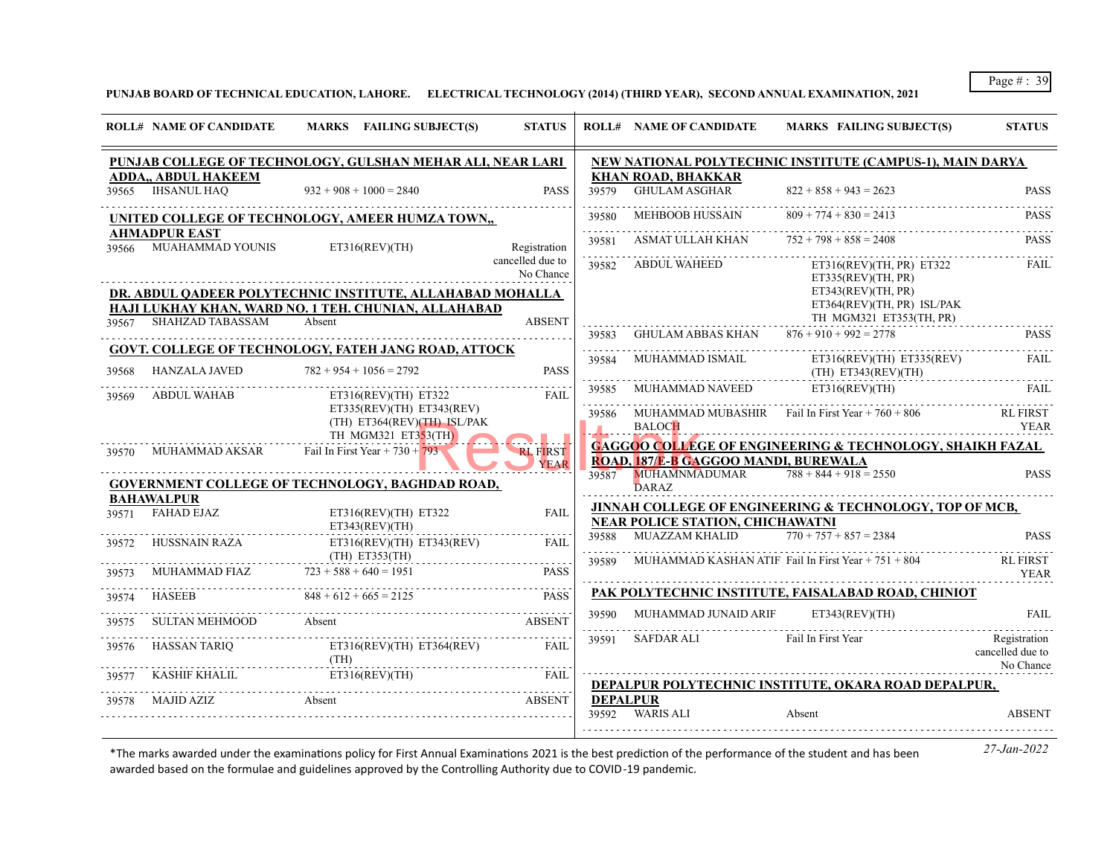**PUNJAB BOARD OF TECHNICAL EDUCATION, LAHORE. ELECTRICAL TECHNOLOGY (2014) (THIRD YEAR), SECOND ANNUAL EXAMINATION, 2021**

|       | <b>ROLL# NAME OF CANDIDATE</b>                  | MARKS FAILING SUBJECT(S)                                                                                          | <b>STATUS</b>                  |                 | <b>ROLL# NAME OF CANDIDATE</b>                    | MARKS FAILING SUBJECT(S)                                                    | <b>STATUS</b>                                 |
|-------|-------------------------------------------------|-------------------------------------------------------------------------------------------------------------------|--------------------------------|-----------------|---------------------------------------------------|-----------------------------------------------------------------------------|-----------------------------------------------|
|       |                                                 | PUNJAB COLLEGE OF TECHNOLOGY, GULSHAN MEHAR ALI, NEAR LARI                                                        |                                |                 |                                                   | NEW NATIONAL POLYTECHNIC INSTITUTE (CAMPUS-1), MAIN DARYA                   |                                               |
|       | <b>ADDA., ABDUL HAKEEM</b><br>39565 IHSANUL HAO | $932 + 908 + 1000 = 2840$                                                                                         | <b>PASS</b>                    | 39579           | <b>KHAN ROAD, BHAKKAR</b><br><b>GHULAM ASGHAR</b> | $822 + 858 + 943 = 2623$                                                    | <b>PASS</b>                                   |
|       |                                                 | UNITED COLLEGE OF TECHNOLOGY, AMEER HUMZA TOWN,,                                                                  |                                | 39580           | <b>MEHBOOB HUSSAIN</b>                            | $809 + 774 + 830 = 2413$                                                    | <b>PASS</b>                                   |
|       | <b>AHMADPUR EAST</b><br>39566 MUAHAMMAD YOUNIS  | ET316(REV)(TH)                                                                                                    | Registration                   | .<br>39581      | ASMAT ULLAH KHAN $752 + 798 + 858 = 2408$         |                                                                             | <b>PASS</b>                                   |
|       |                                                 |                                                                                                                   | cancelled due to<br>No Chance  |                 | 39582 ABDUL WAHEED                                | ET316(REV)(TH, PR) ET322<br>ET335(REV)(TH, PR)                              | <b>FAIL</b>                                   |
|       |                                                 | DR. ABDUL QADEER POLYTECHNIC INSTITUTE, ALLAHABAD MOHALLA<br>HAJI LUKHAY KHAN, WARD NO. 1 TEH. CHUNIAN, ALLAHABAD |                                |                 |                                                   | ET343(REV)(TH, PR)<br>ET364(REV)(TH, PR) ISL/PAK<br>TH MGM321 ET353(TH, PR) |                                               |
| 39567 | SHAHZAD TABASSAM                                | Absent                                                                                                            | <b>ABSENT</b>                  | 39583           | GHULAM ABBAS KHAN $876 + 910 + 992 = 2778$        |                                                                             | <b>PASS</b>                                   |
| 39568 | <b>HANZALA JAVED</b>                            | GOVT. COLLEGE OF TECHNOLOGY, FATEH JANG ROAD, ATTOCK<br>$782 + 954 + 1056 = 2792$                                 | <b>PASS</b>                    | .<br>39584      | MUHAMMAD ISMAIL                                   | $ET316(REV)(TH)$ $ET335(REV)$<br>$(TH)$ ET343(REV)(TH)                      | <b>FAIL</b>                                   |
| 39569 | ABDUL WAHAB                                     | ET316(REV)(TH) E T322                                                                                             | FAII.                          | 39585           | MUHAMMAD NAVEED ET316(REV)(TH)                    |                                                                             | FAII.                                         |
|       |                                                 | ET335(REV)(TH) ET343(REV)<br>(TH) ET364(REV)(TH) ISL/PAK                                                          |                                | 39586           | <b>BALOCH</b>                                     | MUHAMMAD MUBASHIR Fail In First Year $+760 + 806$                           | <b>RL FIRST</b><br><b>YEAR</b>                |
| 39570 | MUHAMMAD AKSAR                                  | TH MGM321 ET353(TH)<br>Fail In First Year + $730 + 793$                                                           | <b>RL FIRST</b><br><b>YEAR</b> |                 | ROAD, 187/E-B GAGGOO MANDI, BUREWALA              | <b>GAGGOO COLLEGE OF ENGINEERING &amp; TECHNOLOGY, SHAIKH FAZAL</b>         |                                               |
|       |                                                 | <b>GOVERNMENT COLLEGE OF TECHNOLOGY, BAGHDAD ROAD,</b>                                                            |                                | 39587           | MUHAMNMADUMAR<br><b>DARAZ</b>                     | $788 + 844 + 918 = 2550$                                                    | <b>PASS</b>                                   |
| 39571 | <b>BAHAWALPUR</b><br><b>FAHAD EJAZ</b>          | ET316(REV)(TH) ET322<br>ET343(REV)(TH)                                                                            | <b>FAIL</b>                    |                 | <b>NEAR POLICE STATION, CHICHAWATNI</b>           | JINNAH COLLEGE OF ENGINEERING & TECHNOLOGY, TOP OF MCB,                     |                                               |
| 39572 | HUSSNAIN RAZA                                   | ET316(REV)(TH) ET343(REV)<br>$(TH)$ ET353 $(TH)$                                                                  | <b>FAIL</b>                    | 39588           | MUAZZAM KHALID                                    | $770 + 757 + 857 = 2384$                                                    | <b>PASS</b>                                   |
|       | MUHAMMAD FIAZ $723 + 588 + 640 = 1951$          | .                                                                                                                 | <b>PASS</b>                    | 39589           |                                                   | MUHAMMAD KASHAN ATIF Fail In First Year + 751 + 804                         | RL FIRST<br><b>YEAR</b>                       |
| 39574 | HASEEB                                          | $848 + 612 + 665 = 2125$                                                                                          | <b>PASS</b>                    |                 |                                                   | PAK POLYTECHNIC INSTITUTE, FAISALABAD ROAD, CHINIOT                         |                                               |
| 39575 | SULTAN MEHMOOD                                  | Absent                                                                                                            | <b>ABSENT</b>                  | 39590           | MUHAMMAD JUNAID ARIF                              | ET343(REV)(TH)                                                              | <b>FAIL</b>                                   |
| 39576 | HASSAN TARIO                                    | ET316(REV)(TH) ET364(REV)<br>(TH)                                                                                 | <b>FAIL</b>                    |                 | 39591 SAFDAR ALI                                  | Fail In First Year                                                          | Registration<br>cancelled due to<br>No Chance |
| 39577 | KASHIF KHALIL                                   | ET316(REV)(TH)                                                                                                    | FAIL                           |                 |                                                   | DEPALPUR POLYTECHNIC INSTITUTE, OKARA ROAD DEPALPUR,                        |                                               |
| 39578 | MAJID AZIZ                                      | Absent                                                                                                            | <b>ABSENT</b>                  | <b>DEPALPUR</b> | 39592 WARIS ALI                                   | Absent                                                                      | <b>ABSENT</b>                                 |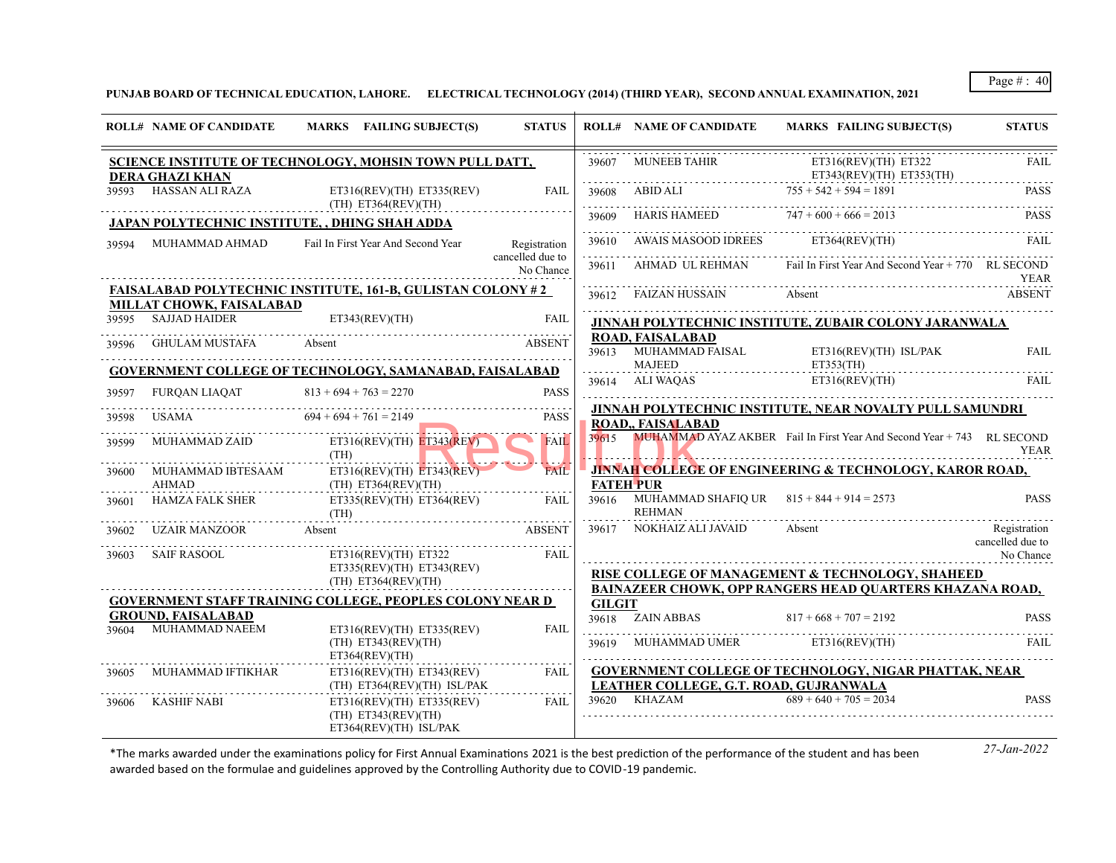**PUNJAB BOARD OF TECHNICAL EDUCATION, LAHORE. ELECTRICAL TECHNOLOGY (2014) (THIRD YEAR), SECOND ANNUAL EXAMINATION, 2021**

|       | <b>ROLL# NAME OF CANDIDATE</b>                                                                                        | MARKS FAILING SUBJECT(S)                                                                   | <b>STATUS</b>                    |               | <b>ROLL# NAME OF CANDIDATE</b>                                     | MARKS FAILING SUBJECT(S)                                                     | <b>STATUS</b>                    |
|-------|-----------------------------------------------------------------------------------------------------------------------|--------------------------------------------------------------------------------------------|----------------------------------|---------------|--------------------------------------------------------------------|------------------------------------------------------------------------------|----------------------------------|
|       | <b>DERA GHAZI KHAN</b>                                                                                                | SCIENCE INSTITUTE OF TECHNOLOGY, MOHSIN TOWN PULL DATT,                                    |                                  | 39607         | <b>MUNEEB TAHIR</b>                                                | ET316(REV)(TH) ET322<br>$ET343(REV)(TH)$ $ET353(TH)$                         | FAIL                             |
|       | 39593 HASSAN ALI RAZA                                                                                                 | $ET316(REV)(TH)$ $ET335(REV)$<br>(TH) ET364(REV)(TH)                                       | <b>FAIL</b>                      | .             | $39608$ ABID ALI $755 + 542 + 594 = 1891$                          |                                                                              | <b>PASS</b>                      |
|       |                                                                                                                       | <b>JAPAN POLYTECHNIC INSTITUTE, , DHING SHAH ADDA</b>                                      |                                  | 39609<br>.    | HARIS HAMEED $747 + 600 + 666 = 2013$                              |                                                                              | <b>PASS</b>                      |
| 39594 | MUHAMMAD AHMAD                                                                                                        | Fail In First Year And Second Year                                                         | Registration<br>cancelled due to |               | 39610 AWAIS MASOOD IDREES ET364(REV)(TH)                           |                                                                              | FAII.                            |
|       |                                                                                                                       |                                                                                            | No Chance                        |               |                                                                    | 39611 AHMAD UL REHMAN Fail In First Year And Second Year + 770 RL SECOND     | YEAR                             |
|       | MILLAT CHOWK, FAISALABAD                                                                                              | <b>FAISALABAD POLYTECHNIC INSTITUTE, 161-B, GULISTAN COLONY #2</b>                         |                                  |               | 39612 FAIZAN HUSSAIN                                               | Absent                                                                       | <b>ABSENT</b>                    |
| 39595 | <b>SAJJAD HAIDER</b>                                                                                                  | ET343(REV)(TH)                                                                             | <b>FAIL</b>                      |               |                                                                    | JINNAH POLYTECHNIC INSTITUTE, ZUBAIR COLONY JARANWALA                        |                                  |
| 39596 | GHULAM MUSTAFA Absent                                                                                                 |                                                                                            | <b>ABSENT</b>                    |               | <b>ROAD, FAISALABAD</b><br>39613 MUHAMMAD FAISAL<br>MAJEED         | ET316(REV)(TH) ISL/PAK<br>ET353(TH)                                          | <b>FAIL</b>                      |
| 39597 | FURQAN LIAQAT                                                                                                         | <b>GOVERNMENT COLLEGE OF TECHNOLOGY, SAMANABAD, FAISALABAD</b><br>$813 + 694 + 763 = 2270$ | <b>PASS</b>                      |               | 39614 ALI WAQAS                                                    | ET316(REV)(TH)                                                               | FAIL                             |
| 39598 | USAMA <b>Samuel Service Service</b> Service Service Service Service Service Service Service Service Service Service S | $694 + 694 + 761 = 2149$                                                                   | <b>PASS</b>                      |               | <b>ROAD., FAISALABAD</b>                                           | JINNAH POLYTECHNIC INSTITUTE, NEAR NOVALTY PULL SAMUNDRI                     |                                  |
| 39599 | MUHAMMAD ZAID                                                                                                         | $ET316(REV)(TH)$ $ET343(REV)$<br>(TH)                                                      | <b>FAIL</b>                      |               |                                                                    | 39615 MUHAMMAD AYAZ AKBER Fail In First Year And Second Year + 743 RL SECOND | <b>YEAR</b>                      |
| 39600 | MUHAMMAD IBTESAAM<br><b>AHMAD</b>                                                                                     | ET316(REV)(TH) ET343(REV)<br>$(TH)$ ET364(REV)(TH)                                         | <b>FAIL</b>                      |               | <b>FATEH PUR</b>                                                   | <b>JINNAH COLLEGE OF ENGINEERING &amp; TECHNOLOGY, KAROR ROAD,</b>           |                                  |
| 39601 | HAMZA FALK SHER                                                                                                       | ET335(REV)(TH) ET364(REV)<br>(TH)                                                          | <b>FAIL</b>                      |               | 39616 MUHAMMAD SHAFIQ UR $815 + 844 + 914 = 2573$<br><b>REHMAN</b> |                                                                              | <b>PASS</b>                      |
| 39602 | UZAIR MANZOOR                                                                                                         | Absent                                                                                     | <b>ABSENT</b>                    | 39617         | NOKHAIZ ALI JAVAID                                                 | Absent                                                                       | Registration<br>cancelled due to |
| 39603 | SAIF RASOOL                                                                                                           | $ET316(REV)(TH)$ $ET322$<br>$ET335(REV)(TH)$ $ET343(REV)$<br>$(TH)$ ET364(REV)(TH)         | <b>FAIL</b>                      |               |                                                                    | RISE COLLEGE OF MANAGEMENT & TECHNOLOGY, SHAHEED                             | No Chance                        |
|       |                                                                                                                       | <b>GOVERNMENT STAFF TRAINING COLLEGE, PEOPLES COLONY NEAR D</b>                            |                                  | <b>GILGIT</b> |                                                                    | BAINAZEER CHOWK, OPP RANGERS HEAD QUARTERS KHAZANA ROAD,                     |                                  |
| 39604 | <b>GROUND, FAISALABAD</b><br>MUHAMMAD NAEEM                                                                           | $ET316(REV)(TH)$ $ET335(REV)$                                                              | <b>FAIL</b>                      |               | 39618 ZAIN ABBAS                                                   | $817 + 668 + 707 = 2192$                                                     | <b>PASS</b>                      |
|       |                                                                                                                       | $(TH)$ ET343(REV)(TH)<br>ET364(REV)(TH)                                                    |                                  |               | 39619 MUHAMMAD UMER ET316(REV)(TH)                                 |                                                                              | FAIL                             |
| 39605 | MUHAMMAD IFTIKHAR                                                                                                     | $ET316(REV)(TH)$ $ET343(REV)$<br>(TH) ET364(REV)(TH) ISL/PAK                               | <b>FAIL</b>                      |               | LEATHER COLLEGE, G.T. ROAD, GUJRANWALA                             | <b>GOVERNMENT COLLEGE OF TECHNOLOGY, NIGAR PHATTAK, NEAR</b>                 |                                  |
| 39606 | <b>KASHIF NABI</b>                                                                                                    | ET316(REV)(TH) ET335(REV)<br>$(TH)$ ET343(REV)(TH)<br>ET364(REV)(TH) ISL/PAK               | <b>FAIL</b>                      |               | 39620 KHAZAM                                                       | $689 + 640 + 705 = 2034$                                                     | <b>PASS</b>                      |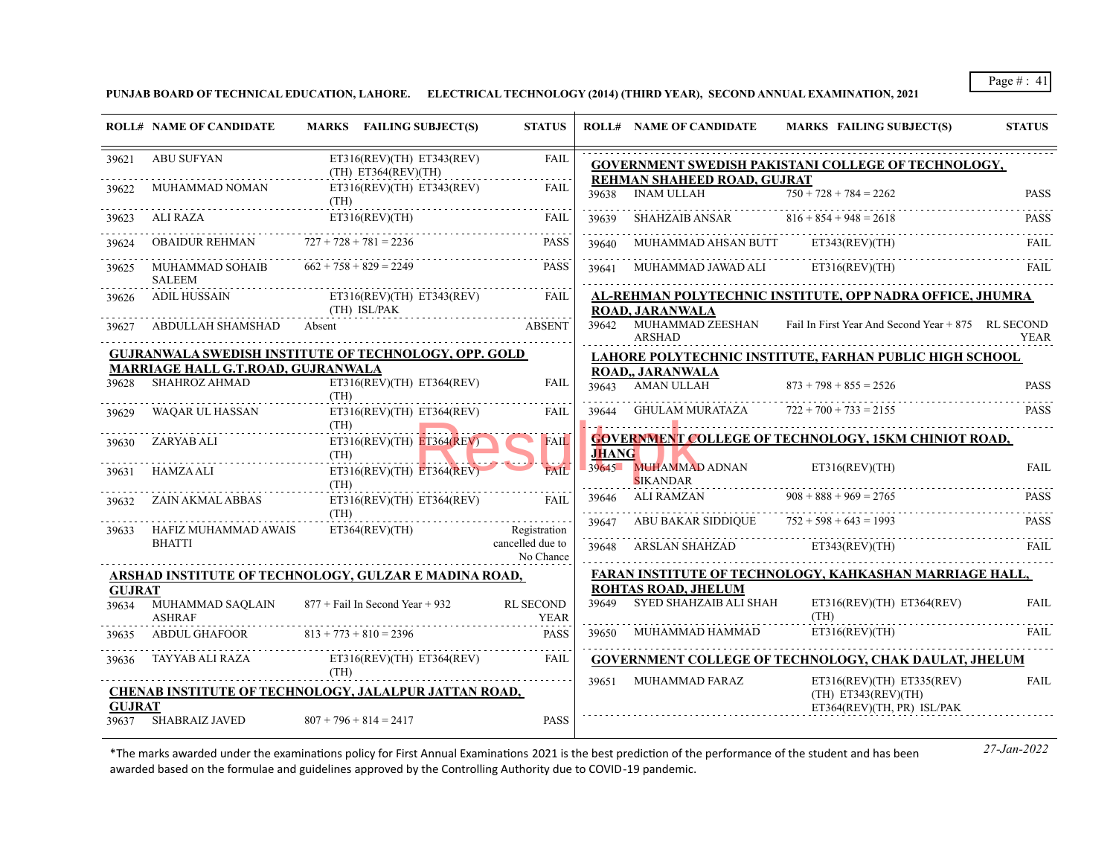**PUNJAB BOARD OF TECHNICAL EDUCATION, LAHORE. ELECTRICAL TECHNOLOGY (2014) (THIRD YEAR), SECOND ANNUAL EXAMINATION, 2021**

|               | <b>ROLL# NAME OF CANDIDATE</b>                     | MARKS FAILING SUBJECT(S)                                           | <b>STATUS</b>                                                                                                                                                                               |              | <b>ROLL# NAME OF CANDIDATE</b>                       | MARKS FAILING SUBJECT(S)                                                  | <b>STATUS</b> |
|---------------|----------------------------------------------------|--------------------------------------------------------------------|---------------------------------------------------------------------------------------------------------------------------------------------------------------------------------------------|--------------|------------------------------------------------------|---------------------------------------------------------------------------|---------------|
| 39621         | ABU SUFYAN                                         | $ET316(REV)(TH)$ $ET343(REV)$<br>$(TH)$ ET364(REV)(TH)             | <b>FAIL</b><br>$\mathcal{L}^{\mathcal{A}}\left( \mathcal{L}^{\mathcal{A}}\left( \mathcal{L}^{\mathcal{A}}\right) \right) =\mathcal{L}^{\mathcal{A}}\left( \mathcal{L}^{\mathcal{A}}\right)$ |              | REHMAN SHAHEED ROAD, GUJRAT                          | <b>GOVERNMENT SWEDISH PAKISTANI COLLEGE OF TECHNOLOGY,</b>                |               |
| 39622         | MUHAMMAD NOMAN                                     | ET316(REV)(TH) ET343(REV)<br>(TH)                                  | <b>FAIL</b>                                                                                                                                                                                 | 39638        | <b>INAM ULLAH</b>                                    | $750 + 728 + 784 = 2262$                                                  | <b>PASS</b>   |
| 39623         | ALI RAZA                                           | ET316(REV)(TH)                                                     | FAII.                                                                                                                                                                                       | 39639        | SHAHZAIB ANSAR $816 + 854 + 948 = 2618$              |                                                                           | <b>PASS</b>   |
| 39624         | OBAIDUR REHMAN $727 + 728 + 781 = 2236$            |                                                                    | <b>PASS</b>                                                                                                                                                                                 | .<br>39640   | MUHAMMAD AHSAN BUTT ET343(REV)(TH)                   |                                                                           | <b>FAIL</b>   |
| 39625         | MUHAMMAD SOHAIB $662 + 758 + 829 = 2249$<br>SALEEM |                                                                    | PASS                                                                                                                                                                                        | 39641        | MUHAMMAD JAWAD ALI                                   | ET316(REV)(TH)                                                            | <b>FAIL</b>   |
|               |                                                    | 39626 ADIL HUSSAIN ET316(REV)(TH) ET343(REV)<br>(TH) ISL/PAK ARENT | FAIL                                                                                                                                                                                        |              | <b>ROAD, JARANWALA</b>                               | AL-REHMAN POLYTECHNIC INSTITUTE, OPP NADRA OFFICE, JHUMRA                 |               |
| 39627         | ABDULLAH SHAMSHAD Absent                           |                                                                    | <b>ABSENT</b>                                                                                                                                                                               |              | ARSHAD                                               | 39642 MUHAMMAD ZEESHAN Fail In First Year And Second Year + 875 RL SECOND | YEAR          |
|               | <b>MARRIAGE HALL G.T.ROAD, GUJRANWALA</b>          | GUJRANWALA SWEDISH INSTITUTE OF TECHNOLOGY, OPP. GOLD              |                                                                                                                                                                                             |              |                                                      | LAHORE POLYTECHNIC INSTITUTE, FARHAN PUBLIC HIGH SCHOOL                   |               |
| 39628         | SHAHROZ AHMAD                                      | $ET316(REV)(TH)$ $ET364(REV)$<br>(TH)                              | <b>FAIL</b>                                                                                                                                                                                 |              | <b>ROAD., JARANWALA</b><br>39643 AMAN ULLAH          | $873 + 798 + 855 = 2526$                                                  | <b>PASS</b>   |
| 39629         | WAQAR UL HASSAN                                    | ET316(REV)(TH) ET364(REV)<br>(TH)                                  | FAIL                                                                                                                                                                                        |              | 39644 GHULAM MURATAZA $722 + 700 + 733 = 2155$       |                                                                           | <b>PASS</b>   |
| 39630         | ZARYAB ALI                                         | $ET316(REV)(TH)$ $ET364(REV)$<br>(TH)                              | <b>FAIL</b>                                                                                                                                                                                 | <b>JHANG</b> |                                                      | <b>GOVERNMENT COLLEGE OF TECHNOLOGY, 15KM CHINIOT ROAD,</b>               |               |
| 39631         | HAMZA ALI                                          | $ET316(REV)(TH)$ $ET364(REV)$<br>(TH)                              | <b>FAII</b>                                                                                                                                                                                 |              | 39645 MUHAMMAD ADNAN<br><b>SIKANDAR</b>              | ET316(REV)(TH)                                                            | <b>FAIL</b>   |
| 39632         | ZAIN AKMAL ABBAS                                   | $ET316(REV)(TH)$ $ET364(REV)$                                      | - FAIL                                                                                                                                                                                      |              | 39646 ALI RAMZAN                                     | $908 + 888 + 969 = 2765$                                                  | <b>PASS</b>   |
| 39633         | HAFIZ MUHAMMAD AWAIS                               | (TH)<br>ET364(REV)(TH)                                             | Registration                                                                                                                                                                                | 39647        | ABU BAKAR SIDDIQUE $752 + 598 + 643 = 1993$          |                                                                           | <b>PASS</b>   |
|               | <b>BHATTI</b>                                      |                                                                    | cancelled due to<br>No Chance                                                                                                                                                               |              | 39648 ARSLAN SHAHZAD ET343(REV)(TH)                  |                                                                           | FAIL          |
|               |                                                    | ARSHAD INSTITUTE OF TECHNOLOGY, GULZAR E MADINA ROAD,              |                                                                                                                                                                                             |              |                                                      | FARAN INSTITUTE OF TECHNOLOGY, KAHKASHAN MARRIAGE HALL,                   |               |
| <b>GUJRAT</b> | 39634 MUHAMMAD SAQLAIN<br><b>ASHRAF</b>            | 877 + Fail In Second Year + 932                                    | <b>RL SECOND</b><br>YEAR                                                                                                                                                                    | 39649        | <b>ROHTAS ROAD, JHELUM</b><br>SYED SHAHZAIB ALI SHAH | ET316(REV)(TH) ET364(REV)<br>(TH)                                         | <b>FAIL</b>   |
|               | 39635 ABDUL GHAFOOR 813 + 773 + 810 = 2396         |                                                                    | PASS                                                                                                                                                                                        |              |                                                      | 39650 MUHAMMAD HAMMAD ET316(REV)(TH)                                      | FAIL          |
|               | 39636 TAYYAB ALI RAZA                              | $ET316(REV)(TH)$ $ET364(REV)$                                      | FAIL                                                                                                                                                                                        |              |                                                      | GOVERNMENT COLLEGE OF TECHNOLOGY, CHAK DAULAT, JHELUM                     |               |
|               |                                                    | (TH)<br>CHENAB INSTITUTE OF TECHNOLOGY, JALALPUR JATTAN ROAD,      |                                                                                                                                                                                             |              | 39651 MUHAMMAD FARAZ                                 | ET316(REV)(TH) ET335(REV)<br>$(TH)$ ET343(REV)(TH)                        | <b>FAIL</b>   |
| <b>GUJRAT</b> |                                                    |                                                                    |                                                                                                                                                                                             |              |                                                      | ET364(REV)(TH, PR) ISL/PAK                                                |               |
|               | 39637 SHABRAIZ JAVED                               | $807 + 796 + 814 = 2417$                                           | <b>PASS</b>                                                                                                                                                                                 |              |                                                      |                                                                           |               |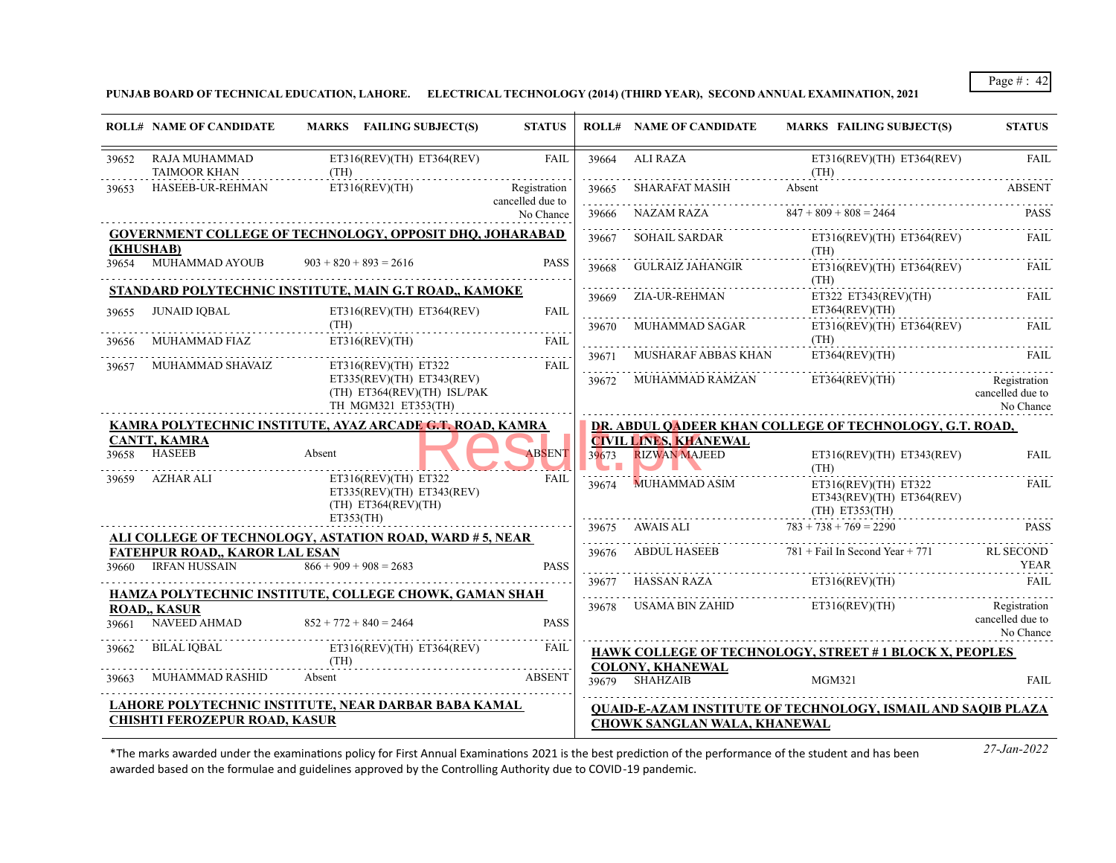**PUNJAB BOARD OF TECHNICAL EDUCATION, LAHORE. ELECTRICAL TECHNOLOGY (2014) (THIRD YEAR), SECOND ANNUAL EXAMINATION, 2021**

|       | <b>ROLL# NAME OF CANDIDATE</b>                                | MARKS FAILING SUBJECT(S)                                                                    | <b>STATUS</b>                 |              | <b>ROLL# NAME OF CANDIDATE</b>                       | <b>MARKS FAILING SUBJECT(S)</b>                                                    | <b>STATUS</b>                                 |
|-------|---------------------------------------------------------------|---------------------------------------------------------------------------------------------|-------------------------------|--------------|------------------------------------------------------|------------------------------------------------------------------------------------|-----------------------------------------------|
| 39652 | RAJA MUHAMMAD<br><b>TAIMOOR KHAN</b>                          | $ET316(REV)(TH)$ $ET364(REV)$<br>(TH)                                                       | FAIL                          | 39664        | ALI RAZA                                             | ET316(REV)(TH) ET364(REV)<br>(TH)                                                  | <b>FAIL</b>                                   |
| 39653 | HASEEB-UR-REHMAN                                              | ET316(REV)(TH)                                                                              | Registration                  | 39665        | SHARAFAT MASIH                                       | Absent                                                                             | <b>ABSENT</b>                                 |
|       |                                                               |                                                                                             | cancelled due to<br>No Chance | 39666        | NAZAM RAZA                                           | $847 + 809 + 808 = 2464$                                                           | <b>PASS</b>                                   |
|       | (KHUSHAB)                                                     | <b>GOVERNMENT COLLEGE OF TECHNOLOGY, OPPOSIT DHQ, JOHARABAD</b>                             |                               | 39667        | <b>SOHAIL SARDAR</b>                                 | $ET316(REV)(TH)$ $ET364(REV)$                                                      | <b>FAIL</b>                                   |
|       | 39654 MUHAMMAD AYOUB                                          | $903 + 820 + 893 = 2616$                                                                    | <b>PASS</b>                   | 39668        | GULRAIZ JAHANGIR                                     | (TH)<br>$ET316(REV)(TH)$ $ET364(REV)$<br>(TH)                                      | <b>FAIL</b>                                   |
|       |                                                               | STANDARD POLYTECHNIC INSTITUTE, MAIN G.T ROAD,, KAMOKE                                      |                               | 39669        | ZIA-UR-REHMAN                                        | ET322 ET343(REV)(TH)                                                               | FAIL                                          |
| 39655 | <b>JUNAID IOBAL</b>                                           | $ET316(REV)(TH)$ $ET364(REV)$                                                               | <b>FAIL</b>                   |              |                                                      | ET364(REV)(TH)                                                                     |                                               |
| 39656 | MUHAMMAD FIAZ                                                 | (TH)<br>ET316(REV)(TH)                                                                      | <b>FAIL</b>                   | 39670        | MUHAMMAD SAGAR                                       | $ET316(REV)(TH)$ $ET364(REV)$<br>(TH)                                              | <b>FAIL</b>                                   |
| 39657 | MUHAMMAD SHAVAIZ                                              | ET316(REV)(TH) ET322                                                                        | FAIL                          | 39671        | <b>MUSHARAF ABBAS KHAN</b>                           | ET364(REV)(TH)                                                                     | FAIL                                          |
|       |                                                               | $ET335(REV)(TH)$ $ET343(REV)$<br>(TH) ET364(REV)(TH) ISL/PAK<br>TH MGM321 ET353(TH)         |                               |              | 39672 MUHAMMAD RAMZAN                                | ET364(REV)(TH)                                                                     | Registration<br>cancelled due to<br>No Chance |
|       |                                                               | KAMRA POLYTECHNIC INSTITUTE, AYAZ ARCADE G.T. ROAD, KAMRA                                   |                               |              |                                                      | DR. ABDUL QADEER KHAN COLLEGE OF TECHNOLOGY, G.T. ROAD,                            |                                               |
| 39658 | <b>CANTT, KAMRA</b><br><b>HASEEB</b>                          | Absent                                                                                      | ABSENT                        | 39673<br>. . | <b>CIVIL LINES, KHANEWAL</b><br><b>RIZWAN MAJEED</b> | $ET316(REV)(TH)$ $ET343(REV)$<br>(TH)                                              | <b>FAIL</b>                                   |
| 39659 | AZHAR ALI                                                     | ET316(REV)(TH) ET322<br>$ET335(REV)(TH)$ $ET343(REV)$<br>$(TH)$ ET364(REV)(TH)<br>ET353(TH) | <b>FAIL</b>                   | 39674        | MUHAMMAD ASIM                                        | $ET316(REV)(TH)$ $ET322$<br>$ET343(REV)(TH)$ $ET364(REV)$<br>$(TH)$ ET353(TH)<br>. | <b>FAIL</b>                                   |
|       |                                                               | <u>ALI COLLEGE OF TECHNOLOGY, ASTATION ROAD, WARD # 5, NEAR</u>                             |                               | 39675        | <b>AWAIS ALI</b>                                     | $783 + 738 + 769 = 2290$                                                           | <b>PASS</b>                                   |
| 39660 | <b>FATEHPUR ROAD., KAROR LAL ESAN</b><br><b>IRFAN HUSSAIN</b> | $866 + 909 + 908 = 2683$                                                                    | <b>PASS</b>                   | 39676        | ABDUL HASEEB                                         | $781 +$ Fail In Second Year + 771                                                  | RL SECOND<br>YEAR                             |
|       |                                                               |                                                                                             |                               | 39677        | HASSAN RAZA                                          | ET316(REV)(TH)                                                                     | <b>FAIL</b>                                   |
| 39661 | <b>ROAD, KASUR</b><br>NAVEED AHMAD                            | HAMZA POLYTECHNIC INSTITUTE, COLLEGE CHOWK, GAMAN SHAH<br>$852 + 772 + 840 = 2464$          | <b>PASS</b>                   | 39678        | USAMA BIN ZAHID                                      | ET316(REV)(TH)                                                                     | Registration<br>cancelled due to<br>No Chance |
| 39662 | BILAL IOBAL                                                   | $ET316(REV)(TH)$ $ET364(REV)$                                                               | FAIL                          |              |                                                      | <b>HAWK COLLEGE OF TECHNOLOGY, STREET #1 BLOCK X, PEOPLES</b>                      |                                               |
| 39663 | <b>MUHAMMAD RASHID</b>                                        | (TH)<br>Absent                                                                              | <b>ABSENT</b>                 | 39679        | <b>COLONY, KHANEWAL</b><br><b>SHAHZAIB</b>           | <b>MGM321</b>                                                                      | <b>FAIL</b>                                   |
|       |                                                               | LAHORE POLYTECHNIC INSTITUTE, NEAR DARBAR BABA KAMAL                                        |                               |              |                                                      | <b>QUAID-E-AZAM INSTITUTE OF TECHNOLOGY, ISMAIL AND SAQIB PLAZA</b>                |                                               |
|       | <b>CHISHTI FEROZEPUR ROAD, KASUR</b>                          |                                                                                             |                               |              | <b>CHOWK SANGLAN WALA, KHANEWAL</b>                  |                                                                                    |                                               |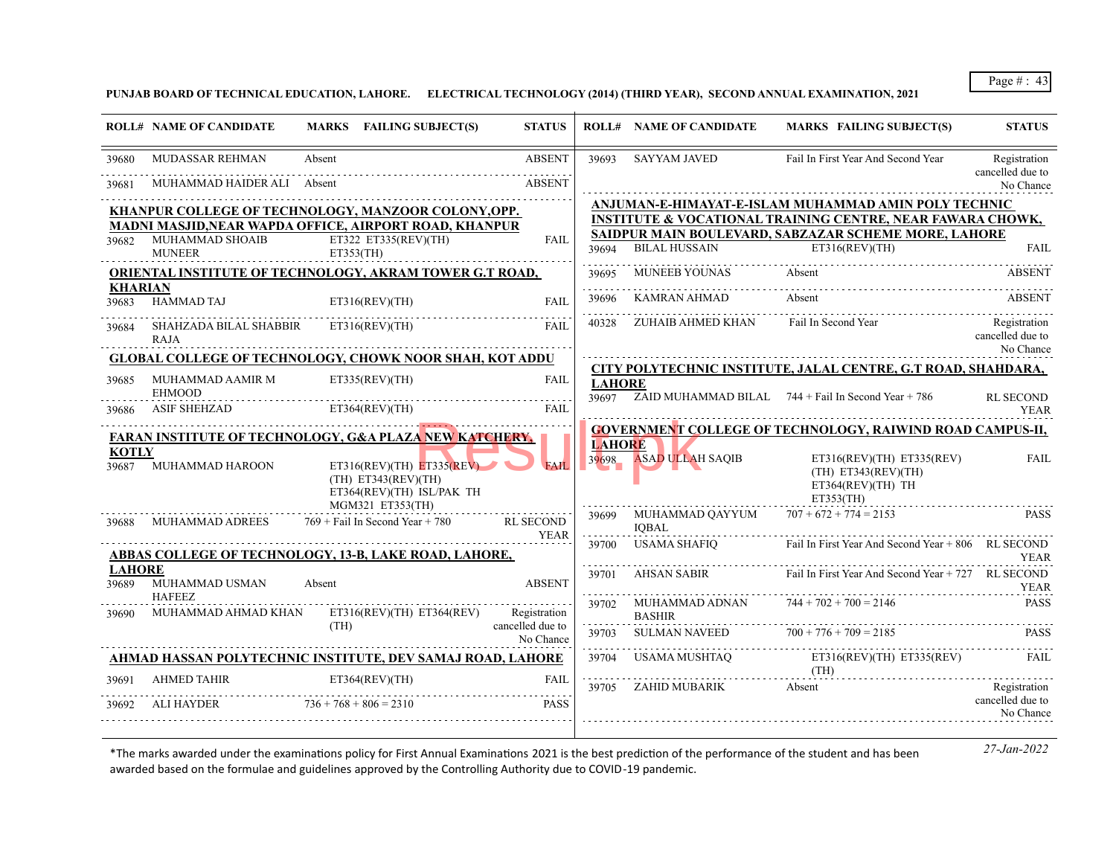**PUNJAB BOARD OF TECHNICAL EDUCATION, LAHORE. ELECTRICAL TECHNOLOGY (2014) (THIRD YEAR), SECOND ANNUAL EXAMINATION, 2021**

|               | <b>ROLL# NAME OF CANDIDATE</b>                                                                                  |        | MARKS FAILING SUBJECT(S)                         | <b>STATUS</b>                   |               | <b>ROLL# NAME OF CANDIDATE</b>         | <b>MARKS FAILING SUBJECT(S)</b>                                       | <b>STATUS</b>                             |
|---------------|-----------------------------------------------------------------------------------------------------------------|--------|--------------------------------------------------|---------------------------------|---------------|----------------------------------------|-----------------------------------------------------------------------|-------------------------------------------|
| 39680         | MUDASSAR REHMAN                                                                                                 | Absent |                                                  | <b>ABSENT</b>                   | 39693         | <b>SAYYAM JAVED</b>                    | Fail In First Year And Second Year                                    | Registration<br>cancelled due to          |
| 39681         | MUHAMMAD HAIDER ALI                                                                                             | Absent |                                                  | <b>ABSENT</b>                   |               |                                        |                                                                       | No Chance                                 |
|               | KHANPUR COLLEGE OF TECHNOLOGY, MANZOOR COLONY, OPP.                                                             |        |                                                  |                                 |               |                                        | ANJUMAN-E-HIMAYAT-E-ISLAM MUHAMMAD AMIN POLY TECHNIC                  |                                           |
|               | MADNI MASJID, NEAR WAPDA OFFICE, AIRPORT ROAD, KHANPUR                                                          |        |                                                  |                                 |               |                                        | <b>INSTITUTE &amp; VOCATIONAL TRAINING CENTRE, NEAR FAWARA CHOWK,</b> |                                           |
|               | 39682 MUHAMMAD SHOAIB                                                                                           |        | ET322 ET335(REV)(TH)                             | <b>FAIL</b>                     |               |                                        | SAIDPUR MAIN BOULEVARD, SABZAZAR SCHEME MORE, LAHORE                  |                                           |
|               | <b>MUNEER</b>                                                                                                   |        | ET353(TH)                                        |                                 |               | 39694 BILAL HUSSAIN                    | ET316(REV)(TH)                                                        | <b>FAIL</b>                               |
|               | ORIENTAL INSTITUTE OF TECHNOLOGY, AKRAM TOWER G.T ROAD,                                                         |        |                                                  |                                 | 39695         | MUNEEB YOUNAS                          | Absent                                                                | <b>ABSENT</b>                             |
|               | KHARIAN                                                                                                         |        |                                                  |                                 | 39696         | KAMRAN AHMAD                           | Absent                                                                | <b>ABSENT</b>                             |
| 39683         | <b>HAMMAD TAJ</b>                                                                                               |        | ET316(REV)(TH)                                   | <b>FAIL</b>                     |               |                                        |                                                                       |                                           |
| 39684         | SHAHZADA BILAL SHABBIR                                                                                          |        | ET316(REV)(TH)                                   | FAIL                            | 40328         | ZUHAIB AHMED KHAN                      | Fail In Second Year                                                   | Registration                              |
|               | RAJA                                                                                                            |        |                                                  |                                 |               |                                        |                                                                       | cancelled due to<br>No Chance             |
|               | GLOBAL COLLEGE OF TECHNOLOGY, CHOWK NOOR SHAH, KOT ADDU                                                         |        |                                                  |                                 |               |                                        |                                                                       |                                           |
| 39685         | MUHAMMAD AAMIR M                                                                                                |        | ET335(REV)(TH)                                   | <b>FAIL</b>                     | <b>LAHORE</b> |                                        | CITY POLYTECHNIC INSTITUTE, JALAL CENTRE, G.T ROAD, SHAHDARA,         |                                           |
|               | <b>EHMOOD</b>                                                                                                   |        |                                                  |                                 |               |                                        | $39697$ ZAID MUHAMMAD BILAL $744 +$ Fail In Second Year + 786         | <b>RL SECOND</b>                          |
|               | <b>ASIF SHEHZAD</b>                                                                                             |        |                                                  |                                 |               |                                        |                                                                       |                                           |
| 39686         |                                                                                                                 |        | ET364(REV)(TH)                                   | <b>FAIL</b>                     |               |                                        |                                                                       | <b>YEAR</b>                               |
|               | the contract of the contract of the contract of the contract of the contract of the contract of the contract of |        |                                                  |                                 |               |                                        | <b>GOVERNMENT COLLEGE OF TECHNOLOGY, RAIWIND ROAD CAMPUS-II,</b>      |                                           |
|               | <b>FARAN INSTITUTE OF TECHNOLOGY, G&amp;A PLAZA NEW KATCHERY,</b>                                               |        |                                                  |                                 | <b>LAHORE</b> |                                        |                                                                       |                                           |
| <b>KOTLY</b>  | 39687 MUHAMMAD HAROON                                                                                           |        |                                                  | <b>FAIL</b>                     |               | 39698 ASAD ULLAH SAOIB                 | $ET316(REV)(TH)$ $ET335(REV)$                                         | <b>FAIL</b>                               |
|               |                                                                                                                 |        | ET316(REV)(TH) ET335(REV)<br>(TH) ET343(REV)(TH) |                                 |               |                                        | $(TH)$ ET343(REV)(TH)                                                 |                                           |
|               |                                                                                                                 |        | ET364(REV)(TH) ISL/PAK TH                        |                                 |               |                                        | ET364(REV)(TH) TH<br>ET353(TH)                                        |                                           |
|               |                                                                                                                 |        | MGM321 ET353(TH)                                 |                                 | 39699         | MUHAMMAD QAYYUM                        | $707 + 672 + 774 = 2153$                                              |                                           |
|               | 39688 MUHAMMAD ADREES                                                                                           |        | $769 +$ Fail In Second Year + 780                | <b>RL SECOND</b><br><b>YEAR</b> |               | <b>IOBAL</b>                           |                                                                       |                                           |
|               |                                                                                                                 |        |                                                  |                                 | 39700         | USAMA SHAFIQ                           | Fail In First Year And Second Year $+806$ RL SECOND                   | PASS                                      |
|               | ABBAS COLLEGE OF TECHNOLOGY, 13-B, LAKE ROAD, LAHORE,                                                           |        |                                                  |                                 |               |                                        |                                                                       |                                           |
| <b>LAHORE</b> | 39689 MUHAMMAD USMAN                                                                                            | Absent |                                                  | <b>ABSENT</b>                   | 39701         | AHSAN SABIR                            | Fail In First Year And Second Year + 727 RL SECOND                    |                                           |
|               | <b>HAFEEZ</b>                                                                                                   |        |                                                  |                                 |               |                                        |                                                                       |                                           |
| 39690         | MUHAMMAD AHMAD KHAN                                                                                             |        | $ET316(REV)(TH)$ $ET364(REV)$                    | Registration                    | 39702         | MUHAMMAD ADNAN<br><b>BASHIR</b>        | $744 + 702 + 700 = 2146$                                              | <b>YEAR</b><br><b>YEAR</b><br><b>PASS</b> |
|               |                                                                                                                 | (TH)   |                                                  | cancelled due to                | 39703         | SULMAN NAVEED $700 + 776 + 709 = 2185$ |                                                                       | <b>PASS</b>                               |
|               |                                                                                                                 |        |                                                  | No Chance                       | .             |                                        |                                                                       |                                           |
|               | AHMAD HASSAN POLYTECHNIC INSTITUTE, DEV SAMAJ ROAD, LAHORE                                                      |        |                                                  |                                 | 39704         |                                        | USAMA MUSHTAQ ET316(REV)(TH) ET335(REV)<br>(TH)                       | <b>FAIL</b>                               |
| 39691         | <b>AHMED TAHIR</b>                                                                                              |        | ET364(REV)(TH)                                   | FAII.                           | 39705         | ZAHID MUBARIK                          | Absent                                                                | Registration                              |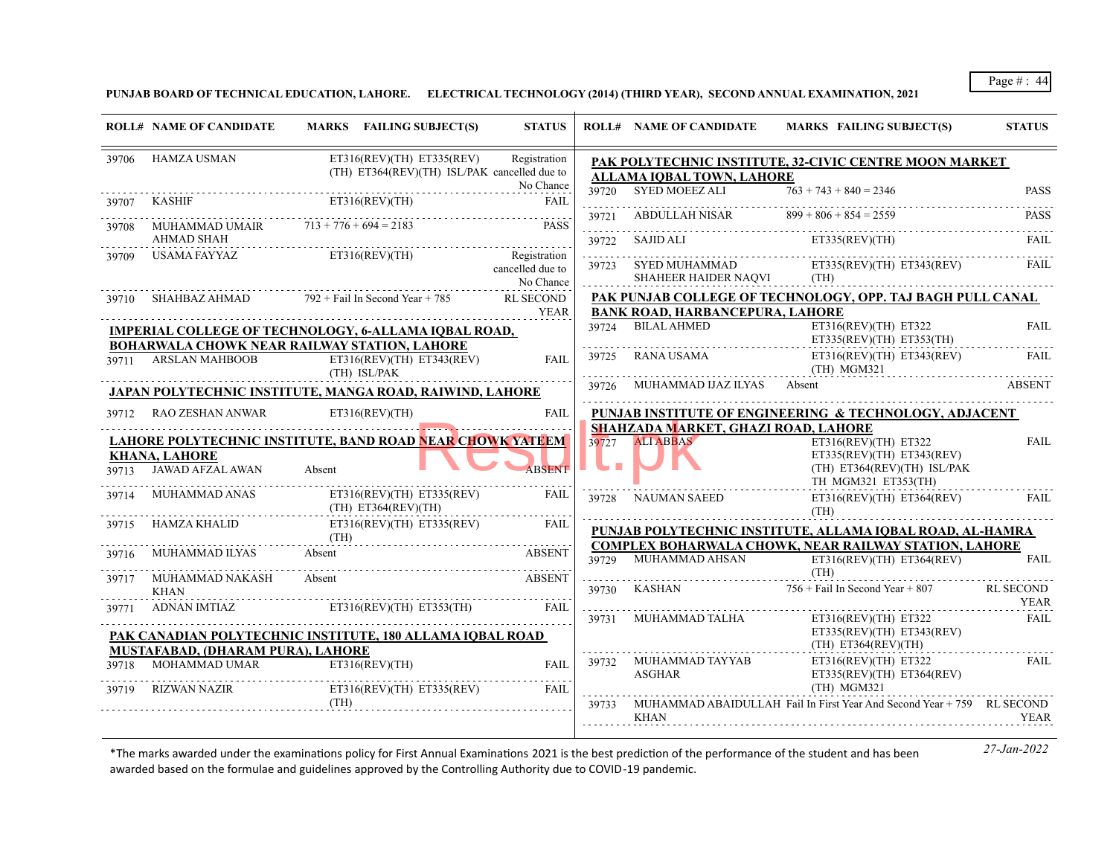**PUNJAB BOARD OF TECHNICAL EDUCATION, LAHORE. ELECTRICAL TECHNOLOGY (2014) (THIRD YEAR), SECOND ANNUAL EXAMINATION, 2021**

|       | <b>ROLL# NAME OF CANDIDATE</b>                               | MARKS FAILING SUBJECT(S)                                                                                 | <b>STATUS</b>                                 |       | <b>ROLL# NAME OF CANDIDATE</b>                                  | <b>MARKS FAILING SUBJECT(S)</b>                                                           | <b>STATUS</b>       |
|-------|--------------------------------------------------------------|----------------------------------------------------------------------------------------------------------|-----------------------------------------------|-------|-----------------------------------------------------------------|-------------------------------------------------------------------------------------------|---------------------|
| 39706 | HAMZA USMAN                                                  | $ET316(REV)(TH)$ $ET335(REV)$<br>(TH) ET364(REV)(TH) ISL/PAK cancelled due to                            | Registration                                  |       | ALLAMA IQBAL TOWN, LAHORE                                       | PAK POLYTECHNIC INSTITUTE, 32-CIVIC CENTRE MOON MARKET                                    |                     |
| 39707 | KASHIF                                                       | ET316(REV)(TH)                                                                                           | No Chance<br><b>FAIL</b>                      |       | 39720 SYED MOEEZ ALI                                            | $763 + 743 + 840 = 2346$                                                                  | <b>PASS</b>         |
| 39708 | MUHAMMAD UMAIR $713 + 776 + 694 = 2183$<br><b>AHMAD SHAH</b> |                                                                                                          | <b>PASS</b>                                   | 39721 | $ABDULLAH NISAR$ $899 + 806 + 854 = 2559$                       | ET335(REV)(TH)                                                                            | <b>PASS</b>         |
| 39709 | USAMA FAYYAZ                                                 | ET316(REV)(TH)                                                                                           | Registration<br>cancelled due to<br>No Chance | 39722 | SAJID ALI<br>39723 SYED MUHAMMAD<br><b>SHAHEER HAIDER NAQVI</b> | ET335(REV)(TH) ET343(REV)<br>(TH)                                                         | FAIL<br><b>FAIL</b> |
|       | 39710 SHAHBAZ AHMAD                                          | $792 +$ Fail In Second Year + 785                                                                        | <b>RL SECOND</b><br>YEAR                      |       | <b>BANK ROAD, HARBANCEPURA, LAHORE</b>                          | PAK PUNJAB COLLEGE OF TECHNOLOGY, OPP. TAJ BAGH PULL CANAL                                |                     |
|       |                                                              | <b>IMPERIAL COLLEGE OF TECHNOLOGY, 6-ALLAMA IQBAL ROAD,</b>                                              |                                               | 39724 | <b>BILAL AHMED</b>                                              | ET316(REV)(TH) ET322<br>$ET335(REV)(TH)$ $ET353(TH)$                                      | <b>FAIL</b>         |
|       | 39711 ARSLAN MAHBOOB                                         | <b>BOHARWALA CHOWK NEAR RAILWAY STATION, LAHORE</b><br>$ET316(REV)(TH)$ $ET343(REV)$<br>(TH) ISL/PAK     | <b>FAIL</b>                                   | 39725 | RANA USAMA                                                      | ET316(REV)(TH) ET343(REV)<br>$(TH)$ MGM321                                                | <b>FAIL</b>         |
|       |                                                              | JAPAN POLYTECHNIC INSTITUTE, MANGA ROAD, RAIWIND, LAHORE                                                 |                                               |       | MUHAMMAD IJAZ ILYAS                                             | Absent                                                                                    | <b>ABSENT</b>       |
|       | 39712 RAO ZESHAN ANWAR                                       | ET316(REV)(TH)                                                                                           | <b>FAIL</b>                                   |       |                                                                 | PUNJAB INSTITUTE OF ENGINEERING & TECHNOLOGY, ADJACENT                                    |                     |
|       |                                                              | <b>LAHORE POLYTECHNIC INSTITUTE, BAND ROAD NEAR CHOWK YATEEM</b>                                         |                                               | 39727 | SHAHZADA MARKET, GHAZI ROAD, LAHORE<br><b>ALI ABBAS</b>         | $ET316(REV)(TH)$ $ET322$                                                                  | <b>FAIL</b>         |
| 39713 | <b>KHANA, LAHORE</b><br>JAWAD AFZAL AWAN                     | Absent                                                                                                   | <b>ABSENT</b>                                 |       |                                                                 | $ET335(REV)(TH)$ $ET343(REV)$<br>(TH) ET364(REV)(TH) ISL/PAK<br>TH MGM321 ET353(TH)       |                     |
| 39714 | MUHAMMAD ANAS                                                | $ET316(REV)(TH)$ $ET335(REV)$<br>$(TH)$ ET364(REV)(TH)                                                   | FAIL                                          |       | 39728 NAUMAN SAEED                                              | ET316(REV)(TH) ET364(REV)<br>(TH)                                                         | <b>FAIL</b>         |
|       |                                                              | HAMZA KHALID ET316(REV)(TH) ET335(REV)<br>$(TH)$ $APSENI$                                                | FAIL                                          |       |                                                                 | PUNJAB POLYTECHNIC INSTITUTE, ALLAMA IOBAL ROAD, AL-HAMRA                                 |                     |
|       | MUHAMMAD ILYAS                                               | Absent                                                                                                   | <b>ABSENT</b>                                 | 39729 | MUHAMMAD AHSAN                                                  | <b>COMPLEX BOHARWALA CHOWK, NEAR RAILWAY STATION, LAHORE</b><br>ET316(REV)(TH) ET364(REV) | <b>FAIL</b>         |
|       | 39717 MUHAMMAD NAKASH<br><b>KHAN</b>                         | Absent                                                                                                   | <b>ABSENT</b>                                 | 39730 |                                                                 | (TH)<br>KASHAN $756 + \text{fail}$ In Second Year + 807                                   | <b>RL SECOND</b>    |
|       |                                                              | 39771 ADNAN IMTIAZ ET316(REV)(TH) ET353(TH)<br>PAK CANADIAN POLYTECHNIC INSTITUTE. 180 ALLAMA IOBAL ROAD | FAII.                                         |       | 39731 MUHAMMAD TALHA                                            | $ET316(REV)(TH)$ $ET322$<br>$ET335(REV)(TH)$ $ET343(REV)$                                 | YEAR<br><b>FAIL</b> |
|       | MUSTAFABAD, (DHARAM PURA), LAHORE<br>MOHAMMAD UMAR           | $ET316$ (REV)(TH)                                                                                        | FAII.                                         |       | 39732 MUHAMMAD TAYYAB                                           | $(TH)$ ET364(REV)(TH)<br>$ET316(REV)(TH)$ $ET322$                                         | FAIL                |
| 39718 | <b>RIZWAN NAZIR</b>                                          | $ET316(REV)(TH)$ $ET335(REV)$                                                                            | FAII.                                         |       | ASGHAR                                                          | ET335(REV)(TH) ET364(REV)<br>(TH) MGM321                                                  |                     |
|       |                                                              | (TH)                                                                                                     |                                               |       | <b>KHAN</b>                                                     | 39733 MUHAMMAD ABAIDULLAH Fail In First Year And Second Year + 759 RL SECOND              | <b>YEAR</b>         |
|       |                                                              |                                                                                                          |                                               |       |                                                                 |                                                                                           |                     |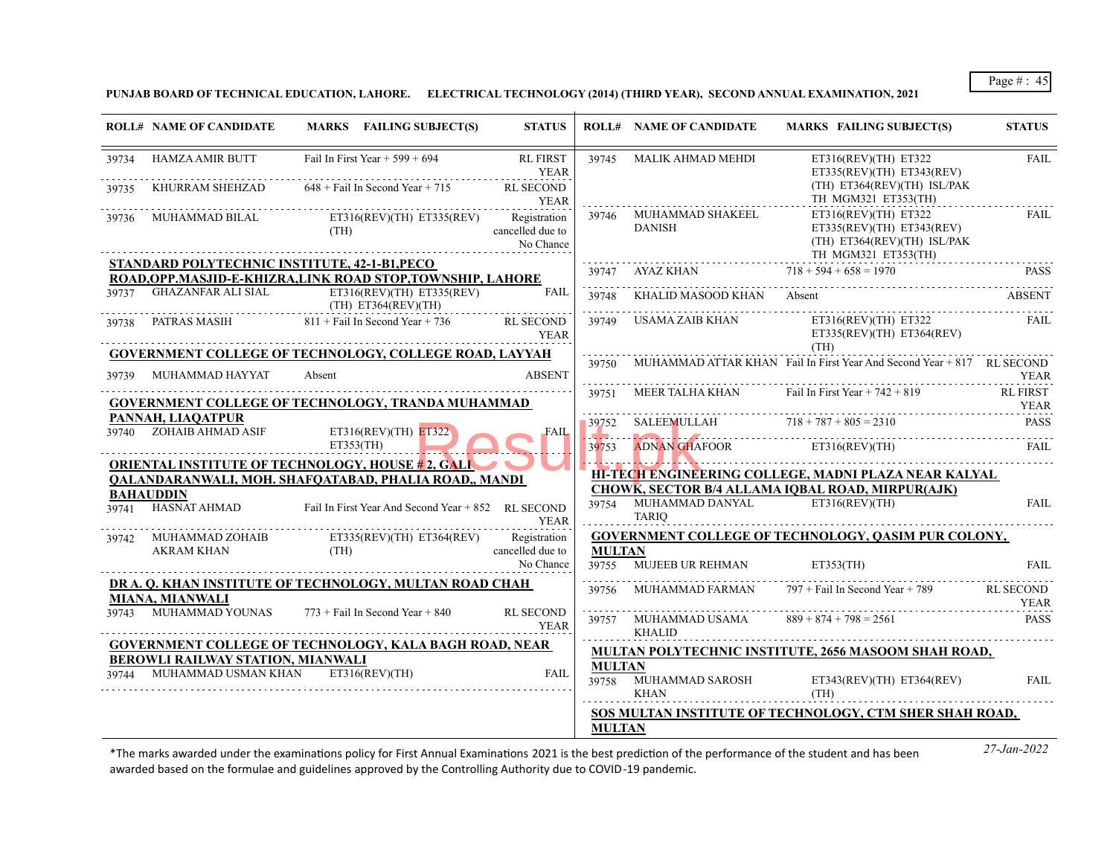**PUNJAB BOARD OF TECHNICAL EDUCATION, LAHORE. ELECTRICAL TECHNOLOGY (2014) (THIRD YEAR), SECOND ANNUAL EXAMINATION, 2021**

| <b>ROLL# NAME OF CANDIDATE</b>                                          | MARKS FAILING SUBJECT(S)                                                                                                                    | <b>STATUS</b>                   |                        | <b>ROLL# NAME OF CANDIDATE</b>                | MARKS FAILING SUBJECT(S)                                                                                          | <b>STATUS</b>    |
|-------------------------------------------------------------------------|---------------------------------------------------------------------------------------------------------------------------------------------|---------------------------------|------------------------|-----------------------------------------------|-------------------------------------------------------------------------------------------------------------------|------------------|
| 39734 HAMZA AMIR BUTT                                                   | Fail In First Year $+$ 599 + 694                                                                                                            | <b>RL FIRST</b><br><b>YEAR</b>  |                        | 39745 MALIK AHMAD MEHDI                       | ET316(REV)(TH) ET322<br>ET335(REV)(TH) ET343(REV)<br>$(TH)$ ET364(REV)(TH) ISL/PAK                                | <b>FAIL</b>      |
| KHURRAM SHEHZAD                                                         | $648 +$ Fail In Second Year + 715                                                                                                           | <b>RL SECOND</b>                |                        |                                               | TH MGM321 ET353(TH)                                                                                               |                  |
| MUHAMMAD BILAL                                                          | YEAR<br>MUHAMMAD RII AI<br>ET316(REV)(TH) ET335(REV) Registration<br>(TH)                                                                   | cancelled due to<br>No Chance   |                        | 39746 MUHAMMAD SHAKEEL<br>DANISH              | $ET316(REV)(TH)$ $ET322$<br>$ET335(REV)(TH)$ $ET343(REV)$<br>$(TH)$ ET364(REV)(TH) ISL/PAK<br>TH MGM321 ET353(TH) | FAIL             |
|                                                                         | STANDARD POLYTECHNIC INSTITUTE, 42-1-B1,PECO                                                                                                |                                 |                        | 39747 AYAZ KHAN $718 + 594 + 658 = 1970$      |                                                                                                                   | <b>PASS</b>      |
|                                                                         | ROAD, OPP. MASJID-E-KHIZRA, LINK ROAD STOP, TOWNSHIP, LAHORE<br>39737 GHAZANFAR ALI SIAL ET316(REV)(TH) ET335(REV)<br>$(TH)$ ET364(REV)(TH) | FAIL                            |                        | 39748 KHALID MASOOD KHAN Absent               |                                                                                                                   | <b>ABSENT</b>    |
|                                                                         | 39738 PATRAS MASIH 811 + Fail In Second Year + 736                                                                                          | <b>RL SECOND</b><br>YEAR        |                        |                                               | 39749 USAMA ZAIB KHAN ET316(REV)(TH) ET322<br>ET335(REV)(TH) ET364(REV)<br>(TH)                                   | <b>FAIL</b>      |
| 39739 MUHAMMAD HAYYAT                                                   | <b>GOVERNMENT COLLEGE OF TECHNOLOGY, COLLEGE ROAD, LAYYAH</b><br>Absent                                                                     | <b>ABSENT</b>                   | 39750                  |                                               | MUHAMMAD ATTAR KHAN Fail In First Year And Second Year + 817 RL SECOND                                            | YEAR             |
|                                                                         | <b>GOVERNMENT COLLEGE OF TECHNOLOGY, TRANDA MUHAMMAD</b>                                                                                    |                                 |                        |                                               | $39751$ MEER TALHA KHAN Fail In First Year + 742 + 819                                                            | RL FIRST<br>YEAR |
| PANNAH, LIAQATPUR<br>39740 ZOHAIB AHMAD ASIF                            | ET316(REV)(TH) ET322                                                                                                                        | <b>FAIL</b>                     |                        | $39752$ SALEEMULLAH $718 + 787 + 805 = 2310$  |                                                                                                                   | <b>PASS</b>      |
|                                                                         | ET353(TH)<br><b>ORIENTAL INSTITUTE OF TECHNOLOGY, HOUSE # 2, GALI</b>                                                                       |                                 | 39753                  | ADNAN GHAFOOR ET316(REV)(TH)                  |                                                                                                                   | <b>FAIL</b>      |
|                                                                         | QALANDARANWALI, MOH. SHAFQATABAD, PHALIA ROAD,, MANDI                                                                                       |                                 |                        |                                               | HI-TECH ENGINEERING COLLEGE, MADNI PLAZA NEAR KALYAL                                                              |                  |
| <b>BAHAUDDIN</b>                                                        |                                                                                                                                             |                                 |                        |                                               | <b>CHOWK, SECTOR B/4 ALLAMA IOBAL ROAD, MIRPUR(AJK)</b>                                                           |                  |
|                                                                         | 39741 HASNAT AHMAD Fail In First Year And Second Year + 852 RL SECOND                                                                       | <b>YEAR</b>                     |                        | 39754 MUHAMMAD DANYAL ET316(REV)(TH)<br>TARIO |                                                                                                                   | <b>FAIL</b>      |
|                                                                         | 39742 MUHAMMAD ZOHAIB ET335(REV)(TH) ET364(REV) Registration<br>AKRAM KHAN (TH) (TH) cancelled due to                                       |                                 |                        |                                               | <b>GOVERNMENT COLLEGE OF TECHNOLOGY, OASIM PUR COLONY,</b>                                                        |                  |
| <b>AKRAM KHAN</b>                                                       | (TH)                                                                                                                                        | cancelled due to<br>No Chance   | <b>MULTAN</b><br>39755 | <b>MUJEEB UR REHMAN</b>                       | ET353(TH)                                                                                                         | <b>FAIL</b>      |
| MIANA, MIANWALI                                                         | DR A. O. KHAN INSTITUTE OF TECHNOLOGY, MULTAN ROAD CHAH                                                                                     |                                 | 39756                  | MUHAMMAD FARMAN                               | 797 + Fail In Second Year + 789 RL SECOND                                                                         | YEAR             |
|                                                                         | $39743$ MUHAMMAD YOUNAS $773 +$ Fail In Second Year $+ 840$                                                                                 | <b>RL SECOND</b><br><b>YEAR</b> |                        | 39757 MUHAMMAD USAMA<br><b>KHALID</b>         | $889 + 874 + 798 = 2561$                                                                                          | <b>PASS</b>      |
|                                                                         | <b>GOVERNMENT COLLEGE OF TECHNOLOGY, KALA BAGH ROAD, NEAR</b>                                                                               |                                 |                        |                                               | MULTAN POLYTECHNIC INSTITUTE, 2656 MASOOM SHAH ROAD,                                                              |                  |
| BEROWLI RAILWAY STATION, MIANWALI<br>MUHAMMAD USMAN KHAN ET316(REV)(TH) |                                                                                                                                             | <b>FAIL</b>                     | <b>MULTAN</b>          |                                               |                                                                                                                   |                  |
|                                                                         |                                                                                                                                             |                                 | .                      | KHAN                                          | 39758 MUHAMMAD SAROSH ET343(REV)(TH) ET364(REV)<br>(TH)                                                           | FAIL             |
|                                                                         |                                                                                                                                             |                                 |                        |                                               | SOS MULTAN INSTITUTE OF TECHNOLOGY, CTM SHER SHAH ROAD,                                                           |                  |
|                                                                         |                                                                                                                                             |                                 | <b>MULTAN</b>          |                                               |                                                                                                                   |                  |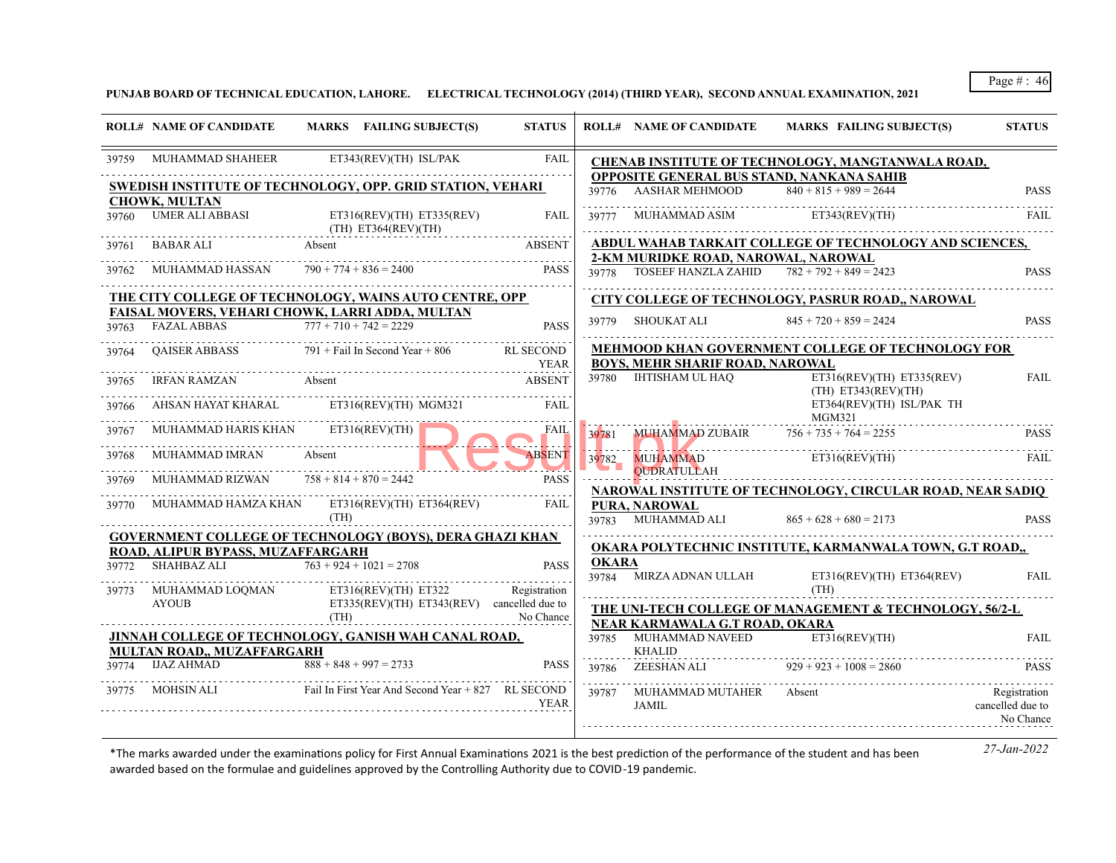**PUNJAB BOARD OF TECHNICAL EDUCATION, LAHORE. ELECTRICAL TECHNOLOGY (2014) (THIRD YEAR), SECOND ANNUAL EXAMINATION, 2021**

| <b>STATUS</b>                                 | MARKS FAILING SUBJECT(S)                                           | <b>ROLL# NAME OF CANDIDATE</b>                                                            |              | <b>STATUS</b>                   | MARKS FAILING SUBJECT(S)                                                    | <b>ROLL# NAME OF CANDIDATE</b>                          |       |
|-----------------------------------------------|--------------------------------------------------------------------|-------------------------------------------------------------------------------------------|--------------|---------------------------------|-----------------------------------------------------------------------------|---------------------------------------------------------|-------|
|                                               | CHENAB INSTITUTE OF TECHNOLOGY, MANGTANWALA ROAD,                  |                                                                                           |              | <b>FAIL</b>                     | ET343(REV)(TH) ISL/PAK                                                      | MUHAMMAD SHAHEER                                        | 39759 |
| <b>PASS</b>                                   | $840 + 815 + 989 = 2644$                                           | OPPOSITE GENERAL BUS STAND, NANKANA SAHIB<br><b>AASHAR MEHMOOD</b>                        | 39776        |                                 | SWEDISH INSTITUTE OF TECHNOLOGY, OPP. GRID STATION, VEHARI                  | <b>CHOWK, MULTAN</b>                                    |       |
| FAIL.                                         | ET343(REV)(TH)                                                     | MUHAMMAD ASIM                                                                             | 39777        | FAIL                            | ET316(REV)(TH) ET335(REV)<br>$(TH)$ ET364(REV)(TH)                          | 39760 UMER ALI ABBASI                                   |       |
|                                               | ABDUL WAHAB TARKAIT COLLEGE OF TECHNOLOGY AND SCIENCES,            |                                                                                           |              | <b>ABSENT</b>                   | Absent                                                                      | BABAR ALI                                               | 39761 |
| <b>PASS</b>                                   |                                                                    | 2-KM MURIDKE ROAD, NAROWAL, NAROWAL<br>39778 TOSEEF HANZLA ZAHID $782 + 792 + 849 = 2423$ |              | <b>PASS</b>                     | $790 + 774 + 836 = 2400$                                                    | MUHAMMAD HASSAN                                         | 39762 |
|                                               | CITY COLLEGE OF TECHNOLOGY, PASRUR ROAD,, NAROWAL                  |                                                                                           |              |                                 | THE CITY COLLEGE OF TECHNOLOGY, WAINS AUTO CENTRE, OPP                      |                                                         |       |
| <b>PASS</b><br>.                              | $845 + 720 + 859 = 2424$                                           | 39779 SHOUKAT ALI                                                                         |              | <b>PASS</b>                     | FAISAL MOVERS, VEHARI CHOWK, LARRI ADDA, MULTAN<br>$777 + 710 + 742 = 2229$ | <b>FAZAL ABBAS</b>                                      | 39763 |
|                                               | <b>MEHMOOD KHAN GOVERNMENT COLLEGE OF TECHNOLOGY FOR</b>           | <b>BOYS. MEHR SHARIF ROAD. NAROWAL</b>                                                    |              | <b>RL SECOND</b><br><b>YEAR</b> | $791 +$ Fail In Second Year + 806                                           | <b>OAISER ABBASS</b>                                    | 39764 |
| <b>FAIL</b>                                   | ET316(REV)(TH) ET335(REV)<br>$(TH)$ ET343(REV)(TH)                 | 39780 IHTISHAM UL HAO                                                                     |              | <b>ABSENT</b>                   | Absent                                                                      | <b>IRFAN RAMZAN</b>                                     | 39765 |
|                                               | ET364(REV)(TH) ISL/PAK TH<br>MGM321                                |                                                                                           |              | FAIL                            | ET316(REV)(TH) MGM321                                                       | AHSAN HAYAT KHARAL                                      | 39766 |
| <b>PASS</b>                                   | $756 + 735 + 764 = 2255$                                           | MUHAMMAD ZUBAIR                                                                           | 39781        | FAIL                            | ET316(REV)(TH)                                                              | MUHAMMAD HARIS KHAN                                     | 39767 |
| <b>FAIL</b>                                   | ET316(REV)(TH)                                                     | <b>MUHAMMAD</b><br><b>QUDRATULLAH</b>                                                     | 39782        | ABSENT                          | Absent                                                                      | <b>MUHAMMAD IMRAN</b>                                   | 39768 |
|                                               | NAROWAL INSTITUTE OF TECHNOLOGY, CIRCULAR ROAD, NEAR SADIQ         |                                                                                           |              | <b>PASS</b>                     | $758 + 814 + 870 = 2442$                                                    | MUHAMMAD RIZWAN                                         | 39769 |
| <b>PASS</b>                                   | $865 + 628 + 680 = 2173$                                           | PURA, NAROWAL<br>39783 MUHAMMAD ALI                                                       |              | FAII.                           | MUHAMMAD HAMZA KHAN ET316(REV)(TH) ET364(REV)<br>(TH)                       |                                                         | 39770 |
|                                               | OKARA POLYTECHNIC INSTITUTE, KARMANWALA TOWN, G.T ROAD,,           |                                                                                           |              |                                 | <b>GOVERNMENT COLLEGE OF TECHNOLOGY (BOYS), DERA GHAZI KHAN</b>             |                                                         |       |
|                                               |                                                                    |                                                                                           | <b>OKARA</b> | <b>PASS</b>                     | $763 + 924 + 1021 = 2708$                                                   | ROAD, ALIPUR BYPASS, MUZAFFARGARH<br><b>SHAHBAZ ALI</b> | 39772 |
| FAII.                                         | ET316(REV)(TH) ET364(REV)<br>(TH)                                  | 39784 MIRZA ADNAN ULLAH                                                                   |              | Registration                    | $ET316(REV)(TH)$ $ET322$                                                    | MUHAMMAD LOQMAN                                         | 39773 |
|                                               | <b>THE UNI-TECH COLLEGE OF MANAGEMENT &amp; TECHNOLOGY, 56/2-L</b> |                                                                                           |              | No Chance                       | $ET335(REV)(TH) ET343(REV)$ cancelled due to<br>(TH)                        | <b>AYOUB</b>                                            |       |
| <b>FAIL</b>                                   | ET316(REV)(TH)                                                     | NEAR KARMAWALA G.T ROAD, OKARA<br>39785 MUHAMMAD NAVEED<br><b>KHALID</b>                  |              |                                 | JINNAH COLLEGE OF TECHNOLOGY, GANISH WAH CANAL ROAD,                        | <b>MULTAN ROAD., MUZAFFARGARH</b>                       |       |
| <b>PASS</b>                                   | $929 + 923 + 1008 = 2860$                                          | ZEESHAN ALI                                                                               | 39786        | <b>PASS</b>                     | $\overline{888} + 848 + 997 = 2733$                                         | IJAZ AHMAD                                              | 39774 |
| Registration<br>cancelled due to<br>No Chance | Absent                                                             | MUHAMMAD MUTAHER<br>JAMIL                                                                 | 39787        | <b>YEAR</b>                     | Fail In First Year And Second Year + 827 RL SECOND                          | .<br>MOHSIN ALI                                         | 39775 |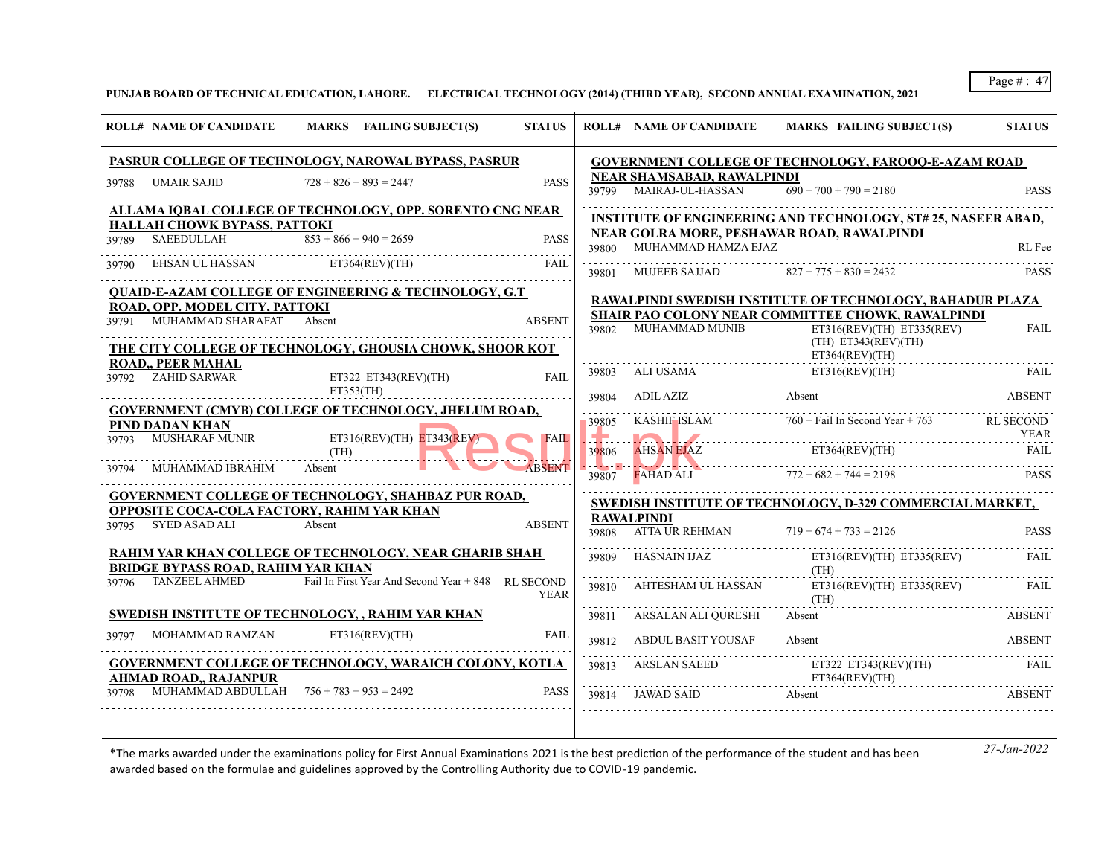**PUNJAB BOARD OF TECHNICAL EDUCATION, LAHORE. ELECTRICAL TECHNOLOGY (2014) (THIRD YEAR), SECOND ANNUAL EXAMINATION, 2021**

|       | <b>ROLL# NAME OF CANDIDATE</b>                                                                                         |                | MARKS FAILING SUBJECT(S)                           | <b>STATUS</b> |                                     | <b>ROLL# NAME OF CANDIDATE</b>                              | <b>MARKS FAILING SUBJECT(S)</b>                                                                         | <b>STATUS</b>                   |
|-------|------------------------------------------------------------------------------------------------------------------------|----------------|----------------------------------------------------|---------------|-------------------------------------|-------------------------------------------------------------|---------------------------------------------------------------------------------------------------------|---------------------------------|
|       | PASRUR COLLEGE OF TECHNOLOGY, NAROWAL BYPASS, PASRUR                                                                   |                |                                                    |               |                                     |                                                             | <b>GOVERNMENT COLLEGE OF TECHNOLOGY, FAROOQ-E-AZAM ROAD</b>                                             |                                 |
| 39788 | UMAIR SAJID                                                                                                            |                | $728 + 826 + 893 = 2447$                           | <b>PASS</b>   |                                     | <b>NEAR SHAMSABAD, RAWALPINDI</b><br>39799 MAIRAJ-UL-HASSAN | $690 + 700 + 790 = 2180$                                                                                | <b>PASS</b>                     |
|       | ALLAMA IQBAL COLLEGE OF TECHNOLOGY, OPP. SORENTO CNG NEAR                                                              |                |                                                    |               |                                     |                                                             | <b>INSTITUTE OF ENGINEERING AND TECHNOLOGY, ST# 25, NASEER ABAD,</b>                                    |                                 |
| 39789 | HALLAH CHOWK BYPASS, PATTOKI<br><b>SAEEDULLAH</b>                                                                      |                | $853 + 866 + 940 = 2659$                           | <b>PASS</b>   | 39800                               | MUHAMMAD HAMZA EJAZ                                         | NEAR GOLRA MORE, PESHAWAR ROAD, RAWALPINDI                                                              | RL Fee                          |
|       | EHSAN UL HASSAN                                                                                                        |                | ET364(REV)(TH)                                     | FAII.         | 39801                               | <b>MUJEEB SAJJAD</b>                                        | $827 + 775 + 830 = 2432$                                                                                | <b>PASS</b>                     |
|       | <b>QUAID-E-AZAM COLLEGE OF ENGINEERING &amp; TECHNOLOGY, G.T</b>                                                       |                |                                                    |               |                                     |                                                             | RAWALPINDI SWEDISH INSTITUTE OF TECHNOLOGY, BAHADUR PLAZA                                               |                                 |
| 39791 | ROAD, OPP. MODEL CITY, PATTOKI<br>MUHAMMAD SHARAFAT Absent<br>THE CITY COLLEGE OF TECHNOLOGY, GHOUSIA CHOWK, SHOOR KOT |                |                                                    | <b>ABSENT</b> |                                     | 39802 MUHAMMAD MUNIB                                        | SHAIR PAO COLONY NEAR COMMITTEE CHOWK, RAWALPINDI<br>ET316(REV)(TH) ET335(REV)<br>$(TH)$ ET343(REV)(TH) | <b>FAIL</b>                     |
| 39792 | <b>ROAD,, PEER MAHAL</b><br>ZAHID SARWAR                                                                               |                | ET322 ET343(REV)(TH)                               | FAIL          | 39803                               | $ET364(REV)(TH)$<br>ALLUSAMA<br>ALI USAMA ET316(REV)(TH)    |                                                                                                         | FAIL                            |
|       |                                                                                                                        |                | ET353(TH)                                          |               | 39804                               | ADIL AZIZ                                                   | Absent                                                                                                  | <b>ABSENT</b>                   |
| 39793 | <b>GOVERNMENT (CMYB) COLLEGE OF TECHNOLOGY, JHELUM ROAD,</b><br><b>PIND DADAN KHAN</b><br><b>MUSHARAF MUNIR</b>        |                | $ET316(REV)(TH)$ $ET343(REV)$                      | <b>FAIL</b>   | 39805                               | KASHIF ISLAM                                                | $760 +$ Fail In Second Year + 763                                                                       | <b>RL SECOND</b><br><b>YEAR</b> |
|       | MUHAMMAD IBRAHIM                                                                                                       | (TH)<br>Absent |                                                    | <b>ABSENT</b> | 39806<br>a d <mark>e la capa</mark> | <b>AHSAN EJAZ</b>                                           | ET364(REV)(TH)                                                                                          | <b>FAIL</b>                     |
|       |                                                                                                                        |                |                                                    |               | 39807                               | <b>FAHAD ALI</b>                                            | $772 + 682 + 744 = 2198$                                                                                | <b>PASS</b>                     |
|       | <b>GOVERNMENT COLLEGE OF TECHNOLOGY, SHAHBAZ PUR ROAD,</b><br>OPPOSITE COCA-COLA FACTORY, RAHIM YAR KHAN               |                |                                                    |               |                                     | <b>RAWALPINDI</b>                                           | <b>SWEDISH INSTITUTE OF TECHNOLOGY, D-329 COMMERCIAL MARKET,</b>                                        |                                 |
|       | 39795 SYED ASAD ALI                                                                                                    | Absent         |                                                    | <b>ABSENT</b> | 39808                               | <b>ATTA UR REHMAN</b>                                       | $719 + 674 + 733 = 2126$                                                                                | <b>PASS</b>                     |
|       | RAHIM YAR KHAN COLLEGE OF TECHNOLOGY, NEAR GHARIB SHAH<br><b>BRIDGE BYPASS ROAD, RAHIM YAR KHAN</b>                    |                |                                                    |               | 39809                               | HASNAIN IJAZ                                                | ET316(REV)(TH) ET335(REV)<br>(TH)                                                                       | <b>FAIL</b>                     |
| 39796 | <b>TANZEEL AHMED</b>                                                                                                   |                | Fail In First Year And Second Year + 848 RL SECOND | <b>YEAR</b>   | 39810                               | AHTESHAM UL HASSAN                                          | $ET316(REV)(TH)$ $ET335(REV)$<br>(TH)                                                                   | FAIL                            |
|       | SWEDISH INSTITUTE OF TECHNOLOGY, , RAHIM YAR KHAN                                                                      |                |                                                    |               | 39811                               | ARSALAN ALI QURESHI                                         | Absent                                                                                                  | <b>ABSENT</b>                   |
| 39797 | MOHAMMAD RAMZAN                                                                                                        |                | ET316(REV)(TH)                                     | FAIL          | 39812                               | <b>ABDUL BASIT YOUSAF</b>                                   | Absent                                                                                                  | <b>ABSENT</b>                   |
|       | GOVERNMENT COLLEGE OF TECHNOLOGY, WARAICH COLONY, KOTLA<br><b>AHMAD ROAD,, RAJANPUR</b>                                |                |                                                    |               | 39813                               | <b>ARSLAN SAEED</b>                                         | ET322 ET343(REV)(TH)<br>ET364(REV)(TH)                                                                  | <b>FAIL</b>                     |
| 39798 | MUHAMMAD ABDULLAH $756 + 783 + 953 = 2492$                                                                             |                |                                                    | <b>PASS</b>   | 39814                               | JAWAD SAID                                                  | Absent                                                                                                  | <b>ABSENT</b>                   |
|       |                                                                                                                        |                |                                                    |               |                                     |                                                             |                                                                                                         |                                 |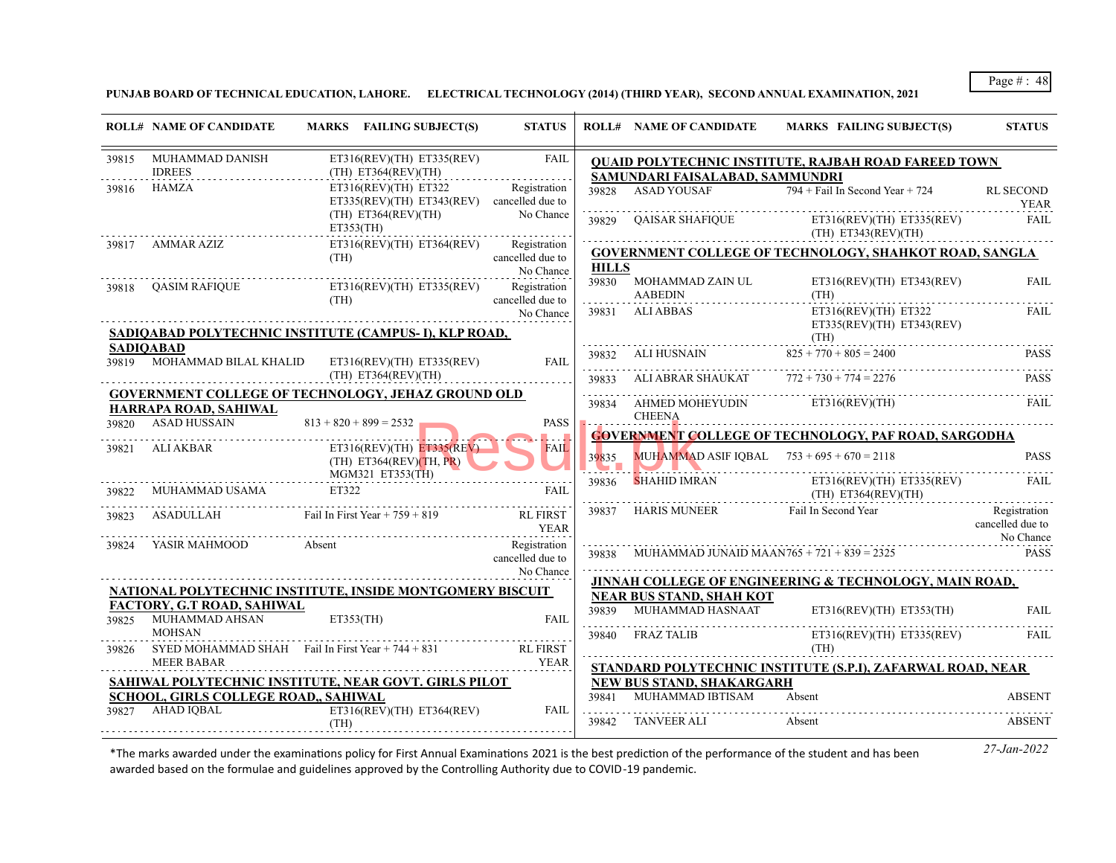**PUNJAB BOARD OF TECHNICAL EDUCATION, LAHORE. ELECTRICAL TECHNOLOGY (2014) (THIRD YEAR), SECOND ANNUAL EXAMINATION, 2021**

|       | <b>ROLL# NAME OF CANDIDATE</b>                     | MARKS FAILING SUBJECT(S)                                                         | <b>STATUS</b>                                 |                      | <b>ROLL# NAME OF CANDIDATE</b>                                                     | MARKS FAILING SUBJECT(S)                                          | <b>STATUS</b>                                 |
|-------|----------------------------------------------------|----------------------------------------------------------------------------------|-----------------------------------------------|----------------------|------------------------------------------------------------------------------------|-------------------------------------------------------------------|-----------------------------------------------|
| 39815 | MUHAMMAD DANISH<br><b>IDREES</b>                   | ET316(REV)(TH) ET335(REV)<br>$(TH)$ ET364(REV)(TH)                               | FAIL                                          |                      | SAMUNDARI FAISALABAD, SAMMUNDRI                                                    | <b>QUAID POLYTECHNIC INSTITUTE, RAJBAH ROAD FAREED TOWN</b>       |                                               |
| 39816 | HAMZA                                              | $ET316(REV)(TH)$ $ET322$<br>$ET335(REV)(TH) ET343(REV)$ cancelled due to         | Registration                                  |                      | 39828 ASAD YOUSAF                                                                  | $794 +$ Fail In Second Year + 724                                 | <b>RL SECOND</b><br><b>YEAR</b>               |
|       |                                                    | (TH) ET364(REV)(TH)<br>ET353(TH)                                                 | No Chance<br>.                                | 39829                | QAISAR SHAFIQUE                                                                    | $ET316(REV)(TH)$ $ET335(REV)$<br>(TH) E T343(REV)(TH)             | FAIL                                          |
| 39817 | AMMAR AZIZ                                         | ET316(REV)(TH) ET364(REV)<br>(TH)                                                | Registration<br>cancelled due to<br>No Chance | <b>HILLS</b>         |                                                                                    | <b>GOVERNMENT COLLEGE OF TECHNOLOGY, SHAHKOT ROAD, SANGLA</b>     |                                               |
|       | 39818 QASIM RAFIQUE                                | $ET316(REV)(TH)$ $ET335(REV)$<br>(TH)                                            | Registration<br>cancelled due to              |                      | 39830 MOHAMMAD ZAIN UL<br>AABEDIN                                                  | $ET316(REV)(TH)$ $ET343(REV)$<br>(TH)                             | <b>FAIL</b>                                   |
|       |                                                    | SADIQABAD POLYTECHNIC INSTITUTE (CAMPUS- I), KLP ROAD,                           | No Chance                                     |                      | 39831 ALIABBAS                                                                     | ET316(REV)(TH) ET322<br>$ET335(REV)(TH)$ $ET343(REV)$<br>(TH)     | <b>FAIL</b>                                   |
|       | <b>SADIOABAD</b>                                   | 39819 MOHAMMAD BILAL KHALID ET316(REV)(TH) ET335(REV)                            | <b>FAIL</b>                                   |                      | 39832 ALI HUSNAIN                                                                  | $825 + 770 + 805 = 2400$                                          | <b>PASS</b>                                   |
|       | HARRAPA ROAD, SAHIWAL                              | (TH) ET364(REV)(TH)<br><b>GOVERNMENT COLLEGE OF TECHNOLOGY, JEHAZ GROUND OLD</b> |                                               | 39833                | ALI ABRAR SHAUKAT $772 + 730 + 774 = 2276$<br>39834 AHMED MOHEYUDIN ET316(REV)(TH) |                                                                   | <b>PASS</b><br>FAIL                           |
|       | 39820 ASAD HUSSAIN 813 + 820 + 899 = 2532          |                                                                                  | PASS<br>$\mathbf{H}$                          |                      | <b>CHEENA</b>                                                                      | <b>GOVERNMENT COLLEGE OF TECHNOLOGY, PAF ROAD, SARGODHA</b>       |                                               |
|       | 39821 ALI AKBAR                                    | $ET316(REV)(TH)$ $ET335(REV)$<br>$(TH)$ ET364(REV)(TH, PR)<br>MGM321 ET353(TH)   | <b>FAIL</b>                                   | 39835<br><b>STEP</b> | MUHAMMAD ASIF IQBAL $753 + 695 + 670 = 2118$                                       |                                                                   | <b>PASS</b>                                   |
| 39822 | MUHAMMAD USAMA                                     | ET322                                                                            | <b>FAIL</b>                                   | 39836                |                                                                                    | SHAHID IMRAN ET316(REV)(TH) ET335(REV)<br>$(TH)$ ET364(REV)(TH)   | FAIL                                          |
| 39823 |                                                    | $ASADULLAH$ Fail In First Year + 759 + 819                                       | <b>RL FIRST</b><br><b>YEAR</b>                |                      | 39837 HARIS MUNEER Fail In Second Year                                             |                                                                   | Registration<br>cancelled due to<br>No Chance |
| 39824 | YASIR MAHMOOD                                      | Absent                                                                           | Registration<br>cancelled due to<br>No Chance |                      |                                                                                    | MUHAMMAD JUNAID MAAN765 + 721 + 839 = 2325 PASS                   |                                               |
|       |                                                    | NATIONAL POLYTECHNIC INSTITUTE, INSIDE MONTGOMERY BISCUIT                        |                                               |                      |                                                                                    | <b>JINNAH COLLEGE OF ENGINEERING &amp; TECHNOLOGY, MAIN ROAD,</b> |                                               |
|       | FACTORY, G.T ROAD, SAHIWAL<br>39825 MUHAMMAD AHSAN | ET353(TH)                                                                        | <b>FAIL</b>                                   |                      | <b>NEAR BUS STAND, SHAH KOT</b><br>39839 MUHAMMAD HASNAAT                          | $ET316(REV)(TH)$ $ET353(TH)$                                      | <b>FAIL</b>                                   |
| 39826 | <b>MOHSAN</b>                                      | SYED MOHAMMAD SHAH Fail In First Year $+ 744 + 831$                              | <b>RL FIRST</b>                               |                      | 39840 FRAZ TALIB                                                                   | $ET316(REV)(TH)$ $ET335(REV)$<br>(TH)                             | FAIL                                          |
|       | <b>MEER BABAR</b>                                  |                                                                                  | <b>YEAR</b>                                   |                      |                                                                                    | STANDARD POLYTECHNIC INSTITUTE (S.P.I), ZAFARWAL ROAD, NEAR       |                                               |
|       | SCHOOL, GIRLS COLLEGE ROAD,, SAHIWAL               | SAHIWAL POLYTECHNIC INSTITUTE, NEAR GOVT. GIRLS PILOT                            |                                               |                      | NEW BUS STAND, SHAKARGARH<br>39841 MUHAMMAD IBTISAM                                | Absent                                                            | <b>ABSENT</b>                                 |
|       | 39827 AHAD IQBAL                                   | $ET316(REV)(TH)$ $ET364(REV)$<br>(TH)                                            | FAIL                                          |                      | 39842 TANVEER ALI                                                                  | Absent                                                            | <b>ABSENT</b>                                 |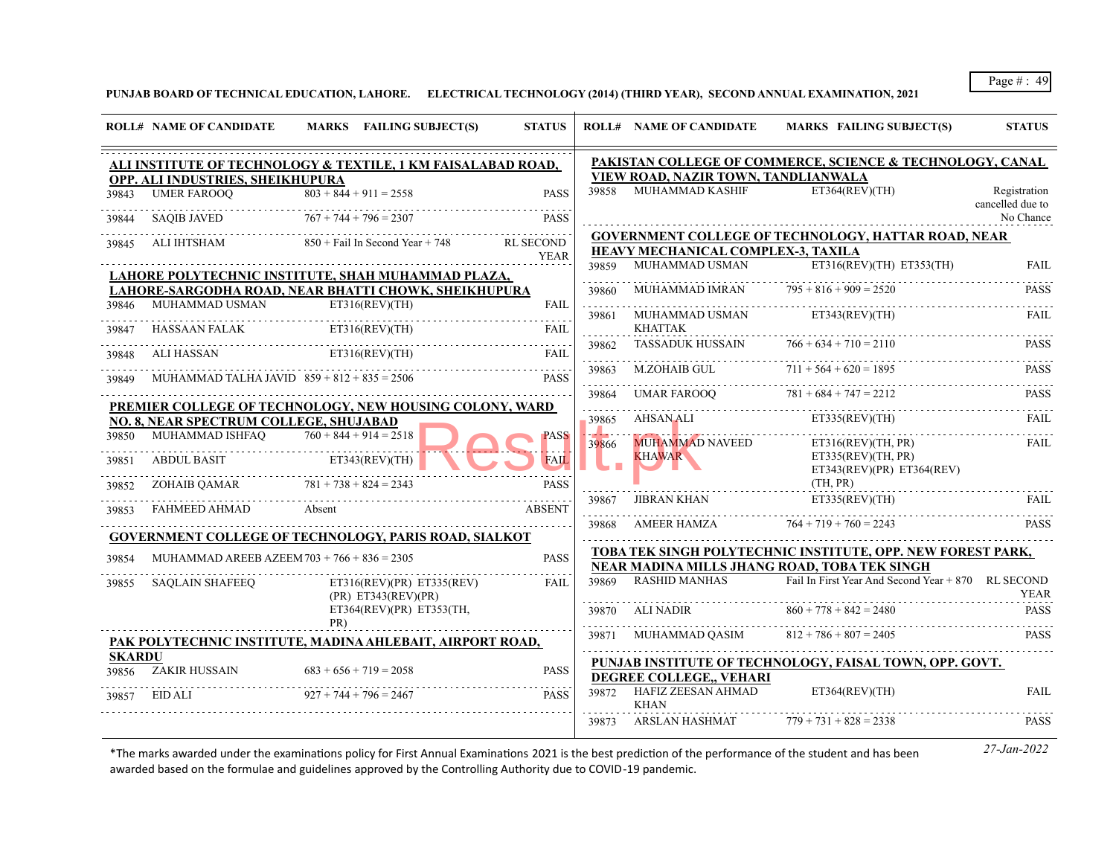**PUNJAB BOARD OF TECHNICAL EDUCATION, LAHORE. ELECTRICAL TECHNOLOGY (2014) (THIRD YEAR), SECOND ANNUAL EXAMINATION, 2021**

|               | <b>ROLL# NAME OF CANDIDATE</b>                | MARKS FAILING SUBJECT(S)                                               | <b>STATUS</b>    |            | <b>ROLL# NAME OF CANDIDATE</b>                         | <b>MARKS FAILING SUBJECT(S)</b>                                                                             | <b>STATUS</b>    |
|---------------|-----------------------------------------------|------------------------------------------------------------------------|------------------|------------|--------------------------------------------------------|-------------------------------------------------------------------------------------------------------------|------------------|
|               |                                               | ALI INSTITUTE OF TECHNOLOGY & TEXTILE, 1 KM FAISALABAD ROAD,           |                  |            |                                                        | PAKISTAN COLLEGE OF COMMERCE, SCIENCE & TECHNOLOGY, CANAL                                                   |                  |
|               | OPP. ALI INDUSTRIES, SHEIKHUPURA              |                                                                        |                  |            | VIEW ROAD, NAZIR TOWN, TANDLIANWALA<br>MUHAMMAD KASHIF | ET364(REV)(TH)                                                                                              | Registration     |
| 39843         | <b>UMER FAROOO</b>                            | $\overline{803 + 844} + 911 = 2558$                                    | <b>PASS</b>      | 39858      |                                                        |                                                                                                             | cancelled due to |
| 39844         | <b>SAQIB JAVED</b>                            | $767 + 744 + 796 = 2307$                                               | <b>PASS</b>      |            |                                                        |                                                                                                             | No Chance        |
| 39845         | ALI IHTSHAM                                   | $850 +$ Fail In Second Year + 748                                      | <b>RL SECOND</b> |            |                                                        | <b>GOVERNMENT COLLEGE OF TECHNOLOGY, HATTAR ROAD, NEAR</b>                                                  |                  |
|               |                                               |                                                                        | <b>YEAR</b>      | 39859      | HEAVY MECHANICAL COMPLEX-3, TAXILA<br>MUHAMMAD USMAN   | $ET316(REV)(TH)$ $ET353(TH)$                                                                                | <b>FAIL</b>      |
|               |                                               | LAHORE POLYTECHNIC INSTITUTE, SHAH MUHAMMAD PLAZA,                     |                  |            |                                                        |                                                                                                             |                  |
| 39846         | MUHAMMAD USMAN                                | LAHORE-SARGODHA ROAD, NEAR BHATTI CHOWK, SHEIKHUPURA<br>ET316(REV)(TH) | <b>FAIL</b>      | 39860<br>. | MUHAMMAD IMRAN                                         | $795 + 816 + 909 = 2520$                                                                                    | <b>PASS</b>      |
|               |                                               |                                                                        |                  | 39861      | MUHAMMAD USMAN                                         | ET343(REV)(TH)                                                                                              | <b>FAIL</b>      |
| 39847         | HASSAAN FALAK                                 | ET316(REV)(TH)                                                         | <b>FAIL</b>      |            | <b>KHATTAK</b>                                         | $766 + 634 + 710 = 2110$                                                                                    |                  |
| 39848         | ALI HASSAN                                    | ET316(REV)(TH)                                                         | <b>FAIL</b>      | 39862<br>. | <b>TASSADUK HUSSAIN</b>                                |                                                                                                             | PASS             |
| 39849         | MUHAMMAD TALHA JAVID $859 + 812 + 835 = 2506$ |                                                                        | <b>PASS</b>      | 39863<br>. | M.ZOHAIB GUL                                           | $711 + 564 + 620 = 1895$                                                                                    | <b>PASS</b>      |
|               |                                               |                                                                        |                  | 39864      | UMAR FAROOO                                            | $781 + 684 + 747 = 2212$                                                                                    | <b>PASS</b>      |
|               | NO. 8. NEAR SPECTRUM COLLEGE. SHUJABAD        | PREMIER COLLEGE OF TECHNOLOGY, NEW HOUSING COLONY, WARD                |                  | 39865      | AHSAN ALI                                              | ET335(REV)(TH)                                                                                              | FAIL             |
| 39850         | MUHAMMAD ISHFAQ                               | $760 + 844 + 914 = 2518$                                               | <b>PASS</b>      | .<br>39866 | <b>MUHAMMAD NAVEED</b>                                 | ET316(REV)(TH, PR)                                                                                          | <b>FAIL</b>      |
| 39851         | <b>ABDUL BASIT</b>                            | ET343(REV)(TH)                                                         | <b>FAIL</b>      |            | <b>KHAWAR</b>                                          | ET335(REV)(TH, PR)<br>ET343(REV)(PR) ET364(REV)                                                             |                  |
| 39852         | ZOHAIB OAMAR                                  | $781 + 738 + 824 = 2343$                                               | <b>PASS</b>      |            |                                                        | (TH, PR)                                                                                                    |                  |
| 39853         | FAHMEED AHMAD                                 | Absent                                                                 | <b>ABSENT</b>    | 39867      | <b>JIBRAN KHAN</b>                                     | ET335(REV)(TH)                                                                                              | <b>FAIL</b>      |
|               |                                               |                                                                        |                  | 39868      | <b>AMEER HAMZA</b>                                     | $764 + 719 + 760 = 2243$                                                                                    | <b>PASS</b>      |
|               |                                               | <b>GOVERNMENT COLLEGE OF TECHNOLOGY, PARIS ROAD, SIALKOT</b>           |                  |            |                                                        |                                                                                                             |                  |
| 39854         | MUHAMMAD AREEB AZEEM $703 + 766 + 836 = 2305$ |                                                                        | <b>PASS</b>      |            |                                                        | TOBA TEK SINGH POLYTECHNIC INSTITUTE, OPP. NEW FOREST PARK,<br>NEAR MADINA MILLS JHANG ROAD, TOBA TEK SINGH |                  |
| 39855         | <b>SAQLAIN SHAFEEQ</b>                        | ET316(REV)(PR) ET335(REV)<br>(PR) ET343(REV)(PR)                       | FAIL             | 39869      | <b>RASHID MANHAS</b>                                   | Fail In First Year And Second Year + 870 RL SECOND                                                          | <b>YEAR</b>      |
|               |                                               | ET364(REV)(PR) ET353(TH,<br>PR)                                        |                  | 39870      | ALI NADIR                                              | $860 + 778 + 842 = 2480$                                                                                    | <b>PASS</b>      |
|               |                                               | PAK POLYTECHNIC INSTITUTE, MADINA AHLEBAIT, AIRPORT ROAD,              |                  | .<br>39871 | MUHAMMAD OASIM                                         | $812 + 786 + 807 = 2405$                                                                                    | <b>PASS</b>      |
| <b>SKARDU</b> |                                               |                                                                        |                  |            |                                                        | PUNJAB INSTITUTE OF TECHNOLOGY, FAISAL TOWN, OPP. GOVT.                                                     |                  |
| 39856         | ZAKIR HUSSAIN                                 | $683 + 656 + 719 = 2058$                                               | <b>PASS</b>      |            | DEGREE COLLEGE VEHARI                                  |                                                                                                             |                  |
| 39857         | EID ALI                                       | $927 + 744 + 796 = 2467$                                               | <b>PASS</b>      |            | 39872 HAFIZ ZEESAN AHMAD<br><b>KHAN</b>                | ET364(REV)(TH)                                                                                              | <b>FAIL</b>      |
|               |                                               |                                                                        |                  |            | 39873 ARSLAN HASHMAT                                   | $779 + 731 + 828 = 2338$                                                                                    | <b>PASS</b>      |
|               |                                               |                                                                        |                  |            |                                                        |                                                                                                             |                  |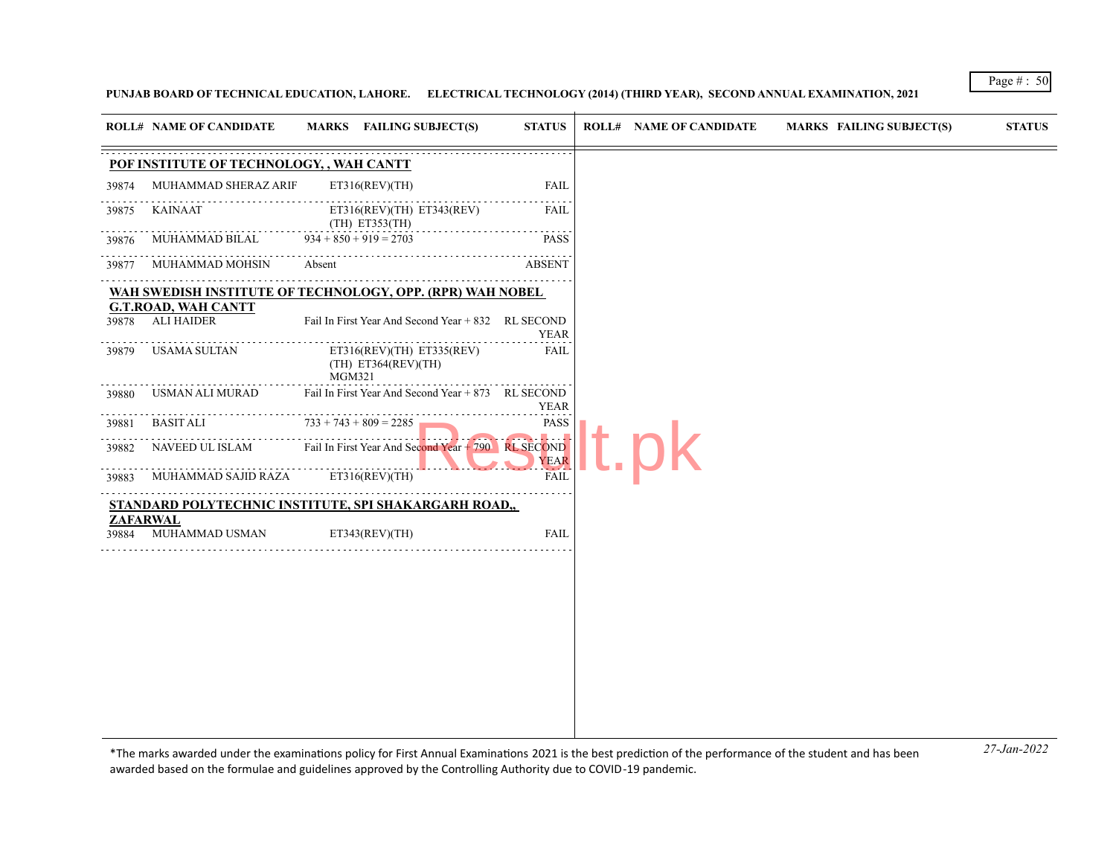**PUNJAB BOARD OF TECHNICAL EDUCATION, LAHORE. ELECTRICAL TECHNOLOGY (2014) (THIRD YEAR), SECOND ANNUAL EXAMINATION, 2021**

| <b>ROLL# NAME OF CANDIDATE</b><br>MARKS FAILING SUBJECT(S)<br><b>ROLL# NAME OF CANDIDATE</b><br><b>MARKS FAILING SUBJECT(S)</b><br><b>STATUS</b><br>MUHAMMAD SHERAZ ARIF<br>ET316(REV)(TH)<br><b>FAIL</b><br>ET316(REV)(TH) ET343(REV)<br><b>KAINAAT</b><br>FAIL<br>(TH) ET353(TH)<br>MUHAMMAD BILAL<br>$934 + 850 + 919 = 2703$<br><b>PASS</b><br>Absent<br>MUHAMMAD MOHSIN<br><b>ABSENT</b><br>Fail In First Year And Second Year + 832 RL SECOND<br><b>YEAR</b><br>ET316(REV)(TH) ET335(REV)<br><b>FAIL</b><br>(TH) ET364(REV)(TH)<br><b>MGM321</b><br>Fail In First Year And Second Year + 873 RL SECOND<br>USMAN ALI MURAD<br>YEAR<br>$733 + 743 + 809 = 2285$<br><b>PASS</b><br><b>BASIT ALI</b><br>NAVEED UL ISLAM Fail In First Year And Second Year + 790 RL SECOND<br><b>YEAR</b><br><b>FAIL</b><br>MUHAMMAD SAJID RAZA<br>ET316(REV)(TH)<br><b>FAIL</b><br>MUHAMMAD USMAN<br>ET343(REV)(TH) |       |  |  |  |               |
|--------------------------------------------------------------------------------------------------------------------------------------------------------------------------------------------------------------------------------------------------------------------------------------------------------------------------------------------------------------------------------------------------------------------------------------------------------------------------------------------------------------------------------------------------------------------------------------------------------------------------------------------------------------------------------------------------------------------------------------------------------------------------------------------------------------------------------------------------------------------------------------------------------|-------|--|--|--|---------------|
| POF INSTITUTE OF TECHNOLOGY, , WAH CANTT                                                                                                                                                                                                                                                                                                                                                                                                                                                                                                                                                                                                                                                                                                                                                                                                                                                               |       |  |  |  | <b>STATUS</b> |
| WAH SWEDISH INSTITUTE OF TECHNOLOGY, OPP. (RPR) WAH NOBEL<br><b>G.T.ROAD, WAH CANTT</b><br>STANDARD POLYTECHNIC INSTITUTE, SPI SHAKARGARH ROAD,<br><b>ZAFARWAL</b>                                                                                                                                                                                                                                                                                                                                                                                                                                                                                                                                                                                                                                                                                                                                     |       |  |  |  |               |
| 39875<br>39877<br>39884                                                                                                                                                                                                                                                                                                                                                                                                                                                                                                                                                                                                                                                                                                                                                                                                                                                                                | 39874 |  |  |  |               |
|                                                                                                                                                                                                                                                                                                                                                                                                                                                                                                                                                                                                                                                                                                                                                                                                                                                                                                        |       |  |  |  |               |
| 39878 ALI HAIDER<br>39879 USAMA SULTAN<br>39880<br>39881<br>39882<br>39883                                                                                                                                                                                                                                                                                                                                                                                                                                                                                                                                                                                                                                                                                                                                                                                                                             | 39876 |  |  |  |               |
|                                                                                                                                                                                                                                                                                                                                                                                                                                                                                                                                                                                                                                                                                                                                                                                                                                                                                                        |       |  |  |  |               |
|                                                                                                                                                                                                                                                                                                                                                                                                                                                                                                                                                                                                                                                                                                                                                                                                                                                                                                        |       |  |  |  |               |
|                                                                                                                                                                                                                                                                                                                                                                                                                                                                                                                                                                                                                                                                                                                                                                                                                                                                                                        |       |  |  |  |               |
|                                                                                                                                                                                                                                                                                                                                                                                                                                                                                                                                                                                                                                                                                                                                                                                                                                                                                                        |       |  |  |  |               |
|                                                                                                                                                                                                                                                                                                                                                                                                                                                                                                                                                                                                                                                                                                                                                                                                                                                                                                        |       |  |  |  |               |
|                                                                                                                                                                                                                                                                                                                                                                                                                                                                                                                                                                                                                                                                                                                                                                                                                                                                                                        |       |  |  |  |               |
|                                                                                                                                                                                                                                                                                                                                                                                                                                                                                                                                                                                                                                                                                                                                                                                                                                                                                                        |       |  |  |  |               |
|                                                                                                                                                                                                                                                                                                                                                                                                                                                                                                                                                                                                                                                                                                                                                                                                                                                                                                        |       |  |  |  |               |
|                                                                                                                                                                                                                                                                                                                                                                                                                                                                                                                                                                                                                                                                                                                                                                                                                                                                                                        |       |  |  |  |               |
|                                                                                                                                                                                                                                                                                                                                                                                                                                                                                                                                                                                                                                                                                                                                                                                                                                                                                                        |       |  |  |  |               |

*27-Jan-2022* \*The marks awarded under the examinatons policy for First Annual Examinatons 2021 is the best predicton of the performance of the student and has been awarded based on the formulae and guidelines approved by the Controlling Authority due to COVID-19 pandemic.

Page # : 50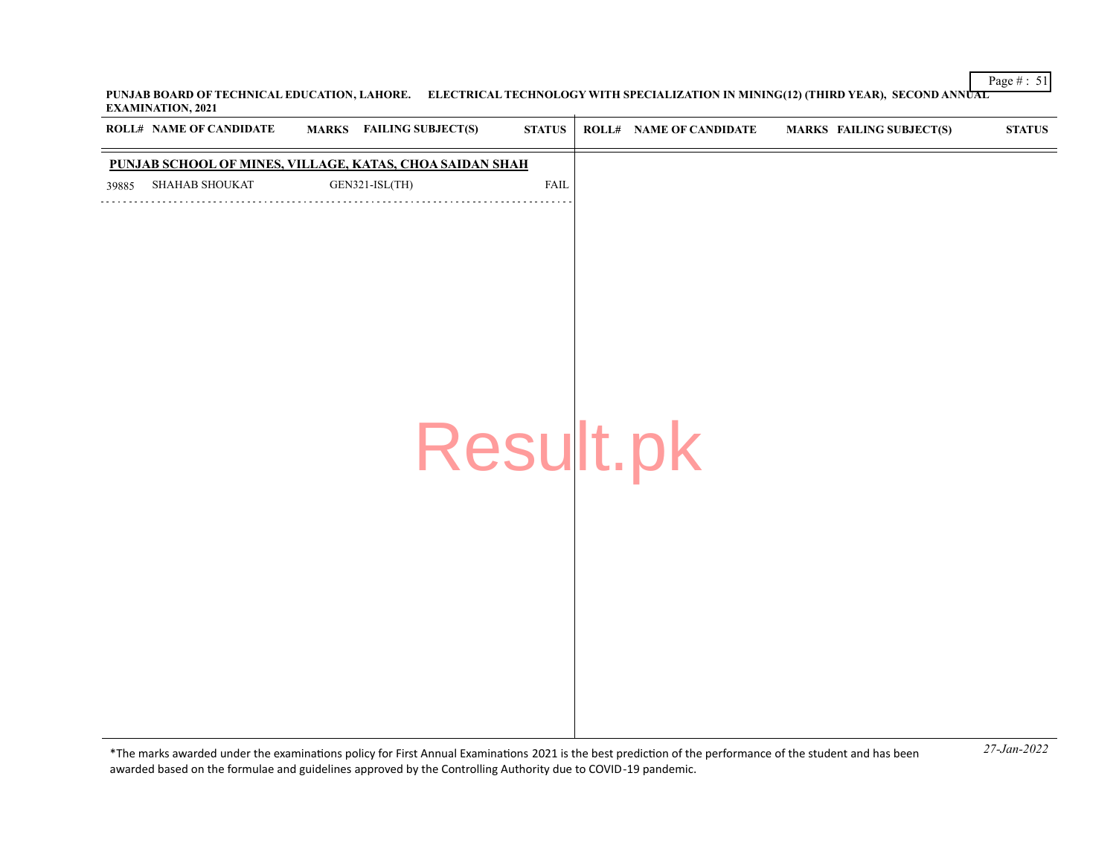Page # : 51 **PUNJAB BOARD OF TECHNICAL EDUCATION, LAHORE. ELECTRICAL TECHNOLOGY WITH SPECIALIZATION IN MINING(12) (THIRD YEAR), SECOND ANNUAL EXAMINATION, 2021**  $\overline{+}$ 

|       | <b>ROLL# NAME OF CANDIDATE</b> | MARKS FAILING SUBJECT(S)                                 | <b>STATUS</b> | <b>ROLL# NAME OF CANDIDATE</b> | <b>MARKS FAILING SUBJECT(S)</b> | <b>STATUS</b> |
|-------|--------------------------------|----------------------------------------------------------|---------------|--------------------------------|---------------------------------|---------------|
|       |                                | PUNJAB SCHOOL OF MINES, VILLAGE, KATAS, CHOA SAIDAN SHAH |               |                                |                                 |               |
| 39885 | SHAHAB SHOUKAT                 | GEN321-ISL(TH)                                           | FAIL          |                                |                                 |               |
|       |                                |                                                          |               |                                |                                 |               |
|       |                                |                                                          |               |                                |                                 |               |
|       |                                |                                                          |               |                                |                                 |               |
|       |                                |                                                          |               |                                |                                 |               |
|       |                                |                                                          |               |                                |                                 |               |
|       |                                |                                                          |               |                                |                                 |               |
|       |                                |                                                          |               |                                |                                 |               |
|       |                                |                                                          |               |                                |                                 |               |
|       |                                | Result.pk                                                |               |                                |                                 |               |
|       |                                |                                                          |               |                                |                                 |               |
|       |                                |                                                          |               |                                |                                 |               |
|       |                                |                                                          |               |                                |                                 |               |
|       |                                |                                                          |               |                                |                                 |               |
|       |                                |                                                          |               |                                |                                 |               |
|       |                                |                                                          |               |                                |                                 |               |
|       |                                |                                                          |               |                                |                                 |               |
|       |                                |                                                          |               |                                |                                 |               |
|       |                                |                                                          |               |                                |                                 |               |
|       |                                |                                                          |               |                                |                                 |               |
|       |                                |                                                          |               |                                |                                 |               |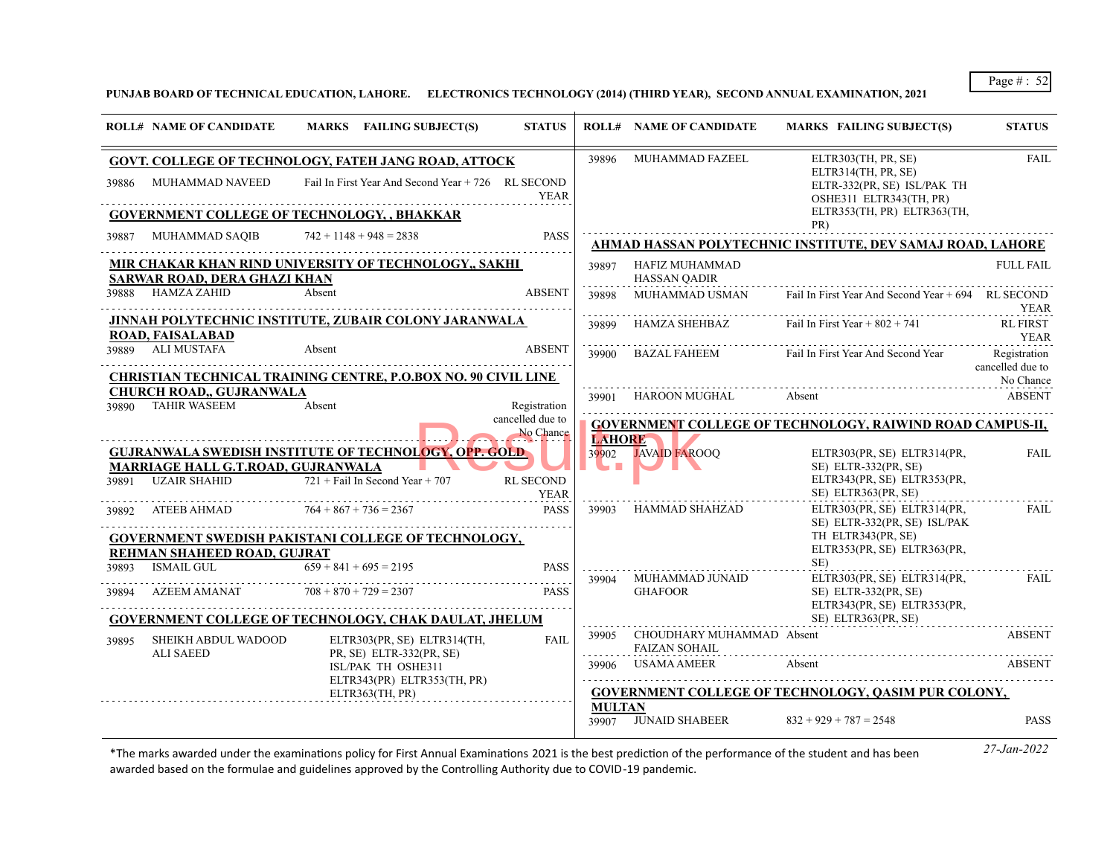# **PUNJAB BOARD OF TECHNICAL EDUCATION, LAHORE. ELECTRONICS TECHNOLOGY (2014) (THIRD YEAR), SECOND ANNUAL EXAMINATION, 2021**

|       | <b>ROLL# NAME OF CANDIDATE</b>                           | MARKS FAILING SUBJECT(S)                                                                          | <b>STATUS</b>                 |                             | <b>ROLL# NAME OF CANDIDATE</b>                          | <b>MARKS FAILING SUBJECT(S)</b>                                                       | <b>STATUS</b>                    |
|-------|----------------------------------------------------------|---------------------------------------------------------------------------------------------------|-------------------------------|-----------------------------|---------------------------------------------------------|---------------------------------------------------------------------------------------|----------------------------------|
|       |                                                          | <b>GOVT. COLLEGE OF TECHNOLOGY, FATEH JANG ROAD, ATTOCK</b>                                       |                               |                             | 39896 MUHAMMAD FAZEEL                                   | ELTR303(TH, PR, SE)<br>ELTR314(TH, PR, SE)                                            | FAIL                             |
| 39886 | MUHAMMAD NAVEED                                          | Fail In First Year And Second Year + 726 RL SECOND                                                | <b>YEAR</b>                   |                             |                                                         | ELTR-332(PR, SE) ISL/PAK TH<br>OSHE311 ELTR343(TH, PR)                                |                                  |
|       |                                                          | <b>GOVERNMENT COLLEGE OF TECHNOLOGY, , BHAKKAR</b>                                                |                               |                             |                                                         | ELTR353(TH, PR) ELTR363(TH,                                                           |                                  |
| 39887 | MUHAMMAD SAQIB                                           | $742 + 1148 + 948 = 2838$                                                                         | <b>PASS</b>                   |                             |                                                         | AHMAD HASSAN POLYTECHNIC INSTITUTE, DEV SAMAJ ROAD, LAHORE                            |                                  |
|       | SARWAR ROAD, DERA GHAZI KHAN                             | MIR CHAKAR KHAN RIND UNIVERSITY OF TECHNOLOGY., SAKHI                                             |                               |                             | 39897 HAFIZ MUHAMMAD<br><b>HASSAN QADIR</b>             |                                                                                       | <b>FULL FAIL</b>                 |
|       | 39888 HAMZA ZAHID                                        | Absent                                                                                            | <b>ABSENT</b>                 | 39898                       | MUHAMMAD USMAN                                          | Fail In First Year And Second Year + 694 RL SECOND                                    | YEAR                             |
|       | <b>ROAD, FAISALABAD</b>                                  | JINNAH POLYTECHNIC INSTITUTE, ZUBAIR COLONY JARANWALA                                             |                               | 39899                       | HAMZA SHEHBAZ                                           | Fail In First Year $+802 + 741$                                                       | <b>RL FIRST</b><br>YEAR          |
|       | 39889 ALI MUSTAFA                                        | Absent<br><b>CHRISTIAN TECHNICAL TRAINING CENTRE, P.O.BOX NO. 90 CIVIL LINE</b>                   | <b>ABSENT</b>                 | 39900                       | <b>BAZAL FAHEEM</b>                                     | Fail In First Year And Second Year                                                    | Registration<br>cancelled due to |
|       | <b>CHURCH ROAD,, GUJRANWALA</b>                          |                                                                                                   |                               |                             | 39901 HAROON MUGHAL                                     | Absent                                                                                | No Chance<br><b>ABSENT</b>       |
| 39890 | <b>TAHIR WASEEM</b>                                      | Absent                                                                                            | Registration                  |                             |                                                         |                                                                                       |                                  |
|       |                                                          |                                                                                                   | cancelled due to<br>No Chance |                             |                                                         | <b>GOVERNMENT COLLEGE OF TECHNOLOGY, RAIWIND ROAD CAMPUS-II,</b>                      |                                  |
|       | MARRIAGE HALL G.T.ROAD, GUJRANWALA<br>39891 UZAIR SHAHID | <b>GUJRANWALA SWEDISH INSTITUTE OF TECHNOLOGY, OPP. GOLD</b><br>$721 +$ Fail In Second Year + 707 | <b>RL SECOND</b>              | <b>LAHORE</b><br><b>L</b> = | 39902 JAVAID FAROOO                                     | ELTR303(PR, SE) ELTR314(PR,<br>SE) ELTR-332(PR, SE)<br>ELTR343(PR, SE) ELTR353(PR,    | <b>FAIL</b>                      |
|       |                                                          |                                                                                                   | YEAR                          |                             |                                                         | SE) ELTR363(PR, SE)                                                                   |                                  |
| 39892 | ATEEB AHMAD                                              | $764 + 867 + 736 = 2367$<br><b>GOVERNMENT SWEDISH PAKISTANI COLLEGE OF TECHNOLOGY,</b>            | <b>PASS</b>                   |                             | 39903 HAMMAD SHAHZAD                                    | ELTR303(PR, SE) ELTR314(PR,<br>SE) ELTR-332(PR, SE) ISL/PAK<br>TH ELTR343(PR, SE)     | <b>FAIL</b>                      |
|       | REHMAN SHAHEED ROAD, GUJRAT                              |                                                                                                   |                               |                             |                                                         | ELTR353(PR, SE) ELTR363(PR,                                                           |                                  |
| 39893 | ISMAIL GUL                                               | $\overline{659} + 841 + 695 = 2195$                                                               | <b>PASS</b>                   |                             |                                                         | SE)                                                                                   |                                  |
| 39894 | AZEEM AMANAT                                             | $708 + 870 + 729 = 2307$                                                                          | <b>PASS</b>                   |                             | 39904 MUHAMMAD JUNAID<br><b>GHAFOOR</b>                 | ELTR303(PR, SE) ELTR314(PR,<br>$SE$ ) ELTR-332(PR, SE)<br>ELTR343(PR, SE) ELTR353(PR, | FAII.                            |
|       |                                                          | <b>GOVERNMENT COLLEGE OF TECHNOLOGY, CHAK DAULAT, JHELUM</b>                                      |                               |                             |                                                         | SE) ELTR363(PR, SE)                                                                   |                                  |
| 39895 | SHEIKH ABDUL WADOOD<br><b>ALI SAEED</b>                  | ELTR303(PR, SE) ELTR314(TH,<br>$PR, SE)$ ELTR-332 $(PR, SE)$                                      | <b>FAIL</b>                   |                             | 39905 CHOUDHARY MUHAMMAD Absent<br><b>FAIZAN SOHAIL</b> |                                                                                       | <b>ABSENT</b>                    |
|       |                                                          | ISL/PAK TH OSHE311<br>ELTR343(PR) ELTR353(TH, PR)                                                 |                               |                             | 39906 USAMA AMEER                                       | Absent                                                                                | <b>ABSENT</b>                    |
|       |                                                          | ELTR363(TH, PR)                                                                                   |                               |                             |                                                         | <b>GOVERNMENT COLLEGE OF TECHNOLOGY, QASIM PUR COLONY,</b>                            |                                  |
|       |                                                          |                                                                                                   |                               | <b>MULTAN</b>               | 39907 JUNAID SHABEER                                    | $832 + 929 + 787 = 2548$                                                              | <b>PASS</b>                      |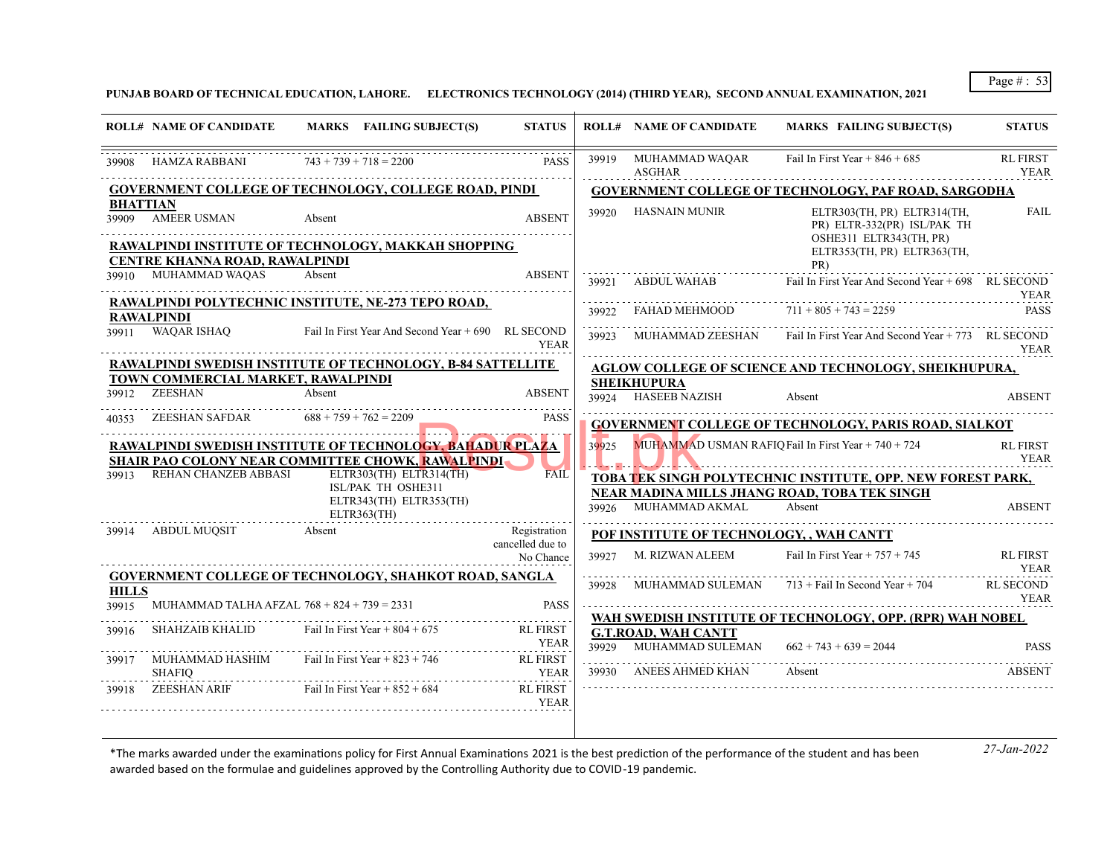**PUNJAB BOARD OF TECHNICAL EDUCATION, LAHORE. ELECTRONICS TECHNOLOGY (2014) (THIRD YEAR), SECOND ANNUAL EXAMINATION, 2021**

|                       | <b>ROLL# NAME OF CANDIDATE</b>                      | MARKS FAILING SUBJECT(S)                                                                                               | <b>STATUS</b>                    |       | <b>ROLL# NAME OF CANDIDATE</b>                                                | <b>MARKS FAILING SUBJECT(S)</b>                                                       | <b>STATUS</b>                  |
|-----------------------|-----------------------------------------------------|------------------------------------------------------------------------------------------------------------------------|----------------------------------|-------|-------------------------------------------------------------------------------|---------------------------------------------------------------------------------------|--------------------------------|
| 39908                 | HAMZA RABBANI                                       | $743 + 739 + 718 = 2200$                                                                                               | <b>PASS</b>                      | 39919 | MUHAMMAD WAQAR<br>ASGHAR                                                      | Fail In First Year + $846 + 685$                                                      | <b>RL FIRST</b><br>YEAR        |
|                       |                                                     | <b>GOVERNMENT COLLEGE OF TECHNOLOGY, COLLEGE ROAD, PINDI</b>                                                           |                                  |       |                                                                               | <b>GOVERNMENT COLLEGE OF TECHNOLOGY, PAF ROAD, SARGODHA</b>                           |                                |
|                       | <b>BHATTIAN</b><br>39909 AMEER USMAN                | Absent<br>RAWALPINDI INSTITUTE OF TECHNOLOGY, MAKKAH SHOPPING                                                          | <b>ABSENT</b>                    |       | 39920 HASNAIN MUNIR                                                           | ELTR303(TH, PR) ELTR314(TH,<br>PR) ELTR-332(PR) ISL/PAK TH<br>OSHE311 ELTR343(TH, PR) | <b>FAIL</b>                    |
|                       | CENTRE KHANNA ROAD, RAWALPINDI                      |                                                                                                                        |                                  |       |                                                                               | ELTR353(TH, PR) ELTR363(TH,                                                           |                                |
|                       | 39910 MUHAMMAD WAQAS                                | Absent                                                                                                                 | <b>ABSENT</b>                    | 39921 | ABDUL WAHAB                                                                   | PR)<br>Fail In First Year And Second Year + 698 RL SECOND                             | YEAR                           |
|                       | <b>RAWALPINDI</b>                                   | RAWALPINDI POLYTECHNIC INSTITUTE, NE-273 TEPO ROAD,                                                                    |                                  | 39922 | FAHAD MEHMOOD                                                                 | $711 + 805 + 743 = 2259$                                                              | <b>PASS</b>                    |
|                       | 39911 WAQAR ISHAQ                                   | Fail In First Year And Second Year + 690 RL SECOND                                                                     | <b>YEAR</b>                      | 39923 | MUHAMMAD ZEESHAN                                                              | Fail In First Year And Second Year + 773 RL SECOND                                    | YEAR                           |
|                       |                                                     | RAWALPINDI SWEDISH INSTITUTE OF TECHNOLOGY, B-84 SATTELLITE                                                            |                                  |       |                                                                               | <b>AGLOW COLLEGE OF SCIENCE AND TECHNOLOGY, SHEIKHUPURA,</b>                          |                                |
|                       | TOWN COMMERCIAL MARKET, RAWALPINDI<br>39912 ZEESHAN | Absent                                                                                                                 | <b>ABSENT</b>                    |       | <b>SHEIKHUPURA</b>                                                            |                                                                                       |                                |
|                       |                                                     |                                                                                                                        |                                  | 39924 | <b>HASEEB NAZISH</b>                                                          | Absent                                                                                | <b>ABSENT</b>                  |
| 40353                 | ZEESHAN SAFDAR                                      | $688 + 759 + 762 = 2209$                                                                                               | <b>PASS</b>                      |       |                                                                               | <b>GOVERNMENT COLLEGE OF TECHNOLOGY, PARIS ROAD, SIALKOT</b>                          |                                |
|                       |                                                     | RAWALPINDI SWEDISH INSTITUTE OF TECHNOLOGY, BAHADUR PLAZA<br><b>SHAIR PAO COLONY NEAR COMMITTEE CHOWK, RAWALPINDI-</b> |                                  | 39925 |                                                                               | MUHAMMAD USMAN RAFIQ Fail In First Year $+ 740 + 724$                                 | <b>RL FIRST</b><br><b>YEAR</b> |
| 39913                 | REHAN CHANZEB ABBASI                                | ELTR303(TH) ELTR314(TH)                                                                                                | FAIL                             |       |                                                                               | TOBA TEK SINGH POLYTECHNIC INSTITUTE, OPP. NEW FOREST PARK,                           |                                |
|                       |                                                     | ISL/PAK TH OSHE311<br>ELTR343(TH) ELTR353(TH)                                                                          |                                  |       |                                                                               | NEAR MADINA MILLS JHANG ROAD, TOBA TEK SINGH                                          |                                |
|                       |                                                     | $ELTR363$ (TH)                                                                                                         |                                  | 39926 | MUHAMMAD AKMAL                                                                | Absent                                                                                | <b>ABSENT</b>                  |
| 39914                 | ABDUL MUOSIT                                        | Absent                                                                                                                 | Registration<br>cancelled due to |       | POF INSTITUTE OF TECHNOLOGY, , WAH CANTT                                      |                                                                                       |                                |
|                       |                                                     |                                                                                                                        | No Chance                        | 39927 | M. RIZWAN ALEEM                                                               | Fail In First Year $+ 757 + 745$                                                      | <b>RL FIRST</b><br><b>YEAR</b> |
|                       |                                                     | GOVERNMENT COLLEGE OF TECHNOLOGY, SHAHKOT ROAD, SANGLA                                                                 |                                  | 39928 |                                                                               | MUHAMMAD SULEMAN 713 + Fail In Second Year + 704                                      | <b>RL SECOND</b>               |
| <b>HILLS</b><br>39915 | MUHAMMAD TALHA AFZAL $768 + 824 + 739 = 2331$       |                                                                                                                        | <b>PASS</b>                      |       |                                                                               |                                                                                       | YEAR                           |
|                       | SHAHZAIB KHALID                                     | Fail In First Year $+804 + 675$                                                                                        | <b>RL FIRST</b>                  |       |                                                                               | WAH SWEDISH INSTITUTE OF TECHNOLOGY, OPP. (RPR) WAH NOBEL                             |                                |
| 39916                 |                                                     |                                                                                                                        | YEAR                             |       | <b>G.T.ROAD, WAH CANTT</b><br>39929 MUHAMMAD SULEMAN $662 + 743 + 639 = 2044$ |                                                                                       | <b>PASS</b>                    |
| 39917                 | MUHAMMAD HASHIM                                     | Fail In First Year $+823 + 746$                                                                                        | <b>RL FIRST</b>                  |       | 39930 ANEES AHMED KHAN                                                        | Absent                                                                                | ABSENT                         |
|                       | <b>SHAFIO</b><br>ZEESHAN ARIF                       | Fail In First Year $+852 + 684$                                                                                        | <b>YEAR</b><br><b>RL FIRST</b>   |       |                                                                               |                                                                                       |                                |
| 39918                 |                                                     |                                                                                                                        | <b>YEAR</b>                      |       |                                                                               |                                                                                       |                                |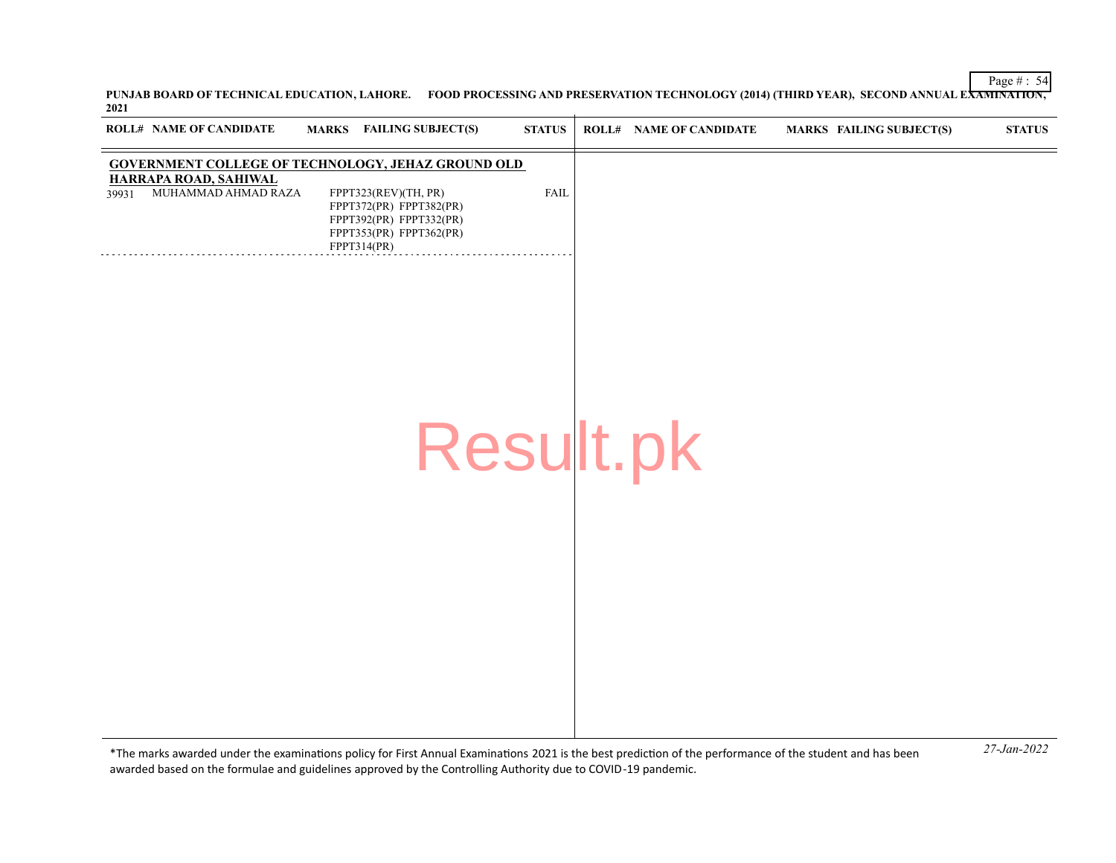**PUNJAB BOARD OF TECHNICAL EDUCATION, LAHORE. FOOD PROCESSING AND PRESERVATION TECHNOLOGY (2014) (THIRD YEAR), SECOND ANNUAL EXAMINATION, 2021**

| ROLL# NAME OF CANDIDATE                                      | <b>MARKS</b> FAILING SUBJECT(S)                                                                                      | <b>STATUS</b> | <b>ROLL# NAME OF CANDIDATE</b> | <b>MARKS FAILING SUBJECT(S)</b> | <b>STATUS</b> |
|--------------------------------------------------------------|----------------------------------------------------------------------------------------------------------------------|---------------|--------------------------------|---------------------------------|---------------|
| <b>GOVERNMENT COLLEGE OF TECHNOLOGY, JEHAZ GROUND OLD</b>    |                                                                                                                      |               |                                |                                 |               |
| <b>HARRAPA ROAD, SAHIWAL</b><br>MUHAMMAD AHMAD RAZA<br>39931 | FPPT323(REV)(TH, PR)<br>FPPT372(PR) FPPT382(PR)<br>FPPT392(PR) FPPT332(PR)<br>FPPT353(PR) FPPT362(PR)<br>FPPT314(PR) | FAIL          |                                |                                 |               |
|                                                              |                                                                                                                      |               |                                |                                 |               |
|                                                              |                                                                                                                      |               |                                |                                 |               |
|                                                              | Result.pk                                                                                                            |               |                                |                                 |               |
|                                                              |                                                                                                                      |               |                                |                                 |               |
|                                                              |                                                                                                                      |               |                                |                                 |               |
|                                                              |                                                                                                                      |               |                                |                                 |               |
|                                                              |                                                                                                                      |               |                                |                                 |               |
|                                                              |                                                                                                                      |               |                                |                                 | .             |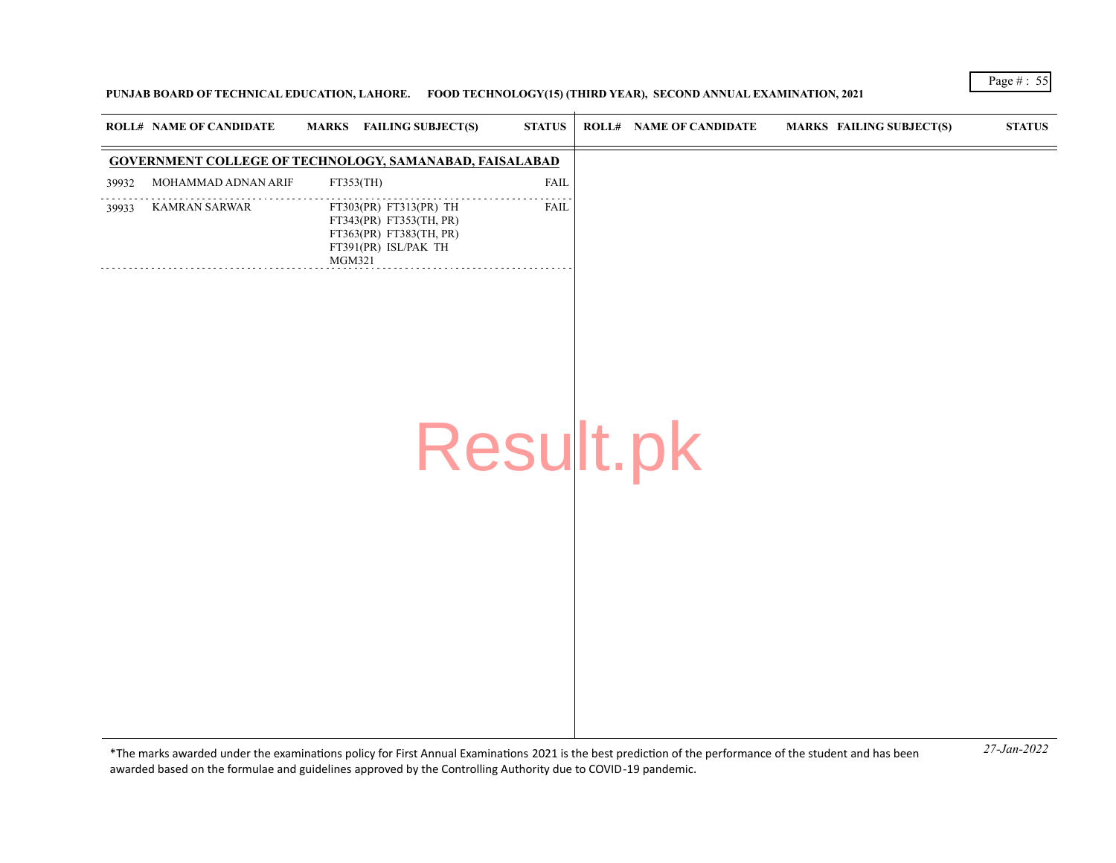# **PUNJAB BOARD OF TECHNICAL EDUCATION, LAHORE. FOOD TECHNOLOGY(15) (THIRD YEAR), SECOND ANNUAL EXAMINATION, 2021**

|       | ROLL# NAME OF CANDIDATE | <b>FAILING SUBJECT(S)</b><br><b>MARKS</b>                                                                             | <b>STATUS</b> | <b>ROLL# NAME OF CANDIDATE</b> | <b>MARKS FAILING SUBJECT(S)</b> | <b>STATUS</b> |
|-------|-------------------------|-----------------------------------------------------------------------------------------------------------------------|---------------|--------------------------------|---------------------------------|---------------|
|       |                         | <b>GOVERNMENT COLLEGE OF TECHNOLOGY, SAMANABAD, FAISALABAD</b>                                                        |               |                                |                                 |               |
| 39932 | MOHAMMAD ADNAN ARIF     | FT353(TH)                                                                                                             | <b>FAIL</b>   |                                |                                 |               |
| 39933 | <b>KAMRAN SARWAR</b>    | FT303(PR) FT313(PR) TH<br>FT343(PR) FT353(TH, PR)<br>FT363(PR) FT383(TH, PR)<br>FT391(PR) ISL/PAK TH<br><b>MGM321</b> | FAIL          |                                |                                 |               |
|       |                         |                                                                                                                       |               |                                |                                 |               |
|       |                         | Result.pk                                                                                                             |               |                                |                                 |               |
|       |                         |                                                                                                                       |               |                                |                                 |               |
|       |                         |                                                                                                                       |               |                                |                                 |               |
|       |                         |                                                                                                                       |               |                                |                                 |               |
|       |                         |                                                                                                                       |               |                                |                                 |               |
|       |                         |                                                                                                                       |               |                                |                                 |               |
|       |                         |                                                                                                                       |               |                                |                                 |               |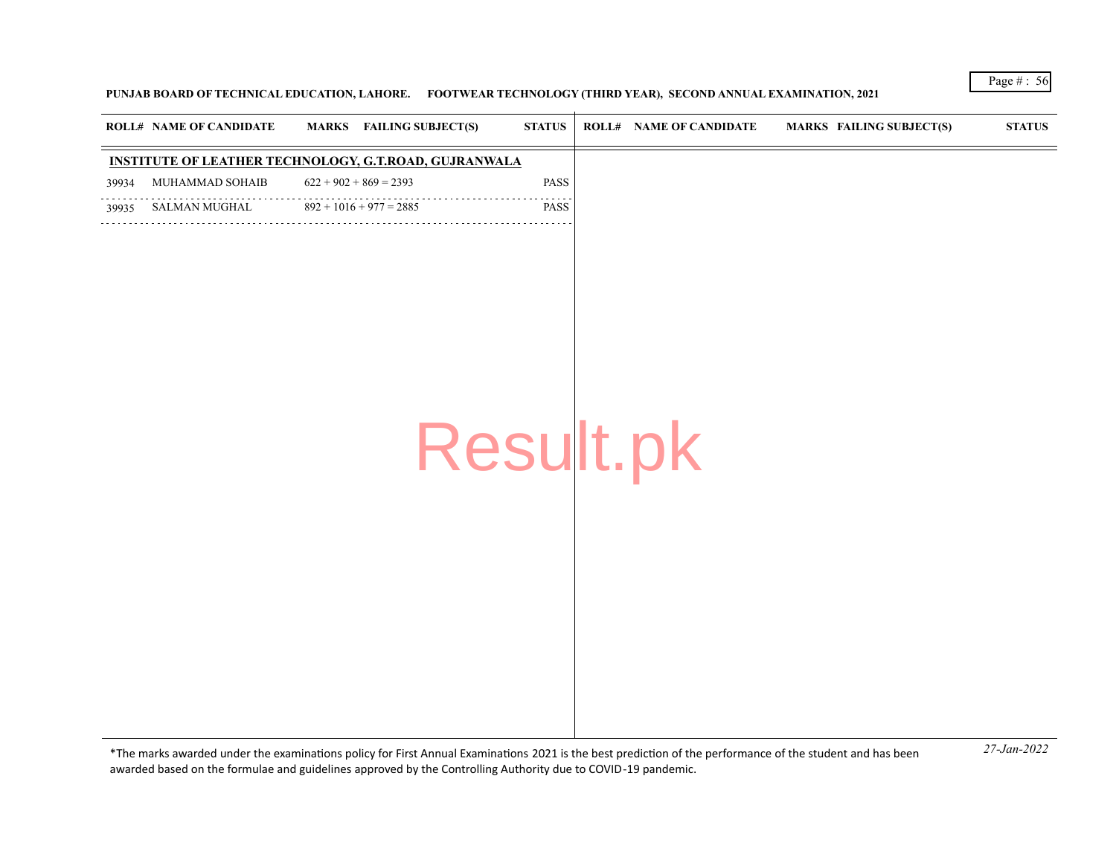# **PUNJAB BOARD OF TECHNICAL EDUCATION, LAHORE. FOOTWEAR TECHNOLOGY (THIRD YEAR), SECOND ANNUAL EXAMINATION, 2021**

|       | <b>ROLL# NAME OF CANDIDATE</b>                               | <b>MARKS</b> FAILING SUBJECT(S) | <b>STATUS</b> | <b>ROLL# NAME OF CANDIDATE</b> | <b>MARKS FAILING SUBJECT(S)</b> | <b>STATUS</b> |
|-------|--------------------------------------------------------------|---------------------------------|---------------|--------------------------------|---------------------------------|---------------|
|       | <b>INSTITUTE OF LEATHER TECHNOLOGY, G.T.ROAD, GUJRANWALA</b> |                                 |               |                                |                                 |               |
| 39934 | MUHAMMAD SOHAIB                                              | $622 + 902 + 869 = 2393$        | PASS          |                                |                                 |               |
| 39935 | SALMAN MUGHAL                                                | $892 + 1016 + 977 = 2885$       | PASS          |                                |                                 |               |
|       | .                                                            |                                 | Result.pk     |                                |                                 |               |

*27-Jan-2022* \*The marks awarded under the examinatons policy for First Annual Examinatons 2021 is the best predicton of the performance of the student and has been awarded based on the formulae and guidelines approved by the Controlling Authority due to COVID-19 pandemic.

Page # : 56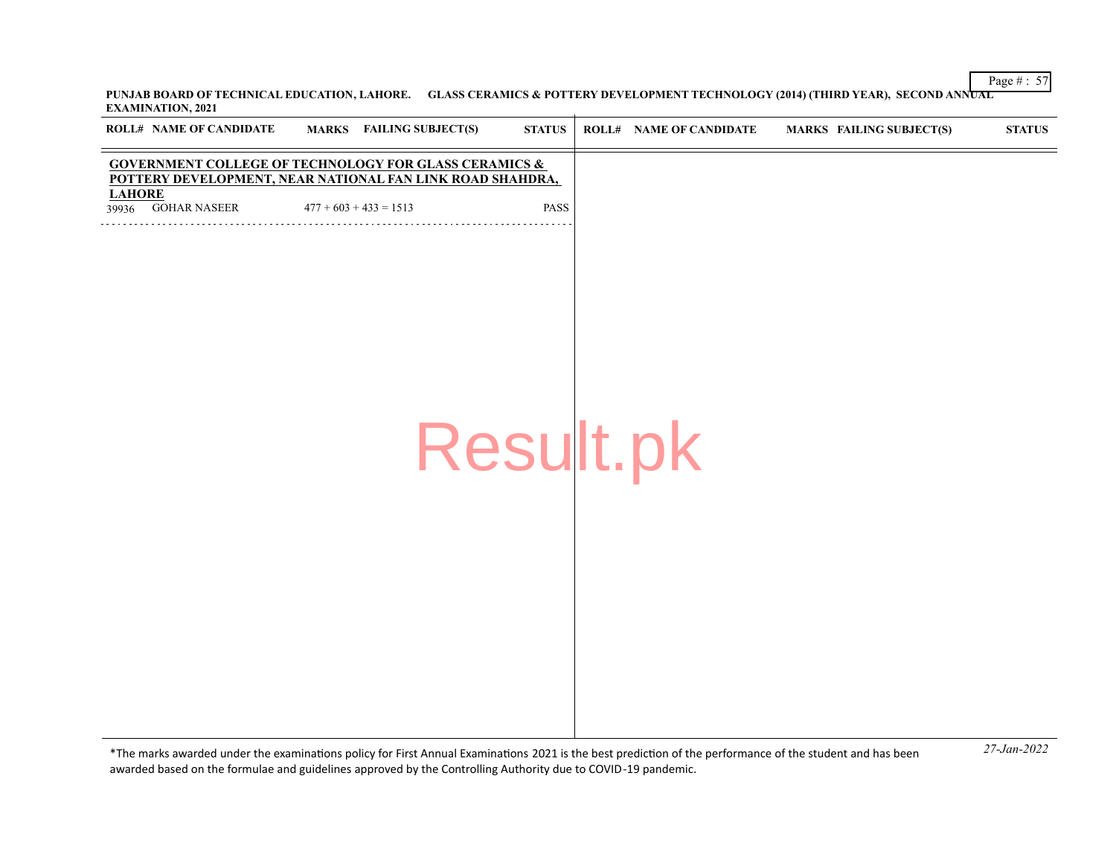Page # : 57 **PUNJAB BOARD OF TECHNICAL EDUCATION, LAHORE. GLASS CERAMICS & POTTERY DEVELOPMENT TECHNOLOGY (2014) (THIRD YEAR), SECOND ANNUAL EXAMINATION, 2021**  $\overline{1}$ 

| ROLL# NAME OF CANDIDATE                                                                                                       | <b>MARKS</b> FAILING SUBJECT(S) | <b>STATUS</b> | <b>ROLL# NAME OF CANDIDATE</b> | <b>MARKS FAILING SUBJECT(S)</b> | $\bold{STATUS}$ |
|-------------------------------------------------------------------------------------------------------------------------------|---------------------------------|---------------|--------------------------------|---------------------------------|-----------------|
| <b>GOVERNMENT COLLEGE OF TECHNOLOGY FOR GLASS CERAMICS &amp;</b><br>POTTERY DEVELOPMENT, NEAR NATIONAL FAN LINK ROAD SHAHDRA, |                                 |               |                                |                                 |                 |
| <b>LAHORE</b><br>39936 GOHAR NASEER                                                                                           | $477 + 603 + 433 = 1513$        | <b>PASS</b>   |                                |                                 |                 |
|                                                                                                                               |                                 |               |                                |                                 |                 |
|                                                                                                                               |                                 |               |                                |                                 |                 |
|                                                                                                                               |                                 |               |                                |                                 |                 |
|                                                                                                                               |                                 |               |                                |                                 |                 |
|                                                                                                                               |                                 |               |                                |                                 |                 |
|                                                                                                                               |                                 |               |                                |                                 |                 |
|                                                                                                                               |                                 |               | Result.pk                      |                                 |                 |
|                                                                                                                               |                                 |               |                                |                                 |                 |
|                                                                                                                               |                                 |               |                                |                                 |                 |
|                                                                                                                               |                                 |               |                                |                                 |                 |
|                                                                                                                               |                                 |               |                                |                                 |                 |
|                                                                                                                               |                                 |               |                                |                                 |                 |
|                                                                                                                               |                                 |               |                                |                                 |                 |
|                                                                                                                               |                                 |               |                                |                                 |                 |
|                                                                                                                               |                                 |               |                                |                                 |                 |
|                                                                                                                               |                                 |               |                                |                                 |                 |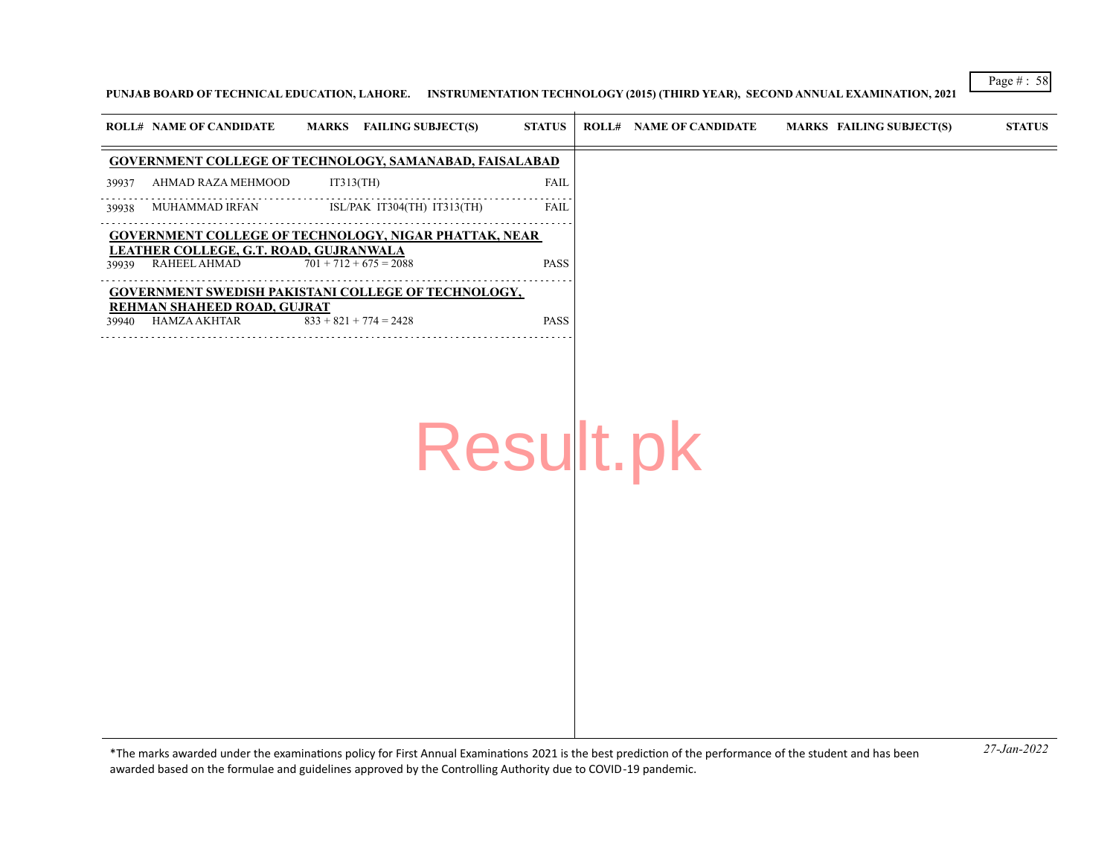#### **PUNJAB BOARD OF TECHNICAL EDUCATION, LAHORE. INSTRUMENTATION TECHNOLOGY (2015) (THIRD YEAR), SECOND ANNUAL EXAMINATION, 2021**

|       | <b>ROLL# NAME OF CANDIDATE</b>                         | MARKS FAILING SUBJECT(S)                                     | <b>STATUS</b> | ROLL# | <b>NAME OF CANDIDATE</b> | MARKS FAILING SUBJECT(S) | <b>STATUS</b> |
|-------|--------------------------------------------------------|--------------------------------------------------------------|---------------|-------|--------------------------|--------------------------|---------------|
|       |                                                        | GOVERNMENT COLLEGE OF TECHNOLOGY, SAMANABAD, FAISALABAD      |               |       |                          |                          |               |
| 39937 | AHMAD RAZA MEHMOOD                                     | IT313(TH)                                                    | FAII          |       |                          |                          |               |
| 39938 | MUHAMMAD IRFAN                                         | ISL/PAK IT304(TH) IT313(TH)                                  | <b>FAII</b>   |       |                          |                          |               |
|       |                                                        | <b>GOVERNMENT COLLEGE OF TECHNOLOGY, NIGAR PHATTAK, NEAR</b> |               |       |                          |                          |               |
| 39939 | LEATHER COLLEGE, G.T. ROAD, GUJRANWALA<br>RAHEEL AHMAD | $701 + 712 + 675 = 2088$                                     | <b>PASS</b>   |       |                          |                          |               |
|       | REHMAN SHAHEED ROAD, GUJRAT                            | <b>GOVERNMENT SWEDISH PAKISTANI COLLEGE OF TECHNOLOGY,</b>   |               |       |                          |                          |               |
| 39940 | HAMZA AKHTAR                                           | $833 + 821 + 774 = 2428$                                     | <b>PASS</b>   |       |                          |                          |               |
|       |                                                        |                                                              |               |       |                          |                          |               |

Result.pk

*27-Jan-2022* \*The marks awarded under the examinatons policy for First Annual Examinatons 2021 is the best predicton of the performance of the student and has been awarded based on the formulae and guidelines approved by the Controlling Authority due to COVID-19 pandemic.

Page # : 58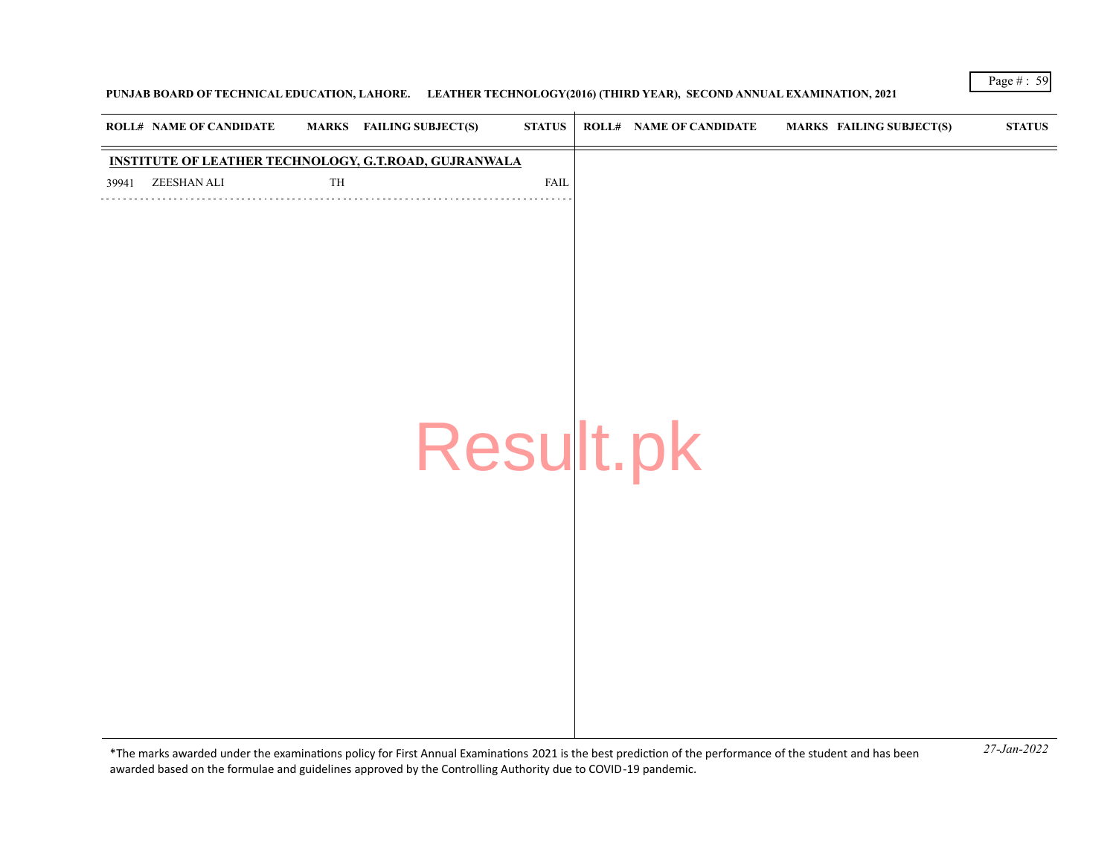# **PUNJAB BOARD OF TECHNICAL EDUCATION, LAHORE. LEATHER TECHNOLOGY(2016) (THIRD YEAR), SECOND ANNUAL EXAMINATION, 2021**

| <b>ROLL# NAME OF CANDIDATE</b>                               | MARKS FAILING SUBJECT(S) |           | <b>STATUS</b> | <b>ROLL# NAME OF CANDIDATE</b> | <b>MARKS FAILING SUBJECT(S)</b> | $\bold{STATUS}$ |
|--------------------------------------------------------------|--------------------------|-----------|---------------|--------------------------------|---------------------------------|-----------------|
| <b>INSTITUTE OF LEATHER TECHNOLOGY, G.T.ROAD, GUJRANWALA</b> |                          |           |               |                                |                                 |                 |
| ZEESHAN ALI<br>39941                                         | TH                       |           | <b>FAIL</b>   |                                |                                 |                 |
|                                                              |                          |           |               |                                |                                 |                 |
|                                                              |                          |           |               |                                |                                 |                 |
|                                                              |                          |           |               |                                |                                 |                 |
|                                                              |                          |           |               |                                |                                 |                 |
|                                                              |                          |           |               |                                |                                 |                 |
|                                                              |                          |           |               |                                |                                 |                 |
|                                                              |                          |           |               |                                |                                 |                 |
|                                                              |                          |           |               |                                |                                 |                 |
|                                                              |                          |           |               |                                |                                 |                 |
|                                                              |                          | Result.pk |               |                                |                                 |                 |
|                                                              |                          |           |               |                                |                                 |                 |
|                                                              |                          |           |               |                                |                                 |                 |
|                                                              |                          |           |               |                                |                                 |                 |
|                                                              |                          |           |               |                                |                                 |                 |
|                                                              |                          |           |               |                                |                                 |                 |
|                                                              |                          |           |               |                                |                                 |                 |
|                                                              |                          |           |               |                                |                                 |                 |
|                                                              |                          |           |               |                                |                                 |                 |
|                                                              |                          |           |               |                                |                                 |                 |
|                                                              |                          |           |               |                                |                                 |                 |
|                                                              |                          |           |               |                                |                                 |                 |
|                                                              |                          |           |               |                                |                                 |                 |
|                                                              |                          |           |               |                                |                                 |                 |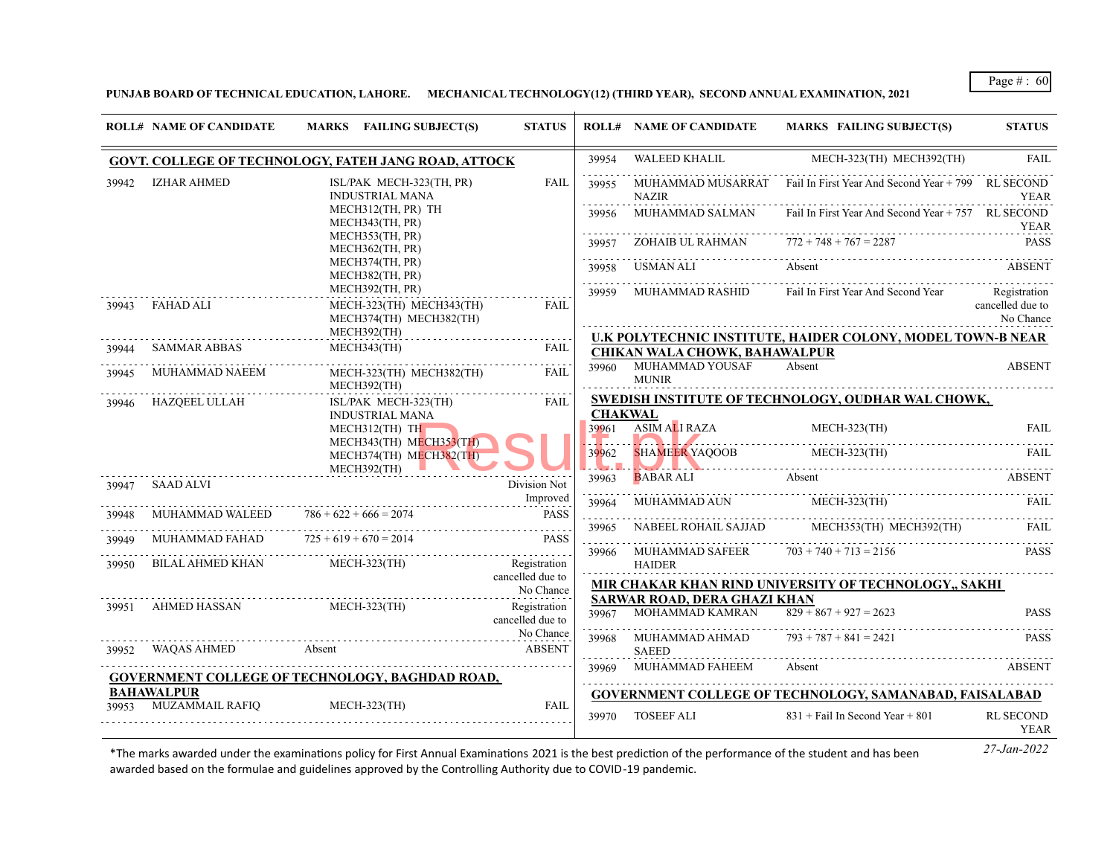**PUNJAB BOARD OF TECHNICAL EDUCATION, LAHORE. MECHANICAL TECHNOLOGY(12) (THIRD YEAR), SECOND ANNUAL EXAMINATION, 2021**

|       | <b>ROLL# NAME OF CANDIDATE</b>  | MARKS FAILING SUBJECT(S)                                                                                                                               | <b>STATUS</b>                    |                | <b>ROLL# NAME OF CANDIDATE</b>            | MARKS FAILING SUBJECT(S)                                              | <b>STATUS</b>                                 |
|-------|---------------------------------|--------------------------------------------------------------------------------------------------------------------------------------------------------|----------------------------------|----------------|-------------------------------------------|-----------------------------------------------------------------------|-----------------------------------------------|
|       |                                 | GOVT. COLLEGE OF TECHNOLOGY, FATEH JANG ROAD, ATTOCK                                                                                                   |                                  | 39954          |                                           | WALEED KHALIL MECH-323(TH) MECH392(TH)                                | <b>FAIL</b>                                   |
| 39942 | <b>IZHAR AHMED</b>              | ISL/PAK MECH-323(TH, PR)<br><b>INDUSTRIAL MANA</b>                                                                                                     | <b>FAIL</b>                      | 39955          | <b>NAZIR</b>                              | MUHAMMAD MUSARRAT Fail In First Year And Second Year $+799$ RL SECOND | YEAR                                          |
|       |                                 | MECH312(TH, PR) TH<br>MECH343(TH, PR)                                                                                                                  |                                  | 39956          |                                           | MUHAMMAD SALMAN Fail In First Year And Second Year + 757 RL SECOND    | YEAR                                          |
|       |                                 | MECH353(TH, PR)<br>MECH362(TH, PR)                                                                                                                     |                                  |                | ZOHAIB UL RAHMAN $772 + 748 + 767 = 2287$ |                                                                       | PASS                                          |
|       |                                 | MECH374(TH, PR)<br>MECH382(TH, PR)                                                                                                                     |                                  |                | 39958 USMAN ALI                           | Absent                                                                | <b>ABSENT</b>                                 |
| 39943 | FAHAD ALI                       | MECH392(TH, PR)<br>MECH-323(TH) MECH343(TH)<br>MECH374(TH) MECH382(TH)                                                                                 | <b>FAIL</b>                      |                | 39959 MUHAMMAD RASHID                     | Fail In First Year And Second Year                                    | Registration<br>cancelled due to<br>No Chance |
|       |                                 | MECH392(TH)                                                                                                                                            |                                  |                |                                           | U.K POLYTECHNIC INSTITUTE, HAIDER COLONY, MODEL TOWN-B NEAR           |                                               |
| 39944 | SAMMAR ABBAS                    | MECH343(TH)                                                                                                                                            | FAIL                             |                | CHIKAN WALA CHOWK, BAHAWALPUR             |                                                                       |                                               |
| 39945 | MUHAMMAD NAEEM                  | MECH-323(TH) MECH382(TH)<br>MECH392(TH)                                                                                                                | FAII.                            | 39960          | MUHAMMAD YOUSAF<br><b>MUNIR</b>           | Absent                                                                | <b>ABSENT</b>                                 |
| 39946 | HAZQEEL ULLAH                   | ISL/PAK MECH-323(TH)<br><b>INDUSTRIAL MANA</b>                                                                                                         | <b>FAIL</b>                      | <b>CHAKWAL</b> |                                           | SWEDISH INSTITUTE OF TECHNOLOGY, OUDHAR WAL CHOWK,                    |                                               |
|       |                                 | $MECH312$ (TH) TH<br>MECH343(TH) MECH353(TH)                                                                                                           |                                  |                | 39961 ASIM ALI RAZA                       | $MECH-323$ (TH)                                                       | FAIL                                          |
|       |                                 | MECH374(TH) MECH382(TH)<br>MECH392(TH)                                                                                                                 |                                  |                |                                           | 39962 SHAMEER YAQOOB MECH-323(TH) FAIL                                |                                               |
| 39947 | SAAD ALVI                       |                                                                                                                                                        | Division Not                     | 39963          |                                           | <b>BABAR ALI</b> Absent                                               | ABSENT                                        |
| 39948 | MUHAMMAD WALEED                 | Improved<br>HAMMAD WAI EED 706 + 600 + 600 + 600 + 600 + 600 + 600 + 600 + 600 + 600 + 600 + 600 + 600 + 600 + 600 + 600 +<br>$786 + 622 + 666 = 2074$ | <b>PASS</b>                      |                |                                           | 39964 MUHAMMAD AUN MECH-323(TH)                                       | FAIL.                                         |
| 39949 | MUHAMMAD FAHAD                  | $725 + 619 + 670 = 2014$                                                                                                                               | <b>PASS</b>                      | 39965<br>.     |                                           | NABEEL ROHAIL SAJJAD MECH353(TH) MECH392(TH)                          | FAIL                                          |
| 39950 | BILAL AHMED KHAN                | MECH-323(TH)                                                                                                                                           | Registration<br>cancelled due to |                | 39966 MUHAMMAD SAFEER<br><b>HAIDER</b>    | $703 + 740 + 713 = 2156$                                              | <b>PASS</b>                                   |
|       |                                 |                                                                                                                                                        | No Chance                        |                | <b>SARWAR ROAD, DERA GHAZI KHAN</b>       | MIR CHAKAR KHAN RIND UNIVERSITY OF TECHNOLOGY., SAKHI                 |                                               |
|       | 39951 AHMED HASSAN MECH-323(TH) |                                                                                                                                                        | Registration<br>cancelled due to |                | 39967 MOHAMMAD KAMRAN                     | $829 + 867 + 927 = 2623$                                              | <b>PASS</b>                                   |
|       | 39952 WAQAS AHMED               | Absent                                                                                                                                                 | No Chance<br>ABSENT              |                | 39968 MUHAMMAD AHMAD<br><b>SAEED</b>      | $793 + 787 + 841 = 2421$                                              | <b>PASS</b>                                   |
|       |                                 | <b>GOVERNMENT COLLEGE OF TECHNOLOGY, BAGHDAD ROAD,</b>                                                                                                 |                                  |                | 39969 MUHAMMAD FAHEEM                     | Absent                                                                | <b>ABSENT</b>                                 |
|       | <b>BAHAWALPUR</b>               |                                                                                                                                                        |                                  |                |                                           | <b>GOVERNMENT COLLEGE OF TECHNOLOGY, SAMANABAD, FAISALABAD</b>        |                                               |
|       | 39953 MUZAMMAIL RAFIO           | $MECH-323$ (TH)                                                                                                                                        | <b>FAIL</b>                      | 39970          | TOSEEF ALI                                | $831 +$ Fail In Second Year + 801                                     | <b>RL SECOND</b><br>YEAR                      |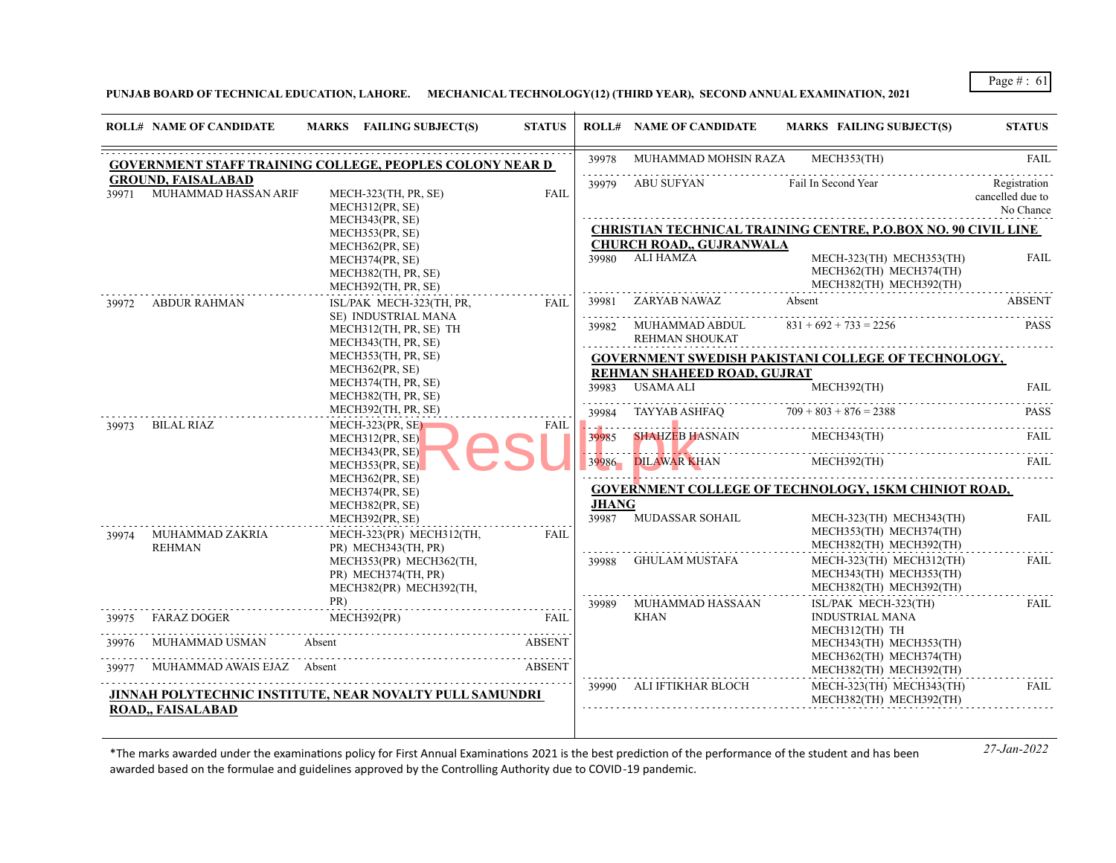**PUNJAB BOARD OF TECHNICAL EDUCATION, LAHORE. MECHANICAL TECHNOLOGY(12) (THIRD YEAR), SECOND ANNUAL EXAMINATION, 2021**

|       | <b>ROLL# NAME OF CANDIDATE</b>                    | MARKS FAILING SUBJECT(S)                                                  | <b>STATUS</b> |               | <b>ROLL# NAME OF CANDIDATE</b>                | <b>MARKS FAILING SUBJECT(S)</b>                                                | <b>STATUS</b>                                 |
|-------|---------------------------------------------------|---------------------------------------------------------------------------|---------------|---------------|-----------------------------------------------|--------------------------------------------------------------------------------|-----------------------------------------------|
|       |                                                   | <b>GOVERNMENT STAFF TRAINING COLLEGE, PEOPLES COLONY NEAR D</b>           |               | 39978         | MUHAMMAD MOHSIN RAZA MECH353(TH)              |                                                                                | <b>FAIL</b>                                   |
| 39971 | <b>GROUND, FAISALABAD</b><br>MUHAMMAD HASSAN ARIF | MECH-323(TH, PR, SE)<br>MECH312(PR, SE)                                   | <b>FAIL</b>   |               | 39979 ABU SUFYAN                              | Fail In Second Year                                                            | Registration<br>cancelled due to<br>No Chance |
|       |                                                   | MECH343(PR, SE)<br>MECH353(PR, SE)                                        |               |               |                                               | <b>CHRISTIAN TECHNICAL TRAINING CENTRE, P.O.BOX NO. 90 CIVIL LINE</b>          |                                               |
|       |                                                   | MECH362(PR, SE)                                                           |               |               | <b>CHURCH ROAD,, GUJRANWALA</b>               |                                                                                |                                               |
|       |                                                   | MECH374(PR, SE)<br>MECH382(TH, PR, SE)<br>MECH392(TH, PR, SE)             |               |               | 39980 ALI HAMZA                               | MECH-323(TH) MECH353(TH)<br>MECH362(TH) MECH374(TH)<br>MECH382(TH) MECH392(TH) | <b>FAIL</b>                                   |
|       | 39972 ABDUR RAHMAN                                | ISL/PAK MECH-323(TH, PR,                                                  | FAIL          |               | 39981 ZARYAB NAWAZ                            | Absent                                                                         | <b>ABSENT</b>                                 |
|       |                                                   | SE) INDUSTRIAL MANA<br>MECH312(TH, PR, SE) TH<br>MECH343(TH, PR, SE)      |               |               | 39982 MUHAMMAD ABDUL<br><b>REHMAN SHOUKAT</b> | $831 + 692 + 733 = 2256$                                                       | <b>PASS</b>                                   |
|       |                                                   | MECH353(TH, PR, SE)                                                       |               |               |                                               | <b>GOVERNMENT SWEDISH PAKISTANI COLLEGE OF TECHNOLOGY,</b>                     |                                               |
|       |                                                   | MECH362(PR, SE)                                                           |               |               | REHMAN SHAHEED ROAD, GUJRAT                   |                                                                                |                                               |
|       |                                                   | MECH374(TH, PR, SE)<br>MECH382(TH, PR, SE)                                |               |               | 39983 USAMA ALI                               | MECH392(TH)                                                                    | <b>FAIL</b>                                   |
|       |                                                   | MECH392(TH, PR, SE)                                                       |               |               | 39984 TAYYAB ASHFAQ $709 + 803 + 876 = 2388$  |                                                                                | <b>PASS</b>                                   |
| 39973 | BILAL RIAZ                                        | $MECH-323(PR, SE)$<br>MECH312(PR, SE)<br>MECH343(PR, SE)                  | FAIL          | 39985         | <b>SHAHZEB HASNAIN</b> MECH343(TH)            |                                                                                | FAIL                                          |
|       |                                                   | MECH353(PR, SE)<br>MECH362(PR, SE)                                        |               |               | 39986 DILAWAR KHAN MECH392(TH)<br>.           |                                                                                | FAII.                                         |
|       |                                                   | MECH374(PR, SE)                                                           |               |               |                                               | <b>GOVERNMENT COLLEGE OF TECHNOLOGY, 15KM CHINIOT ROAD,</b>                    |                                               |
|       |                                                   | MECH382(PR, SE)                                                           |               | <b>JHANG</b>  |                                               |                                                                                |                                               |
| 39974 | <u>.</u><br>MUHAMMAD ZAKRIA<br><b>REHMAN</b>      | MECH392(PR, SE)<br>MECH-323(PR) MECH312(TH,<br>PR) MECH343(TH, PR)        | FAIL          |               | 39987 MUDASSAR SOHAIL                         | MECH-323(TH) MECH343(TH)<br>MECH353(TH) MECH374(TH)<br>MECH382(TH) MECH392(TH) | <b>FAIL</b>                                   |
|       |                                                   | MECH353(PR) MECH362(TH,<br>PR) MECH374(TH, PR)<br>MECH382(PR) MECH392(TH, |               | 1.1.1.1.1.1.1 | 39988 GHULAM MUSTAFA                          | MECH-323(TH) MECH312(TH)<br>MECH343(TH) MECH353(TH)<br>MECH382(TH) MECH392(TH) | <b>FAIL</b><br>.                              |
|       |                                                   |                                                                           |               |               | 39989 MUHAMMAD HASSAAN                        | ISL/PAK MECH-323(TH)                                                           | FAIL                                          |
|       | 39975 FARAZ DOGER                                 | MECH392(PR)                                                               | FAIL          |               | KHAN                                          | <b>INDUSTRIAL MANA</b><br>MECH312(TH) TH                                       |                                               |
| 39976 | MUHAMMAD USMAN                                    | Absent                                                                    | ABSENT        |               |                                               | MECH343(TH) MECH353(TH)<br>MECH362(TH) MECH374(TH)                             |                                               |
| 39977 | MUHAMMAD AWAIS EJAZ Absent                        | EJAZ Absent ABSENT                                                        |               |               |                                               | MECH382(TH) MECH392(TH)                                                        |                                               |
|       | ROAD,, FAISALABAD                                 | JINNAH POLYTECHNIC INSTITUTE, NEAR NOVALTY PULL SAMUNDRI                  |               |               | 39990 ALI IFTIKHAR BLOCH                      | MECH-323(TH) MECH343(TH)<br>MECH382(TH) MECH392(TH)                            | FAIL                                          |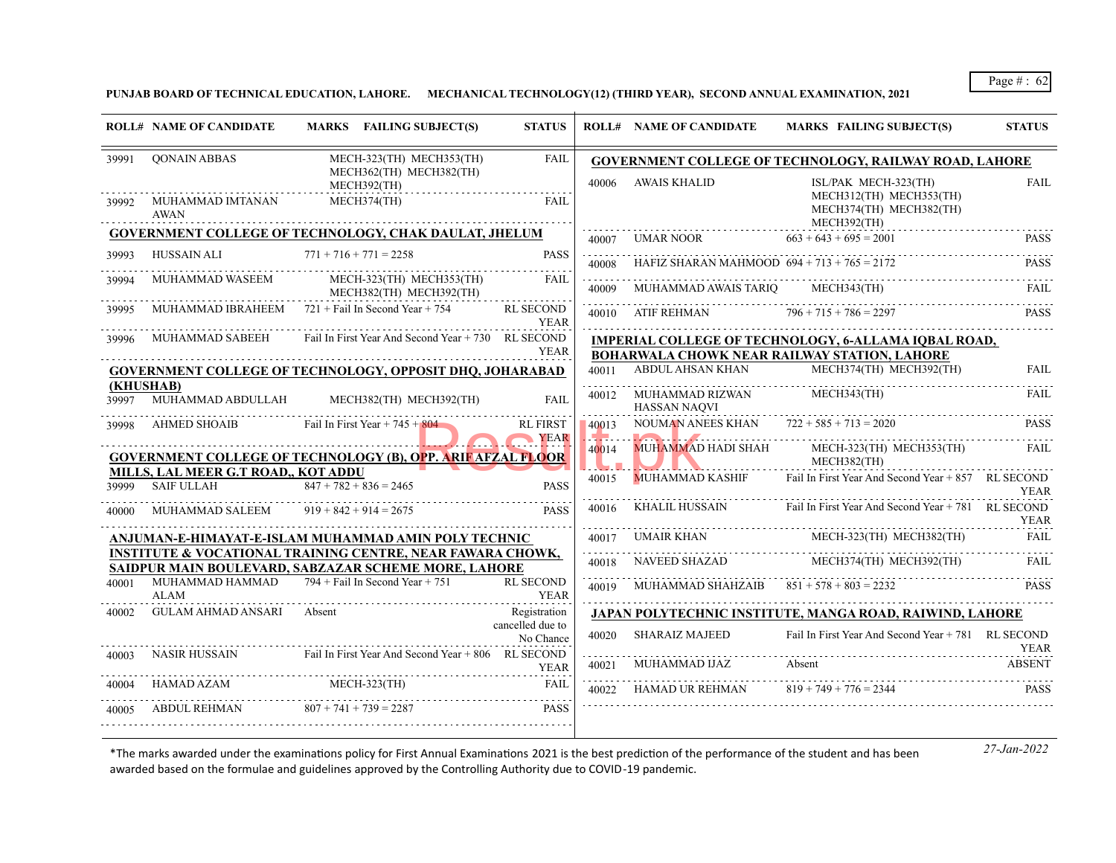**PUNJAB BOARD OF TECHNICAL EDUCATION, LAHORE. MECHANICAL TECHNOLOGY(12) (THIRD YEAR), SECOND ANNUAL EXAMINATION, 2021**

|                    | <b>ROLL# NAME OF CANDIDATE</b>                           | MARKS FAILING SUBJECT(S)                                                                                                      | <b>STATUS</b>                   |                          | <b>ROLL# NAME OF CANDIDATE</b>                | <b>MARKS FAILING SUBJECT(S)</b>                                                                             | <b>STATUS</b> |
|--------------------|----------------------------------------------------------|-------------------------------------------------------------------------------------------------------------------------------|---------------------------------|--------------------------|-----------------------------------------------|-------------------------------------------------------------------------------------------------------------|---------------|
| 39991              | QONAIN ABBAS                                             | MECH-323(TH) MECH353(TH)<br>MECH362(TH) MECH382(TH)                                                                           | <b>FAIL</b>                     |                          |                                               | <b>GOVERNMENT COLLEGE OF TECHNOLOGY, RAILWAY ROAD, LAHORE</b>                                               |               |
| 39992              | MUHAMMAD IMTANAN<br><b>AWAN</b>                          | MECH392(TH)<br>MECH374(TH)                                                                                                    | FAII.                           | 40006                    | AWAIS KHALID                                  | ISL/PAK MECH-323(TH)<br>MECH312(TH) MECH353(TH)<br>MECH374(TH) MECH382(TH)<br>MECH392(TH)                   | <b>FAIL</b>   |
|                    |                                                          | <b>GOVERNMENT COLLEGE OF TECHNOLOGY, CHAK DAULAT, JHELUM</b>                                                                  |                                 |                          | 40007 UMAR NOOR                               | $663 + 643 + 695 = 2001$                                                                                    | <b>PASS</b>   |
| 39993              | HUSSAIN ALI                                              | $771 + 716 + 771 = 2258$                                                                                                      | <b>PASS</b>                     | dia dia dia dia<br>40008 | HAFIZ SHARAN MAHMOOD $694 + 713 + 765 = 2172$ |                                                                                                             | <b>PASS</b>   |
| 39994              | MUHAMMAD WASEEM                                          | MECH-323(TH) MECH353(TH)<br>MECH382(TH) MECH392(TH)                                                                           | <b>FAIL</b>                     | 40009                    | MUHAMMAD AWAIS TARIO                          | MECH343(TH)                                                                                                 | FAIL.         |
|                    |                                                          | MUHAMMAD IBRAHEEM $721 +$ Fail In Second Year + 754                                                                           | RL SECOND<br><b>YEAR</b>        | 40010                    | ATIF REHMAN $796 + 715 + 786 = 2297$          |                                                                                                             | <b>PASS</b>   |
| 39996              | MUHAMMAD SABEEH                                          | Fail In First Year And Second Year $+ 730$ RL SECOND                                                                          | <b>YEAR</b>                     |                          |                                               | IMPERIAL COLLEGE OF TECHNOLOGY, 6-ALLAMA IQBAL ROAD,<br><b>BOHARWALA CHOWK NEAR RAILWAY STATION, LAHORE</b> |               |
|                    |                                                          | <b>GOVERNMENT COLLEGE OF TECHNOLOGY, OPPOSIT DHO, JOHARABAD</b>                                                               |                                 | 40011                    | ABDUL AHSAN KHAN                              | MECH374(TH) MECH392(TH)                                                                                     | <b>FAIL</b>   |
| (KHUSHAB)<br>39997 | MUHAMMAD ABDULLAH                                        | MECH382(TH) MECH392(TH)                                                                                                       | <b>FAIL</b>                     |                          | 40012 MUHAMMAD RIZWAN<br><b>HASSAN NAQVI</b>  | MECH343(TH)                                                                                                 | <b>FAIL</b>   |
| 39998              | <b>AHMED SHOAIB</b>                                      | Fail In First Year $+745 + 804$                                                                                               | <b>RL FIRST</b><br>YEAR         | 40013<br>ال وال          |                                               | NOUMAN ANEES KHAN $722 + 585 + 713 = 2020$                                                                  | <b>PASS</b>   |
|                    |                                                          | <b>GOVERNMENT COLLEGE OF TECHNOLOGY (B), OPP. ARIF AFZAL FLOOR</b>                                                            |                                 | 40014                    |                                               | MUHAMMAD HADI SHAH MECH-323(TH) MECH353(TH)<br>MECH382(TH)                                                  | FAIL          |
| 39999              | MILLS, LAL MEER G.T ROAD., KOT ADDU<br><b>SAIF ULLAH</b> | $847 + 782 + 836 = 2465$                                                                                                      | <b>PASS</b>                     | 40015                    | <b>MUHAMMAD KASHIF</b>                        | Fail In First Year And Second Year + 857 RL SECOND                                                          | YEAR          |
| 40000              | MUHAMMAD SALEEM                                          | $919 + 842 + 914 = 2675$                                                                                                      | <b>PASS</b>                     | 40016                    | KHALIL HUSSAIN                                | Fail In First Year And Second Year + 781 RL SECOND                                                          | <b>YEAR</b>   |
|                    |                                                          | ANJUMAN-E-HIMAYAT-E-ISLAM MUHAMMAD AMIN POLY TECHNIC                                                                          |                                 | 40017                    | UMAIR KHAN                                    | MECH-323(TH) MECH382(TH)                                                                                    | FAIL          |
|                    |                                                          | <b>INSTITUTE &amp; VOCATIONAL TRAINING CENTRE, NEAR FAWARA CHOWK,</b><br>SAIDPUR MAIN BOULEVARD, SABZAZAR SCHEME MORE, LAHORE |                                 | 40018                    | NAVEED SHAZAD                                 | MECH374(TH) MECH392(TH)                                                                                     | FAIL          |
| 40001              | MUHAMMAD HAMMAD<br><b>ALAM</b>                           | $794 +$ Fail In Second Year + 751                                                                                             | <b>RL SECOND</b><br><b>YEAR</b> | 40019                    | MUHAMMAD SHAHZAIB $851 + 578 + 803 = 2232$    |                                                                                                             | PASS          |
| 40002              | GULAM AHMAD ANSARI                                       | Absent                                                                                                                        | Registration                    |                          |                                               | <b>JAPAN POLYTECHNIC INSTITUTE, MANGA ROAD, RAIWIND, LAHORE</b>                                             |               |
|                    |                                                          |                                                                                                                               | cancelled due to<br>No Chance   | 40020                    | SHARAIZ MAJEED                                | Fail In First Year And Second Year + 781 RL SECOND                                                          | YEAR          |
| 40003              | NASIR HUSSAIN                                            | Fail In First Year And Second Year + 806 RL SECOND                                                                            | YEAR                            | 40021                    | MUHAMMAD IJAZ                                 | Absent                                                                                                      | <b>ABSENT</b> |
| 40004              | HAMAD AZAM                                               | $MECH-323(TH)$                                                                                                                | FAIL                            | 40022                    | HAMAD UR REHMAN                               | $819 + 749 + 776 = 2344$                                                                                    | <b>PASS</b>   |
| 40005              | ABDUL REHMAN                                             | $807 + 741 + 739 = 2287$                                                                                                      | <b>PASS</b>                     |                          |                                               |                                                                                                             |               |
|                    |                                                          |                                                                                                                               |                                 |                          |                                               |                                                                                                             |               |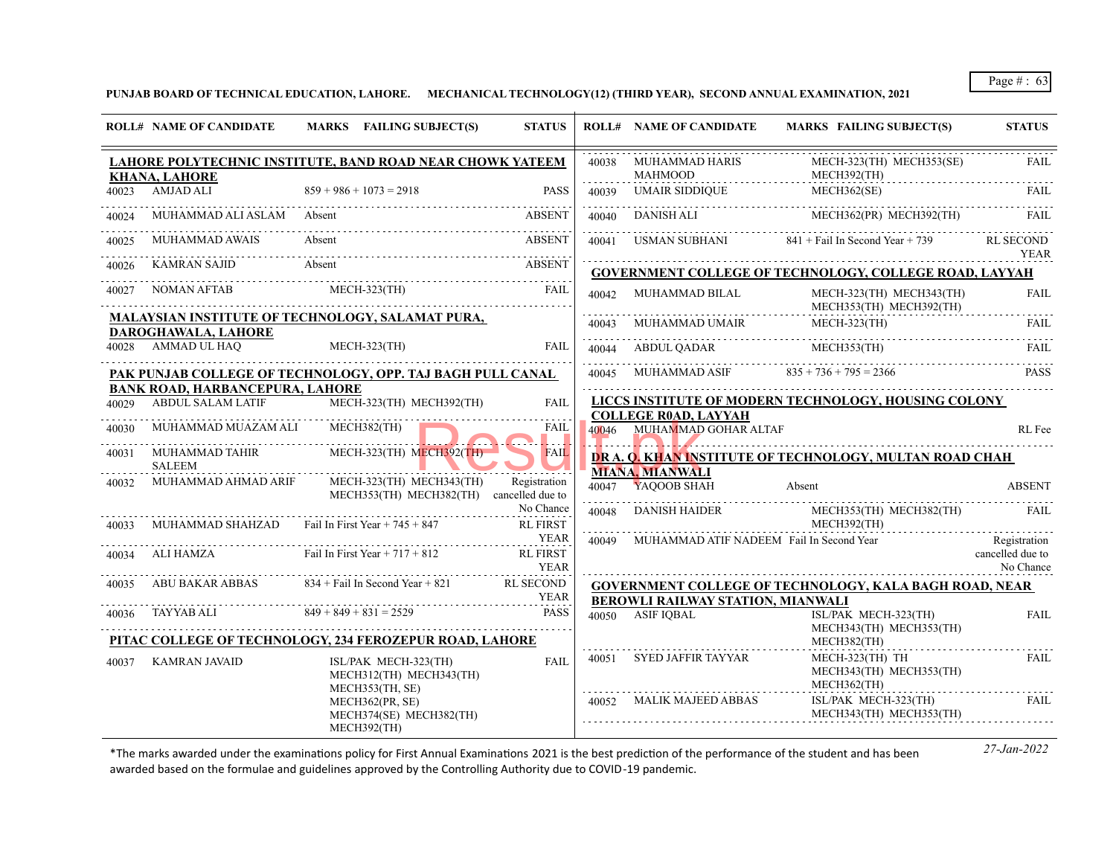**PUNJAB BOARD OF TECHNICAL EDUCATION, LAHORE. MECHANICAL TECHNOLOGY(12) (THIRD YEAR), SECOND ANNUAL EXAMINATION, 2021**

|       | <b>ROLL# NAME OF CANDIDATE</b>            | MARKS FAILING SUBJECT(S)                                             | <b>STATUS</b>                  |       | <b>ROLL# NAME OF CANDIDATE</b>                                                 | <b>MARKS FAILING SUBJECT(S)</b>                                                                                                             | <b>STATUS</b>                                 |
|-------|-------------------------------------------|----------------------------------------------------------------------|--------------------------------|-------|--------------------------------------------------------------------------------|---------------------------------------------------------------------------------------------------------------------------------------------|-----------------------------------------------|
|       | KHANA, LAHORE                             | LAHORE POLYTECHNIC INSTITUTE, BAND ROAD NEAR CHOWK YATEEM            |                                | 40038 | MUHAMMAD HARIS<br>MAHMOOD                                                      | MECH-323(TH) MECH353(SE)<br>MECH392(TH)                                                                                                     | FAIL.                                         |
|       | 40023 AMJAD ALI                           | $859 + 986 + 1073 = 2918$                                            | PASS                           | 40039 | <b>UMAIR SIDDIQUE</b>                                                          | MECH362(SE)                                                                                                                                 | FAIL.                                         |
| 40024 | MUHAMMAD ALI ASLAM Absent                 |                                                                      | <b>ABSENT</b>                  |       |                                                                                | 40040 DANISH ALI MECH362(PR) MECH392(TH)                                                                                                    | FAIL                                          |
| 40025 | MUHAMMAD AWAIS                            | Absent                                                               | <b>ABSENT</b>                  |       |                                                                                | 40041 USMAN SUBHANI 841 + Fail In Second Year + 739 RL SECOND                                                                               | <b>YEAR</b>                                   |
| 40026 |                                           | KAMRAN SAJID Absent                                                  | ABSENT                         |       |                                                                                | <b>GOVERNMENT COLLEGE OF TECHNOLOGY, COLLEGE ROAD, LAYYAH</b>                                                                               |                                               |
| 40027 | NOMAN AFTAB                               | $MECH-323(TH)$                                                       | FAIL                           |       | $\begin{minipage}{0.9\linewidth} 40042 & \text{MUHAMMAD BILAL} \end{minipage}$ | MECH-323(TH) MECH343(TH)<br>MECH353(TH) MECH392(TH)                                                                                         | <b>FAIL</b>                                   |
|       |                                           | <b>MALAYSIAN INSTITUTE OF TECHNOLOGY, SALAMAT PURA,</b>              |                                |       | 40043 MUHAMMAD UMAIR                                                           | <b>MECH-323(TH)</b>                                                                                                                         | , <sub>.</sub><br>FAIL                        |
|       | DAROGHAWALA, LAHORE<br>40028 AMMAD UL HAQ | $MECH-323(TH)$                                                       | FAIL                           |       | 40044 ABDUL QADAR MECH353(TH)                                                  |                                                                                                                                             | FAIL                                          |
|       |                                           | PAK PUNJAB COLLEGE OF TECHNOLOGY, OPP. TAJ BAGH PULL CANAL           |                                |       | 40045 MUHAMMAD ASIF $835 + 736 + 795 = 2366$                                   |                                                                                                                                             |                                               |
|       | <b>BANK ROAD, HARBANCEPURA, LAHORE</b>    | ABDUL SALAM LATIF MECH-323(TH) MECH392(TH)                           | <b>FAIL</b>                    |       | <b>COLLEGE ROAD, LAYYAH</b>                                                    | LICCS INSTITUTE OF MODERN TECHNOLOGY, HOUSING COLONY                                                                                        |                                               |
|       | MUHAMMAD MUAZAM ALI MECH382(TH)           |                                                                      | FAIL<br>.                      |       | 40046 MUHAMMAD GOHAR ALTAF                                                     |                                                                                                                                             | RL Fee                                        |
| 40031 | <b>SALEEM</b>                             | MUHAMMAD TAHIR MECH-323(TH) MECH392(TH)                              | <b>FAIL</b>                    |       | <b>MIANA, MIANWALI</b>                                                         | DR A. Q. KHAN INSTITUTE OF TECHNOLOGY, MULTAN ROAD CHAH                                                                                     |                                               |
| 40032 | MUHAMMAD AHMAD ARIF                       | MECH-323(TH) MECH343(TH)<br>MECH353(TH) MECH382(TH) cancelled due to | Registration                   |       | 40047 YAQOOB SHAH                                                              | Absent                                                                                                                                      | <b>ABSENT</b>                                 |
|       |                                           | MUHAMMAD SHAHZAD Fail In First Year + 745 + 847                      | No Chance<br><b>RL FIRST</b>   | 40048 |                                                                                | $\begin{tabular}{ll} DANISH HAIDER & \small MECH353(TH) MECH382(TH) & \small FAIL \\ & \small MECH392(TH) & & \small FAIL \\ \end{tabular}$ |                                               |
|       |                                           | 40034 ALI HAMZA Fail In First Year + 717 + 812                       | <b>RL FIRST</b><br><b>YEAR</b> | 40049 | MUHAMMAD ATIF NADEEM Fail In Second Year                                       |                                                                                                                                             | Registration<br>cancelled due to<br>No Chance |
|       |                                           | ABU BAKAR ABBAS 834 + Fail In Second Year + 821 RL SECOND            |                                |       |                                                                                | <b>GOVERNMENT COLLEGE OF TECHNOLOGY, KALA BAGH ROAD, NEAR</b>                                                                               |                                               |
| 40036 |                                           | $YEAR$<br>TAYYAB ALI $849 + 849 + 831 = 2529$ PASS                   |                                |       | BEROWLI RAILWAY STATION, MIANWALI<br>40050 ASIF IOBAL                          | ISL/PAK MECH-323(TH)<br>MECH343(TH) MECH353(TH)                                                                                             | <b>FAIL</b>                                   |
|       |                                           | PITAC COLLEGE OF TECHNOLOGY, 234 FEROZEPUR ROAD, LAHORE              |                                |       |                                                                                | MECH382(TH)                                                                                                                                 |                                               |
| 40037 | KAMRAN JAVAID                             | ISL/PAK MECH-323(TH)<br>MECH312(TH) MECH343(TH)<br>MECH353(TH, SE)   | <b>FAIL</b>                    |       | 40051 SYED JAFFIR TAYYAR                                                       | MECH-323(TH) TH<br>MECH343(TH) MECH353(TH)<br>MECH362(TH)                                                                                   | FAII.                                         |
|       |                                           | MECH362(PR, SE)<br>MECH374(SE) MECH382(TH)<br>MECH392(TH)            |                                |       | 40052 MALIK MAJEED ABBAS                                                       | ISL/PAK MECH-323(TH)<br>MECH343(TH) MECH353(TH)                                                                                             | FAIL                                          |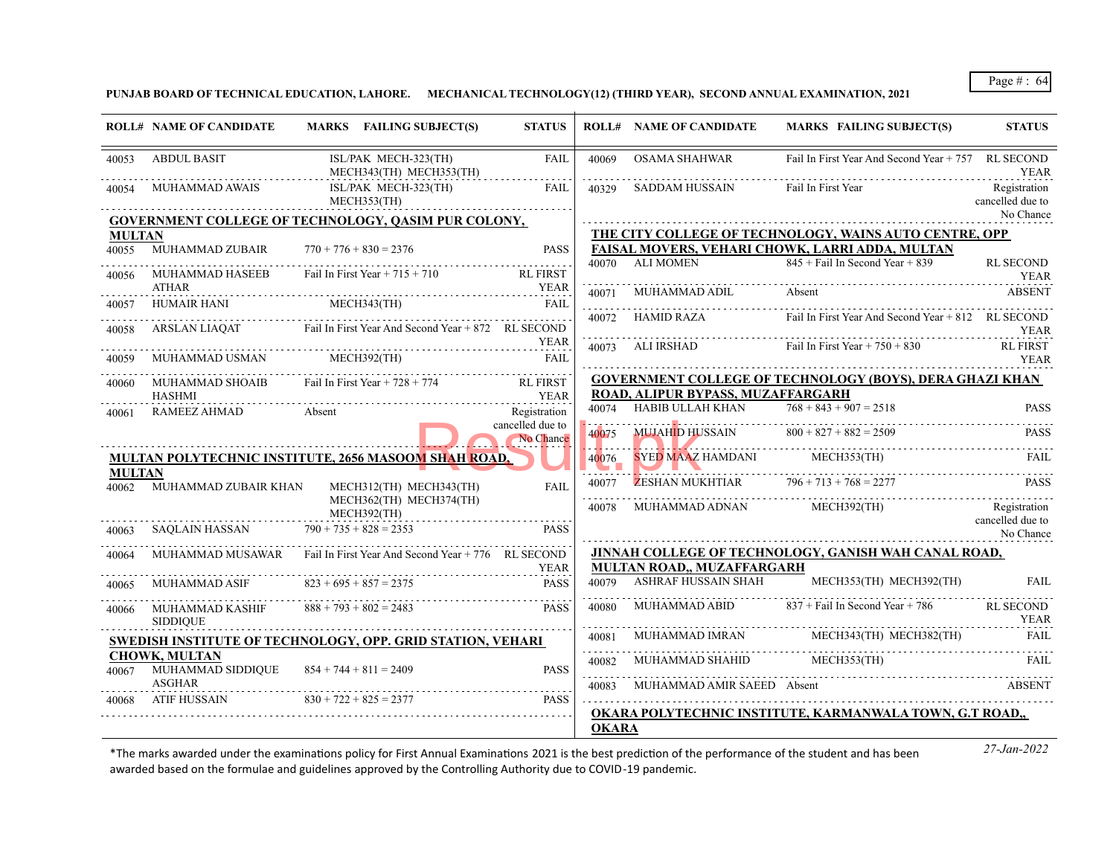**PUNJAB BOARD OF TECHNICAL EDUCATION, LAHORE. MECHANICAL TECHNOLOGY(12) (THIRD YEAR), SECOND ANNUAL EXAMINATION, 2021**

|                        | <b>ROLL# NAME OF CANDIDATE</b>            | MARKS FAILING SUBJECT(S)                                                    | <b>STATUS</b>                    |              | <b>ROLL# NAME OF CANDIDATE</b>                  | <b>MARKS FAILING SUBJECT(S)</b>                                 | <b>STATUS</b>                    |
|------------------------|-------------------------------------------|-----------------------------------------------------------------------------|----------------------------------|--------------|-------------------------------------------------|-----------------------------------------------------------------|----------------------------------|
| 40053                  | <b>ABDUL BASIT</b>                        | ISL/PAK MECH-323(TH)<br>MECH343(TH) MECH353(TH)                             | <b>FAIL</b>                      | 40069        | <b>OSAMA SHAHWAR</b>                            | Fail In First Year And Second Year + 757                        | RL SECOND<br><b>YEAR</b>         |
| 40054                  | <b>MUHAMMAD AWAIS</b>                     | ISL/PAK MECH-323(TH)<br>MECH353(TH)                                         | FAIL                             | 40329        | <b>SADDAM HUSSAIN</b>                           | Fail In First Year                                              | Registration<br>cancelled due to |
|                        |                                           | <b>GOVERNMENT COLLEGE OF TECHNOLOGY, QASIM PUR COLONY,</b>                  |                                  |              |                                                 |                                                                 | No Chance                        |
| <b>MULTAN</b>          |                                           |                                                                             |                                  |              |                                                 | THE CITY COLLEGE OF TECHNOLOGY, WAINS AUTO CENTRE, OPP          |                                  |
| 40055                  | MUHAMMAD ZUBAIR                           | $770 + 776 + 830 = 2376$                                                    | <b>PASS</b>                      |              |                                                 | FAISAL MOVERS, VEHARI CHOWK, LARRI ADDA, MULTAN                 |                                  |
| 40056                  | MUHAMMAD HASEEB<br><b>ATHAR</b>           | Fail In First Year + $715 + 710$                                            | <b>RL FIRST</b><br><b>YEAR</b>   | 40070        | <b>ALI MOMEN</b>                                | $845 +$ Fail In Second Year + 839                               | <b>RL SECOND</b><br><b>YEAR</b>  |
| 40057                  | HUMAIR HANI                               |                                                                             | <b>FAIL</b>                      | 40071        | MUHAMMAD ADIL                                   | Absent                                                          | <b>ABSENT</b>                    |
| 40058                  | ARSLAN LIAQAT                             | MECH343(TH) FAIL FAIL<br>Fail In First Year And Second Year + 872 RL SECOND |                                  | 40072        | HAMID RAZA                                      | Fail In First Year And Second Year + 812 RL SECOND              | <b>YEAR</b>                      |
| 40059                  | MUHAMMAD USMAN                            | MECH392(TH)                                                                 | <b>YEAR</b><br><b>FAIL</b>       | 40073        | ALI IRSHAD                                      | Fail In First Year $+ 750 + 830$                                | <b>RL FIRST</b><br><b>YEAR</b>   |
| 40060                  | MUHAMMAD SHOAIB                           | Fail In First Year + $728 + 774$                                            | <b>RL FIRST</b>                  |              |                                                 | <b>GOVERNMENT COLLEGE OF TECHNOLOGY (BOYS), DERA GHAZI KHAN</b> |                                  |
|                        | <b>HASHMI</b>                             |                                                                             | <b>YEAR</b>                      |              | ROAD, ALIPUR BYPASS, MUZAFFARGARH               |                                                                 |                                  |
| 40061                  | <b>RAMEEZ AHMAD</b>                       | Absent                                                                      | Registration<br>cancelled due to | 40074        | HABIB ULLAH KHAN                                | $768 + 843 + 907 = 2518$                                        | <b>PASS</b>                      |
|                        |                                           |                                                                             | No Chance                        | 40075        | MUJAHID HUSSAIN $800 + 827 + 882 = 2509$        |                                                                 | PASS                             |
|                        |                                           | <b>MULTAN POLYTECHNIC INSTITUTE, 2656 MASOOM SHAH ROAD,</b>                 |                                  | 40076        | <b>SYED MAAZ HAMDANI</b>                        | MECH353(TH)                                                     | FAIL                             |
| <b>MULTAN</b><br>40062 | MUHAMMAD ZUBAIR KHAN                      | MECH312(TH) MECH343(TH)                                                     | <b>FAIL</b>                      | 40077        | <b>ZESHAN MUKHTIAR</b> $796 + 713 + 768 = 2277$ |                                                                 | PASS                             |
|                        |                                           | MECH362(TH) MECH374(TH)<br>MECH392(TH)                                      |                                  | 40078        | MUHAMMAD ADNAN                                  | MECH392(TH)                                                     | Registration<br>cancelled due to |
| 40063                  | SAQLAIN HASSAN                            | $790 + 735 + 828 = 2353$                                                    | <b>PASS</b>                      |              |                                                 |                                                                 | No Chance                        |
| 40064                  |                                           | MUHAMMAD MUSAWAR Fail In First Year And Second Year +776 RL SECOND          |                                  |              |                                                 | JINNAH COLLEGE OF TECHNOLOGY, GANISH WAH CANAL ROAD,            |                                  |
|                        |                                           |                                                                             | <b>YEAR</b>                      |              | MULTAN ROAD,, MUZAFFARGARH                      |                                                                 |                                  |
| 40065                  | <b>MUHAMMAD ASIF</b>                      | $823 + 695 + 857 = 2375$                                                    | <b>PASS</b>                      | 40079        | <b>ASHRAF HUSSAIN SHAH</b>                      | MECH353(TH) MECH392(TH)                                         | <b>FAIL</b>                      |
| 40066                  | MUHAMMAD KASHIF<br><b>SIDDIOUE</b>        | $888 + 793 + 802 = 2483$                                                    | <b>PASS</b>                      | 40080        | <b>MUHAMMAD ABID</b>                            | $837 +$ Fail In Second Year + 786                               | <b>RL SECOND</b><br>YEAR         |
|                        |                                           | <b>SWEDISH INSTITUTE OF TECHNOLOGY, OPP. GRID STATION, VEHARI</b>           |                                  | 40081        | MUHAMMAD IMRAN                                  | MECH343(TH) MECH382(TH)                                         | FAIL                             |
| 40067                  | <b>CHOWK, MULTAN</b><br>MUHAMMAD SIDDIQUE | $854 + 744 + 811 = 2409$                                                    | <b>PASS</b>                      | 40082        | MUHAMMAD SHAHID                                 | MECH353(TH)                                                     | FAIL                             |
|                        | <b>ASGHAR</b>                             |                                                                             |                                  | 40083        | MUHAMMAD AMIR SAEED Absent                      |                                                                 | ABSENT                           |
| 40068                  | ATIF HUSSAIN                              | $830 + 722 + 825 = 2377$                                                    | <b>PASS</b>                      | <b>OKARA</b> |                                                 | OKARA POLYTECHNIC INSTITUTE, KARMANWALA TOWN, G.T ROAD,,        |                                  |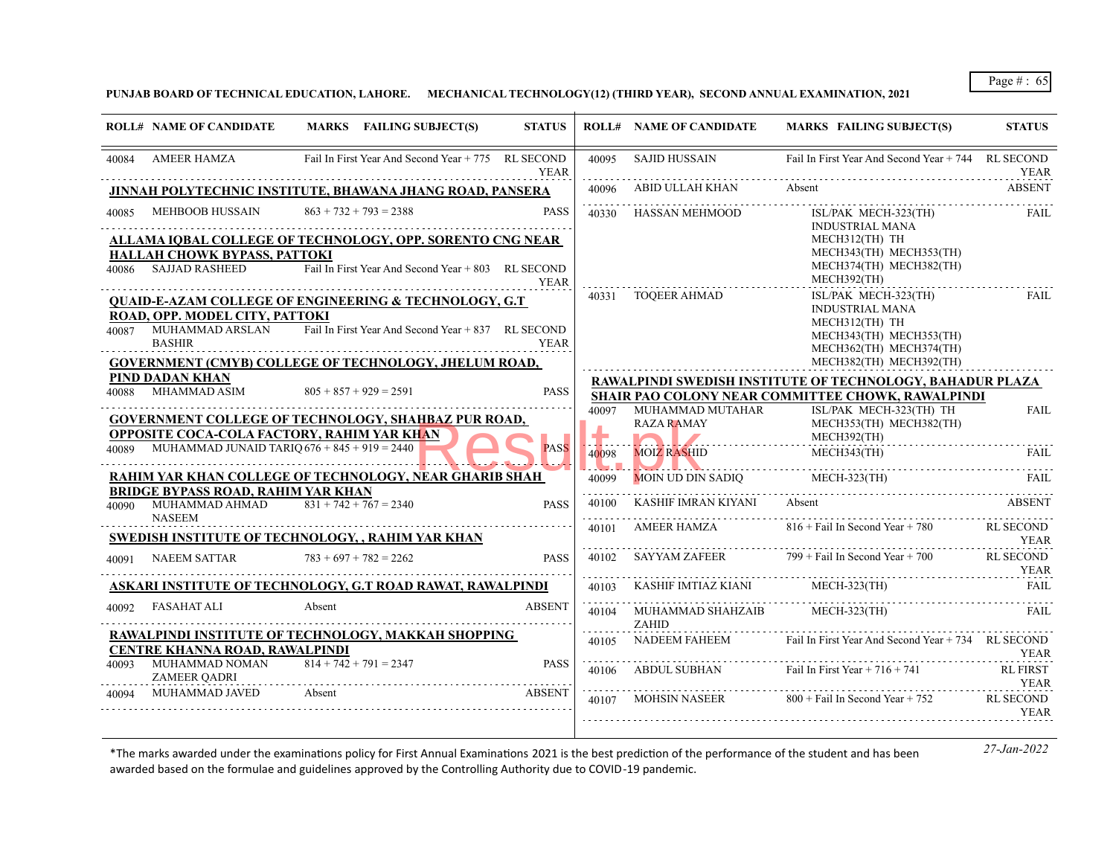**PUNJAB BOARD OF TECHNICAL EDUCATION, LAHORE. MECHANICAL TECHNOLOGY(12) (THIRD YEAR), SECOND ANNUAL EXAMINATION, 2021**

|       | <b>ROLL# NAME OF CANDIDATE</b>                                               | MARKS FAILING SUBJECT(S)                                                                                               | <b>STATUS</b> |            | <b>ROLL# NAME OF CANDIDATE</b>    | <b>MARKS FAILING SUBJECT(S)</b>                                                                                        | <b>STATUS</b>                   |
|-------|------------------------------------------------------------------------------|------------------------------------------------------------------------------------------------------------------------|---------------|------------|-----------------------------------|------------------------------------------------------------------------------------------------------------------------|---------------------------------|
| 40084 | <b>AMEER HAMZA</b>                                                           | Fail In First Year And Second Year + 775 RL SECOND                                                                     | <b>YEAR</b>   | 40095      | <b>SAJID HUSSAIN</b>              | Fail In First Year And Second Year + 744 RL SECOND                                                                     | <b>YEAR</b>                     |
|       |                                                                              | JINNAH POLYTECHNIC INSTITUTE, BHAWANA JHANG ROAD, PANSERA                                                              |               | 40096      | ABID ULLAH KHAN                   | Absent                                                                                                                 | <b>ABSENT</b>                   |
| 40085 | MEHBOOB HUSSAIN                                                              | $863 + 732 + 793 = 2388$                                                                                               | <b>PASS</b>   | .<br>40330 | HASSAN MEHMOOD                    | ISL/PAK MECH-323(TH)<br><b>INDUSTRIAL MANA</b><br>MECH312(TH) TH                                                       | FAIL                            |
| 40086 | HALLAH CHOWK BYPASS, PATTOKI<br>SAJJAD RASHEED                               | ALLAMA IQBAL COLLEGE OF TECHNOLOGY, OPP. SORENTO CNG NEAR<br>Fail In First Year And Second Year + 803 RL SECOND        | <b>YEAR</b>   |            |                                   | MECH343(TH) MECH353(TH)<br>MECH374(TH) MECH382(TH)<br>MECH392(TH)                                                      |                                 |
| 40087 | ROAD, OPP. MODEL CITY, PATTOKI<br>MUHAMMAD ARSLAN<br><b>BASHIR</b>           | <b>QUAID-E-AZAM COLLEGE OF ENGINEERING &amp; TECHNOLOGY, G.T</b><br>Fail In First Year And Second Year + 837 RL SECOND | <b>YEAR</b>   | 40331      | TOOEER AHMAD                      | ISL/PAK MECH-323(TH)<br><b>INDUSTRIAL MANA</b><br>MECH312(TH) TH<br>MECH343(TH) MECH353(TH)<br>MECH362(TH) MECH374(TH) | <b>FAIL</b>                     |
|       |                                                                              | <b>GOVERNMENT (CMYB) COLLEGE OF TECHNOLOGY, JHELUM ROAD,</b>                                                           |               |            |                                   | MECH382(TH) MECH392(TH)                                                                                                |                                 |
| 40088 | PIND DADAN KHAN<br>MHAMMAD ASIM                                              | $805 + 857 + 929 = 2591$                                                                                               | <b>PASS</b>   |            |                                   | RAWALPINDI SWEDISH INSTITUTE OF TECHNOLOGY, BAHADUR PLAZA<br><b>SHAIR PAO COLONY NEAR COMMITTEE CHOWK, RAWALPINDI</b>  |                                 |
|       | <b>OPPOSITE COCA-COLA FACTORY, RAHIM YAR KHAN</b>                            | <b>GOVERNMENT COLLEGE OF TECHNOLOGY, SHAHBAZ PUR ROAD,</b>                                                             |               | 40097      | MUHAMMAD MUTAHAR<br>RAZA RAMAY    | ISL/PAK MECH-323(TH) TH<br>MECH353(TH) MECH382(TH)<br>MECH392(TH)                                                      | <b>FAIL</b>                     |
|       | $40089$ MUHAMMAD JUNAID TARIQ 676 + 845 + 919 = 2440                         |                                                                                                                        | <b>PASS</b>   | 40098      | <b>MOIZ RASHID</b>                | MECH343(TH)                                                                                                            | <b>FAIL</b>                     |
|       |                                                                              | <b>RAHIM YAR KHAN COLLEGE OF TECHNOLOGY, NEAR GHARIB SHAH</b>                                                          |               | 40099      | MOIN UD DIN SADIQ                 | MECH-323(TH)                                                                                                           | FAIL                            |
| 40090 | <b>BRIDGE BYPASS ROAD, RAHIM YAR KHAN</b><br>MUHAMMAD AHMAD<br><b>NASEEM</b> | $831 + 742 + 767 = 2340$                                                                                               | <b>PASS</b>   | 40100      | KASHIF IMRAN KIYANI               | Absent                                                                                                                 | ABSENT                          |
|       |                                                                              | SWEDISH INSTITUTE OF TECHNOLOGY, , RAHIM YAR KHAN                                                                      |               | 40101      | AMEER HAMZA                       | $816 +$ Fail In Second Year + 780                                                                                      | <b>RL SECOND</b><br>YEAR        |
| 40091 | <b>NAEEM SATTAR</b>                                                          | $783 + 697 + 782 = 2262$                                                                                               | <b>PASS</b>   | 40102      | SAYYAM ZAFEER                     | $799 +$ Fail In Second Year + 700                                                                                      | <b>RL SECOND</b><br><b>YEAR</b> |
|       |                                                                              | ASKARI INSTITUTE OF TECHNOLOGY, G.T ROAD RAWAT, RAWALPINDI                                                             |               | 40103      | KASHIF IMTIAZ KIANI               | $MECH-323$ (TH)                                                                                                        | FAIL                            |
| 40092 | FASAHAT ALI                                                                  | Absent                                                                                                                 | <b>ABSENT</b> | .<br>40104 | MUHAMMAD SHAHZAIB<br><b>ZAHID</b> | MECH-323(TH)                                                                                                           | FAIL                            |
|       | CENTRE KHANNA ROAD, RAWALPINDI                                               | RAWALPINDI INSTITUTE OF TECHNOLOGY, MAKKAH SHOPPING                                                                    |               | 40105      | NADEEM FAHEEM                     | Fail In First Year And Second Year + 734 RL SECOND                                                                     | YEAR                            |
| 40093 | MUHAMMAD NOMAN<br><b>ZAMEER QADRI</b>                                        | $814 + 742 + 791 = 2347$                                                                                               | <b>PASS</b>   | 40106      | ABDUL SUBHAN                      | Fail In First Year $+ 716 + 741$                                                                                       | <b>RL FIRST</b><br><b>YEAR</b>  |
| 40094 | MUHAMMAD JAVED                                                               | Absent                                                                                                                 | <b>ABSENT</b> | 40107      | <b>MOHSIN NASEER</b>              | $800 +$ Fail In Second Year + 752                                                                                      | <b>RL SECOND</b>                |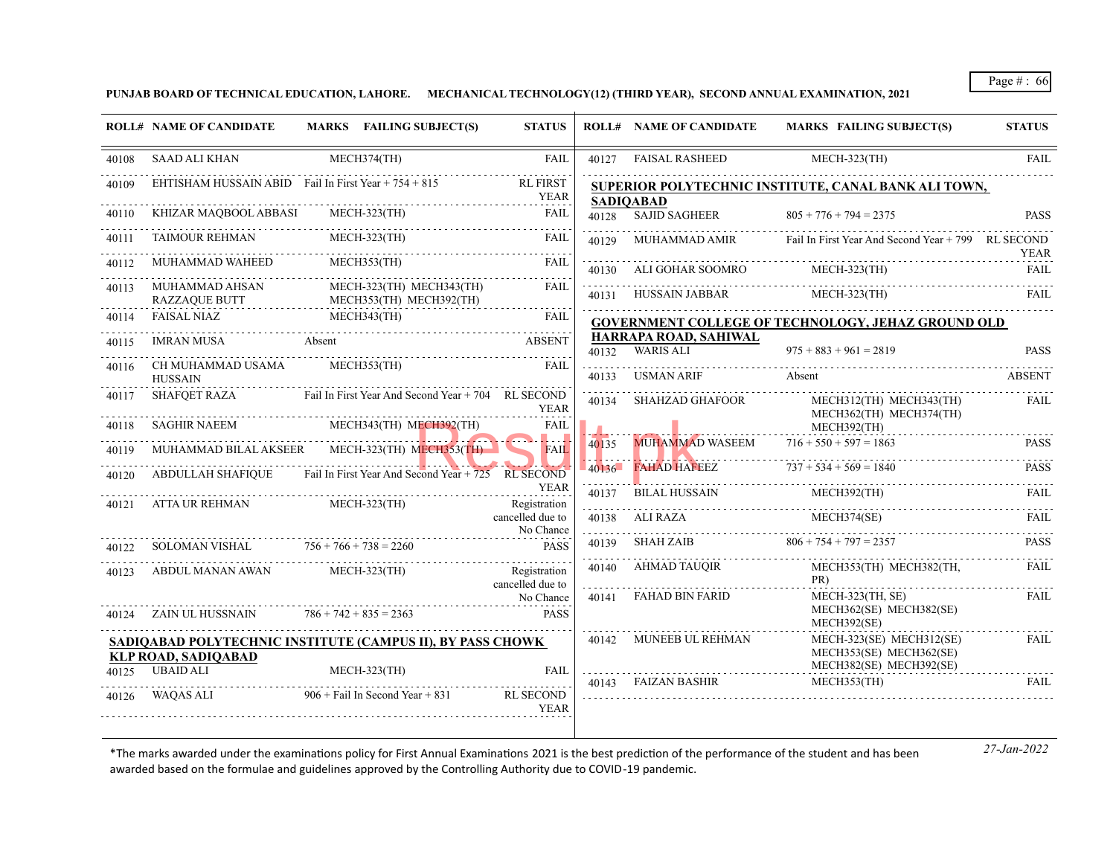**PUNJAB BOARD OF TECHNICAL EDUCATION, LAHORE. MECHANICAL TECHNOLOGY(12) (THIRD YEAR), SECOND ANNUAL EXAMINATION, 2021**

|       | <b>ROLL# NAME OF CANDIDATE</b>                       | MARKS FAILING SUBJECT(S)                                             | <b>STATUS</b>                           |                           | <b>ROLL# NAME OF CANDIDATE</b>                | <b>MARKS FAILING SUBJECT(S)</b>                                                | <b>STATUS</b> |
|-------|------------------------------------------------------|----------------------------------------------------------------------|-----------------------------------------|---------------------------|-----------------------------------------------|--------------------------------------------------------------------------------|---------------|
| 40108 | <b>SAAD ALI KHAN</b>                                 | MECH374(TH)                                                          | <b>FAIL</b>                             | 40127                     | <b>FAISAL RASHEED</b>                         | <b>MECH-323(TH)</b>                                                            | <b>FAIL</b>   |
|       | EHTISHAM HUSSAIN ABID Fail In First Year + 754 + 815 |                                                                      | RL FIRST<br>YEAR                        |                           | <b>SADIOABAD</b>                              | SUPERIOR POLYTECHNIC INSTITUTE, CANAL BANK ALI TOWN,                           |               |
| 40110 | KHIZAR MAQBOOL ABBASI MECH-323(TH)                   |                                                                      | FAIL                                    |                           | 40128 SAJID SAGHEER                           | $805 + 776 + 794 = 2375$                                                       | <b>PASS</b>   |
|       | TAIMOUR REHMAN                                       | $MECH-323$ (TH)                                                      | FAIL                                    | 40129                     |                                               | MUHAMMAD AMIR Fail In First Year And Second Year + 799 RL SECOND               | YEAR          |
| 40112 | MUHAMMAD WAHEED                                      | MECH353(TH)                                                          | FAII.                                   | 40130                     | ALI GOHAR SOOMRO                              | MECH-323(TH)                                                                   | <b>FAIL</b>   |
| 40113 | MUHAMMAD AHSAN<br>RAZZAQUE BUTT                      | MECH-323(TH) MECH343(TH)<br>MECH353(TH) MECH392(TH)                  | FAIL                                    |                           | 40131 HUSSAIN JABBAR                          | MECH-323(TH)                                                                   | <b>FAIL</b>   |
| 40114 | FAISAL NIAZ                                          | FAISAL NIAZ MECH343(TH) FAII FAI                                     | FAIL                                    |                           |                                               | <b>GOVERNMENT COLLEGE OF TECHNOLOGY, JEHAZ GROUND OLD</b>                      |               |
| 40115 | IMRAN MUSA Absent                                    |                                                                      | <b>ABSENT</b>                           | 40132                     | HARRAPA ROAD, SAHIWAL<br>WARIS ALI            | $975 + 883 + 961 = 2819$                                                       | <b>PASS</b>   |
| 40116 | CH MUHAMMAD USAMA<br>HUSSAIN                         | MECH353(TH)                                                          | <b>FAIL</b>                             | 40133                     | USMAN ARIF                                    | Absent                                                                         | <b>ABSENT</b> |
| 40117 | SHAFQET RAZA                                         | Fail In First Year And Second Year + 704 RL SECOND                   | <b>YEAR</b>                             | 40134                     | SHAHZAD GHAFOOR                               | MECH312(TH) MECH343(TH)<br>MECH362(TH) MECH374(TH)                             | FAIL          |
| 40118 | SAGHIR NAEEM                                         | MECH343(TH) MECH392(TH)                                              | FAIL                                    |                           |                                               | MECH392(TH)                                                                    |               |
|       |                                                      | MUHAMMAD BILAL AKSEER MECH-323(TH) MECH353(TH)                       | . <b>.</b><br>FAIL.                     | 40135                     | <b>MUHAMMAD WASEEM</b>                        | $716 + 550 + 597 = 1863$                                                       | <b>PASS</b>   |
| 40120 |                                                      | ABDULLAH SHAFIQUE Fail In First Year And Second Year + 725 RL SECOND |                                         |                           | $40136$ FAHAD HAFEEZ $737 + 534 + 569 = 1840$ |                                                                                | <b>PASS</b>   |
| 40121 | ATTA UR REHMAN                                       | MECH-323(TH)                                                         | YEAR<br>Registration                    | 40137                     | BILAL HUSSAIN                                 | MECH392(TH)                                                                    | FAIL          |
|       |                                                      |                                                                      | cancelled due to<br>No Chance           | 40138                     | ALI RAZA                                      | MECH374(SE)                                                                    | FAIL          |
| 40122 | SOLOMAN VISHAL $756 + 766 + 738 = 2260$              |                                                                      | <b>PASS</b>                             | 40139<br>الواويون والوالي | SHAH ZAIB                                     | $806 + 754 + 797 = 2357$                                                       | PASS          |
| 40123 | ABDUL MANAN AWAN MECH-323(TH)                        |                                                                      | Registration<br>cancelled due to        | 40140                     | AHMAD TAUOIR                                  | MECH353(TH) MECH382(TH,<br>PR)                                                 | FAIL          |
| 40124 |                                                      | ZAIN UL HUSSNAIN $786 + 742 + 835 = 2363$                            | No Chance<br><b>PASS</b>                | 40141                     | FAHAD BIN FARID                               | MECH-323(TH, SE)<br>MECH362(SE) MECH382(SE)<br>MECH392(SE)                     | <b>FAIL</b>   |
|       | KLP ROAD, SADIOABAD                                  | SADIQABAD POLYTECHNIC INSTITUTE (CAMPUS II), BY PASS CHOWK           |                                         |                           | 40142 MUNEEB UL REHMAN                        | MECH-323(SE) MECH312(SE)<br>MECH353(SE) MECH362(SE)<br>MECH382(SE) MECH392(SE) | FAIL          |
| 40126 | 40125 UBAID ALI<br>WAQAS ALI                         | $MECH-323(TH)$<br>$906 +$ Fail In Second Year + 831                  | <b>FAIL</b><br><b>RL SECOND</b><br>YEAR | 40143                     | FAIZAN BASHIR                                 | MECH353(TH)                                                                    | FAIL          |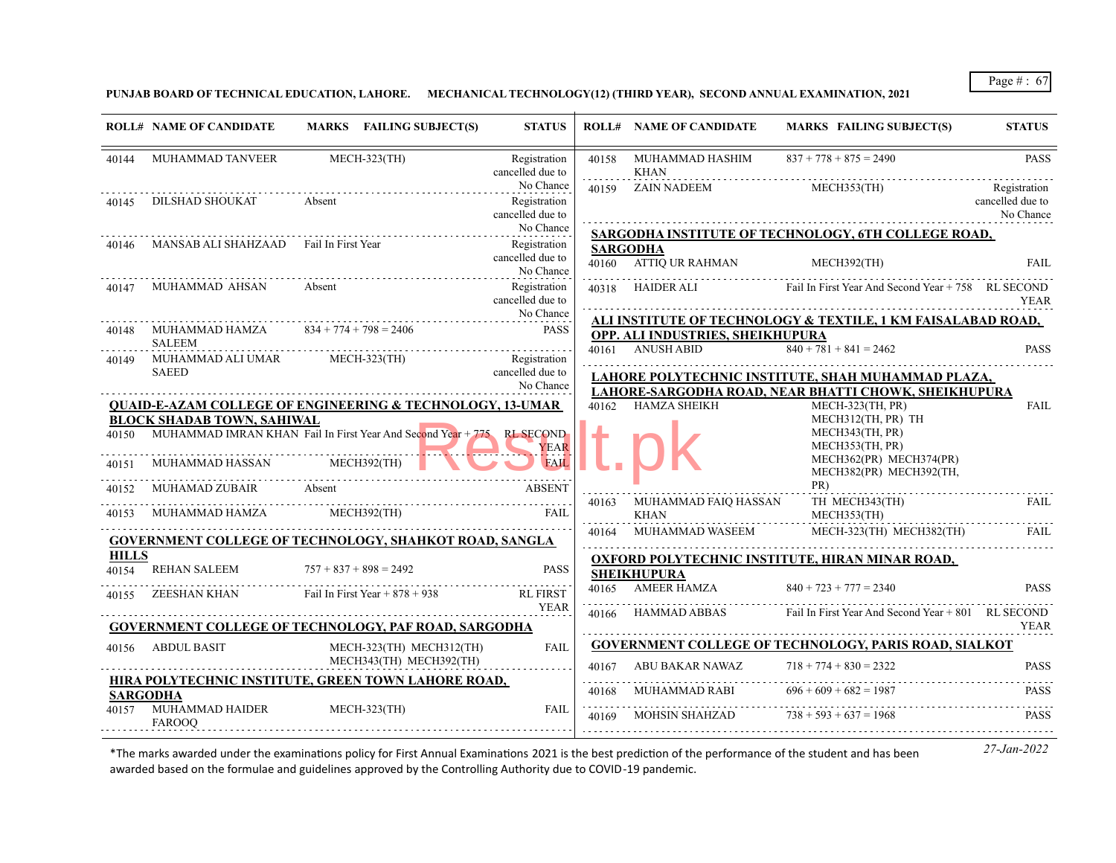**PUNJAB BOARD OF TECHNICAL EDUCATION, LAHORE. MECHANICAL TECHNOLOGY(12) (THIRD YEAR), SECOND ANNUAL EXAMINATION, 2021**

|              | <b>ROLL# NAME OF CANDIDATE</b>                            | MARKS FAILING SUBJECT(S)                                                                          | <b>STATUS</b>                                 |       | <b>ROLL# NAME OF CANDIDATE</b>                       | MARKS FAILING SUBJECT(S)                                            | <b>STATUS</b>                                 |
|--------------|-----------------------------------------------------------|---------------------------------------------------------------------------------------------------|-----------------------------------------------|-------|------------------------------------------------------|---------------------------------------------------------------------|-----------------------------------------------|
|              | 40144 MUHAMMAD TANVEER                                    | <b>MECH-323(TH)</b>                                                                               | Registration<br>cancelled due to              | 40158 | MUHAMMAD HASHIM<br>KHAN                              | $837 + 778 + 875 = 2490$                                            | <b>PASS</b>                                   |
| 40145        |                                                           | DILSHAD SHOUKAT Absent                                                                            | No Chance<br>Registration<br>cancelled due to |       | 40159 ZAIN NADEEM                                    | MECH353(TH)                                                         | Registration<br>cancelled due to<br>No Chance |
|              |                                                           |                                                                                                   | No Chance                                     |       |                                                      | SARGODHA INSTITUTE OF TECHNOLOGY, 6TH COLLEGE ROAD,                 |                                               |
| 40146        | MANSAB ALI SHAHZAAD Fail In First Year                    |                                                                                                   | Registration<br>cancelled due to<br>No Chance |       | <b>SARGODHA</b><br>40160 ATTIQ UR RAHMAN MECH392(TH) |                                                                     | <b>FAIL</b>                                   |
|              | 40147 MUHAMMAD AHSAN                                      | Absent                                                                                            | Registration<br>cancelled due to              |       |                                                      | 40318 HAIDER ALI Fail In First Year And Second Year + 758 RL SECOND | <b>YEAR</b>                                   |
|              |                                                           | 40148 MUHAMMAD HAMZA $834 + 774 + 798 = 2406$                                                     | No Chance<br><b>PASS</b>                      |       |                                                      | ALI INSTITUTE OF TECHNOLOGY & TEXTILE, 1 KM FAISALABAD ROAD,        |                                               |
|              | <b>SALEEM</b>                                             |                                                                                                   |                                               |       | OPP. ALI INDUSTRIES, SHEIKHUPURA<br>40161 ANUSH ABID | $840 + 781 + 841 = 2462$                                            | <b>PASS</b>                                   |
| 40149        | MUHAMMAD ALI UMAR MECH-323(TH)<br><b>SAEED</b>            |                                                                                                   | Registration<br>cancelled due to              |       |                                                      | LAHORE POLYTECHNIC INSTITUTE, SHAH MUHAMMAD PLAZA,                  |                                               |
|              |                                                           |                                                                                                   | No Chance                                     |       |                                                      | LAHORE-SARGODHA ROAD, NEAR BHATTI CHOWK, SHEIKHUPURA                |                                               |
|              | <b>BLOCK SHADAB TOWN, SAHIWAL</b>                         | <b>QUAID-E-AZAM COLLEGE OF ENGINEERING &amp; TECHNOLOGY, 13-UMAR</b>                              |                                               |       | 40162 HAMZA SHEIKH                                   | MECH-323(TH, PR)<br>MECH312(TH, PR) TH                              | <b>FAIL</b>                                   |
|              |                                                           | 40150 MUHAMMAD IMRAN KHAN Fail In First Year And Second Year + 775 RL SECOND<br><u>Experience</u> | <b>YEAR</b>                                   |       |                                                      | MECH343(TH, PR)<br>MECH353(TH, PR)                                  |                                               |
| 40151        | MUHAMMAD HASSAN MECH392(TH)                               |                                                                                                   | <b>FAIL</b>                                   |       |                                                      | MECH362(PR) MECH374(PR)<br>MECH382(PR) MECH392(TH,                  |                                               |
|              |                                                           | 40152 MUHAMAD ZUBAIR Absent                                                                       | <b>ABSENT</b>                                 |       | 40163 MUHAMMAD FAIO HASSAN                           | TH MECH343(TH)                                                      | <b>FAIL</b>                                   |
|              |                                                           | 40153 MUHAMMAD HAMZA MECH392(TH)                                                                  | <b>FAIL</b>                                   |       | KHAN                                                 | MECH353(TH)                                                         |                                               |
|              |                                                           | GOVERNMENT COLLEGE OF TECHNOLOGY, SHAHKOT ROAD, SANGLA                                            |                                               |       |                                                      | 40164 MUHAMMAD WASEEM MECH-323(TH) MECH382(TH)                      | FAIL                                          |
| <b>HILLS</b> |                                                           |                                                                                                   |                                               |       |                                                      | OXFORD POLYTECHNIC INSTITUTE, HIRAN MINAR ROAD,                     |                                               |
|              | 40154 REHAN SALEEM                                        | $757 + 837 + 898 = 2492$                                                                          | <b>PASS</b>                                   |       | <b>SHEIKHUPURA</b>                                   |                                                                     |                                               |
|              |                                                           | $40155$ ZEESHAN KHAN Fail In First Year + 878 + 938                                               | <b>RL FIRST</b><br><b>YEAR</b>                |       | 40165 AMEER HAMZA                                    | $840 + 723 + 777 = 2340$                                            | <b>PASS</b>                                   |
|              |                                                           | <b>GOVERNMENT COLLEGE OF TECHNOLOGY, PAF ROAD, SARGODHA</b>                                       |                                               |       | 40166 HAMMAD ABBAS                                   | Fail In First Year And Second Year + 801 RL SECOND                  | <b>YEAR</b>                                   |
|              | 40156 ABDUL BASIT                                         |                                                                                                   | <b>FAIL</b>                                   |       |                                                      | <b>GOVERNMENT COLLEGE OF TECHNOLOGY, PARIS ROAD, SIALKOT</b>        |                                               |
|              |                                                           | MECH-323(TH) MECH312(TH)<br>MECH343(TH) MECH392(TH)                                               | .                                             |       | 40167 ABU BAKAR NAWAZ $718 + 774 + 830 = 2322$       |                                                                     | <b>PASS</b>                                   |
|              |                                                           | <u>HIRA POLYTECHNIC INSTITUTE, GREEN TOWN LAHORE ROAD,</u>                                        |                                               |       | 40168 MUHAMMAD RABI $696 + 609 + 682 = 1987$         |                                                                     | <b>PASS</b>                                   |
|              | <b>SARGODHA</b><br>40157 MUHAMMAD HAIDER<br><b>FAROOO</b> | <b>MECH-323(TH)</b>                                                                               | FAIL                                          | 40169 | MOHSIN SHAHZAD $738 + 593 + 637 = 1968$              |                                                                     | <b>PASS</b>                                   |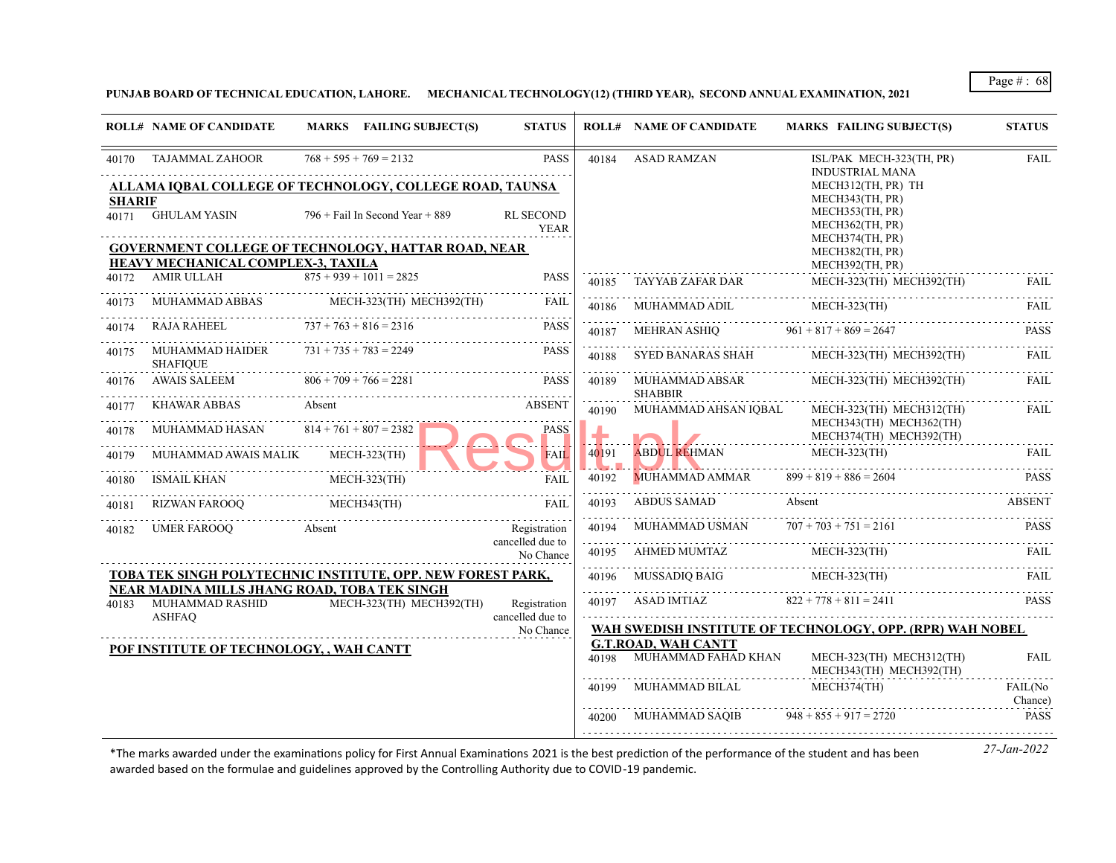**PUNJAB BOARD OF TECHNICAL EDUCATION, LAHORE. MECHANICAL TECHNOLOGY(12) (THIRD YEAR), SECOND ANNUAL EXAMINATION, 2021**

|               | <b>ROLL# NAME OF CANDIDATE</b>                                                   | MARKS FAILING SUBJECT(S)                                           | <b>STATUS</b>                    |                                               | <b>ROLL# NAME OF CANDIDATE</b>   | <b>MARKS FAILING SUBJECT(S)</b>                                          | <b>STATUS</b>      |
|---------------|----------------------------------------------------------------------------------|--------------------------------------------------------------------|----------------------------------|-----------------------------------------------|----------------------------------|--------------------------------------------------------------------------|--------------------|
| 40170         | TAJAMMAL ZAHOOR                                                                  | $768 + 595 + 769 = 2132$                                           | <b>PASS</b>                      | 40184                                         | <b>ASAD RAMZAN</b>               | ISL/PAK MECH-323(TH, PR)<br><b>INDUSTRIAL MANA</b>                       | <b>FAIL</b>        |
|               |                                                                                  | ALLAMA IOBAL COLLEGE OF TECHNOLOGY, COLLEGE ROAD, TAUNSA           |                                  |                                               |                                  | MECH312(TH, PR) TH                                                       |                    |
| <b>SHARIF</b> | 40171 GHULAM YASIN                                                               | $796 +$ Fail In Second Year + 889                                  | <b>RL SECOND</b><br><b>YEAR</b>  |                                               |                                  | MECH343(TH, PR)<br>MECH353(TH, PR)<br>MECH362(TH, PR)<br>MECH374(TH, PR) |                    |
|               | <b>HEAVY MECHANICAL COMPLEX-3, TAXILA</b>                                        | <b>GOVERNMENT COLLEGE OF TECHNOLOGY, HATTAR ROAD, NEAR</b>         |                                  |                                               |                                  | MECH382(TH, PR)<br>MECH392(TH, PR)                                       |                    |
| 40172         | AMIR ULLAH                                                                       | $875 + 939 + 1011 = 2825$                                          | <b>PASS</b>                      | 40185                                         | TAYYAB ZAFAR DAR                 | MECH-323(TH) MECH392(TH)                                                 | FAIL.              |
| 40173         |                                                                                  | MUHAMMAD ABBAS MECH-323(TH) MECH392(TH)                            | FAIL                             | 40186                                         | MUHAMMAD ADIL                    | MECH-323(TH)                                                             | FAIL               |
| 40174         | RAJA RAHEEL                                                                      | $737 + 763 + 816 = 2316$                                           | <b>PASS</b>                      | 40187                                         | <b>MEHRAN ASHIO</b>              | $961 + 817 + 869 = 2647$                                                 | <b>PASS</b>        |
| 40175         | MUHAMMAD HAIDER<br><b>SHAFIOUE</b>                                               | $731 + 735 + 783 = 2249$                                           | <b>PASS</b>                      | 40188                                         | SYED BANARAS SHAH                | MECH-323(TH) MECH392(TH)                                                 | FAIL               |
| 40176         | <b>AWAIS SALEEM</b>                                                              | $806 + 709 + 766 = 2281$                                           | <b>PASS</b>                      | 40189                                         | MUHAMMAD ABSAR<br><b>SHABBIR</b> | MECH-323(TH) MECH392(TH)                                                 | FAIL               |
| 40177         | KHAWAR ABBAS                                                                     | Absent                                                             | <b>ABSENT</b>                    | 40190                                         | MUHAMMAD AHSAN IQBAL             | MECH-323(TH) MECH312(TH)<br>MECH343(TH) MECH362(TH)                      | FAIL               |
| 40178         | MUHAMMAD HASAN $814 + 761 + 807 = 2382$                                          |                                                                    | PASS                             |                                               |                                  | MECH374(TH) MECH392(TH)                                                  |                    |
| 40179         | MUHAMMAD AWAIS MALIK                                                             | MECH-323(TH)                                                       | <b>FAIL</b>                      | 40191<br>$\mathbf{L} \cdot \mathbf{L}$ , i.e. | <b>ABDUL REHMAN</b>              | <b>MECH-323(TH)</b>                                                      | FAII.              |
| 40180         | ISMAIL KHAN                                                                      | MECH-323(TH)                                                       | FAIL                             | 40192                                         | MUHAMMAD AMMAR                   | $899 + 819 + 886 = 2604$                                                 | <b>PASS</b>        |
| 40181         | RIZWAN FAROOO                                                                    | MECH343(TH)                                                        | FAIL                             | 40193                                         | ABDUS SAMAD                      | Absent                                                                   | <b>ABSENT</b>      |
| 40182         | UMER FAROOO                                                                      | Absent                                                             | Registration                     | 40194                                         | MUHAMMAD USMAN                   | $707 + 703 + 751 = 2161$                                                 | <b>PASS</b>        |
|               |                                                                                  |                                                                    | cancelled due to<br>No Chance    | .<br>40195                                    | AHMED MUMTAZ                     | $MECH-323$ (TH)                                                          | <b>FAIL</b>        |
|               |                                                                                  | <u>TOBA TEK SINGH POLYTECHNIC INSTITUTE, OPP. NEW FOREST PARK,</u> |                                  | 40196                                         | MUSSADIQ BAIG                    | $MECH-323$ (TH)                                                          | FAIL               |
| 40183         | NEAR MADINA MILLS JHANG ROAD, TOBA TEK SINGH<br>MUHAMMAD RASHID<br><b>ASHFAQ</b> | MECH-323(TH) MECH392(TH)                                           | Registration<br>cancelled due to |                                               | 40197 ASAD IMTIAZ                | $822 + 778 + 811 = 2411$                                                 | <b>PASS</b>        |
|               |                                                                                  |                                                                    | No Chance                        |                                               |                                  | WAH SWEDISH INSTITUTE OF TECHNOLOGY, OPP. (RPR) WAH NOBEL                |                    |
|               | POF INSTITUTE OF TECHNOLOGY, , WAH CANTT                                         |                                                                    |                                  |                                               | <b>G.T.ROAD, WAH CANTT</b>       |                                                                          |                    |
|               |                                                                                  |                                                                    |                                  | 40198                                         | MUHAMMAD FAHAD KHAN              | MECH-323(TH) MECH312(TH)<br>MECH343(TH) MECH392(TH)                      | <b>FAIL</b>        |
|               |                                                                                  |                                                                    |                                  | 40199                                         | MUHAMMAD BILAL                   | MECH374(TH)                                                              | FAIL(No<br>Chance) |
|               |                                                                                  |                                                                    |                                  | 40200                                         | MUHAMMAD SAOIB                   | $948 + 855 + 917 = 2720$                                                 | <b>PASS</b>        |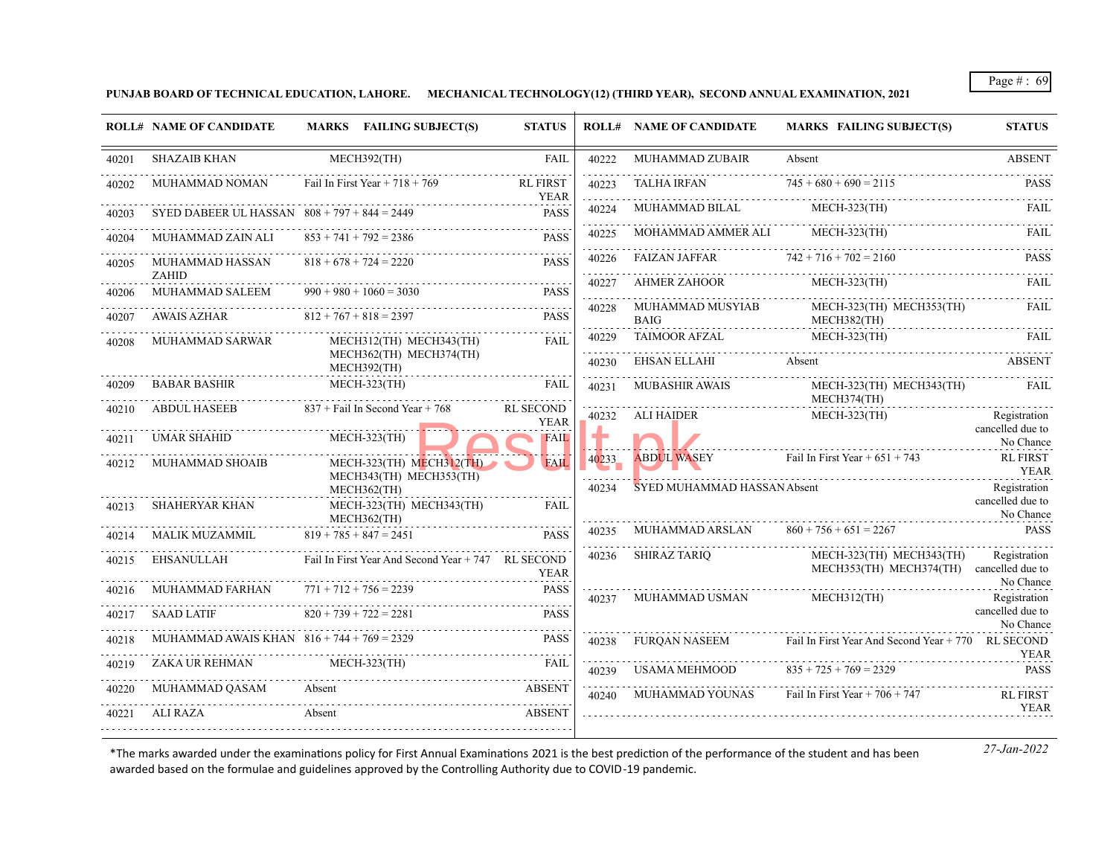**PUNJAB BOARD OF TECHNICAL EDUCATION, LAHORE. MECHANICAL TECHNOLOGY(12) (THIRD YEAR), SECOND ANNUAL EXAMINATION, 2021**

|       | <b>ROLL# NAME OF CANDIDATE</b>                 | MARKS FAILING SUBJECT(S)                            | <b>STATUS</b>                   |            | <b>ROLL# NAME OF CANDIDATE</b>  | <b>MARKS FAILING SUBJECT(S)</b>                    | <b>STATUS</b>                    |
|-------|------------------------------------------------|-----------------------------------------------------|---------------------------------|------------|---------------------------------|----------------------------------------------------|----------------------------------|
| 40201 | <b>SHAZAIB KHAN</b>                            | MECH392(TH)                                         | <b>FAIL</b>                     | 40222      | MUHAMMAD ZUBAIR                 | Absent                                             | <b>ABSENT</b>                    |
|       | MUHAMMAD NOMAN                                 | Fail In First Year $+ 718 + 769$                    | <b>RL FIRST</b><br><b>YEAR</b>  | 40223<br>. | TALHA IRFAN                     | $745 + 680 + 690 = 2115$                           | <b>PASS</b>                      |
| 40203 | SYED DABEER UL HASSAN $808 + 797 + 844 = 2449$ |                                                     | <b>PASS</b>                     | 40224      | MUHAMMAD BILAL                  | MECH-323(TH)                                       | <b>FAIL</b>                      |
|       | MUHAMMAD ZAIN ALI                              | $853 + 741 + 792 = 2386$                            | <b>PASS</b>                     | 40225      | MOHAMMAD AMMER ALI              | MECH-323(TH)                                       | FAIL                             |
| 40205 | MUHAMMAD HASSAN<br>ZAHID                       | $818 + 678 + 724 = 2220$                            | <b>PASS</b>                     | 40226      | <b>FAIZAN JAFFAR</b><br>.       | $742 + 716 + 702 = 2160$                           | <b>PASS</b>                      |
| 40206 | <b>MUHAMMAD SALEEM</b>                         | $990 + 980 + 1060 = 3030$                           | <b>PASS</b>                     | 40227      | AHMER ZAHOOR                    | $MECH-323(TH)$                                     | FAIL.                            |
| 40207 | AWAIS AZHAR                                    | $812 + 767 + 818 = 2397$                            | <b>PASS</b>                     | 40228      | MUHAMMAD MUSYIAB<br><b>BAIG</b> | MECH-323(TH) MECH353(TH)<br>MECH382(TH)            | FAIL                             |
| 40208 | MUHAMMAD SARWAR                                | MECH312(TH) MECH343(TH)                             | <b>FAIL</b>                     | 40229<br>. | <b>TAIMOOR AFZAL</b>            | MECH-323(TH)                                       | <b>FAIL</b>                      |
|       |                                                | MECH362(TH) MECH374(TH)<br>MECH392(TH)              |                                 | 40230      | EHSAN ELLAHI                    | Absent                                             | <b>ABSENT</b>                    |
| 40209 | <b>BABAR BASHIR</b>                            | $MECH-323$ (TH)                                     | <b>FAIL</b>                     | 40231      | <b>MUBASHIR AWAIS</b>           | MECH-323(TH) MECH343(TH)<br>MECH374(TH)            | FAIL                             |
| 40210 | <b>ABDUL HASEEB</b>                            | $837 +$ Fail In Second Year + 768                   | <b>RL SECOND</b><br><b>YEAR</b> | 40232      | <b>ALI HAIDER</b>               | $MECH-323$ (TH)                                    | Registration                     |
|       | <b>UMAR SHAHID</b>                             | <b>MECH-323(TH)</b>                                 | <b>FAIL</b>                     |            |                                 |                                                    | cancelled due to<br>No Chance    |
| 40212 | <b>MUHAMMAD SHOAIB</b>                         | MECH-323(TH) MECH312(TH)<br>MECH343(TH) MECH353(TH) | <b>FAIL</b>                     | 40233      | <b>ABDUL WASEY</b>              | Fail In First Year + $651 + 743$                   | <b>RL FIRST</b><br>YEAR          |
| 40213 | <b>SHAHERYAR KHAN</b>                          | MECH362(TH)<br>MECH-323(TH) MECH343(TH)             | FAIL                            | 40234      | SYED MUHAMMAD HASSAN Absent     |                                                    | Registration<br>cancelled due to |
|       |                                                | MECH362(TH)                                         |                                 | 40235      | MUHAMMAD ARSLAN                 | $860 + 756 + 651 = 2267$                           | No Chance<br><b>PASS</b>         |
|       | MALIK MUZAMMIL                                 | $819 + 785 + 847 = 2451$                            | <b>PASS</b>                     |            |                                 | MECH-323(TH) MECH343(TH)                           |                                  |
| 40215 | EHSANULLAH                                     | Fail In First Year And Second Year + 747 RL SECOND  | <b>YEAR</b>                     | 40236      | SHIRAZ TARIQ                    | MECH353(TH) MECH374(TH) cancelled due to           | Registration                     |
|       | MUHAMMAD FARHAN                                | $771 + 712 + 756 = 2239$                            | <b>PASS</b>                     | 40237      | MUHAMMAD USMAN                  | MECH312(TH)                                        | No Chance<br>Registration        |
| 40217 | <b>SAAD LATIF</b>                              | $820 + 739 + 722 = 2281$                            | <b>PASS</b>                     |            |                                 |                                                    | cancelled due to<br>No Chance    |
|       | MUHAMMAD AWAIS KHAN $816 + 744 + 769 = 2329$   |                                                     | <b>PASS</b>                     | 40238      | <b>FUROAN NASEEM</b>            | Fail In First Year And Second Year + 770 RL SECOND | <b>YEAR</b>                      |
| 40219 | ZAKA UR REHMAN                                 | $MECH-323$ (TH)                                     | <b>FAIL</b>                     | 40239      | USAMA MEHMOOD                   | $835 + 725 + 769 = 2329$                           | <b>PASS</b>                      |
|       | MUHAMMAD QASAM                                 | Absent                                              | <b>ABSENT</b>                   | 40240      | MUHAMMAD YOUNAS                 | Fail In First Year $+706 + 747$                    | RL FIRST                         |
| 40221 | ALI RAZA                                       | Absent                                              | <b>ABSENT</b>                   |            |                                 |                                                    | <b>YEAR</b>                      |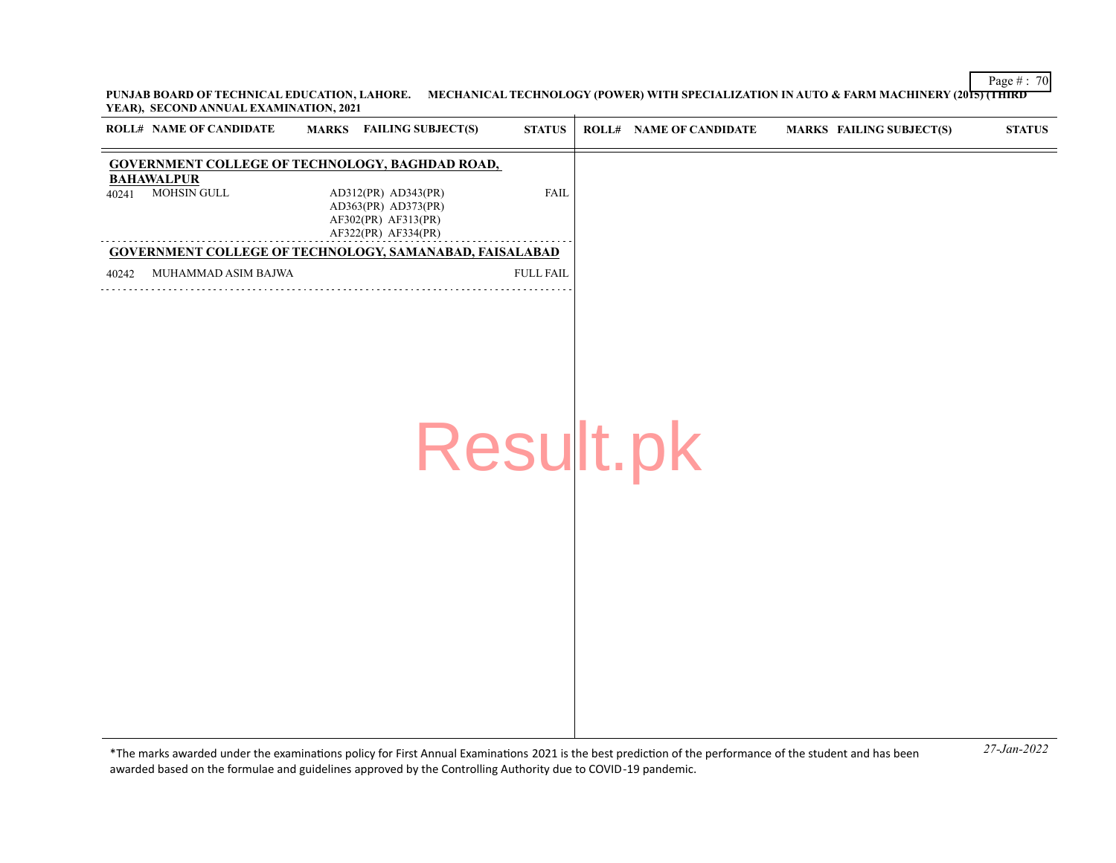Page # : 70 **PUNJAB BOARD OF TECHNICAL EDUCATION, LAHORE. MECHANICAL TECHNOLOGY (POWER) WITH SPECIALIZATION IN AUTO & FARM MACHINERY (2015) (THIRD YEAR), SECOND ANNUAL EXAMINATION, 2021**

|       | <b>ROLL# NAME OF CANDIDATE</b>          | <b>MARKS</b> FAILING SUBJECT(S)                                                          | $\bold{STATUS}$  | <b>ROLL# NAME OF CANDIDATE</b> | <b>MARKS FAILING SUBJECT(S)</b> | $\bold{STATUS}$ |
|-------|-----------------------------------------|------------------------------------------------------------------------------------------|------------------|--------------------------------|---------------------------------|-----------------|
|       |                                         | <b>GOVERNMENT COLLEGE OF TECHNOLOGY, BAGHDAD ROAD,</b>                                   |                  |                                |                                 |                 |
| 40241 | <b>BAHAWALPUR</b><br><b>MOHSIN GULL</b> | AD312(PR) AD343(PR)<br>AD363(PR) AD373(PR)<br>AF302(PR) AF313(PR)<br>AF322(PR) AF334(PR) | <b>FAIL</b>      |                                |                                 |                 |
|       |                                         | <b>GOVERNMENT COLLEGE OF TECHNOLOGY, SAMANABAD, FAISALABAD</b>                           |                  |                                |                                 |                 |
| 40242 | MUHAMMAD ASIM BAJWA                     |                                                                                          | <b>FULL FAIL</b> |                                |                                 |                 |
|       |                                         | Result.pk                                                                                |                  |                                |                                 |                 |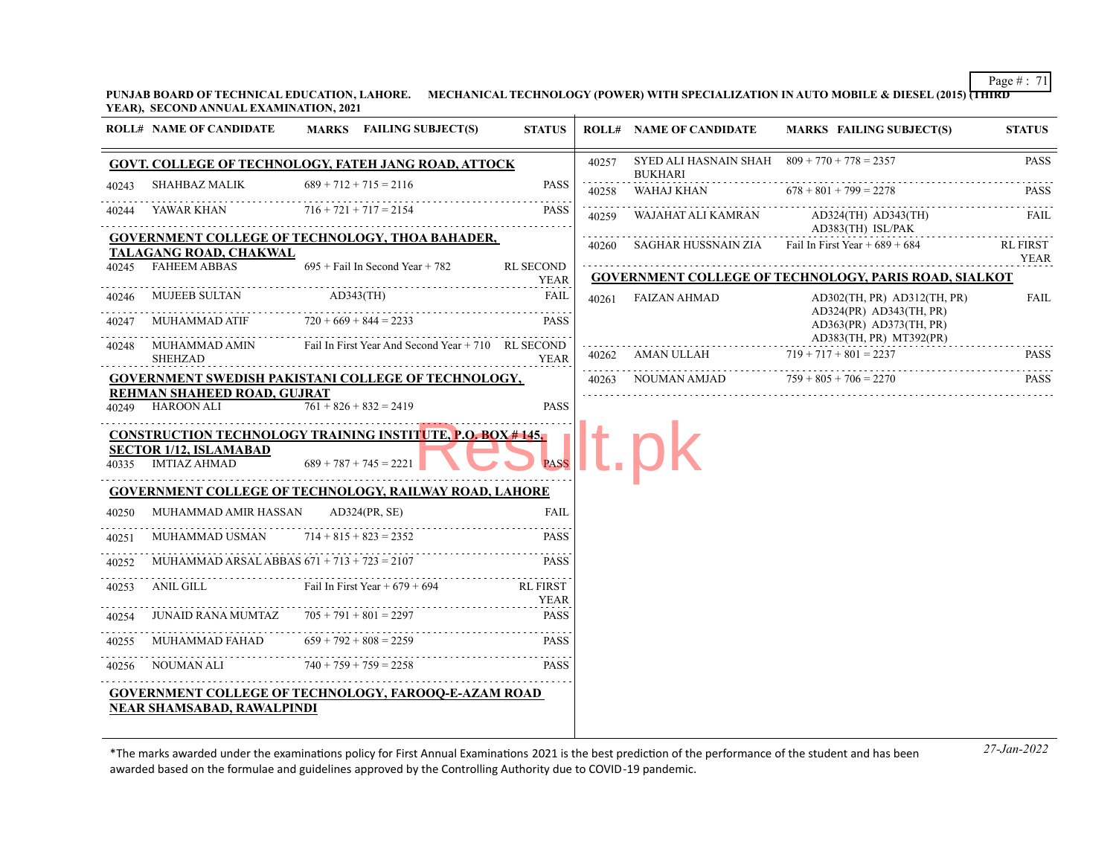**PUNJAB BOARD OF TECHNICAL EDUCATION, LAHORE. MECHANICAL TECHNOLOGY (POWER) WITH SPECIALIZATION IN AUTO MOBILE & DIESEL (2015) (THIRD YEAR), SECOND ANNUAL EXAMINATION, 2021**

|       | <b>ROLL# NAME OF CANDIDATE</b>                | MARKS FAILING SUBJECT(S)                                                                      | <b>STATUS</b>                   |       | <b>ROLL# NAME OF CANDIDATE</b>                                   | <b>MARKS FAILING SUBJECT(S)</b>                                                       | <b>STATUS</b>   |
|-------|-----------------------------------------------|-----------------------------------------------------------------------------------------------|---------------------------------|-------|------------------------------------------------------------------|---------------------------------------------------------------------------------------|-----------------|
|       |                                               | <b>GOVT. COLLEGE OF TECHNOLOGY, FATEH JANG ROAD, ATTOCK</b>                                   |                                 | 40257 | SYED ALI HASNAIN SHAH $809 + 770 + 778 = 2357$<br><b>BUKHARI</b> |                                                                                       | <b>PASS</b>     |
| 40243 | <b>SHAHBAZ MALIK</b>                          | $689 + 712 + 715 = 2116$                                                                      | <b>PASS</b>                     | 40258 | WAHAJ KHAN                                                       | $678 + 801 + 799 = 2278$                                                              | PASS            |
| 40244 | YAWAR KHAN                                    | $716 + 721 + 717 = 2154$                                                                      | <b>PASS</b>                     | 40259 | WAJAHAT ALI KAMRAN                                               | AD324(TH) AD343(TH)<br>AD383(TH) ISL/PAK                                              | FAIL            |
|       | <b>TALAGANG ROAD, CHAKWAL</b>                 | <b>GOVERNMENT COLLEGE OF TECHNOLOGY, THOA BAHADER,</b>                                        |                                 | 40260 |                                                                  | SAGHAR HUSSNAIN ZIA Fail In First Year $+689 + 684$                                   | <b>RL FIRST</b> |
| 40245 | <b>FAHEEM ABBAS</b>                           | $695 +$ Fail In Second Year + 782                                                             | <b>RL SECOND</b><br><b>YEAR</b> |       |                                                                  | <b>GOVERNMENT COLLEGE OF TECHNOLOGY, PARIS ROAD, SIALKOT</b>                          | YEAR            |
| 40246 | MUJEEB SULTAN                                 | $AD343$ (TH)                                                                                  | FAIL                            | 40261 | <b>FAIZAN AHMAD</b>                                              | $AD302$ (TH, PR) $AD312$ (TH, PR)                                                     | <b>FAIL</b>     |
| 40247 | MUHAMMAD ATIF                                 | $720 + 669 + 844 = 2233$                                                                      | <b>PASS</b>                     |       |                                                                  | $AD324(PR)$ $AD343(TH, PR)$<br>$AD363(PR)$ $AD373(TH, PR)$<br>AD383(TH, PR) MT392(PR) |                 |
| 40248 | MUHAMMAD AMIN<br><b>SHEHZAD</b>               | Fail In First Year And Second Year + 710 RL SECOND                                            | <b>YEAR</b>                     | 40262 | AMAN ULLAH                                                       | $719 + 717 + 801 = 2237$                                                              | <b>PASS</b>     |
|       |                                               | <b>GOVERNMENT SWEDISH PAKISTANI COLLEGE OF TECHNOLOGY,</b>                                    |                                 | 40263 | NOUMAN AMJAD                                                     | $759 + 805 + 706 = 2270$                                                              | <b>PASS</b>     |
| 40249 | REHMAN SHAHEED ROAD, GUJRAT<br>HAROON ALI     | $761 + 826 + 832 = 2419$                                                                      | <b>PASS</b>                     |       |                                                                  |                                                                                       |                 |
| 40335 | <b>SECTOR 1/12, ISLAMABAD</b><br>IMTIAZ AHMAD | <b>CONSTRUCTION TECHNOLOGY TRAINING INSTITUTE, P.O. BOX #145.</b><br>$689 + 787 + 745 = 2221$ |                                 |       |                                                                  |                                                                                       |                 |
|       |                                               | <b>GOVERNMENT COLLEGE OF TECHNOLOGY, RAILWAY ROAD, LAHORE</b>                                 |                                 |       |                                                                  |                                                                                       |                 |
| 40250 | MUHAMMAD AMIR HASSAN                          | AD324(PR, SE)                                                                                 | <b>FAIL</b>                     |       |                                                                  |                                                                                       |                 |
| 40251 | MUHAMMAD USMAN                                | $714 + 815 + 823 = 2352$                                                                      | <b>PASS</b>                     |       |                                                                  |                                                                                       |                 |
| 40252 | MUHAMMAD ARSAL ABBAS $671 + 713 + 723 = 2107$ |                                                                                               | <b>PASS</b>                     |       |                                                                  |                                                                                       |                 |
| 40253 | ANIL GILL                                     | Fail In First Year $+679 + 694$                                                               | <b>RL FIRST</b><br>YEAR         |       |                                                                  |                                                                                       |                 |
| 40254 | JUNAID RANA MUMTAZ $705 + 791 + 801 = 2297$   |                                                                                               | <b>PASS</b>                     |       |                                                                  |                                                                                       |                 |
| 40255 | MUHAMMAD FAHAD                                | $659 + 792 + 808 = 2259$                                                                      | <b>PASS</b>                     |       |                                                                  |                                                                                       |                 |
| 40256 | .<br>NOUMAN ALI                               | $740 + 759 + 759 = 2258$                                                                      | <b>PASS</b>                     |       |                                                                  |                                                                                       |                 |
|       | <b>NEAR SHAMSABAD, RAWALPINDI</b>             | <b>GOVERNMENT COLLEGE OF TECHNOLOGY, FAROOQ-E-AZAM ROAD</b>                                   |                                 |       |                                                                  |                                                                                       |                 |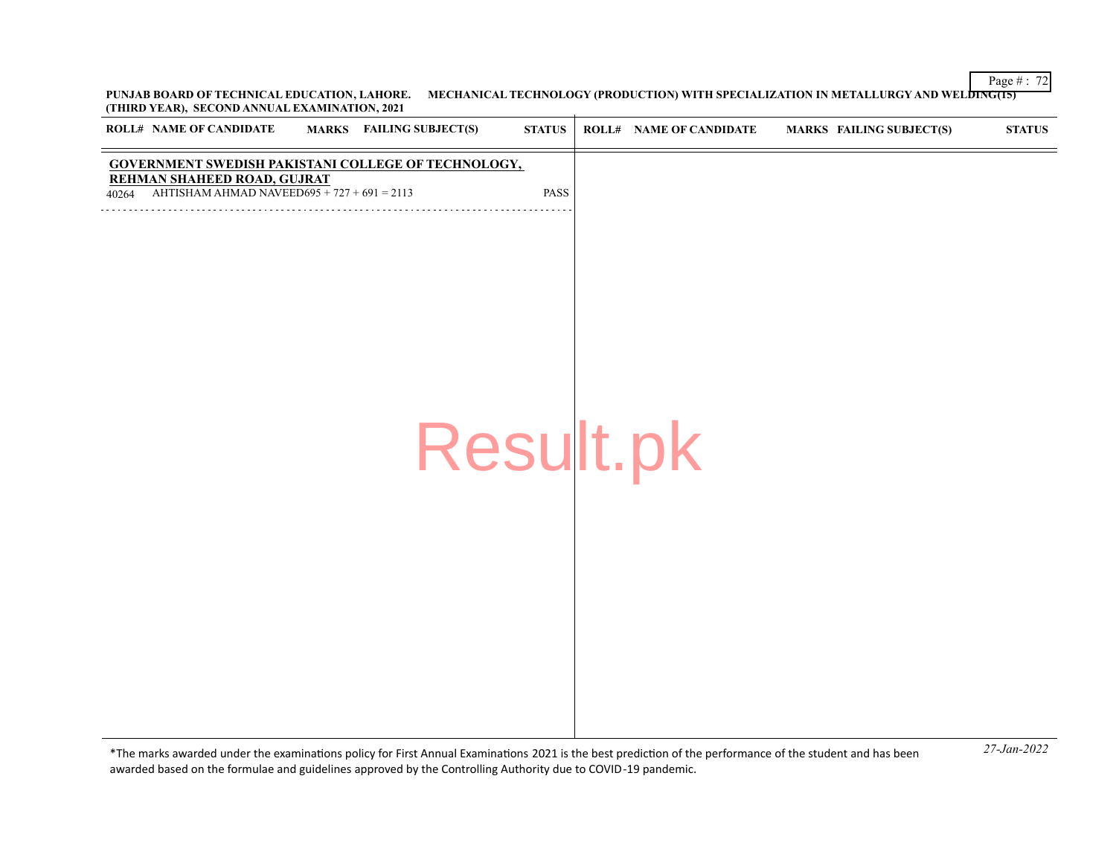Page # : 72 **PUNJAB BOARD OF TECHNICAL EDUCATION, LAHORE. MECHANICAL TECHNOLOGY (PRODUCTION) WITH SPECIALIZATION IN METALLURGY AND WELDING(15) (THIRD YEAR), SECOND ANNUAL EXAMINATION, 2021**  $\mathbf{r}$ 

| ROLL# NAME OF CANDIDATE                                                                                                                      | <b>MARKS</b> FAILING SUBJECT(S) | $\bold{STATUS}$ | <b>ROLL# NAME OF CANDIDATE</b> | <b>MARKS FAILING SUBJECT(S)</b> | <b>STATUS</b> |
|----------------------------------------------------------------------------------------------------------------------------------------------|---------------------------------|-----------------|--------------------------------|---------------------------------|---------------|
| GOVERNMENT SWEDISH PAKISTANI COLLEGE OF TECHNOLOGY,<br>REHMAN SHAHEED ROAD, GUJRAT<br>AHTISHAM AHMAD NAVEED695 + $727 + 691 = 2113$<br>40264 |                                 | PASS            |                                |                                 |               |
|                                                                                                                                              |                                 |                 |                                |                                 |               |
|                                                                                                                                              |                                 |                 |                                |                                 |               |
|                                                                                                                                              |                                 |                 |                                |                                 |               |
|                                                                                                                                              |                                 |                 |                                |                                 |               |
|                                                                                                                                              |                                 | Result.pk       |                                |                                 |               |
|                                                                                                                                              |                                 |                 |                                |                                 |               |
|                                                                                                                                              |                                 |                 |                                |                                 |               |
|                                                                                                                                              |                                 |                 |                                |                                 |               |
|                                                                                                                                              |                                 |                 |                                |                                 |               |
|                                                                                                                                              |                                 |                 |                                |                                 |               |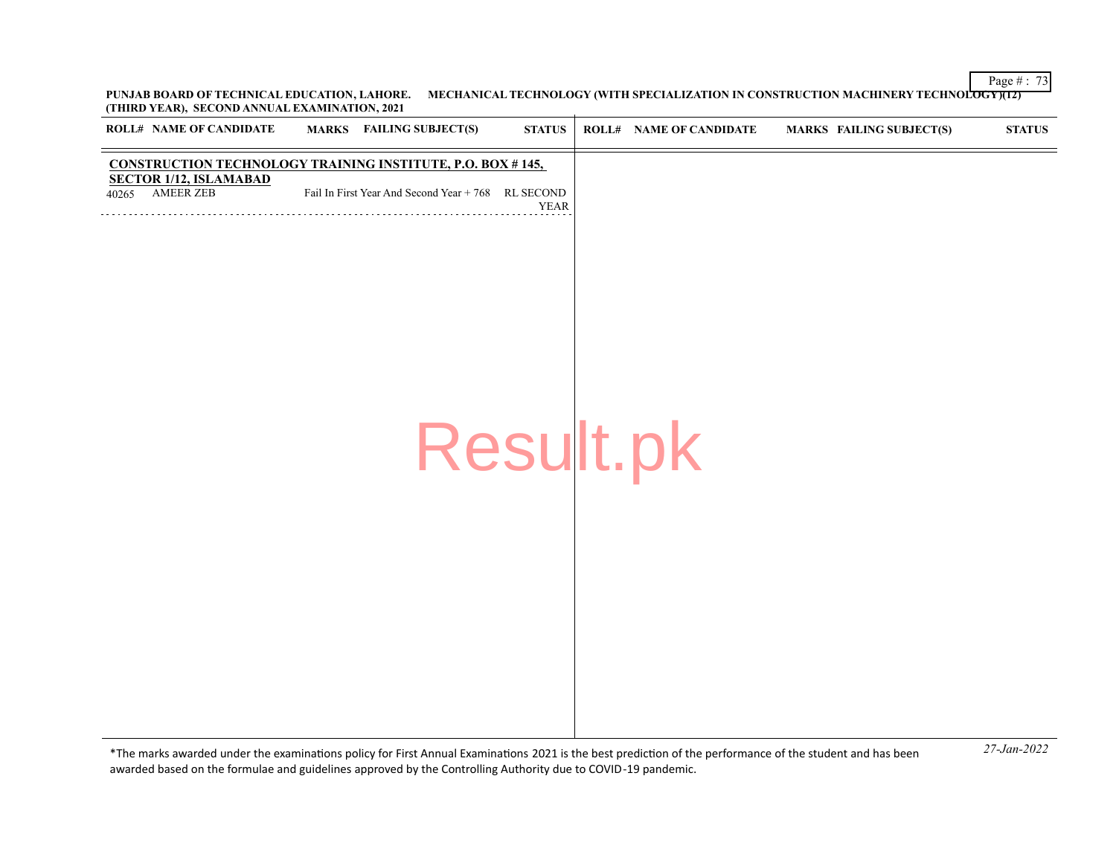Page # : 73 **PUNJAB BOARD OF TECHNICAL EDUCATION, LAHORE. MECHANICAL TECHNOLOGY (WITH SPECIALIZATION IN CONSTRUCTION MACHINERY TECHNOLOGY)(12) (THIRD YEAR), SECOND ANNUAL EXAMINATION, 2021**

| <b>ROLL# NAME OF CANDIDATE</b>                                    | <b>MARKS</b> FAILING SUBJECT(S)                    | <b>STATUS</b> | <b>ROLL# NAME OF CANDIDATE</b> | <b>MARKS FAILING SUBJECT(S)</b> | <b>STATUS</b> |
|-------------------------------------------------------------------|----------------------------------------------------|---------------|--------------------------------|---------------------------------|---------------|
| <b>CONSTRUCTION TECHNOLOGY TRAINING INSTITUTE, P.O. BOX #145,</b> |                                                    |               |                                |                                 |               |
| <b>SECTOR 1/12, ISLAMABAD</b><br><b>AMEER ZEB</b><br>40265        | Fail In First Year And Second Year + 768 RL SECOND | <b>YEAR</b>   |                                |                                 |               |
|                                                                   |                                                    |               |                                |                                 |               |
|                                                                   |                                                    |               |                                |                                 |               |
|                                                                   |                                                    |               |                                |                                 |               |
|                                                                   |                                                    |               |                                |                                 |               |
|                                                                   |                                                    |               |                                |                                 |               |
|                                                                   |                                                    |               |                                |                                 |               |
|                                                                   |                                                    |               |                                |                                 |               |
|                                                                   | Result.pk                                          |               |                                |                                 |               |
|                                                                   |                                                    |               |                                |                                 |               |
|                                                                   |                                                    |               |                                |                                 |               |
|                                                                   |                                                    |               |                                |                                 |               |
|                                                                   |                                                    |               |                                |                                 |               |
|                                                                   |                                                    |               |                                |                                 |               |
|                                                                   |                                                    |               |                                |                                 |               |
|                                                                   |                                                    |               |                                |                                 |               |
|                                                                   |                                                    |               |                                |                                 |               |
|                                                                   |                                                    |               |                                |                                 |               |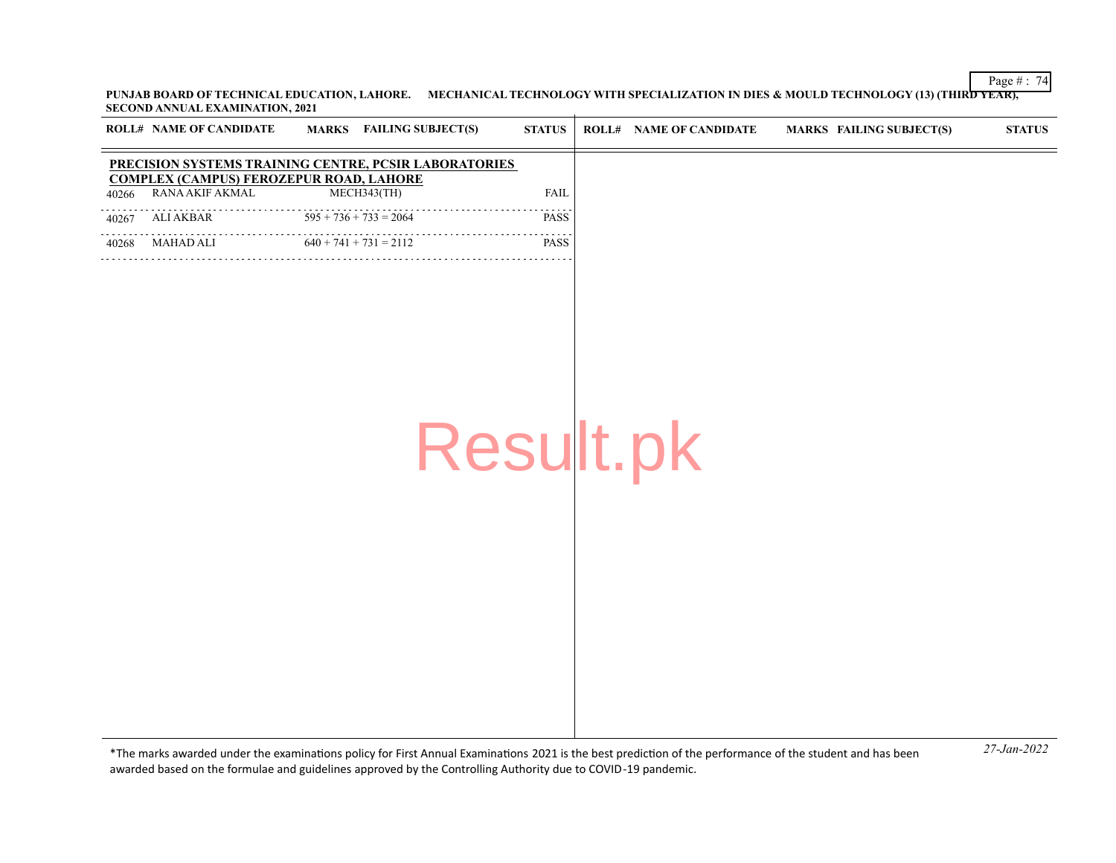Page # : 74 **PUNJAB BOARD OF TECHNICAL EDUCATION, LAHORE. MECHANICAL TECHNOLOGY WITH SPECIALIZATION IN DIES & MOULD TECHNOLOGY (13) (THIRD YEAR), SECOND ANNUAL EXAMINATION, 2021**

|       | <b>ROLL# NAME OF CANDIDATE</b>                 | <b>MARKS</b> FAILING SUBJECT(S)                       | <b>STATUS</b> | <b>ROLL# NAME OF CANDIDATE</b> | <b>MARKS FAILING SUBJECT(S)</b> | <b>STATUS</b> |
|-------|------------------------------------------------|-------------------------------------------------------|---------------|--------------------------------|---------------------------------|---------------|
|       | <b>COMPLEX (CAMPUS) FEROZEPUR ROAD, LAHORE</b> | PRECISION SYSTEMS TRAINING CENTRE, PCSIR LABORATORIES |               |                                |                                 |               |
| 40266 | RANA AKIF AKMAL                                | MECH343(TH)                                           | <b>FAIL</b>   |                                |                                 |               |
| 40267 | <b>ALI AKBAR</b>                               | $595 + 736 + 733 = 2064$                              | PASS          |                                |                                 |               |
| 40268 | MAHAD ALI                                      | $640 + 741 + 731 = 2112$                              | <b>PASS</b>   |                                |                                 |               |
|       |                                                | Result.pk                                             |               |                                |                                 |               |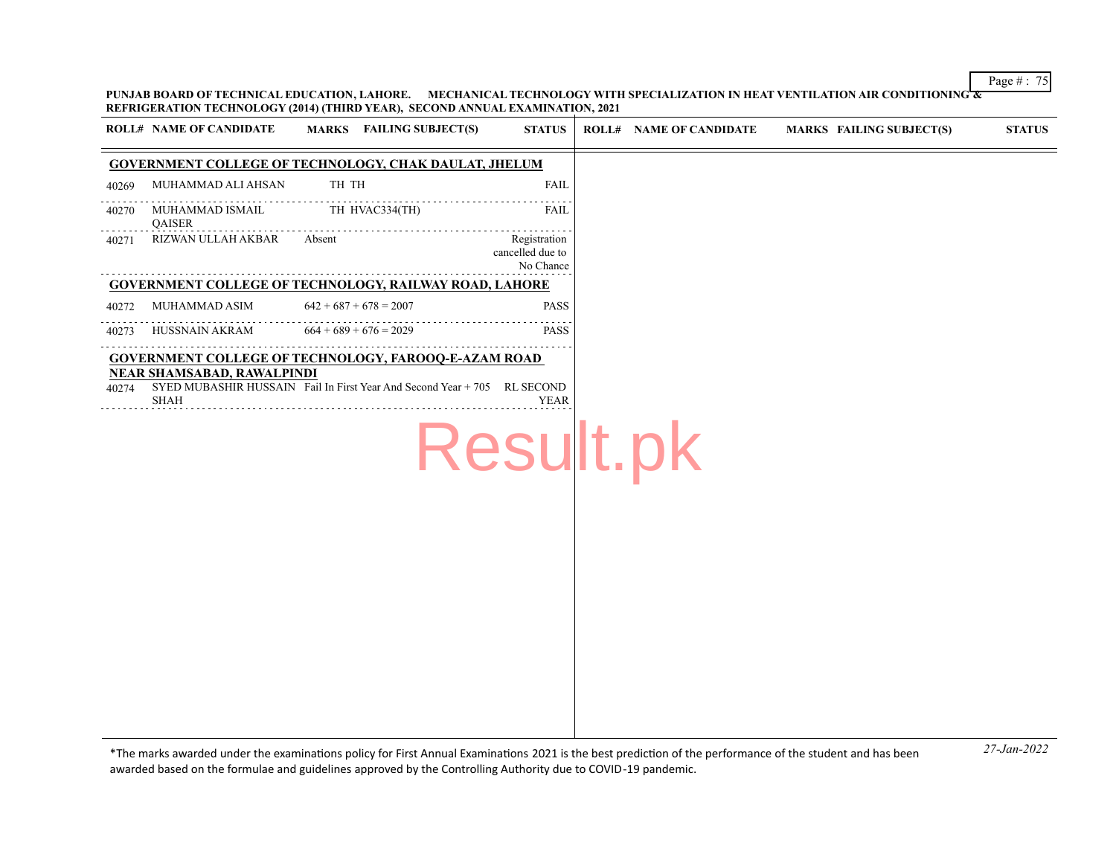Page # : 75

**PUNJAB BOARD OF TECHNICAL EDUCATION, LAHORE. MECHANICAL TECHNOLOGY WITH SPECIALIZATION IN HEAT VENTILATION AIR CONDITIONING & REFRIGERATION TECHNOLOGY (2014) (THIRD YEAR), SECOND ANNUAL EXAMINATION, 2021**

| <b>ROLL# NAME OF CANDIDATE</b>                            | MARKS FAILING SUBJECT(S)                                                                                                                | <b>STATUS</b>                                 | <b>ROLL# NAME OF CANDIDATE</b> | <b>MARKS FAILING SUBJECT(S)</b> | <b>STATUS</b> |
|-----------------------------------------------------------|-----------------------------------------------------------------------------------------------------------------------------------------|-----------------------------------------------|--------------------------------|---------------------------------|---------------|
|                                                           | <b>GOVERNMENT COLLEGE OF TECHNOLOGY, CHAK DAULAT, JHELUM</b>                                                                            |                                               |                                |                                 |               |
| MUHAMMAD ALI AHSAN<br>40269                               | TH TH                                                                                                                                   | <b>FAIL</b>                                   |                                |                                 |               |
| MUHAMMAD ISMAIL<br>40270<br><b>QAISER</b>                 | TH HVAC334(TH)                                                                                                                          | <b>FAIL</b>                                   |                                |                                 |               |
| RIZWAN ULLAH AKBAR<br>40271                               | Absent                                                                                                                                  | Registration<br>cancelled due to<br>No Chance |                                |                                 |               |
|                                                           | <b>GOVERNMENT COLLEGE OF TECHNOLOGY, RAILWAY ROAD, LAHORE</b>                                                                           |                                               |                                |                                 |               |
| MUHAMMAD ASIM<br>40272                                    | $642 + 687 + 678 = 2007$                                                                                                                | <b>PASS</b>                                   |                                |                                 |               |
| HUSSNAIN AKRAM<br>40273                                   | $664 + 689 + 676 = 2029$                                                                                                                | <b>PASS</b>                                   |                                |                                 |               |
| <b>NEAR SHAMSABAD, RAWALPINDI</b><br>40274<br><b>SHAH</b> | <b>GOVERNMENT COLLEGE OF TECHNOLOGY, FAROOQ-E-AZAM ROAD</b><br>SYED MUBASHIR HUSSAIN Fail In First Year And Second Year + 705 RL SECOND | <b>YEAR</b><br>Result.pk                      |                                |                                 |               |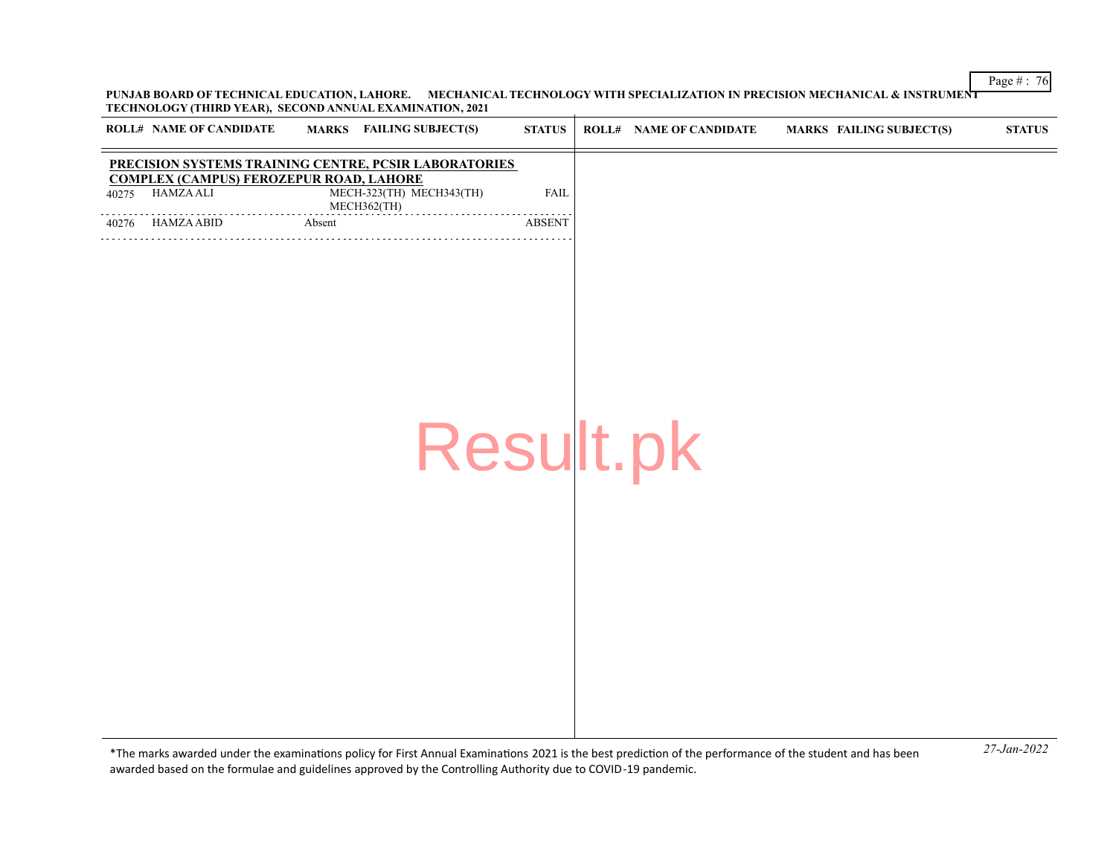**PUNJAB BOARD OF TECHNICAL EDUCATION, LAHORE. MECHANICAL TECHNOLOGY WITH SPECIALIZATION IN PRECISION MECHANICAL & INSTRUMENT TECHNOLOGY (THIRD YEAR), SECOND ANNUAL EXAMINATION, 2021**

|       | <b>ROLL# NAME OF CANDIDATE</b>                                     |        | MARKS FAILING SUBJECT(S)                              | <b>STATUS</b> | <b>ROLL# NAME OF CANDIDATE</b> | <b>MARKS FAILING SUBJECT(S)</b> | <b>STATUS</b> |
|-------|--------------------------------------------------------------------|--------|-------------------------------------------------------|---------------|--------------------------------|---------------------------------|---------------|
|       |                                                                    |        | PRECISION SYSTEMS TRAINING CENTRE, PCSIR LABORATORIES |               |                                |                                 |               |
| 40275 | <b>COMPLEX (CAMPUS) FEROZEPUR ROAD, LAHORE</b><br><b>HAMZA ALI</b> |        | MECH-323(TH) MECH343(TH)<br>MECH362(TH)               | <b>FAIL</b>   |                                |                                 |               |
| 40276 | HAMZA ABID                                                         | Absent |                                                       | <b>ABSENT</b> |                                |                                 |               |
|       |                                                                    |        |                                                       |               |                                |                                 |               |
|       |                                                                    |        |                                                       |               |                                |                                 |               |
|       |                                                                    |        |                                                       |               |                                |                                 |               |
|       |                                                                    |        |                                                       |               |                                |                                 |               |
|       |                                                                    |        |                                                       |               |                                |                                 |               |
|       |                                                                    |        |                                                       |               |                                |                                 |               |
|       |                                                                    |        |                                                       |               |                                |                                 |               |
|       |                                                                    |        | Result.pk                                             |               |                                |                                 |               |
|       |                                                                    |        |                                                       |               |                                |                                 |               |
|       |                                                                    |        |                                                       |               |                                |                                 |               |
|       |                                                                    |        |                                                       |               |                                |                                 |               |
|       |                                                                    |        |                                                       |               |                                |                                 |               |
|       |                                                                    |        |                                                       |               |                                |                                 |               |
|       |                                                                    |        |                                                       |               |                                |                                 |               |
|       |                                                                    |        |                                                       |               |                                |                                 |               |
|       |                                                                    |        |                                                       |               |                                |                                 |               |
|       |                                                                    |        |                                                       |               |                                |                                 |               |

*27-Jan-2022* \*The marks awarded under the examinatons policy for First Annual Examinatons 2021 is the best predicton of the performance of the student and has been awarded based on the formulae and guidelines approved by the Controlling Authority due to COVID-19 pandemic.

Page # : 76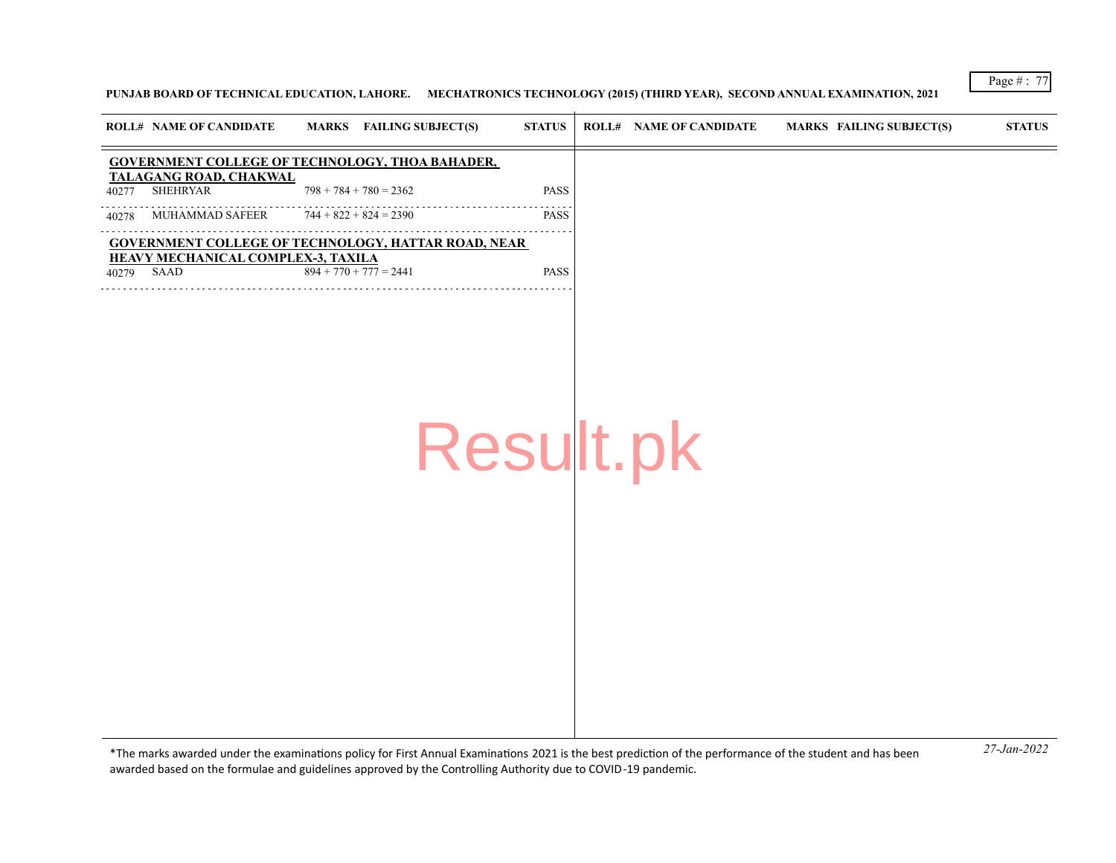## **PUNJAB BOARD OF TECHNICAL EDUCATION, LAHORE. MECHATRONICS TECHNOLOGY (2015) (THIRD YEAR), SECOND ANNUAL EXAMINATION, 2021**

| <b>GOVERNMENT COLLEGE OF TECHNOLOGY, THOA BAHADER,</b><br>TALAGANG ROAD, CHAKWAL<br><b>SHEHRYAR</b><br>$798 + 784 + 780 = 2362$<br>PASS<br>40277<br>$744 + 822 + 824 = 2390$<br>MUHAMMAD SAFEER<br><b>PASS</b><br>40278<br><b>GOVERNMENT COLLEGE OF TECHNOLOGY, HATTAR ROAD, NEAR</b><br><b>HEAVY MECHANICAL COMPLEX-3, TAXILA</b><br>$894 + 770 + 777 = 2441$<br>40279 SAAD<br><b>PASS</b><br>Result.pk | <b>ROLL# NAME OF CANDIDATE</b> | <b>MARKS</b> FAILING SUBJECT(S) | <b>STATUS</b> | <b>ROLL# NAME OF CANDIDATE</b> | <b>MARKS FAILING SUBJECT(S)</b> | <b>STATUS</b> |
|----------------------------------------------------------------------------------------------------------------------------------------------------------------------------------------------------------------------------------------------------------------------------------------------------------------------------------------------------------------------------------------------------------|--------------------------------|---------------------------------|---------------|--------------------------------|---------------------------------|---------------|
|                                                                                                                                                                                                                                                                                                                                                                                                          |                                |                                 |               |                                |                                 |               |
|                                                                                                                                                                                                                                                                                                                                                                                                          |                                |                                 |               |                                |                                 |               |
|                                                                                                                                                                                                                                                                                                                                                                                                          |                                |                                 |               |                                |                                 |               |
|                                                                                                                                                                                                                                                                                                                                                                                                          |                                |                                 |               |                                |                                 |               |
|                                                                                                                                                                                                                                                                                                                                                                                                          |                                |                                 |               |                                |                                 |               |
|                                                                                                                                                                                                                                                                                                                                                                                                          |                                |                                 |               |                                |                                 |               |
|                                                                                                                                                                                                                                                                                                                                                                                                          |                                |                                 |               |                                |                                 |               |
|                                                                                                                                                                                                                                                                                                                                                                                                          |                                |                                 |               |                                |                                 |               |
|                                                                                                                                                                                                                                                                                                                                                                                                          |                                |                                 |               |                                |                                 |               |
|                                                                                                                                                                                                                                                                                                                                                                                                          |                                |                                 |               |                                |                                 |               |

*27-Jan-2022* \*The marks awarded under the examinatons policy for First Annual Examinatons 2021 is the best predicton of the performance of the student and has been awarded based on the formulae and guidelines approved by the Controlling Authority due to COVID-19 pandemic.

Page # : 77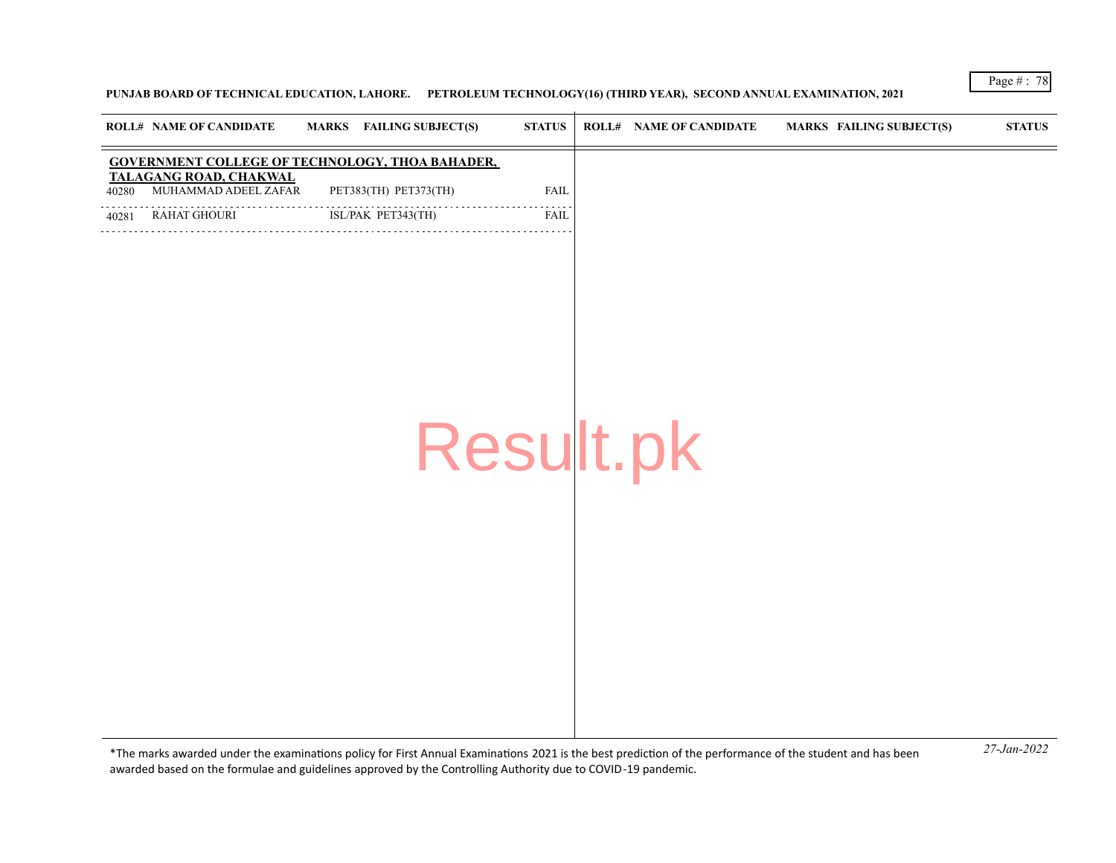## **PUNJAB BOARD OF TECHNICAL EDUCATION, LAHORE. PETROLEUM TECHNOLOGY(16) (THIRD YEAR), SECOND ANNUAL EXAMINATION, 2021**

|       | <b>ROLL# NAME OF CANDIDATE</b>                 | MARKS FAILING SUBJECT(S)                               | $\bold{STATUS}$ | <b>ROLL# NAME OF CANDIDATE</b> | MARKS FAILING SUBJECT(S) | <b>STATUS</b> |
|-------|------------------------------------------------|--------------------------------------------------------|-----------------|--------------------------------|--------------------------|---------------|
|       |                                                | <b>GOVERNMENT COLLEGE OF TECHNOLOGY, THOA BAHADER,</b> |                 |                                |                          |               |
| 40280 | TALAGANG ROAD, CHAKWAL<br>MUHAMMAD ADEEL ZAFAR | PET383(TH) PET373(TH)                                  | <b>FAIL</b>     |                                |                          |               |
| 40281 | RAHAT GHOURI                                   | ISL/PAK PET343(TH)<br>.                                | <b>FAIL</b>     |                                |                          |               |
|       |                                                |                                                        |                 |                                |                          |               |
|       |                                                |                                                        |                 |                                |                          |               |
|       |                                                |                                                        |                 |                                |                          |               |
|       |                                                |                                                        |                 |                                |                          |               |
|       |                                                |                                                        |                 |                                |                          |               |
|       |                                                |                                                        |                 |                                |                          |               |
|       |                                                |                                                        |                 |                                |                          |               |
|       |                                                |                                                        |                 | Result.pk                      |                          |               |
|       |                                                |                                                        |                 |                                |                          |               |
|       |                                                |                                                        |                 |                                |                          |               |
|       |                                                |                                                        |                 |                                |                          |               |
|       |                                                |                                                        |                 |                                |                          |               |
|       |                                                |                                                        |                 |                                |                          |               |
|       |                                                |                                                        |                 |                                |                          |               |
|       |                                                |                                                        |                 |                                |                          |               |
|       |                                                |                                                        |                 |                                |                          |               |
|       |                                                |                                                        |                 |                                |                          |               |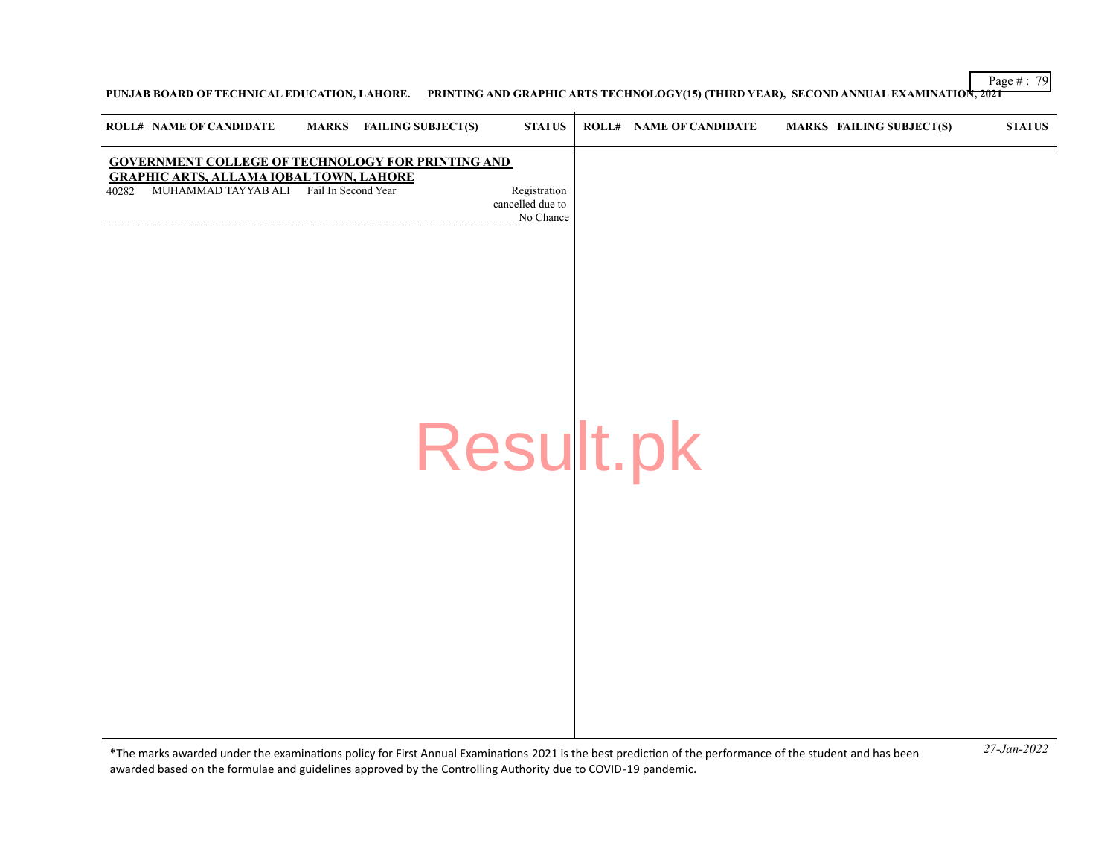Page # : 79

**PUNJAB BOARD OF TECHNICAL EDUCATION, LAHORE. PRINTING AND GRAPHIC ARTS TECHNOLOGY(15) (THIRD YEAR), SECOND ANNUAL EXAMINATION, 2021**

| <b>ROLL# NAME OF CANDIDATE</b>                                                                     | <b>MARKS</b> FAILING SUBJECT(S)                          | <b>STATUS</b>                                 | <b>ROLL# NAME OF CANDIDATE</b> | <b>MARKS FAILING SUBJECT(S)</b> | <b>STATUS</b> |
|----------------------------------------------------------------------------------------------------|----------------------------------------------------------|-----------------------------------------------|--------------------------------|---------------------------------|---------------|
| <b>GRAPHIC ARTS, ALLAMA IQBAL TOWN, LAHORE</b><br>MUHAMMAD TAYYAB ALI Fail In Second Year<br>40282 | <b>GOVERNMENT COLLEGE OF TECHNOLOGY FOR PRINTING AND</b> | Registration<br>cancelled due to<br>No Chance |                                |                                 |               |
|                                                                                                    |                                                          | Result.pk                                     |                                |                                 |               |
|                                                                                                    |                                                          |                                               |                                |                                 |               |
|                                                                                                    |                                                          |                                               |                                |                                 |               |